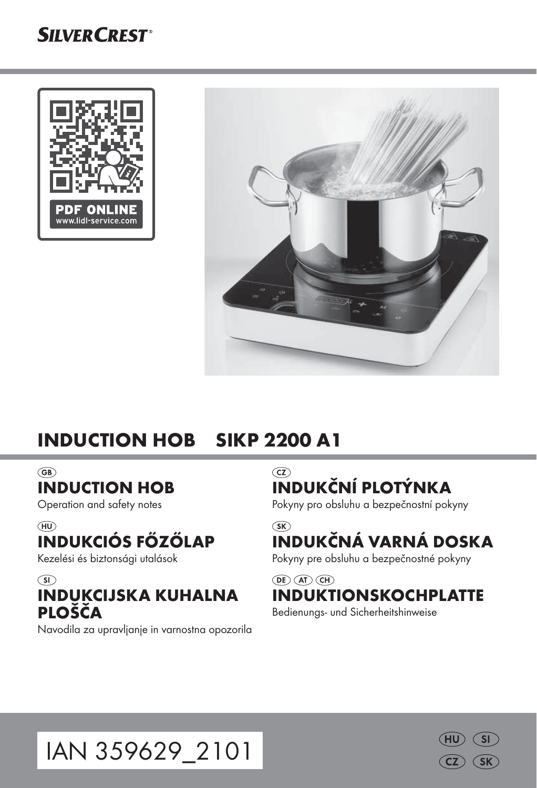# **SILVER CREST®**





# INDUCTION HOB SIKP 2200 A1

#### $\widehat{\mathsf{GB}}$

### INDUCTION HOB

Operation and safety notes

#### $(HD)$

# INDUKCIÓS FŐZŐLAP

Kezelési és biztonsági utalások

### $\odot$ INDUKCIJSKA KUHALNA PLOŠČA

Navodila za upravljanje in varnostna opozorila

 $\widehat{c}$ INDUKČNÍ PLOTÝNKA

Pokyny pro obsluhu a bezpečnostní pokyny

#### $\widehat{\text{SK}}$ INDUKČNÁ VARNÁ DOSKA

Pokyny pre obsluhu a bezpečnostné pokyny

#### $\overline{(\mathsf{DE})}$   $\overline{(\mathsf{AT})}$   $\overline{(\mathsf{CH})}$ INDUKTIONSKOCHPLATTE

Bedienungs- und Sicherheitshinweise



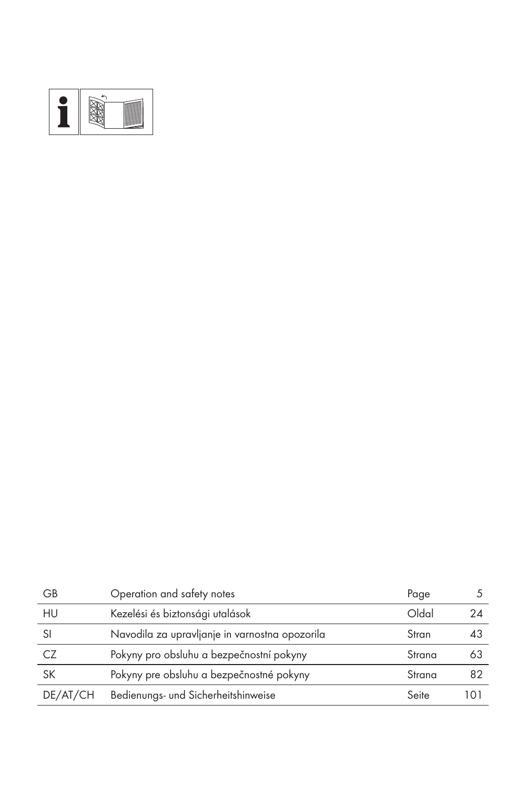

| GB        | Operation and safety notes                     | Page   |     |
|-----------|------------------------------------------------|--------|-----|
| HU        | Kezelési és biztonsági utalások                | Oldal  | 24  |
| SI        | Navodila za upravljanje in varnostna opozorila | Stran  | 43  |
| CZ        | Pokyny pro obsluhu a bezpečnostní pokyny       | Strana | 63  |
| <b>SK</b> | Pokyny pre obsluhu a bezpečnostné pokyny       | Strana | 82  |
| DE/AT/CH  | Bedienungs- und Sicherheitshinweise            | Seite  | 101 |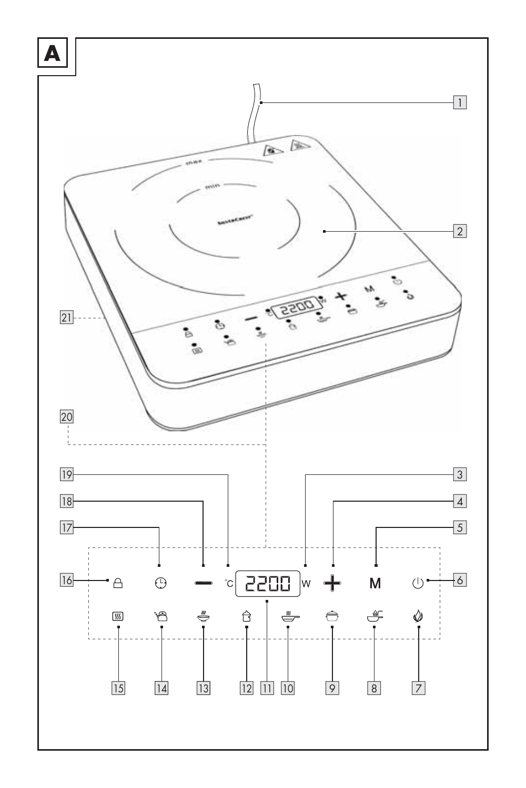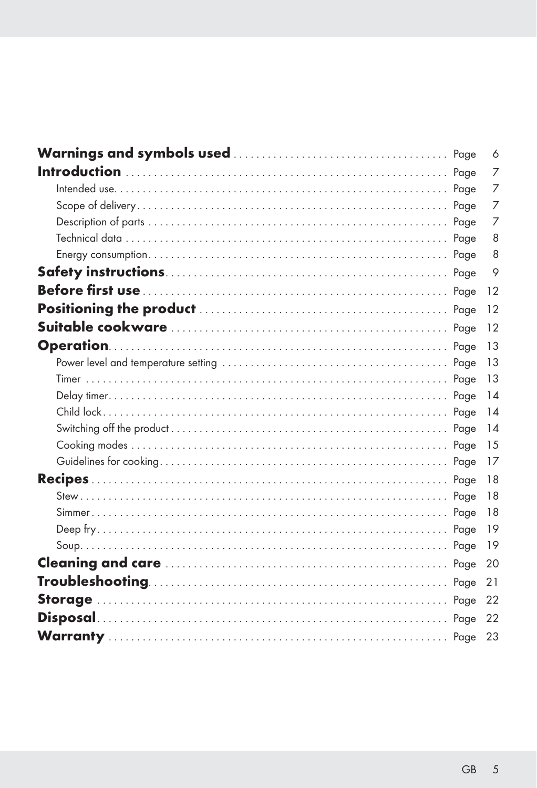|  | 6   |
|--|-----|
|  | 7   |
|  | 7   |
|  | 7   |
|  | 7   |
|  | 8   |
|  | 8   |
|  | 9   |
|  | 12  |
|  | 12  |
|  | 12  |
|  | 13  |
|  | 13  |
|  | 13  |
|  | 14  |
|  | 14  |
|  | 14  |
|  | 15  |
|  | 17  |
|  | 18  |
|  | 18  |
|  | 18  |
|  | 19  |
|  | -19 |
|  | 20  |
|  | 21  |
|  | -22 |
|  | 22  |
|  | 23  |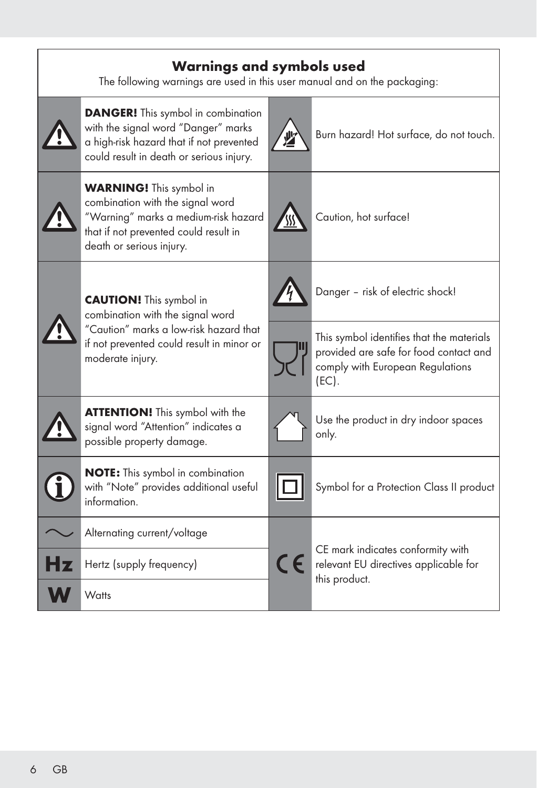|                                                                    | <b>Warnings and symbols used</b><br>The following warnings are used in this user manual and on the packaging:                                                                   |   |                                                                                                                                     |  |  |  |  |
|--------------------------------------------------------------------|---------------------------------------------------------------------------------------------------------------------------------------------------------------------------------|---|-------------------------------------------------------------------------------------------------------------------------------------|--|--|--|--|
|                                                                    | <b>DANGER!</b> This symbol in combination<br>with the signal word "Danger" marks<br>a high-risk hazard that if not prevented<br>could result in death or serious injury.        | 业 | Burn hazard! Hot surface, do not touch.                                                                                             |  |  |  |  |
|                                                                    | <b>WARNING!</b> This symbol in<br>combination with the signal word<br>"Warning" marks a medium-risk hazard<br>that if not prevented could result in<br>death or serious injury. |   | Caution, hot surface!                                                                                                               |  |  |  |  |
| <b>CAUTION!</b> This symbol in<br>combination with the signal word |                                                                                                                                                                                 |   | Danger - risk of electric shock!                                                                                                    |  |  |  |  |
|                                                                    | "Caution" marks a low-risk hazard that<br>if not prevented could result in minor or<br>moderate injury.                                                                         |   | This symbol identifies that the materials<br>provided are safe for food contact and<br>comply with European Regulations<br>$(EC)$ . |  |  |  |  |
|                                                                    | <b>ATTENTION!</b> This symbol with the<br>signal word "Attention" indicates a<br>possible property damage.                                                                      |   | Use the product in dry indoor spaces<br>only.                                                                                       |  |  |  |  |
|                                                                    | <b>NOTE:</b> This symbol in combination<br>with "Note" provides additional useful<br>information.                                                                               |   | Symbol for a Protection Class II product                                                                                            |  |  |  |  |
|                                                                    | Alternating current/voltage                                                                                                                                                     |   |                                                                                                                                     |  |  |  |  |
|                                                                    | Hertz (supply frequency)                                                                                                                                                        |   | CE mark indicates conformity with<br>relevant EU directives applicable for<br>this product.                                         |  |  |  |  |
|                                                                    | Watts                                                                                                                                                                           |   |                                                                                                                                     |  |  |  |  |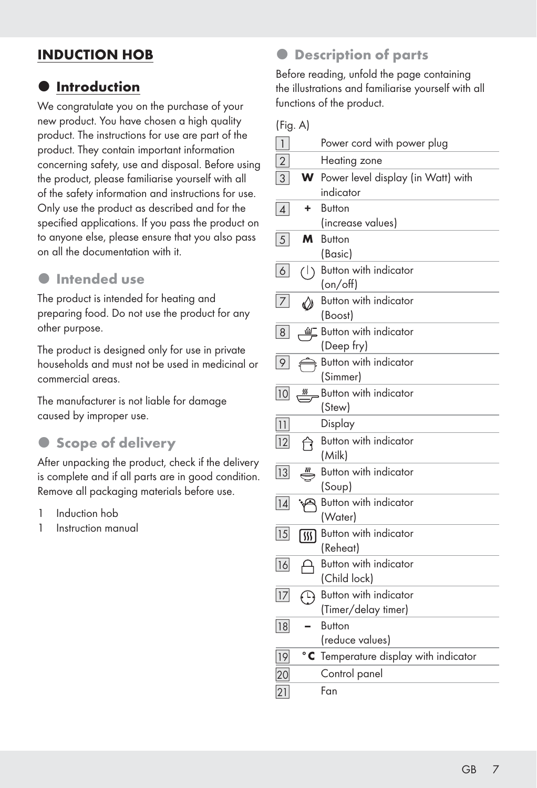## INDUCTION HOB

### $\bullet$  Introduction

We congratulate you on the purchase of your new product. You have chosen a high quality product. The instructions for use are part of the product. They contain important information concerning safety, use and disposal. Before using the product, please familiarise yourself with all of the safety information and instructions for use. Only use the product as described and for the specified applications. If you pass the product on to anyone else, please ensure that you also pass on all the documentation with it.

#### $\bullet$  Intended use

The product is intended for heating and preparing food. Do not use the product for any other purpose.

The product is designed only for use in private households and must not be used in medicinal or commercial areas.

The manufacturer is not liable for damage caused by improper use.

### **• Scope of delivery**

After unpacking the product, check if the delivery is complete and if all parts are in good condition. Remove all packaging materials before use.

- 1 Induction hob
- 1 Instruction manual

### **• Description of parts**

Before reading, unfold the page containing the illustrations and familiarise yourself with all functions of the product.

(Fig. A)

| $\overline{\mathbf{1}}$ |                                    | Power cord with power plug                      |
|-------------------------|------------------------------------|-------------------------------------------------|
| $\overline{2}$          |                                    | Heating zone                                    |
| 3                       | W                                  | Power level display (in Watt) with<br>indicator |
| $\vert$                 | ٠                                  | <b>Button</b><br>(increase values)              |
| 5                       | м                                  | <b>Button</b><br>(Basic)                        |
| 6                       | $\left(\left \right\rangle\right)$ | Button with indicator<br>(on/off)               |
| 7 <sup>1</sup>          | W                                  | Button with indicator<br>(Boost)                |
| 8 <sup>1</sup>          | 鱼                                  | Button with indicator<br>(Deep fry)             |
| 9                       |                                    | Button with indicator<br>(Simmer)               |
| 10                      | <u>m</u>                           | Button with indicator<br>(Stew)                 |
| 11                      |                                    | Display                                         |
| 12                      | ণি                                 | Button with indicator<br>(Milk)                 |
| 13                      |                                    | Button with indicator<br>(Soup)                 |
| 14                      |                                    | Button with indicator<br>(Water)                |
| 15                      | 网                                  | Button with indicator<br>(Reheat)               |
| 16                      |                                    | Button with indicator<br>(Child lock)           |
| 17                      | $\bigoplus$                        | Button with indicator<br>(Timer/delay timer)    |
| 18                      |                                    | <b>Button</b><br>(reduce values)                |
| 19                      |                                    | <b>C</b> Temperature display with indicator     |
| 20                      |                                    | Control panel                                   |
| 21                      |                                    | Fan                                             |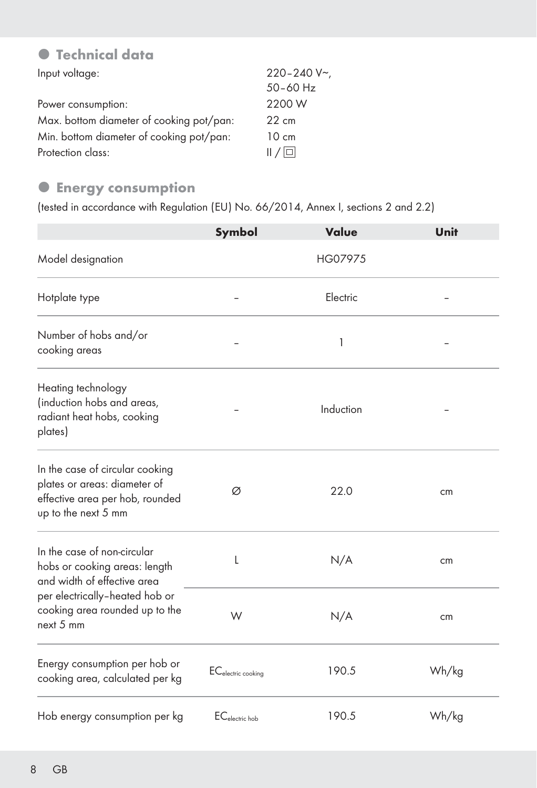# $\bullet$  Technical data

| Input voltage:                           | $220 - 240 V$   |
|------------------------------------------|-----------------|
|                                          | $50 - 60$ Hz    |
| Power consumption:                       | 2200 W          |
| Max. bottom diameter of cooking pot/pan: | $22 \text{ cm}$ |
| Min. bottom diameter of cooking pot/pan: | $10 \text{ cm}$ |
| Protection class:                        | $  / $ o $  $   |

### **• Energy consumption**

(tested in accordance with Regulation (EU) No. 66/2014, Annex I, sections 2 and 2.2)

|                                                                                                                           | Symbol                         | Value     | Unit  |
|---------------------------------------------------------------------------------------------------------------------------|--------------------------------|-----------|-------|
| Model designation                                                                                                         |                                | HG07975   |       |
| Hotplate type                                                                                                             |                                | Electric  |       |
| Number of hobs and/or<br>cooking areas                                                                                    |                                | 1         |       |
| Heating technology<br>(induction hobs and areas,<br>radiant heat hobs, cooking<br>plates)                                 |                                | Induction |       |
| In the case of circular cooking<br>plates or areas: diameter of<br>effective area per hob, rounded<br>up to the next 5 mm | Ø                              | 22.0      | cm    |
| In the case of non-circular<br>hobs or cooking areas: length<br>and width of effective area                               | L                              | N/A       | cm    |
| per electrically-heated hob or<br>cooking area rounded up to the<br>next $5 \text{ mm}$                                   | W                              | N/A       | cm    |
| Energy consumption per hob or<br>cooking area, calculated per kg                                                          | EC <sub>electric cooking</sub> | 190.5     | Wh/kg |
| Hob energy consumption per kg                                                                                             | $ECelectric$ <sub>ho</sub> h   | 190.5     | Wh/kg |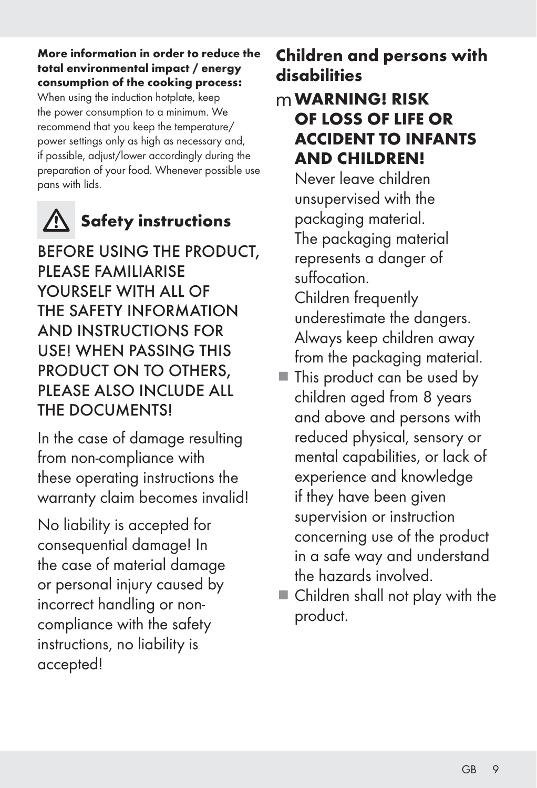#### More information in order to reduce the total environmental impact / energy consumption of the cooking process:

When using the induction hotplate, keep the power consumption to a minimum. We recommend that you keep the temperature/ power settings only as high as necessary and, if possible, adjust/lower accordingly during the preparation of your food. Whenever possible use pans with lids.



# Safety instructions

BEFORE USING THE PRODUCT, PLEASE FAMILIARISE YOURSELF WITH ALL OF THE SAFETY INFORMATION AND INSTRUCTIONS FOR USE! WHEN PASSING THIS PRODUCT ON TO OTHERS, PLEASE ALSO INCLUDE ALL THE DOCUMENTS!

In the case of damage resulting from non-compliance with these operating instructions the warranty claim becomes invalid!

No liability is accepted for consequential damage! In the case of material damage or personal injury caused by incorrect handling or noncompliance with the safety instructions, no liability is accepted!

# Children and persons with disabilities

# mWARNING! RISK OF LOSS OF LIFE OR ACCIDENT TO INFANTS AND CHILDREN!

Never leave children unsupervised with the packaging material. The packaging material represents a danger of suffocation.

 Children frequently underestimate the dangers. Always keep children away from the packaging material.

- This product can be used by children aged from 8 years and above and persons with reduced physical, sensory or mental capabilities, or lack of experience and knowledge if they have been given supervision or instruction concerning use of the product in a safe way and understand the hazards involved.
- Children shall not play with the product.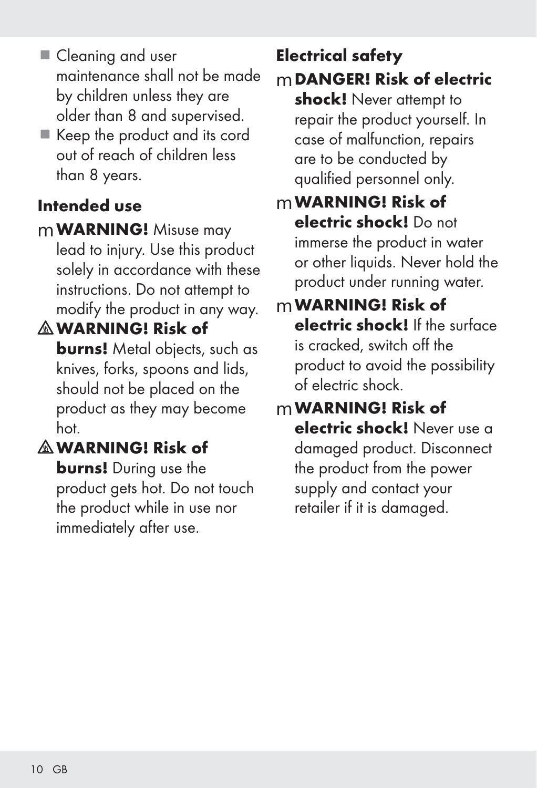- Cleaning and user maintenance shall not be made by children unless they are older than 8 and supervised.
- Keep the product and its cord out of reach of children less than 8 years.

# Intended use

- mWARNING! Misuse may lead to injury. Use this product solely in accordance with these instructions. Do not attempt to modify the product in any way.
- WARNING! Risk of

**burns!** Metal objects, such as knives, forks, spoons and lids, should not be placed on the product as they may become hot.

# WARNING! Risk of

**burns!** During use the product gets hot. Do not touch the product while in use nor immediately after use.

# Electrical safety

mDANGER! Risk of electric shock! Never attempt to repair the product yourself. In case of malfunction, repairs are to be conducted by qualified personnel only.

# mWARNING! Risk of electric shock! Do not immerse the product in water or other liquids. Never hold the product under running water.

# mWARNING! Risk of electric shock! If the surface is cracked, switch off the product to avoid the possibility of electric shock.

# mWARNING! Risk of

electric shock! Never use a damaged product. Disconnect the product from the power supply and contact your retailer if it is damaged.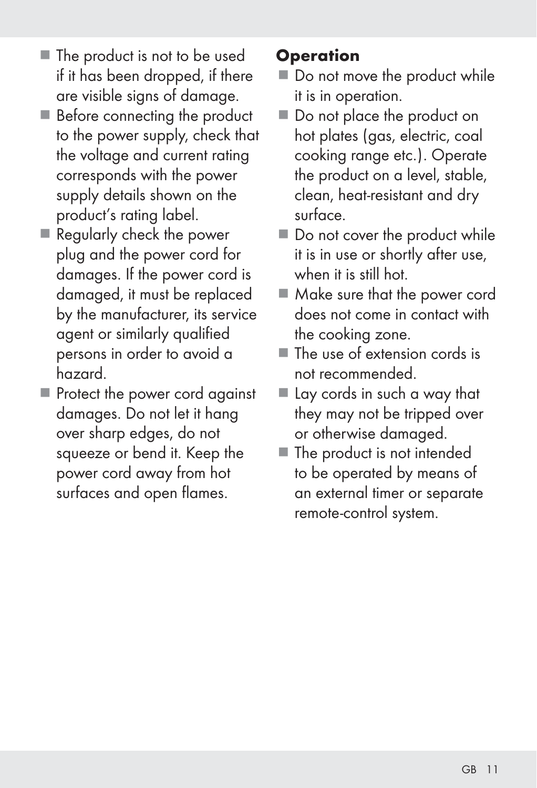- The product is not to be used if it has been dropped, if there are visible signs of damage.
- Before connecting the product to the power supply, check that the voltage and current rating corresponds with the power supply details shown on the product's rating label.
- Regularly check the power plug and the power cord for damages. If the power cord is damaged, it must be replaced by the manufacturer, its service agent or similarly qualified persons in order to avoid a hazard.
- Protect the power cord against damages. Do not let it hang over sharp edges, do not squeeze or bend it. Keep the power cord away from hot surfaces and open flames.

# **Operation**

- Do not move the product while it is in operation.
- Do not place the product on hot plates (gas, electric, coal cooking range etc.). Operate the product on a level, stable, clean, heat-resistant and dry surface.
- Do not cover the product while it is in use or shortly after use, when it is still hot.
- Make sure that the power cord does not come in contact with the cooking zone.
- $\blacksquare$  The use of extension cords is not recommended.
- Lay cords in such a way that they may not be tripped over or otherwise damaged.
- The product is not intended to be operated by means of an external timer or separate remote-control system.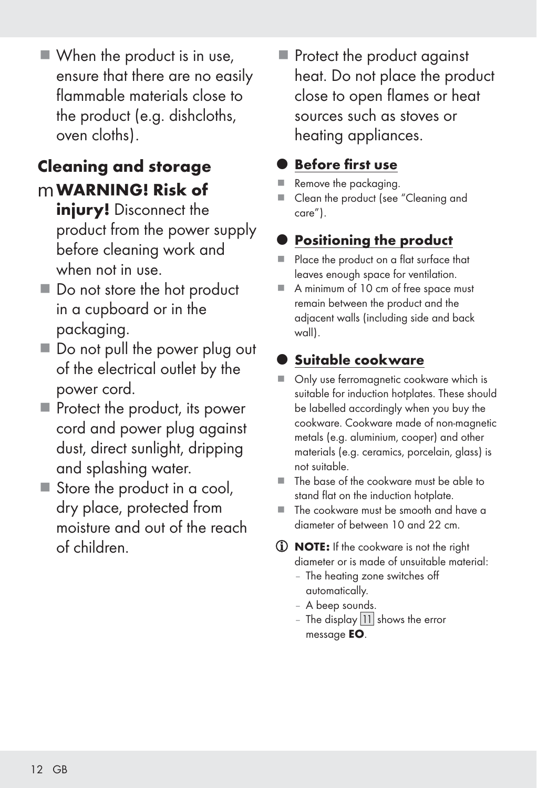■ When the product is in use, ensure that there are no easily flammable materials close to the product (e.g. dishcloths, oven cloths).

# Cleaning and storage mWARNING! Risk of

- injury! Disconnect the product from the power supply before cleaning work and when not in use.
- Do not store the hot product in a cupboard or in the packaging.
- Do not pull the power plug out of the electrical outlet by the power cord.
- Protect the product, its power cord and power plug against dust, direct sunlight, dripping and splashing water.
- Store the product in a cool, dry place, protected from moisture and out of the reach of children.

Protect the product against heat. Do not place the product close to open flames or heat sources such as stoves or heating appliances.

# **Before first use**

- Remove the packaging.
- Clean the product (see "Cleaning and care").

# **Positioning the product**

- Place the product on a flat surface that leaves enough space for ventilation.
- A minimum of 10 cm of free space must remain between the product and the adjacent walls (including side and back wall).

# Suitable cookware

- Only use ferromagnetic cookware which is suitable for induction hotplates. These should be labelled accordingly when you buy the cookware. Cookware made of non-magnetic metals (e.g. aluminium, cooper) and other materials (e.g. ceramics, porcelain, glass) is not suitable.
- The base of the cookware must be able to stand flat on the induction hotplate.
- The cookware must be smooth and have a diameter of between 10 and 22 cm.
- **(i) NOTE:** If the cookware is not the right diameter or is made of unsuitable material:
	- The heating zone switches off automatically.
	- A beep sounds.
	- The display  $|11|$  shows the error message EO.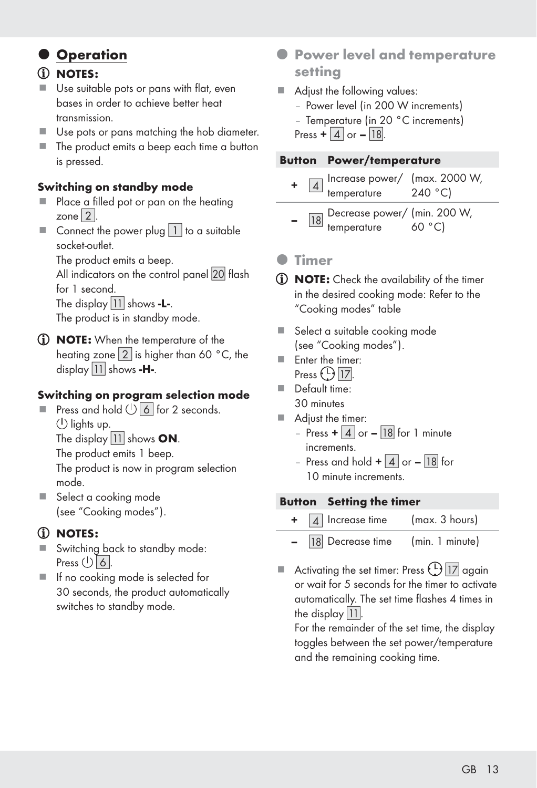### **Operation**

#### NOTES:

- Use suitable pots or pans with flat, even bases in order to achieve better heat transmission.
- Use pots or pans matching the hob diameter.
- The product emits a beep each time a button is pressed.

#### Switching on standby mode

- Place a filled pot or pan on the heating zone [2].
- Connect the power plug  $\boxed{1}$  to a suitable socket-outlet.

The product emits a beep.

All indicators on the control panel 20 flash for 1 second.

The display  $\boxed{11}$  shows -L-.

The product is in standby mode.

**(i) NOTE:** When the temperature of the heating zone  $\boxed{2}$  is higher than 60 °C, the display  $|11|$  shows -H-.

#### Switching on program selection mode

- Press and hold  $\bigcup$  6 for 2 seconds.  $(1)$  lights up. The display  $|11|$  shows ON. The product emits 1 beep. The product is now in program selection mode.
- Select a cooking mode (see "Cooking modes").

#### NOTES:

- Switching back to standby mode: Press  $\bigcup$  6.
- **If no cooking mode is selected for** 30 seconds, the product automatically switches to standby mode.
- **Power level and temperature** setting
- Adjust the following values:
	- Power level (in 200 W increments)
	- Temperature (in 20 °C increments)

Press  $+ |4|$  or  $- |18|$ .

#### Button Power/temperature

- $+$   $\boxed{4}$  Increase power/ (max. 2000 W, temperature 240 °C)
- $-$  [18] Decrease power/ (min. 200 W, temperature 60 °C)

#### **O** Timer

- **(i) NOTE:** Check the availability of the timer in the desired cooking mode: Refer to the "Cooking modes" table
- Select a suitable cooking mode (see "Cooking modes").
- **Enter the timer:** Press  $\bigoplus$  17.
- Default time: 30 minutes
- Adjust the timer:
	- Press  $+ 4$  or  $18$  for 1 minute increments.
	- Press and hold  $+$   $\boxed{4}$  or  $\boxed{18}$  for 10 minute increments.

#### Button Setting the timer

- $\boxed{4}$  Increase time (max. 3 hours)
- 18 Decrease time (min. 1 minute)
- Activating the set timer: Press  $\bigcup_{n=1}^{\infty}$  again or wait for 5 seconds for the timer to activate automatically. The set time flashes 4 times in the display  $|11|$ .

 For the remainder of the set time, the display toggles between the set power/temperature and the remaining cooking time.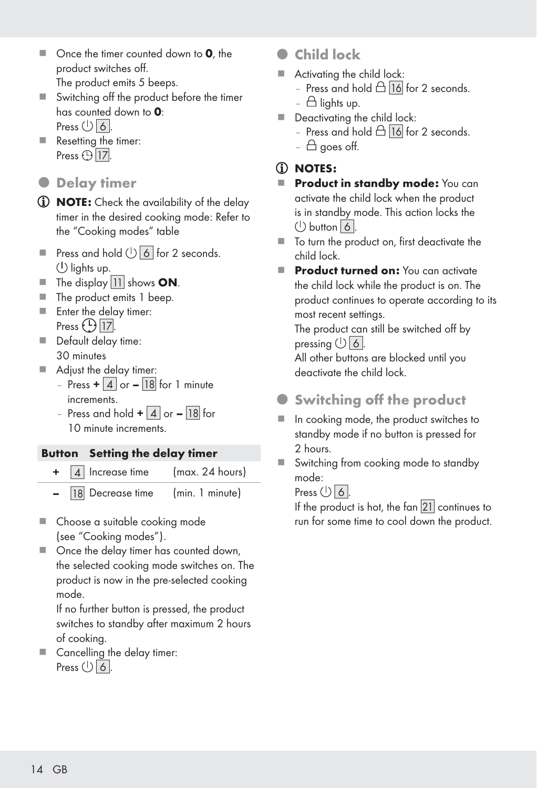- $\Box$  Once the timer counted down to **0**, the product switches off. The product emits 5 beeps.
- Switching off the product before the timer has counted down to 0: Press  $(1)$  6.
- Resetting the timer: Press  $\bigoplus$   $\boxed{17}$ .
- $\bullet$  Delay timer
- *D* **NOTE:** Check the availability of the delay timer in the desired cooking mode: Refer to the "Cooking modes" table
- Press and hold  $(1)$  6 for 2 seconds.  $\langle \cdot \rangle$  lights up.
- $\blacksquare$  The display  $\boxed{11}$  shows ON.
- The product emits 1 beep.
- **Enter the delay timer:** Press  $\bigoplus$  [17].
- Default delay time: 30 minutes
- Adjust the delay timer:
	- Press  $+ 4$  or 18 for 1 minute increments.
	- Press and hold  $+$  | 4 | or | 18 | for 10 minute increments.

#### Button Setting the delay timer

- + [4] Increase time (max. 24 hours)
	- 18 Decrease time (min. 1 minute)
- Choose a suitable cooking mode (see "Cooking modes").
- Once the delay timer has counted down, the selected cooking mode switches on. The product is now in the pre-selected cooking mode.

 If no further button is pressed, the product switches to standby after maximum 2 hours of cooking.

Cancelling the delay timer: Press  $\bigcup$  6.

- **Child lock**
- Activating the child lock:
	- Press and hold  $\triangle$   $\overline{16}$  for 2 seconds.
	- $\triangle$  lights up.
- Deactivating the child lock:
	- Press and hold  $\triangle$  16 for 2 seconds.
	- $\triangle$  goes off.

#### NOTES:

- Product in standby mode: You can activate the child lock when the product is in standby mode. This action locks the  $\bigcirc$  button  $\bigcirc$  6.
- To turn the product on, first deactivate the child lock.
- Product turned on: You can activate the child lock while the product is on. The product continues to operate according to its most recent settings.

 The product can still be switched off by pressing  $\bigcup$  6.

 All other buttons are blocked until you deactivate the child lock.

- **Switching off the product**
- In cooking mode, the product switches to standby mode if no button is pressed for 2 hours.
- Switching from cooking mode to standby mode:

Press  $(1)$  6.

If the product is hot, the fan  $|21|$  continues to run for some time to cool down the product.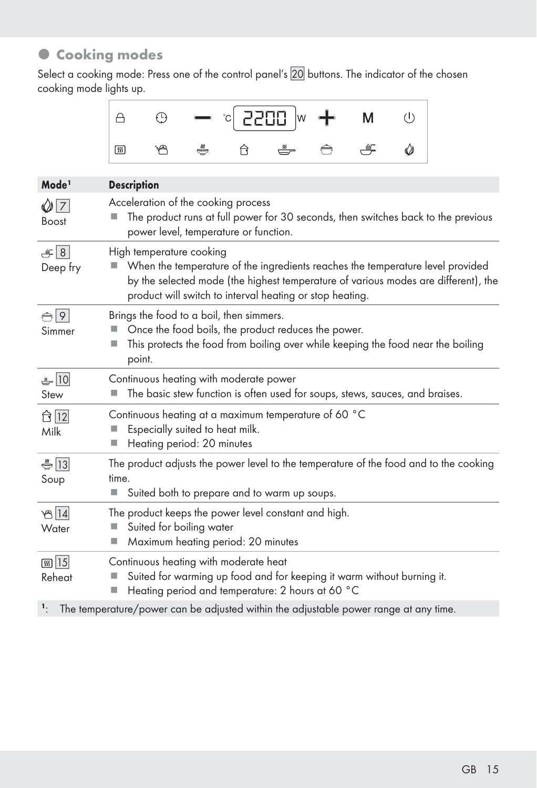# $\bullet$  Cooking modes

Select a cooking mode: Press one of the control panel's 20 buttons. The indicator of the chosen cooking mode lights up.

|  |  | $\begin{array}{ c c c c c c }\n\hline\n\end{array}$ $\begin{array}{ c c c c c }\n\hline\n\end{array}$ $\begin{array}{ c c c c }\n\hline\n\end{array}$ $\begin{array}{ c c c c }\n\hline\n\end{array}$ $\begin{array}{ c c c c }\n\hline\n\end{array}$ $\begin{array}{ c c c }\n\hline\n\end{array}$ $\begin{array}{ c c c }\n\hline\n\end{array}$ $\begin{array}{ c c c }\n\hline\n\end{array$ |  |  |
|--|--|------------------------------------------------------------------------------------------------------------------------------------------------------------------------------------------------------------------------------------------------------------------------------------------------------------------------------------------------------------------------------------------------|--|--|
|  |  | $ \hspace{.06cm}1\>\!\!\!\!m$ . The $\hspace{.06cm}$ . The $\hspace{.06cm}$ . The $\hspace{.06cm}$ . The $\hspace{.06cm}$ . The $\hspace{.06cm}$ . The $\hspace{.06cm}$ . The $\hspace{.06cm}$ . The $\hspace{.06cm}$                                                                                                                                                                          |  |  |

| Mode <sup>1</sup>            | <b>Description</b>                                                                                                                                                                                                                                           |
|------------------------------|--------------------------------------------------------------------------------------------------------------------------------------------------------------------------------------------------------------------------------------------------------------|
| $\bigcirc$ 7<br><b>Boost</b> | Acceleration of the cooking process<br>The product runs at full power for 30 seconds, then switches back to the previous<br>power level, temperature or function.                                                                                            |
| $\mathcal{L}$ 8<br>Deep fry  | High temperature cooking<br>When the temperature of the ingredients reaches the temperature level provided<br>by the selected mode (the highest temperature of various modes are different), the<br>product will switch to interval heating or stop heating. |
| $\bigoplus$ 9<br>Simmer      | Brings the food to a boil, then simmers.<br>Once the food boils, the product reduces the power.<br>This protects the food from boiling over while keeping the food near the boiling<br>■<br>point.                                                           |
| $-10$<br>Stew                | Continuous heating with moderate power<br>The basic stew function is often used for soups, stews, sauces, and braises.                                                                                                                                       |
| Milk                         | Continuous heating at a maximum temperature of 60 °C<br>Especially suited to heat milk.<br>Heating period: 20 minutes                                                                                                                                        |
| $\frac{1}{2}$  13 <br>Soup   | The product adjusts the power level to the temperature of the food and to the cooking<br>time.<br>Suited both to prepare and to warm up soups.                                                                                                               |
| $\mathcal{B}$ 14<br>Water    | The product keeps the power level constant and high.<br>Suited for boiling water<br>Maximum heating period: 20 minutes<br>ш                                                                                                                                  |
| <b>55 15</b><br>Reheat       | Continuous heating with moderate heat<br>Suited for warming up food and for keeping it warm without burning it.<br>Heating period and temperature: 2 hours at 60 °C                                                                                          |
| 1.                           | The temperature/power can be adjusted within the adjustable power range at any time.                                                                                                                                                                         |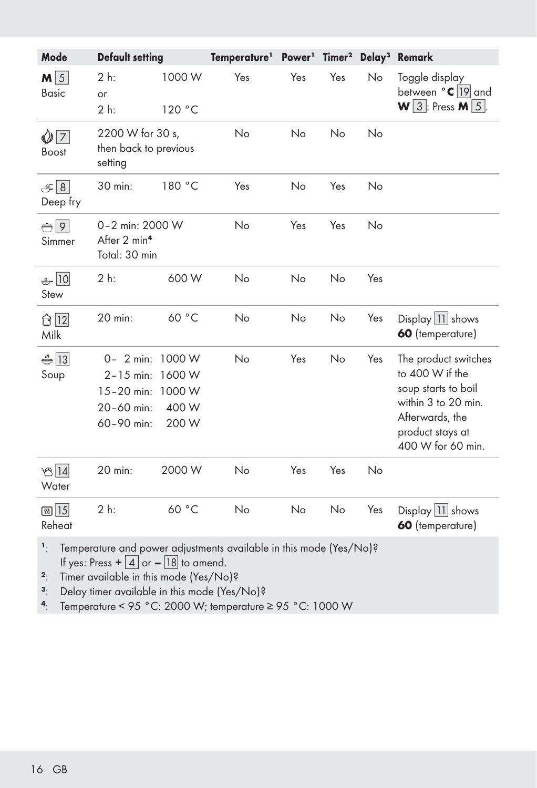| Mode                            | <b>Default setting</b>                                                          |                                    | Temperature <sup>1</sup> Power <sup>1</sup>                        |     |           |     | Timer <sup>2</sup> Delay <sup>3</sup> Remark                                                                                                      |
|---------------------------------|---------------------------------------------------------------------------------|------------------------------------|--------------------------------------------------------------------|-----|-----------|-----|---------------------------------------------------------------------------------------------------------------------------------------------------|
| $M\overline{5}$<br><b>Basic</b> | 2 h:<br>or<br>$2h$ :                                                            | 1000 W<br>120 °C                   | Yes                                                                | Yes | Yes       | No  | Toggle display<br>between $^{\circ}$ C 19 and<br>$W$ 3 : Press M $5$ .                                                                            |
| $\bigcirc$ 7<br><b>Boost</b>    | 2200 W for 30 s,<br>then back to previous<br>setting                            |                                    | No                                                                 | No  | No        | No  |                                                                                                                                                   |
| $\mathcal{F}[8]$<br>Deep fry    | 30 min:                                                                         | 180 °C                             | Yes                                                                | No  | Yes       | No  |                                                                                                                                                   |
| $\bigoplus$ 9<br>Simmer         | 0-2 min: 2000 W<br>After 2 min <sup>4</sup><br>Total: 30 min                    |                                    | No                                                                 | Yes | Yes       | No  |                                                                                                                                                   |
| $-10$<br>Stew                   | 2 h:                                                                            | 600 W                              | No                                                                 | No  | No        | Yes |                                                                                                                                                   |
| ← 12<br>Milk                    | 20 min:                                                                         | 60 °C                              | No                                                                 | No  | No        | Yes | Display $ 11 $ shows<br>60 (temperature)                                                                                                          |
| $\frac{1}{2}$ [13]<br>Soup      | 0- 2 min: 1000 W<br>$2 - 15$ min:<br>$15 - 20$ min:<br>20-60 min:<br>60-90 min: | 1600 W<br>1000 W<br>400 W<br>200 W | No                                                                 | Yes | <b>No</b> | Yes | The product switches<br>to 400 W if the<br>soup starts to boil<br>within 3 to 20 min.<br>Afterwards, the<br>product stays at<br>400 W for 60 min. |
| තු $ 14 $<br>Water              | 20 min:                                                                         | 2000 W                             | No                                                                 | Yes | Yes       | No  |                                                                                                                                                   |
| <b>கு</b> 15<br>Reheat          | 2 h:                                                                            | 60 °C                              | No                                                                 | No  | No        | Yes | Display $ 11 $ shows<br>60 (temperature)                                                                                                          |
| 1.                              | If yes: Press $+ 4$ or $- 18$ to amend.                                         |                                    | Temperature and power adjustments available in this mode (Yes/No)? |     |           |     |                                                                                                                                                   |

<sup>2</sup>: Timer available in this mode (Yes/No)?<br><sup>3</sup>: Delay timer available in this mode (Yes/

<sup>3</sup>: Delay timer available in this mode (Yes/No)?<br><sup>4</sup>: Temperature <  $95 °C$ : 2000 W; temperature

4: Temperature < 95 °C: 2000 W; temperature ≥ 95 °C: 1000 W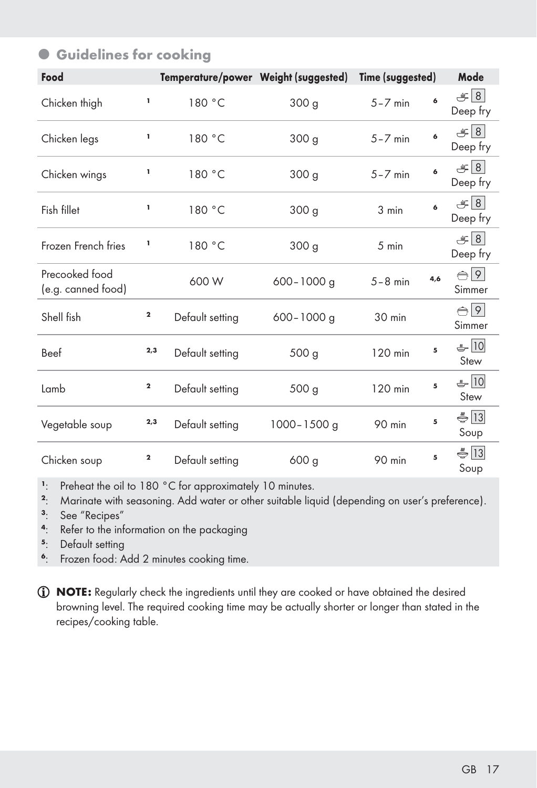| Food                                 |              |                 | Temperature/power Weight (suggested) | Time (suggested) |     | Mode                          |
|--------------------------------------|--------------|-----------------|--------------------------------------|------------------|-----|-------------------------------|
| Chicken thigh                        | 1            | 180 °C          | 300 <sub>g</sub>                     | $5 - 7$ min      | 6   | $\mathcal{F}$  8 <br>Deep fry |
| Chicken legs                         | ı            | 180 °C          | 300 g                                | $5 - 7$ min      | 6   | $\mathcal{L}$ 8<br>Deep fry   |
| Chicken wings                        | ı            | 180 °C          | 300 <sub>g</sub>                     | $5 - 7$ min      | 6   | $\mathcal{L}$ 8<br>Deep fry   |
| Fish fillet                          | ı            | 180 °C          | 300 g                                | 3 min            | 6   | $\mathcal{L}$ 8<br>Deep fry   |
| Frozen French fries                  | 1            | 180 °C          | 300 g                                | 5 min            |     | $\mathcal{F} 8 $<br>Deep fry  |
| Precooked food<br>(e.g. canned food) |              | 600 W           | $600 - 1000$ g                       | $5 - 8$ min      | 4,6 | $\bigoplus$ 9<br>Simmer       |
| Shell fish                           | $\mathbf 2$  | Default setting | $600 - 1000$ q                       | 30 min           |     | $\bigoplus$ 9<br>Simmer       |
| Beef                                 | 2,3          | Default setting | 500 <sub>g</sub>                     | 120 min          | 5   | $-10$<br>Stew                 |
| Lamb                                 | $\mathbf{2}$ | Default setting | 500 <sub>g</sub>                     | 120 min          | 5   | ♣ 10<br>Stew                  |
| Vegetable soup                       | 2,3          | Default setting | 1000-1500 g                          | 90 min           | 5   | $\bigoplus$ 13<br>Soup        |
| Chicken soup                         | 2            | Default setting | 600 <sub>q</sub>                     | 90 min           | 5   | $\bigoplus$ 13<br>Soup        |

### $\bullet$  **Guidelines for cooking**

<sup>1</sup>: Preheat the oil to 180 °C for approximately 10 minutes.<br><sup>2</sup>: Marinate with seasoning Add water or other suitable lia

<sup>2</sup>: Marinate with seasoning. Add water or other suitable liquid (depending on user's preference).<br><sup>3</sup>: See "Recipes"

- <sup>3</sup>: See "Recipes"<br><sup>4</sup>: Refer to the inf
- <sup>4</sup>: Refer to the information on the packaging<br> $5.$  Default setting
- <sup>5</sup>: Default setting<br><sup>6</sup>: Frozen food: A
- Frozen food: Add 2 minutes cooking time.
- NOTE: Regularly check the ingredients until they are cooked or have obtained the desired browning level. The required cooking time may be actually shorter or longer than stated in the recipes/cooking table.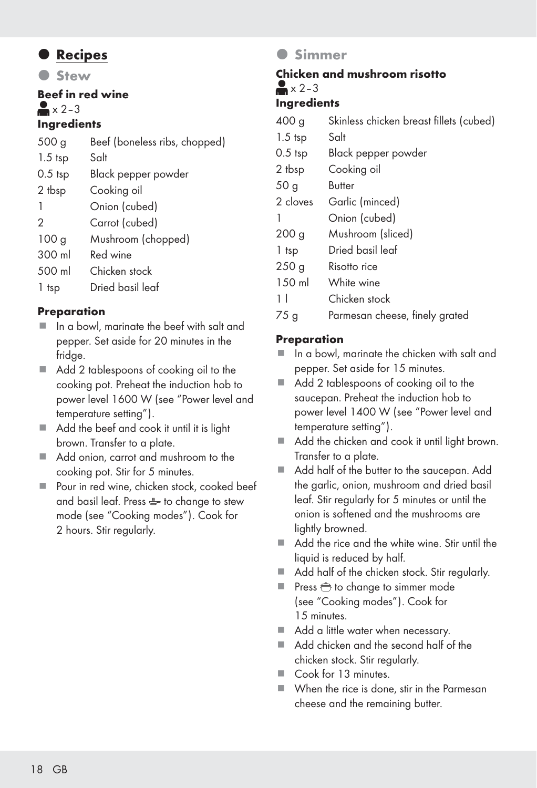### $\bullet$  Recipes

**Stew** 

Beef in red wine  $\triangle$   $\times$  2–3

#### **Ingredients**

| 500 <sub>g</sub> | Beef (boneless ribs, chopped) |
|------------------|-------------------------------|
| $1.5$ tsp        | Salt                          |
| $0.5$ tsp        | Black pepper powder           |
| 2 tbsp           | Cooking oil                   |
| -1               | Onion (cubed)                 |
| 2                | Carrot (cubed)                |
| 100 <sub>g</sub> | Mushroom (chopped)            |
| 300 ml           | Red wine                      |
| 500 ml           | Chicken stock                 |
| 1 tsp            | Dried basil leaf              |
|                  |                               |

#### **Preparation**

- In a bowl, marinate the beef with salt and pepper. Set aside for 20 minutes in the fridge.
- Add 2 tablespoons of cooking oil to the cooking pot. Preheat the induction hob to power level 1600 W (see "Power level and temperature setting").
- Add the beef and cook it until it is light brown. Transfer to a plate.
- Add onion, carrot and mushroom to the cooking pot. Stir for 5 minutes.
- Pour in red wine, chicken stock, cooked beef and basil leaf. Press  $\overset{\bullet}{\bullet}$  to change to stew mode (see "Cooking modes"). Cook for 2 hours. Stir regularly.

### **A** Simmer

### Chicken and mushroom risotto  $\blacktriangleright$  x 2-3

#### Ingredients

| 400 <sub>g</sub> | Skinless chicken breast fillets (cubed) |
|------------------|-----------------------------------------|
| $1.5$ tsp        | Salt                                    |
| $0.5$ tsp        | Black pepper powder                     |
| 2 tbsp           | Cooking oil                             |
| 50 <sub>g</sub>  | Butter                                  |
| 2 cloves         | Garlic (minced)                         |
| 1                | Onion (cubed)                           |
| 200 <sub>g</sub> | Mushroom (sliced)                       |
| 1 tsp            | Dried basil leaf                        |
| 250 <sub>g</sub> | Risotto rice                            |
| 150 ml           | White wine                              |
| 11               | Chicken stock                           |
| 75 g             | Parmesan cheese, finely grated          |

#### Preparation

- $\blacksquare$  In a bowl, marinate the chicken with salt and pepper. Set aside for 15 minutes.
- Add 2 tablespoons of cooking oil to the saucepan. Preheat the induction hob to power level 1400 W (see "Power level and temperature setting").
- Add the chicken and cook it until light brown. Transfer to a plate.
- Add half of the butter to the saucepan. Add the garlic, onion, mushroom and dried basil leaf. Stir regularly for 5 minutes or until the onion is softened and the mushrooms are lightly browned.
- Add the rice and the white wine. Stir until the liquid is reduced by half.
- Add half of the chicken stock. Stir regularly.
- Press  $\bigoplus$  to change to simmer mode (see "Cooking modes"). Cook for 15 minutes.
- Add a little water when necessary.
- Add chicken and the second half of the chicken stock. Stir regularly.
- Cook for 13 minutes.
- When the rice is done, stir in the Parmesan cheese and the remaining butter.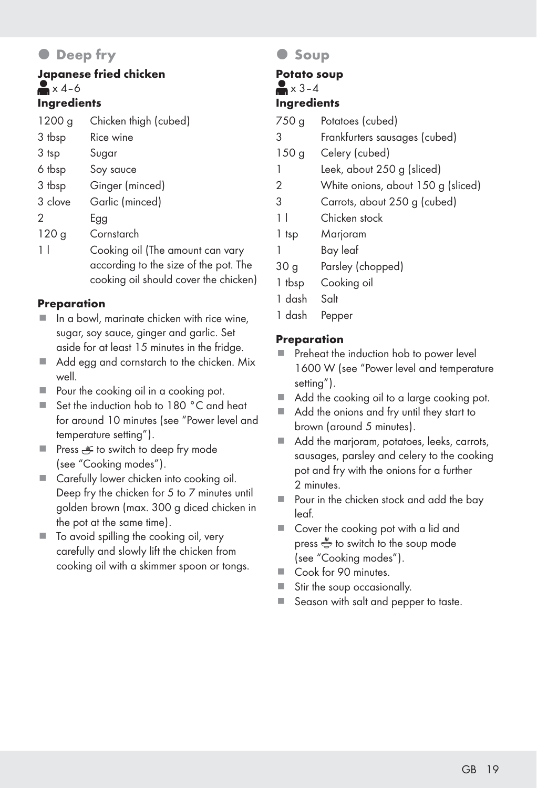# **O** Deep fry

#### Japanese fried chicken  $\blacktriangleright$  x 4–6 Ingredients

| 1200 g           | Chicken thigh (cubed)                                                     |
|------------------|---------------------------------------------------------------------------|
| 3 tbsp           | Rice wine                                                                 |
| 3 tsp            | Sugar                                                                     |
| 6 tbsp           | Soy sauce                                                                 |
| 3 tbsp           | Ginger (minced)                                                           |
| 3 clove          | Garlic (minced)                                                           |
| 2                | Egg                                                                       |
| 120 <sub>g</sub> | Cornstarch                                                                |
| 11               | Cooking oil (The amount can vary<br>according to the size of the pot. The |
|                  | cooking oil should cover the chicken                                      |

#### **Preparation**

- $\blacksquare$  In a bowl, marinate chicken with rice wine, sugar, soy sauce, ginger and garlic. Set aside for at least 15 minutes in the fridge.
- Add egg and cornstarch to the chicken. Mix well.
- Pour the cooking oil in a cooking pot.
- Set the induction hob to 180 °C and heat for around 10 minutes (see "Power level and temperature setting").
- Press <sub>e</sub> to switch to deep fry mode (see "Cooking modes").
- Carefully lower chicken into cooking oil. Deep fry the chicken for 5 to 7 minutes until golden brown (max. 300 g diced chicken in the pot at the same time).
- To avoid spilling the cooking oil, very carefully and slowly lift the chicken from cooking oil with a skimmer spoon or tongs.

### **Soup**

#### Potato soup  $\blacktriangleright$   $\times$  3–4

### Ingredients

- 750 g Potatoes (cubed)
- 3 Frankfurters sausages (cubed)
- 150 g Celery (cubed)
- 1 Leek, about 250 g (sliced)
- 2 White onions, about 150 g (sliced)
- 3 Carrots, about 250 g (cubed)
- 1 l Chicken stock
- 1 tsp Marjoram
- 1 Bay leaf
- 30 g Parsley (chopped)
- 1 tbsp Cooking oil
- 1 dash Salt
- 1 dash Pepper

#### Preparation

- **Preheat the induction hob to power level** 1600 W (see "Power level and temperature setting").
- Add the cooking oil to a large cooking pot.
- Add the onions and fry until they start to brown (around 5 minutes).
- Add the marioram, potatoes, leeks, carrots, sausages, parsley and celery to the cooking pot and fry with the onions for a further 2 minutes.
- Pour in the chicken stock and add the bay leaf.
- Cover the cooking pot with a lid and press  $\stackrel{w}{\iff}$  to switch to the soup mode (see "Cooking modes").
- Cook for 90 minutes.
- Stir the soup occasionally.
- Season with salt and pepper to taste.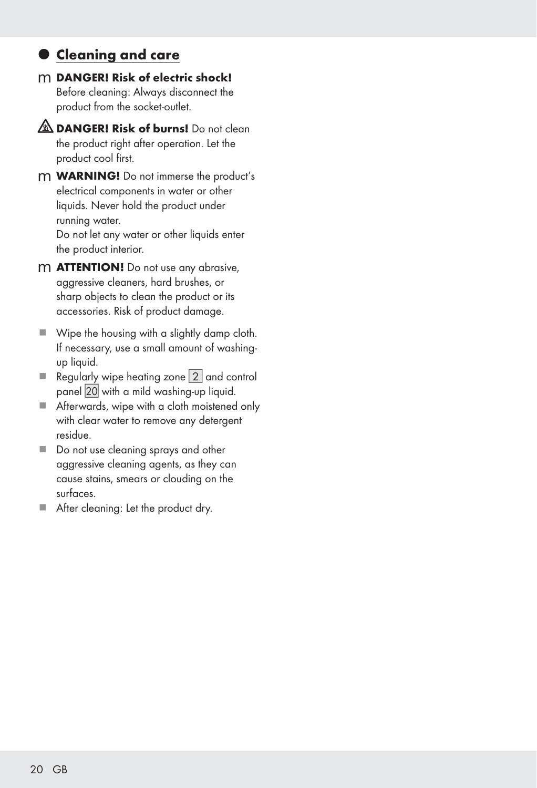### $\bullet$  **Cleaning and care**

- m DANGER! Risk of electric shock! Before cleaning: Always disconnect the product from the socket-outlet.
- **A DANGER! Risk of burns!** Do not clean the product right after operation. Let the product cool first.
- m WARNING! Do not immerse the product's electrical components in water or other liquids. Never hold the product under running water. Do not let any water or other liquids enter the product interior.
- m **ATTENTION!** Do not use any abrasive, aggressive cleaners, hard brushes, or sharp objects to clean the product or its accessories. Risk of product damage.
- Wipe the housing with a slightly damp cloth. If necessary, use a small amount of washingup liquid.
- Regularly wipe heating zone  $2$  and control panel 20 with a mild washing-up liquid.
- Afterwards, wipe with a cloth moistened only with clear water to remove any detergent residue.
- Do not use cleaning sprays and other aggressive cleaning agents, as they can cause stains, smears or clouding on the surfaces.
- After cleaning: Let the product dry.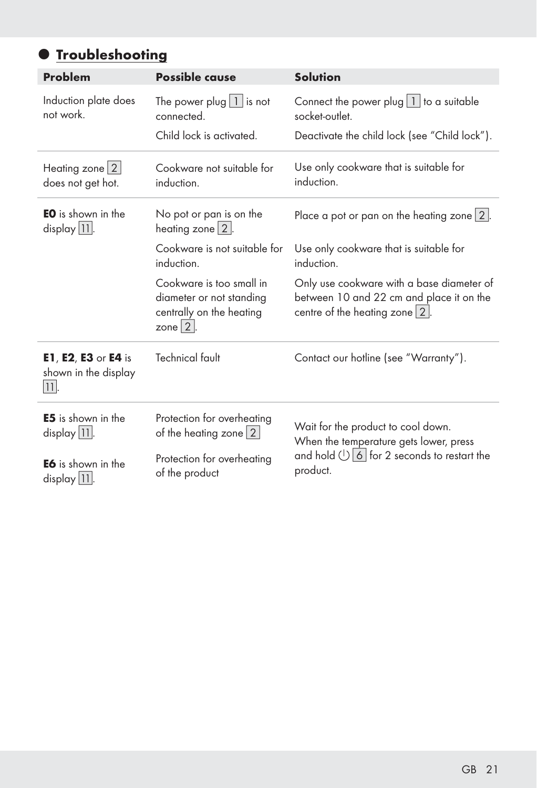# **• Troubleshooting**

| <b>Problem</b>                                                 | <b>Possible cause</b>                                                                            | <b>Solution</b>                                                                                                           |  |  |  |
|----------------------------------------------------------------|--------------------------------------------------------------------------------------------------|---------------------------------------------------------------------------------------------------------------------------|--|--|--|
| Induction plate does<br>not work.                              | The power plug $\boxed{1}$ is not<br>connected.                                                  | Connect the power plug $ 1 $ to a suitable<br>socket-outlet.                                                              |  |  |  |
|                                                                | Child lock is activated.                                                                         | Deactivate the child lock (see "Child lock").                                                                             |  |  |  |
| Heating zone $ 2 $<br>does not get hot.                        | Cookware not suitable for<br>induction.                                                          | Use only cookware that is suitable for<br>induction.                                                                      |  |  |  |
| <b>EO</b> is shown in the<br>display $ 11 $ .                  | No pot or pan is on the<br>heating zone $2$ .                                                    | Place a pot or pan on the heating zone $2$ .                                                                              |  |  |  |
|                                                                | Cookware is not suitable for<br>induction.                                                       | Use only cookware that is suitable for<br>induction.                                                                      |  |  |  |
|                                                                | Cookware is too small in<br>diameter or not standing<br>centrally on the heating<br>zone $ 2 $ . | Only use cookware with a base diameter of<br>between 10 and 22 cm and place it on the<br>centre of the heating zone $2$ . |  |  |  |
| <b>E1, E2, E3 or E4 is</b><br>shown in the display<br>$ 11 $ . | <b>Technical fault</b>                                                                           | Contact our hotline (see "Warranty").                                                                                     |  |  |  |
| <b>E5</b> is shown in the<br>$display [11]$ .                  | Protection for overheating<br>of the heating zone 2                                              | Wait for the product to cool down.<br>When the temperature gets lower, press                                              |  |  |  |
| <b>E6</b> is shown in the<br>$display 11$ .                    | Protection for overheating<br>of the product                                                     | and hold $\bigcup$ 6 for 2 seconds to restart the<br>product.                                                             |  |  |  |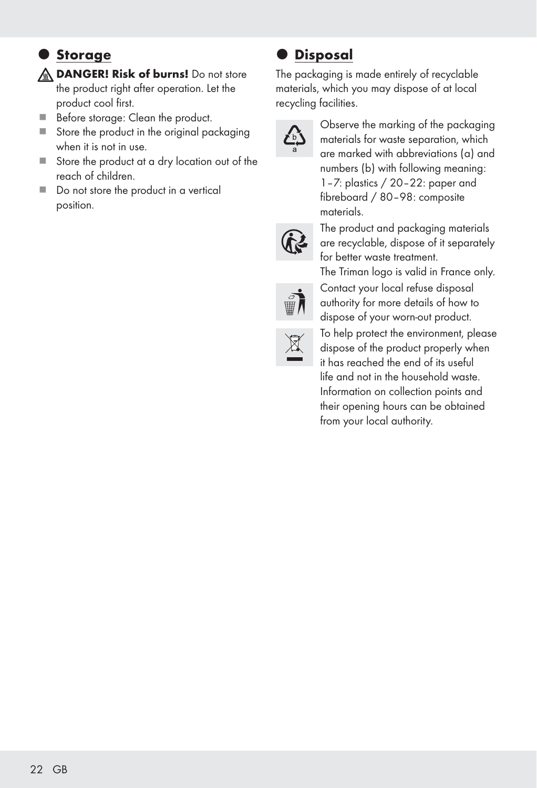## $\bullet$  Storage

**A DANGER! Risk of burns!** Do not store the product right after operation. Let the product cool first.

- Before storage: Clean the product.
- Store the product in the original packaging when it is not in use.
- Store the product at a dry location out of the reach of children.
- Do not store the product in a vertical position.

### **Disposal**

The packaging is made entirely of recyclable materials, which you may dispose of at local recycling facilities.



Observe the marking of the packaging materials for waste separation, which are marked with abbreviations (a) and numbers (b) with following meaning: 1–7: plastics / 20–22: paper and fibreboard / 80–98: composite materials.



The product and packaging materials are recyclable, dispose of it separately for better waste treatment.

The Triman logo is valid in France only. Contact your local refuse disposal authority for more details of how to dispose of your worn-out product.



To help protect the environment, please dispose of the product properly when it has reached the end of its useful life and not in the household waste. Information on collection points and their opening hours can be obtained from your local authority.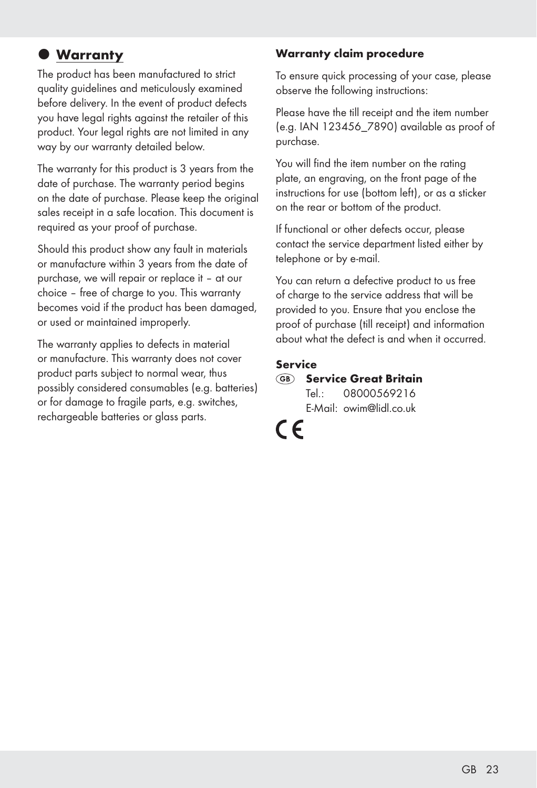# $\bullet$  Warranty

The product has been manufactured to strict quality guidelines and meticulously examined before delivery. In the event of product defects you have legal rights against the retailer of this product. Your legal rights are not limited in any way by our warranty detailed below.

The warranty for this product is 3 years from the date of purchase. The warranty period begins on the date of purchase. Please keep the original sales receipt in a safe location. This document is required as your proof of purchase.

Should this product show any fault in materials or manufacture within 3 years from the date of purchase, we will repair or replace it – at our choice – free of charge to you. This warranty becomes void if the product has been damaged, or used or maintained improperly.

The warranty applies to defects in material or manufacture. This warranty does not cover product parts subject to normal wear, thus possibly considered consumables (e.g. batteries) or for damage to fragile parts, e.g. switches, rechargeable batteries or glass parts.

#### Warranty claim procedure

To ensure quick processing of your case, please observe the following instructions:

Please have the till receipt and the item number (e.g. IAN 123456\_7890) available as proof of purchase.

You will find the item number on the rating plate, an engraving, on the front page of the instructions for use (bottom left), or as a sticker on the rear or bottom of the product.

If functional or other defects occur, please contact the service department listed either by telephone or by e-mail.

You can return a defective product to us free of charge to the service address that will be provided to you. Ensure that you enclose the proof of purchase (till receipt) and information about what the defect is and when it occurred.

#### Service

#### GB Service Great Britain Tel.: 08000569216 E-Mail: owim@lidl.co.uk

 $\epsilon$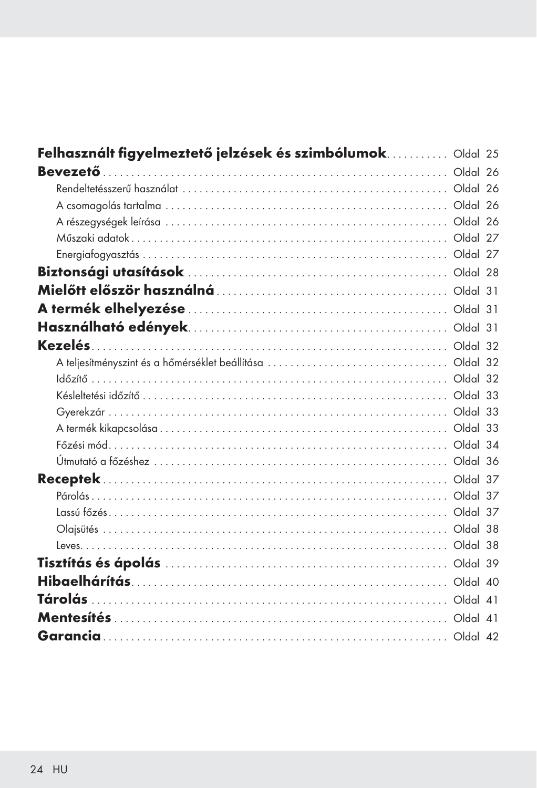| Felhasznált figyelmeztető jelzések és szimbólumok Oldal 25 |  |
|------------------------------------------------------------|--|
|                                                            |  |
|                                                            |  |
|                                                            |  |
|                                                            |  |
|                                                            |  |
|                                                            |  |
|                                                            |  |
|                                                            |  |
|                                                            |  |
|                                                            |  |
|                                                            |  |
|                                                            |  |
|                                                            |  |
|                                                            |  |
|                                                            |  |
|                                                            |  |
|                                                            |  |
|                                                            |  |
|                                                            |  |
|                                                            |  |
|                                                            |  |
|                                                            |  |
|                                                            |  |
|                                                            |  |
|                                                            |  |
|                                                            |  |
|                                                            |  |
|                                                            |  |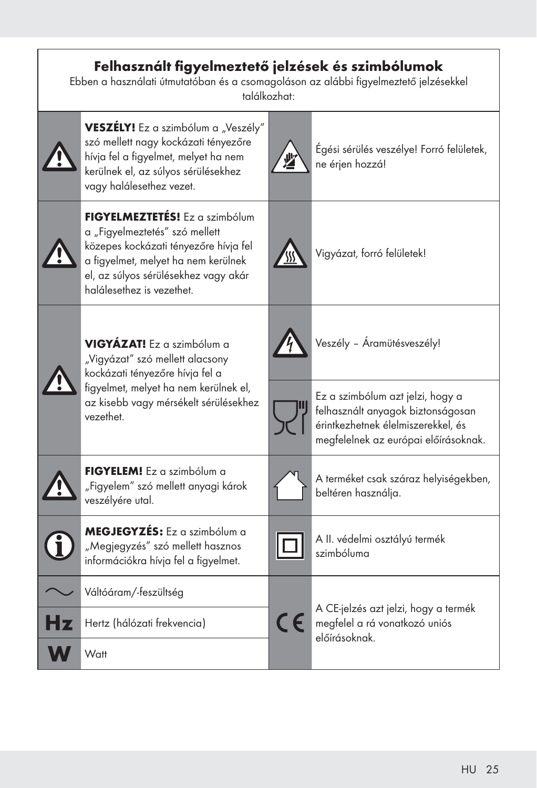| Felhasznált figyelmeztető jelzések és szimbólumok<br>Ebben a használati útmutatóban és a csomagoláson az alábbi figyelmeztető jelzésekkel<br>találkozhat: |                                                                                                                                                                                                                       |            |                                                                                                                                                     |  |  |  |
|-----------------------------------------------------------------------------------------------------------------------------------------------------------|-----------------------------------------------------------------------------------------------------------------------------------------------------------------------------------------------------------------------|------------|-----------------------------------------------------------------------------------------------------------------------------------------------------|--|--|--|
|                                                                                                                                                           | VESZÉLY! Ez a szimbólum a "Veszély"<br>szó mellett nagy kockázati tényezőre<br>hívja fel a figyelmet, melyet ha nem<br>kerülnek el, az súlyos sérülésekhez<br>vagy halálesethez vezet.                                |            | Égési sérülés veszélye! Forró felületek,<br>ne érjen hozzá!                                                                                         |  |  |  |
|                                                                                                                                                           | FIGYELMEZTETÉS! Ez a szimbólum<br>a "Figyelmeztetés" szó mellett<br>közepes kockázati tényezőre hívja fel<br>a figyelmet, melyet ha nem kerülnek<br>el, az súlyos sérülésekhez vagy akár<br>halálesethez is vezethet. |            | Vigyázat, forró felületek!                                                                                                                          |  |  |  |
|                                                                                                                                                           | VIGYÁZAT! Ez a szimbólum a<br>"Vigyázat" szó mellett alacsony<br>kockázati tényezőre hívja fel a<br>figyelmet, melyet ha nem kerülnek el,<br>az kisebb vagy mérsékelt sérülésekhez<br>vezethet                        |            | Veszély - Áramütésveszély!                                                                                                                          |  |  |  |
|                                                                                                                                                           |                                                                                                                                                                                                                       |            | Ez a szimbólum azt jelzi, hogy a<br>felhasznált anyagok biztonságosan<br>érintkezhetnek élelmiszerekkel, és<br>megfelelnek az európai előírásoknak. |  |  |  |
|                                                                                                                                                           | FIGYELEM! Ez a szimbólum a<br>"Figyelem" szó mellett anyagi károk<br>veszélyére utal.                                                                                                                                 |            | A terméket csak száraz helyiségekben,<br>beltéren használja.                                                                                        |  |  |  |
|                                                                                                                                                           | MEGJEGYZÉS: Ez a szimbólum a<br>"Megjegyzés" szó mellett hasznos<br>információkra hívja fel a figyelmet.                                                                                                              |            | A II. védelmi osztályú termék<br>szimbóluma                                                                                                         |  |  |  |
|                                                                                                                                                           | Váltóáram/-feszültség                                                                                                                                                                                                 |            |                                                                                                                                                     |  |  |  |
|                                                                                                                                                           | Hertz (hálózati frekvencia)                                                                                                                                                                                           | $\epsilon$ | A CE-jelzés azt jelzi, hogy a termék<br>megfelel a rá vonatkozó uniós                                                                               |  |  |  |
|                                                                                                                                                           | Watt                                                                                                                                                                                                                  |            | előírásoknak.                                                                                                                                       |  |  |  |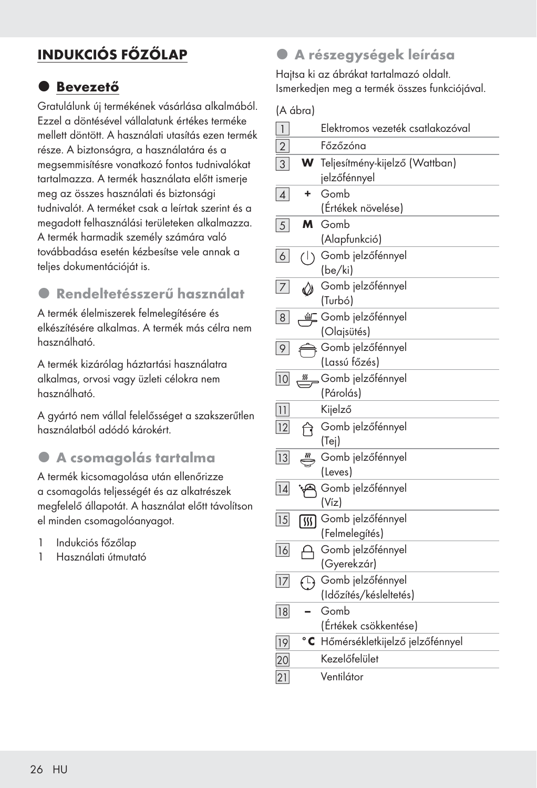# INDUKCIÓS FŐZŐLAP

## **O** Bevezető

Gratulálunk új termékének vásárlása alkalmából. Ezzel a döntésével vállalatunk értékes terméke mellett döntött. A használati utasítás ezen termék része. A biztonságra, a használatára és a megsemmisítésre vonatkozó fontos tudnivalókat tartalmazza. A termék használata előtt ismerje meg az összes használati és biztonsági tudnivalót. A terméket csak a leírtak szerint és a megadott felhasználási területeken alkalmazza. A termék harmadik személy számára való továbbadása esetén kézbesítse vele annak a teljes dokumentációját is.

# z Rendeltetésszerű használat

A termék élelmiszerek felmelegítésére és elkészítésére alkalmas. A termék más célra nem használható.

A termék kizárólag háztartási használatra alkalmas, orvosi vagy üzleti célokra nem használható.

A gyártó nem vállal felelősséget a szakszerűtlen használatból adódó károkért.

### $\bullet$  A csomagolás tartalma

A termék kicsomagolása után ellenőrizze a csomagolás teljességét és az alkatrészek megfelelő állapotát. A használat előtt távolítson el minden csomagolóanyagot.

- 1 Indukciós főzőlap
- 1 Használati útmutató

### $\bullet$  A részegységek leírása

Hajtsa ki az ábrákat tartalmazó oldalt. Ismerkedjen meg a termék összes funkciójával.

(A ábra)

| $\overline{1}$  |               | Elektromos vezeték csatlakozóval               |
|-----------------|---------------|------------------------------------------------|
| $\overline{2}$  |               | Főzőzóna                                       |
| 3               | W             | Teljesítmény-kijelző (Wattban)<br>jelzőfénnyel |
| $\vert$         | ٠             | Gomb<br>(Értékek növelése)                     |
| 5 <sup>1</sup>  | м             | Gomb<br>(Alapfunkció)                          |
| $6\vert$        | (1)           | Gomb jelzőfénnyel<br>(be/ki)                   |
| $\overline{7}$  | $\oslash$     | Gomb jelzőfénnyel<br>(Turbó)                   |
| 8 <sup>1</sup>  | ≝⊑            | Gomb jelzőfénnyel<br>(Olajsütés)               |
| 9               |               | Gomb jelzőfénnyel<br>(Lassú főzés)             |
| 10              | $\frac{m}{2}$ | Gomb jelzőfénnyel<br>(Párolás)                 |
| 11              |               | Kijelző                                        |
| 12              | নি            | Gomb jelzőfénnyel<br>(Tej)                     |
| 13              |               | Gomb jelzőfénnyel<br>(Leves)                   |
| 14              |               | Gomb jelzőfénnyel<br>(Víz)                     |
| 15              | 网             | Gomb jelzőfénnyel<br>(Felmelegítés)            |
| 16              |               | Gomb jelzőfénnyel<br>(Gyerekzár)               |
| 17              | $\bigoplus$   | Gomb jelzőfénnyel<br>(Időzítés/késleltetés)    |
| 18              |               | Gomb<br>(Értékek csökkentése)                  |
| $\overline{19}$ | $^{\circ}$ C  | Hőmérsékletkijelző jelzőfénnyel                |
| 20              |               | Kezelőfelület                                  |
| 21              |               | Ventilátor                                     |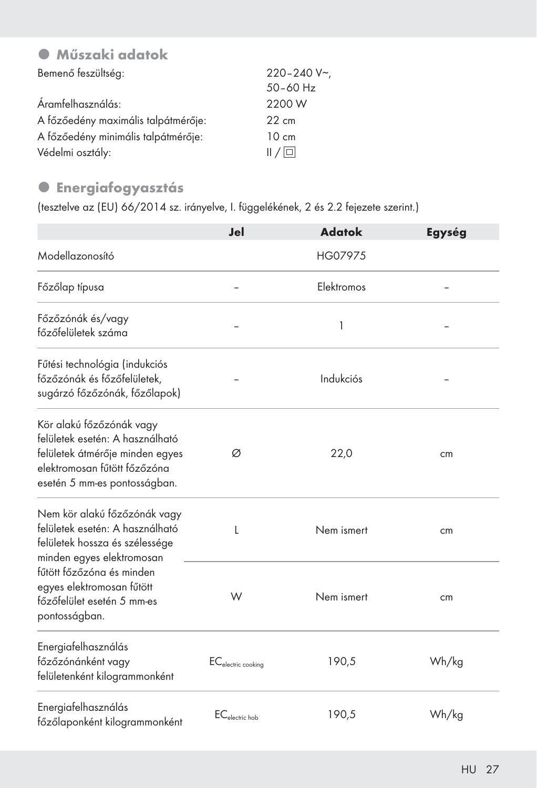# $\bullet$  Műszaki adatok

| Bemenő feszültség:                  | $220 - 240 V$   |
|-------------------------------------|-----------------|
|                                     | $50 - 60$ Hz    |
| Áramfelhasználás:                   | 2200 W          |
| A főzőedény maximális talpátmérője: | $22 \text{ cm}$ |
| A főzőedény minimális talpátmérője: | $10 \text{ cm}$ |
| Védelmi osztály:                    | /               |

### **·** Energiafogyasztás

(tesztelve az (EU) 66/2014 sz. irányelve, I. függelékének, 2 és 2.2 fejezete szerint.)

|                                                                                                                                                                | Jel                            | <b>Adatok</b> | Egység |
|----------------------------------------------------------------------------------------------------------------------------------------------------------------|--------------------------------|---------------|--------|
| Modellazonosító                                                                                                                                                |                                | HG07975       |        |
| Főzőlap típusa                                                                                                                                                 |                                | Elektromos    |        |
| Főzőzónák és/vagy<br>főzőfelületek száma                                                                                                                       |                                | 1             |        |
| Fűtési technológia (indukciós<br>főzőzónák és főzőfelületek,<br>sugárzó főzőzónák, főzőlapok)                                                                  |                                | Indukciós     |        |
| Kör alakú főzőzónák vagy<br>felületek esetén: A használható<br>felületek átmérője minden egyes<br>elektromosan fűtött főzőzóna<br>esetén 5 mm-es pontosságban. | Ø                              | 22,0          | cm     |
| Nem kör alakú főzőzónák vagy<br>felületek esetén: A használható<br>felületek hossza és szélessége<br>minden egyes elektromosan                                 | L                              | Nem ismert    | cm     |
| fűtött főzőzóna és minden<br>egyes elektromosan fűtött<br>főzőfelület esetén 5 mm-es<br>pontosságban.                                                          | W                              | Nem ismert    | cm     |
| Energiafelhasználás<br>főzőzónánként vagy<br>felületenként kilogrammonként                                                                                     | EC <sub>electric cooking</sub> | 190,5         | Wh/kg  |
| Energiafelhasználás<br>főzőlaponként kilogrammonként                                                                                                           | EC <sub>electric</sub> hob     | 190,5         | Wh/kg  |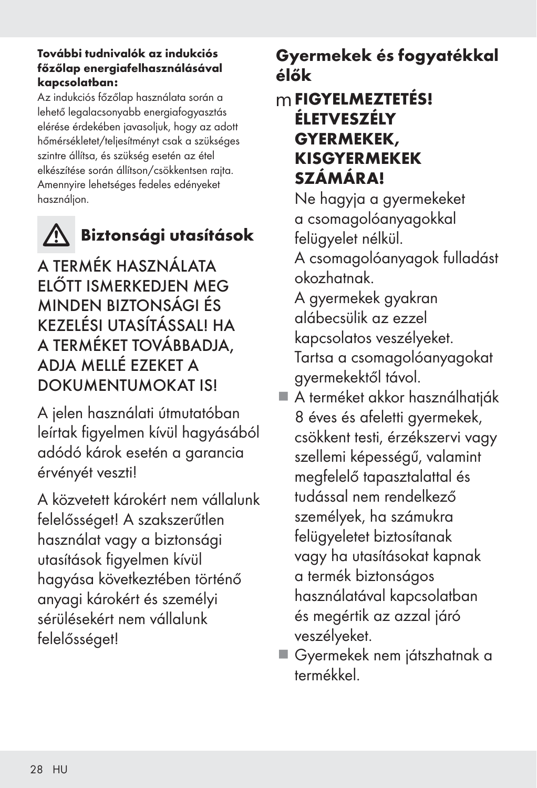#### További tudnivalók az indukciós főzőlap energiafelhasználásával kapcsolatban:

Az indukciós főzőlap használata során a lehető legalacsonyabb energiafogyasztás elérése érdekében javasoljuk, hogy az adott hőmérsékletet/teljesítményt csak a szükséges szintre állítsa, és szükség esetén az étel elkészítése során állítson/csökkentsen rajta. Amennyire lehetséges fedeles edényeket használjon.



# Biztonsági utasítások

A TERMÉK HASZNÁLATA ELŐTT ISMERKEDJEN MEG MINDEN BIZTONSÁGI ÉS KEZELÉSI UTASÍTÁSSAL! HA A TERMÉKET TOVÁBBADJA, ADJA MELLÉ EZEKET A DOKUMENTUMOKAT IS!

A jelen használati útmutatóban leírtak figyelmen kívül hagyásából adódó károk esetén a garancia érvényét veszti!

A közvetett károkért nem vállalunk felelősséget! A szakszerűtlen használat vagy a biztonsági utasítások figyelmen kívül hagyása következtében történő anyagi károkért és személyi sérülésekért nem vállalunk felelősséget!

# Gyermekek és fogyatékkal élők

# mFIGYELMEZTETÉS! ÉLETVESZÉLY GYERMEKEK, KISGYERMEKEK SZÁMÁRA!

 Ne hagyja a gyermekeket a csomagolóanyagokkal felügyelet nélkül.

 A csomagolóanyagok fulladást okozhatnak.

 A gyermekek gyakran alábecsülik az ezzel kapcsolatos veszélyeket. Tartsa a csomagolóanyagokat gyermekektől távol.

- A terméket akkor használhatják 8 éves és afeletti gyermekek, csökkent testi, érzékszervi vagy szellemi képességű, valamint megfelelő tapasztalattal és tudással nem rendelkező személyek, ha számukra felügyeletet biztosítanak vagy ha utasításokat kapnak a termék biztonságos használatával kapcsolatban és megértik az azzal járó veszélyeket.
- Gyermekek nem játszhatnak a termékkel.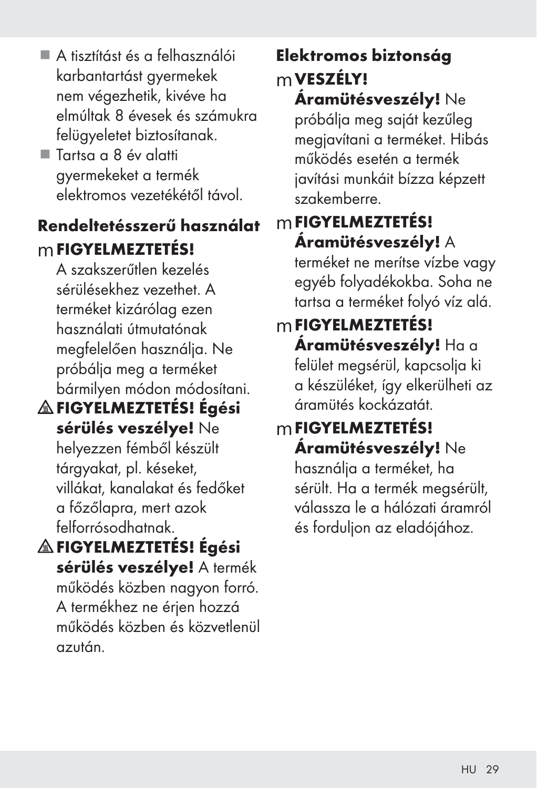- A tisztítást és a felhasználói karbantartást gyermekek nem végezhetik, kivéve ha elmúltak 8 évesek és számukra felügyeletet biztosítanak.
- Tartsa a 8 év alatti gyermekeket a termék elektromos vezetékétől távol.

# Rendeltetésszerű használat mFIGYELMEZTETÉS!

A szakszerűtlen kezelés sérülésekhez vezethet. A terméket kizárólag ezen használati útmutatónak megfelelően használja. Ne próbálja meg a terméket bármilyen módon módosítani.

- FIGYELMEZTETÉS! Égési sérülés veszélye! Ne helyezzen fémből készült tárgyakat, pl. késeket, villákat, kanalakat és fedőket a főzőlapra, mert azok felforrósodhatnak.
- FIGYELMEZTETÉS! Égési sérülés veszélye! A termék működés közben nagyon forró. A termékhez ne érjen hozzá működés közben és közvetlenül azután.

# Elektromos biztonság mVESZÉLY!

Áramütésveszély! Ne próbálja meg saját kezűleg megjavítani a terméket. Hibás működés esetén a termék javítási munkáit bízza képzett szakemberre.

# mFIGYELMEZTETÉS! Áramütésveszély! A

terméket ne merítse vízbe vagy egyéb folyadékokba. Soha ne tartsa a terméket folyó víz alá.

# mFIGYELMEZTETÉS!

Áramütésveszély! Ha a felület megsérül, kapcsolja ki a készüléket, így elkerülheti az áramütés kockázatát.

# mFIGYELMEZTETÉS! Áramütésveszély! Ne

használja a terméket, ha sérült. Ha a termék megsérült, válassza le a hálózati áramról és forduljon az eladójához.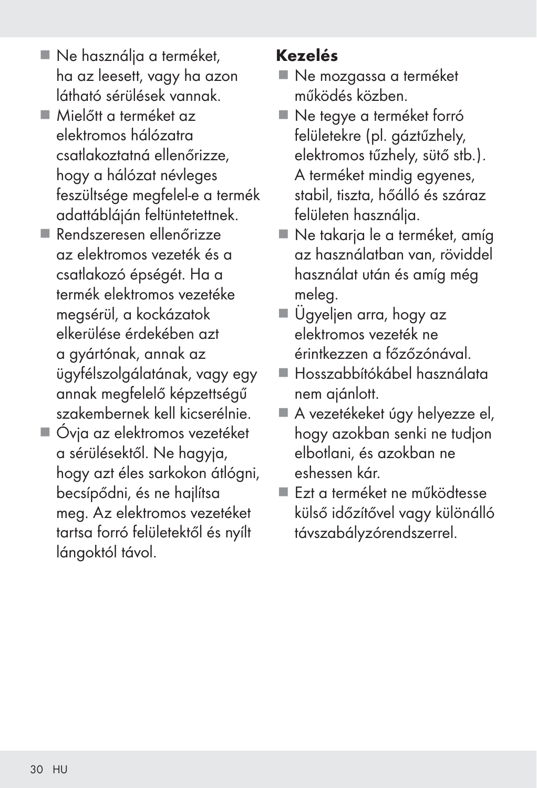- Ne használja a terméket, ha az leesett, vagy ha azon látható sérülések vannak.
- Mielőtt a terméket az elektromos hálózatra csatlakoztatná ellenőrizze, hogy a hálózat névleges feszültsége megfelel-e a termék adattábláján feltüntetettnek.
- Rendszeresen ellenőrizze az elektromos vezeték és a csatlakozó épségét. Ha a termék elektromos vezetéke megsérül, a kockázatok elkerülése érdekében azt a gyártónak, annak az ügyfélszolgálatának, vagy egy annak megfelelő képzettségű szakembernek kell kicserélnie.
- Óvja az elektromos vezetéket a sérülésektől. Ne hagyja, hogy azt éles sarkokon átlógni, becsípődni, és ne hajlítsa meg. Az elektromos vezetéket tartsa forró felületektől és nyílt lángoktól távol.

# Kezelés

- Ne mozgassa a terméket működés közben.
- Ne tegye a terméket forró felületekre (pl. gáztűzhely, elektromos tűzhely, sütő stb.). A terméket mindig egyenes, stabil, tiszta, hőálló és száraz felületen használja.
- Ne takarja le a terméket, amíg az használatban van, röviddel használat után és amíg még meleg.
- Ügyeljen arra, hogy az elektromos vezeték ne érintkezzen a főzőzónával.
- Hosszabbítókábel használata nem ajánlott.
- A vezetékeket úgy helyezze el, hogy azokban senki ne tudjon elbotlani, és azokban ne eshessen kár.
- Ezt a terméket ne működtesse külső időzítővel vagy különálló távszabályzórendszerrel.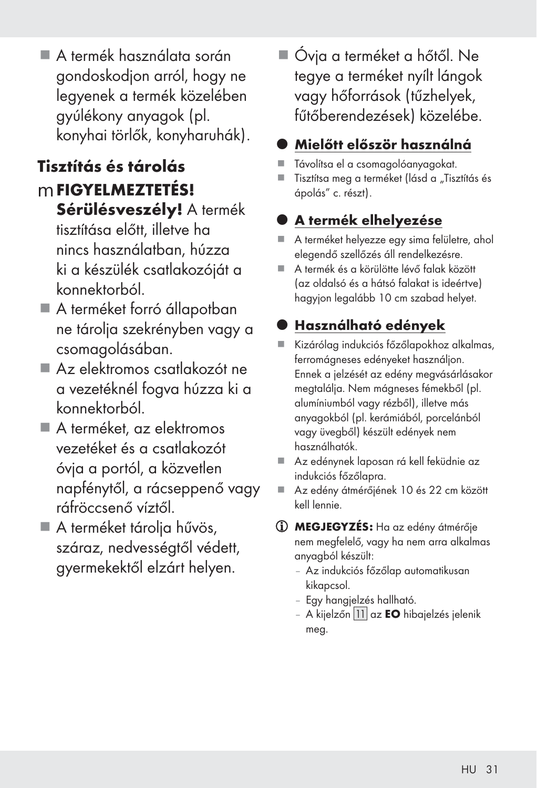A termék használata során gondoskodjon arról, hogy ne legyenek a termék közelében gyúlékony anyagok (pl. konyhai törlők, konyharuhák).

# Tisztítás és tárolás

- mFIGYELMEZTETÉS! Sérülésveszély! A termék tisztítása előtt, illetve ha nincs használatban, húzza ki a készülék csatlakozóját a konnektorból.
- A terméket forró állapotban ne tárolja szekrényben vagy a csomagolásában.
- Az elektromos csatlakozót ne a vezetéknél fogva húzza ki a konnektorból.
- A terméket, az elektromos vezetéket és a csatlakozót óvja a portól, a közvetlen napfénytől, a rácseppenő vagy ráfröccsenő víztől.
- A terméket tárolja hűvös, száraz, nedvességtől védett, gyermekektől elzárt helyen.

 Óvja a terméket a hőtől. Ne tegye a terméket nyílt lángok vagy hőforrások (tűzhelyek, fűtőberendezések) közelébe.

# z Mielőtt először használná

- Távolítsa el a csomagolóanyagokat.
- $\blacksquare$  Tisztítsa meg a terméket (lásd a "Tisztítás és ápolás" c. részt).

# z A termék elhelyezése

- A terméket helyezze egy sima felületre, ahol elegendő szellőzés áll rendelkezésre.
- A termék és a körülötte lévő falak között (az oldalsó és a hátsó falakat is ideértve) hagyjon legalább 10 cm szabad helyet.

# z Használható edények

- Kizárólag indukciós főzőlapokhoz alkalmas, ferromágneses edényeket használjon. Ennek a jelzését az edény megvásárlásakor megtalálja. Nem mágneses fémekből (pl. alumíniumból vagy rézből), illetve más anyagokból (pl. kerámiából, porcelánból vagy üvegből) készült edények nem használhatók.
- Az edénynek laposan rá kell feküdnie az indukciós főzőlapra.
- Az edény átmérőjének 10 és 22 cm között kell lennie.
- MEGJEGYZÉS: Ha az edény átmérője nem megfelelő, vagy ha nem arra alkalmas anyagból készült:
	- Az indukciós főzőlap automatikusan kikapcsol.
	- Egy hangjelzés hallható.
	- A kijelzőn 11 az **EO** hibajelzés jelenik meg.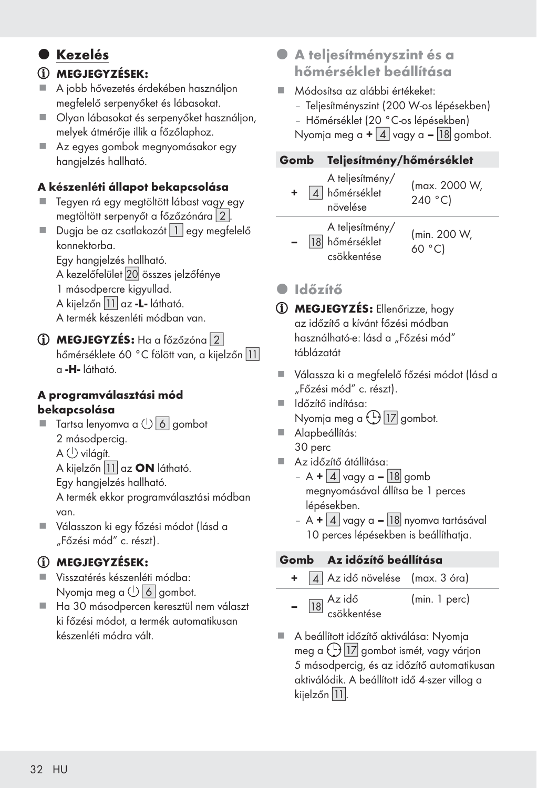# **O** Kezelés

### MEGJEGYZÉSEK:

- A jobb hővezetés érdekében használjon megfelelő serpenyőket és lábasokat.
- Olyan lábasokat és serpenyőket használion, melyek átmérője illik a főzőlaphoz.
- Az egyes gombok megnyomásakor egy hangjelzés hallható.

#### A készenléti állapot bekapcsolása

- Tegyen rá egy megtöltött lábast vagy egy megtöltött serpenyőt a főzőzónára [2].
- Dugja be az csatlakozót  $\boxed{1}$  egy megfelelő konnektorba.

Egy hangjelzés hallható.

A kezelőfelület 20 összes jelzőfénye

- 1 másodpercre kigyullad.
- A kijelzőn 11 az -L- látható.

A termék készenléti módban van.

#### MEGJEGYZÉS: Ha a főzőzóna [2] hőmérséklete 60 °C fölött van, a kijelzőn 11 a -H- látható.

#### A programválasztási mód bekapcsolása

 $\blacksquare$  Tartsa lenyomva a  $\bigcup$  6 gombot 2 másodpercig.  $A \bigcup$  világít.

A kijelzőn 11 az ON látható.

Egy hangjelzés hallható.

 A termék ekkor programválasztási módban van.

 Válasszon ki egy főzési módot (lásd a "Főzési mód" c. részt).

### MEGJEGYZÉSEK:

- Visszatérés készenléti módba: Nyomja meg a  $\bigcup$  6 gombot.
- Ha 30 másodpercen keresztül nem választ ki főzési módot, a termék automatikusan készenléti módra vált.
- z A teljesítményszint és a hőmérséklet beállítása
- Módosítsa az alábbi értékeket:
	- Teljesítményszint (200 W-os lépésekben)
	- Hőmérséklet (20 °C-os lépésekben)

Nyomja meg a  $+ 4$  vagy a  $- 18$  gombot.

#### Gomb Teljesítmény/hőmérséklet

| A teljesítmény/<br>4 hőmérséklet<br>növelése     | (max. 2000 W,<br>240 °C) |
|--------------------------------------------------|--------------------------|
| A teljesítmény/<br>18 hőmérséklet<br>csökkentése | (min. 200 W,<br>60 °C)   |

### **• Időzítő**

- MEGJEGYZÉS: Ellenőrizze, hogy az időzítő a kívánt főzési módban használható-e: lásd a "Főzési mód" táblázatát
- Válassza ki a megfelelő főzési módot (lásd a "Főzési mód" c. részt).
- Időzítő indítása: Nyomja meg a ( <u>U) |17</u> gombot.
- Alapbeállítás: 30 perc
- Az időzítő átállítása:
	- $A + 4 \vert a \vert$  vagy a  $\vert 18 \vert$  gomb megnyomásával állítsa be 1 perces lépésekben.
	- A +  $\vert 4 \vert$  vagy a  $\vert 18 \vert$  nyomva tartásával 10 perces lépésekben is beállíthatja.

#### Gomb Az időzítő beállítása

- $\boxed{4}$  Az idő növelése (max. 3 óra)
- <mark>18</mark> <sup>Az idő</sup> csökkentése (min. 1 perc)
- A beállított időzítő aktiválása: Nyomja meg a  $\bigoplus$  17 gombot ismét, vagy várjon 5 másodpercig, és az időzítő automatikusan aktiválódik. A beállított idő 4-szer villog a kijelzőn 11.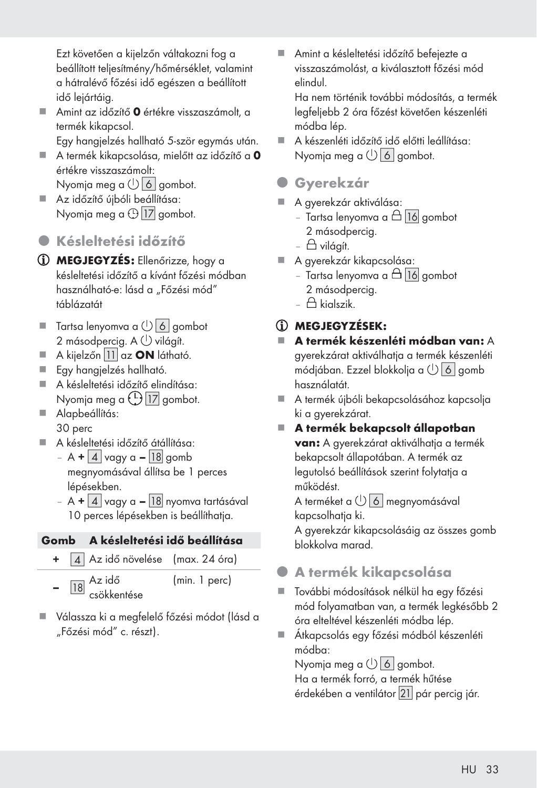Ezt követően a kijelzőn váltakozni fog a beállított teljesítmény/hőmérséklet, valamint a hátralévő főzési idő egészen a beállított idő lejártáig.

■ Amint az időzítő **0** értékre visszaszámolt, a termék kikapcsol.

Egy hangjelzés hallható 5-ször egymás után.

- $\blacksquare$  A termék kikapcsolása, mielőtt az időzítő a 0 értékre visszaszámolt: Nyomja meg a  $\bigcup$  6 gombot.
- Az időzítő újbóli beállítása: Nyomja meg a  $\oplus$  <mark>17</mark> gombot.
- z Késleltetési időzítő
- MEGJEGYZÉS: Ellenőrizze, hogy a késleltetési időzítő a kívánt főzési módban használható-e: lásd a "Főzési mód" táblázatát
- $\blacksquare$  Tartsa lenyomva a  $\bigcup$  6 gombot 2 másodpercig. A  $\bigcup$  világít.
- $\blacksquare$  A kijelzőn 11 az ON látható.
- Egy hangjelzés hallható.
- A késleltetési időzítő elindítása: Nyomja meg a (<u>U) |17</u> gombot.
- Alapbeállítás: 30 perc
- A késleltetési időzítő átállítása:
	- $A + 4$  vagy a 18 gomb megnyomásával állítsa be 1 perces lépésekben.
	- A +  $\vert$  4  $\vert$  vagy a  $\vert$  18 nyomva tartásával 10 perces lépésekben is beállíthatja.

#### Gomb A késleltetési idő beállítása

- 4 Az idő növelése (max. 24 óra)
- <mark>18</mark> <sup>Az idő</sup> csökkentése (min. 1 perc)
- Válassza ki a megfelelő főzési módot (lásd a "Főzési mód" c. részt).

 Amint a késleltetési időzítő befejezte a visszaszámolást, a kiválasztott főzési mód elindul.

 Ha nem történik további módosítás, a termék legfeljebb 2 óra főzést követően készenléti módba lép.

- A készenléti időzítő idő előtti leállítása: Nyomja meg a  $\bigcup$  6 gombot.
- **O** Gyerekzár
- A gyerekzár aktiválása:
	- Tartsa lenyomva a  $\triangle$  16 gombot 2 másodpercig.
	- $\triangle$  világít.
- A gyerekzár kikapcsolása:
	- Tartsa lenyomva a  $\triangle$  16 gombot 2 másodpercig.
	- $$\bigoplus$  kialszik$

# MEGJEGYZÉSEK:

- A termék készenléti módban van: A gyerekzárat aktiválhatja a termék készenléti módjában. Ezzel blokkolja a  $\bigcup$  6 gomb használatát.
- A termék újbóli bekapcsolásához kapcsolja ki a gyerekzárat.
- A termék bekapcsolt állapotban van: A gyerekzárat aktiválhatja a termék bekapcsolt állapotában. A termék az legutolsó beállítások szerint folytatja a működést.

A terméket a  $\overline{\mathbb{G}}$  Megnyomásával kapcsolhatia ki.

 A gyerekzár kikapcsolásáig az összes gomb blokkolva marad.

- z A termék kikapcsolása
- További módosítások nélkül ha egy főzési mód folyamatban van, a termék legkésőbb 2 óra elteltével készenléti módba lép.
- Átkapcsolás egy főzési módból készenléti módba:

Nyomja meg a  $\bigcup$  6 gombot.

 Ha a termék forró, a termék hűtése érdekében a ventilátor [
] pár percig jár.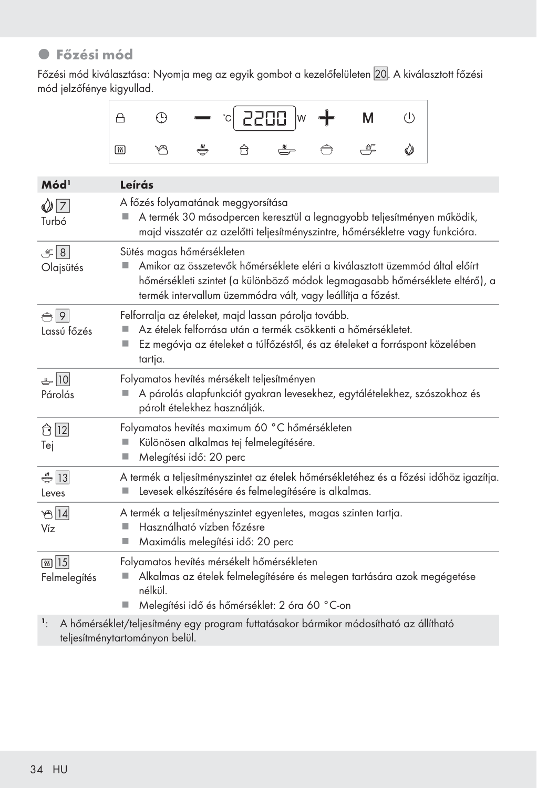# $\bullet$  Főzési mód

Főzési mód kiválasztása: Nyomja meg az egyik gombot a kezelőfelületen 20. A kiválasztott főzési mód jelzőfénye kigyullad.

|  |  | $\begin{array}{ c c c c c }\n\hline\n\end{array}$ $\begin{array}{ c c c c }\n\hline\n\end{array}$ $\begin{array}{ c c c }\n\hline\n\end{array}$ $\begin{array}{ c c c }\n\hline\n\end{array}$ $\begin{array}{ c c c }\n\hline\n\end{array}$ $\begin{array}{ c c c }\n\hline\n\end{array}$ $\begin{array}{ c c c }\n\hline\n\end{array}$ $\begin{array}{ c c c }\n\hline\n\end{array}$ $\begin{array}{ $ |  |  |
|--|--|---------------------------------------------------------------------------------------------------------------------------------------------------------------------------------------------------------------------------------------------------------------------------------------------------------------------------------------------------------------------------------------------------------|--|--|
|  |  | <b>や み 台 み 合 ぎ ②</b>                                                                                                                                                                                                                                                                                                                                                                                    |  |  |

| Mód <sup>1</sup>             | Leírás                                                                                                                                                                                                                                                 |
|------------------------------|--------------------------------------------------------------------------------------------------------------------------------------------------------------------------------------------------------------------------------------------------------|
| $\bigcirc$ 7<br>Turbó        | A főzés folyamatának meggyorsítása<br>A termék 30 másodpercen keresztül a legnagyobb teljesítményen működik,<br>majd visszatér az azelőtti teljesítményszintre, hőmérsékletre vagy funkcióra.                                                          |
| $-18$<br>Olajsütés           | Sütés magas hőmérsékleten<br>Amikor az összetevők hőmérséklete eléri a kiválasztott üzemmód által előírt<br>hőmérsékleti szintet (a különböző módok legmagasabb hőmérséklete eltérő), a<br>termék intervallum üzemmódra vált, vagy leállítja a főzést. |
| $\bigcap$ 9<br>Lassú főzés   | Felforralja az ételeket, majd lassan párolja tovább.<br>Az ételek felforrása után a termék csökkenti a hőmérsékletet.<br>Ez megóvja az ételeket a túlfőzéstől, és az ételeket a forráspont közelében<br>tartja.                                        |
| 50<br>Párolás                | Folyamatos hevítés mérsékelt teljesítményen<br>A párolás alapfunkciót gyakran levesekhez, egytálételekhez, szószokhoz és<br>párolt ételekhez használják.                                                                                               |
| ← 12<br>Tej                  | Folyamatos hevítés maximum 60 °C hőmérsékleten<br>Különösen alkalmas tej felmelegítésére.<br>Melegítési idő: 20 perc                                                                                                                                   |
| $\frac{13}{5}$<br>Leves      | A termék a teljesítményszintet az ételek hőmérsékletéhez és a főzési időhöz igazítja.<br>Levesek elkészítésére és felmelegítésére is alkalmas.                                                                                                         |
| $\mathcal{B}$ 14<br>Víz      | A termék a teljesítményszintet egyenletes, magas szinten tartja.<br>Használható vízben főzésre<br>٠<br>Maximális melegítési idő: 20 perc<br>◼                                                                                                          |
| <b>55 15</b><br>Felmelegítés | Folyamatos hevítés mérsékelt hőmérsékleten<br>Alkalmas az ételek felmelegítésére és melegen tartására azok megégetése<br>nélkül.<br>Melegítési idő és hőmérséklet: 2 óra 60 °C-on<br>ш                                                                 |
| $\mathbf{1}$ .               | A hőmérséklet/teljesítmény egy program futtatásakor bármikor módosítható az állítható                                                                                                                                                                  |

teljesítménytartományon belül.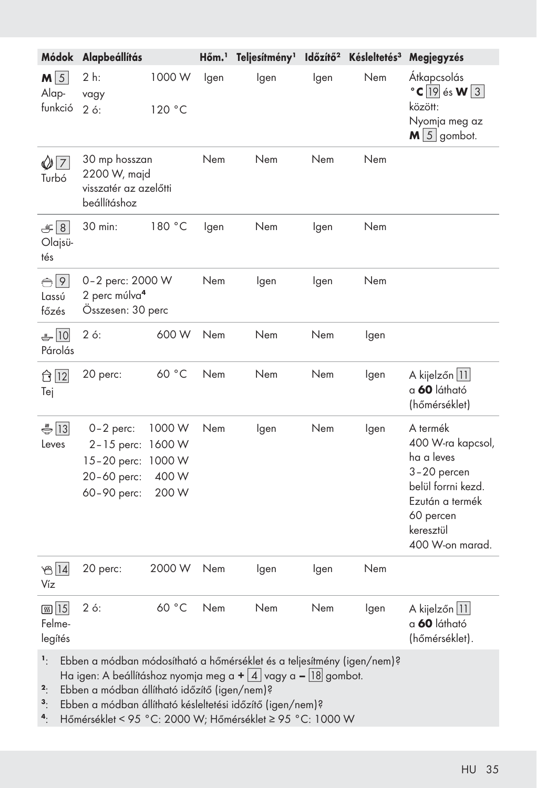| Módok                             | Alapbeállítás                                                                                                                                                                                                                                         |                                             | Hőm. <sup>1</sup> | Teljesítmény <sup>1</sup> | Időzítő <sup>2</sup> | Késleltetés <sup>3</sup> | Megjegyzés                                                                                                                                       |  |  |
|-----------------------------------|-------------------------------------------------------------------------------------------------------------------------------------------------------------------------------------------------------------------------------------------------------|---------------------------------------------|-------------------|---------------------------|----------------------|--------------------------|--------------------------------------------------------------------------------------------------------------------------------------------------|--|--|
| $M\sqrt{5}$<br>Alap-<br>funkció   | 2 h:<br>vagy<br>26:                                                                                                                                                                                                                                   | 1000W<br>120 °C                             | lgen              | Igen                      | lgen                 | Nem                      | Átkapcsolás<br>$\degree$ C 19 és W 3<br>között:<br>Nyomja meg az<br>$M \mid 5 \mid$ gombot.                                                      |  |  |
| $\sqrt{7}$<br>Turbó               | 30 mp hosszan<br>2200 W, majd<br>visszatér az azelőtti<br>beállításhoz                                                                                                                                                                                |                                             | Nem               | Nem                       | Nem                  | Nem                      |                                                                                                                                                  |  |  |
| $\mathcal{F}$ 8<br>Olajsü-<br>tés | 30 min:                                                                                                                                                                                                                                               | 180 °C                                      | lgen              | Nem                       | lgen                 | Nem                      |                                                                                                                                                  |  |  |
| $\bigoplus$ 9<br>Lassú<br>főzés   | 0-2 perc: 2000 W<br>2 perc múlva <sup>4</sup><br>Összesen: 30 perc                                                                                                                                                                                    |                                             | Nem               | Igen                      | lgen                 | Nem                      |                                                                                                                                                  |  |  |
| 10<br>Párolás                     | $2 \circ$ :                                                                                                                                                                                                                                           | 600W                                        | Nem               | Nem                       | Nem                  | lgen                     |                                                                                                                                                  |  |  |
| ← 12<br>Tej                       | 20 perc:                                                                                                                                                                                                                                              | 60 °C                                       | Nem               | Nem                       | Nem                  | lgen                     | A kijelzőn   11 <br>a 60 látható<br>(hőmérséklet)                                                                                                |  |  |
| $\bigoplus$ 13<br>Leves           | $0-2$ perc:<br>$2 - 15$ perc:<br>$15 - 20$ perc:<br>20-60 perc:<br>60-90 perc:                                                                                                                                                                        | 1000 W<br>1600W<br>1000 W<br>400 W<br>200 W | Nem               | lgen                      | Nem                  | lgen                     | A termék<br>400 W-ra kapcsol,<br>ha a leves<br>3-20 percen<br>belül forrni kezd.<br>Ezután a termék<br>60 percen<br>keresztül<br>400 W-on marad. |  |  |
| $B\overline{14}$<br>Víz           | 20 perc:                                                                                                                                                                                                                                              | 2000 W                                      | Nem               | lgen                      | lgen                 | Nem                      |                                                                                                                                                  |  |  |
| <b>கு</b> 15<br>Felme-<br>legítés | $2 \circ$ :                                                                                                                                                                                                                                           | 60 °C                                       | Nem               | Nem                       | Nem                  | lgen                     | A kijelzőn   11 <br>a 60 látható<br>(hőmérséklet).                                                                                               |  |  |
| ۱.<br>2.<br>$\mathbf{3}$ .        | Ebben a módban módosítható a hőmérséklet és a teljesítmény (igen/nem)?<br>Ha igen: A beállításhoz nyomja meg a $+$ 4 vagy a - 18 gombot.<br>Ebben a módban állítható időzítő (igen/nem)?<br>Ebben a módban állítható késleltetési időzítő (igen/nem)? |                                             |                   |                           |                      |                          |                                                                                                                                                  |  |  |

4: Hőmérséklet < 95 °C: 2000 W; Hőmérséklet ≥ 95 °C: 1000 W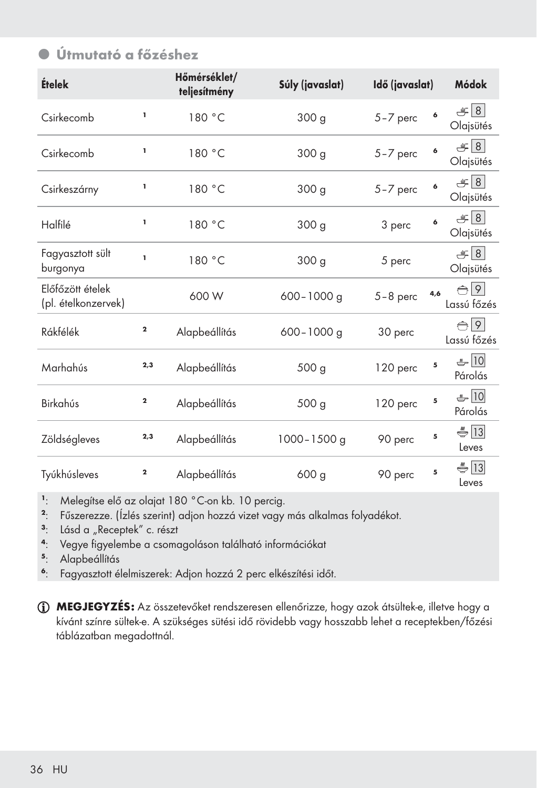# z Útmutató a főzéshez

| Ételek                                  |              | Hőmérséklet/<br>teljesítmény | Súly (javaslat)  | Idő (javaslat) |     | Módok                        |
|-----------------------------------------|--------------|------------------------------|------------------|----------------|-----|------------------------------|
| Csirkecomb                              | ı            | 180 °C                       | 300 <sub>g</sub> | $5 - 7$ perc   | 6   | $\equiv$ 8<br>Olajsütés      |
| Csirkecomb                              | I,           | 180 °C                       | 300 <sub>g</sub> | $5 - 7$ perc   | 6   | $\equiv$ 8<br>Olajsütés      |
| Csirkeszárny                            | ı            | 180 °C                       | 300 <sub>g</sub> | 5-7 perc       | 6   | $\equiv$ 8<br>Olajsütés      |
| Halfilé                                 | ı            | 180 °C                       | 300 g            | 3 perc         | 6   | $\equiv$ 8<br>Olajsütés      |
| Fagyasztott sült<br>burgonya            | ī.           | 180 °C                       | 300 g            | 5 perc         |     | $\equiv$ 8<br>Olajsütés      |
| Előfőzött ételek<br>(pl. ételkonzervek) |              | 600 W                        | $600 - 1000$ g   | $5-8$ perc     | 4,6 | $\bigoplus$ 9<br>Lassú főzés |
| Rákfélék                                | $\mathbf{2}$ | Alapbeállítás                | $600 - 1000$ g   | 30 perc        |     | $\bigoplus$ 9<br>Lassú főzés |
| Marhahús                                | 2,3          | Alapbeállítás                | 500 <sub>g</sub> | 120 perc       | 5   | $-10$<br>Párolás             |
| Birkahús                                | $\mathbf 2$  | Alapbeállítás                | 500 <sub>g</sub> | 120 perc       | 5   | $-10$<br>Párolás             |
| Zöldségleves                            | 2,3          | Alapbeállítás                | 1000-1500 g      | 90 perc        | 5   | $\bigoplus$ 13<br>Leves      |
| Tyúkhúsleves                            | $\mathbf 2$  | Alapbeállítás                | 600 <sub>g</sub> | 90 perc        | 5   | $\bigoplus$ 13<br>Leves      |

<sup>1</sup>: Melegítse elő az olajat 180 °C-on kb. 10 percig.<br><sup>2</sup>: Fűszerezze. (Ízlés szerint) adjon hozzá vizet vagy

Fűszerezze. (Ízlés szerint) adjon hozzá vizet vagy más alkalmas folyadékot.

- <sup>3</sup>: Lásd a "Receptek" c. részt<br><sup>4</sup>: Vegye figyelembe a csomo
- <sup>4</sup>: Vegye figyelembe a csomagoláson található információkat
- <sup>5</sup>: Alapbeállítás
- <sup>6</sup>: Fagyasztott élelmiszerek: Adjon hozzá 2 perc elkészítési időt.

MEGJEGYZÉS: Az összetevőket rendszeresen ellenőrizze, hogy azok átsültek-e, illetve hogy a kívánt színre sültek-e. A szükséges sütési idő rövidebb vagy hosszabb lehet a receptekben/főzési táblázatban megadottnál.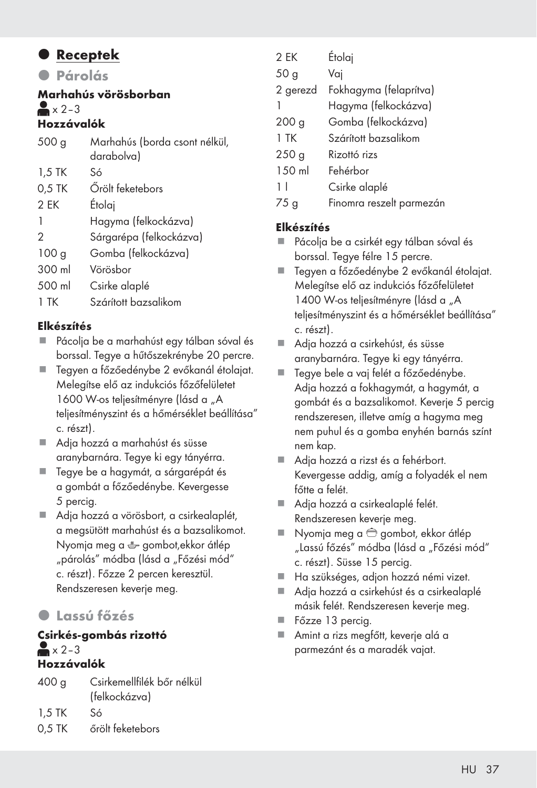### **•** Receptek

z Párolás

### Marhahús vörösborban  $\triangle$   $\times$  2–3

### Hozzávalók

| 500q             | Marhahús (borda csont nélkül, |
|------------------|-------------------------------|
|                  | darabolva)                    |
| $1,5$ TK         | Só                            |
| 0,5 TK           | Örölt feketebors              |
| 2 EK             | Etolaj                        |
| 1                | Hagyma (felkockázva)          |
| 2                | Sárgarépa (felkockázva)       |
| 100 <sub>q</sub> | Gomba (felkockázva)           |
| 300 ml           | Vörösbor                      |
| 500 ml           | Csirke alaplé                 |
| $1$ TK           | Szárított bazsalikom          |

#### Elkészítés

- Pácolja be a marhahúst egy tálban sóval és borssal. Tegye a hűtőszekrénybe 20 percre.
- Tegyen a főzőedénybe 2 evőkanál étolajat. Melegítse elő az indukciós főzőfelületet 1600 W-os teljesítményre (lásd a "A teljesítményszint és a hőmérséklet beállítása" c. részt).
- Adja hozzá a marhahúst és süsse aranybarnára. Tegye ki egy tányérra.
- Tegye be a hagymát, a sárgarépát és a gombát a főzőedénybe. Kevergesse 5 percig.
- Adia hozzá a vörösbort, a csirkealaplét, a megsütött marhahúst és a bazsalikomot. Nyomja meg a gombot,ekkor átlép "párolás" módba (lásd a "Főzési mód" c. részt). Főzze 2 percen keresztül. Rendszeresen keverje meg.

### z Lassú főzés

#### Csirkés-gombás rizottó  $\triangle \times 2-3$ Hozzávalók

400 g Csirkemellfilék bőr nélkül (felkockázva)

1,5 TK Só

0,5 TK őrölt feketebors

| 2 EK             | Étolaj                 |
|------------------|------------------------|
| 50 g             | Vaj                    |
| 2 gerezd         | Fokhagyma (felaprítva) |
|                  | Hagyma (felkockázva)   |
| 200 <sub>g</sub> | Gomba (felkockázva)    |
| $1$ TK           | Szárított bazsalikom   |
| 250 <sub>g</sub> | Rizottó rizs           |
| $1.50$ ml        | Fehérbor               |
| 11               | Csirke alaplé          |
|                  |                        |

75 g Finomra reszelt parmezán

#### Elkészítés

- Pácolja be a csirkét egy tálban sóval és borssal. Tegye félre 15 percre.
- Tegyen a főzőedénybe 2 evőkanál étolajat. Melegítse elő az indukciós főzőfelületet 1400 W-os teliesítményre (lásd a "A teljesítményszint és a hőmérséklet beállítása" c. részt).
- Adja hozzá a csirkehúst, és süsse aranybarnára. Tegye ki egy tányérra.
- Tegye bele a vaj felét a főzőedénybe. Adja hozzá a fokhagymát, a hagymát, a gombát és a bazsalikomot. Keverje 5 percig rendszeresen, illetve amíg a hagyma meg nem puhul és a gomba enyhén barnás színt nem kap.
- Adja hozzá a rizst és a fehérbort. Kevergesse addig, amíg a folyadék el nem főtte a felét.
- Adja hozzá a csirkealaplé felét. Rendszeresen keverje meg.
- Nyomja meg a  $\oplus$  gombot, ekkor átlép "Lassú főzés" módba (lásd a "Főzési mód" c. részt). Süsse 15 percig.
- Ha szükséges, adjon hozzá némi vizet.
- Adja hozzá a csirkehúst és a csirkealaplé másik felét. Rendszeresen keverje meg.
- Főzze 13 percig.
- Amint a rizs megfőtt, keverje alá a parmezánt és a maradék vajat.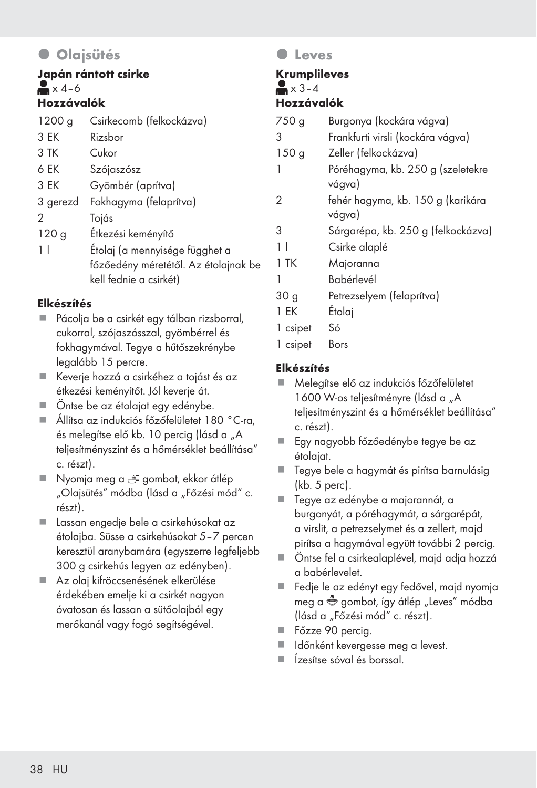## **· Olajsütés**

#### Japán rántott csirke  $\triangle$  x 4–6 Hozzávalók

| 1200 g   | Csirkecomb (felkockázva)             |
|----------|--------------------------------------|
| 3 EK     | Rizsbor                              |
| 3 TK     | Cukor                                |
| 6 EK     | Szójaszósz                           |
| 3 EK     | Gyömbér (aprítva)                    |
| 3 gerezd | Fokhagyma (felaprítva)               |
| 2        | Tojás                                |
| 120g     | Étkezési keményítő                   |
| 11       | Étolaj (a mennyisége függhet a       |
|          | főzőedény méretétől. Az étolajnak be |
|          | kell fednie a csirkét)               |

#### Elkészítés

- Pácolja be a csirkét egy tálban rizsborral, cukorral, szójaszósszal, gyömbérrel és fokhagymával. Tegye a hűtőszekrénybe legalább 15 percre.
- Keverje hozzá a csirkéhez a tojást és az étkezési keményítőt. Jól keverje át.
- Öntse be az étolajat egy edénybe.
- Állítsa az indukciós főzőfelületet 180 °C-ra, és melegítse elő kb. 10 percig (lásd a "A teljesítményszint és a hőmérséklet beállítása" c. részt).
- Nyomja meg a  $\equiv$  gombot, ekkor átlép "Olajsütés" módba (lásd a "Főzési mód" c. részt).
- Lassan engedje bele a csirkehúsokat az étolajba. Süsse a csirkehúsokat 5–7 percen keresztül aranybarnára (egyszerre legfeljebb 300 g csirkehús legyen az edényben).
- Az olaj kifröccsenésének elkerülése érdekében emelje ki a csirkét nagyon óvatosan és lassan a sütőolajból egy merőkanál vagy fogó segítségével.

#### **O** Leves

#### Krumplileves  $\blacktriangleright$   $\times$  3–4 Hozzávalók

| 750 <sub>g</sub> | Burgonya (kockára vágva)                    |
|------------------|---------------------------------------------|
| З                | Frankfurti virsli (kockára vágva)           |
| 150 <sub>g</sub> | Zeller (felkockázva)                        |
| 1                | Póréhagyma, kb. 250 g (szeletekre<br>vágva) |
| 2                | fehér hagyma, kb. 150 g (karikára<br>vágva) |
| 3                | Sárgarépa, kb. 250 g (felkockázva)          |
| 11               | Csirke alaplé                               |
| 1 TK             | Majoranna                                   |
|                  | Babérlevél                                  |

- 30 g Petrezselyem (felaprítva)
- 1 EK Étolaj
- 1 csipet Só
- 1 csipet Bors

#### Elkészítés

- Melegítse elő az indukciós főzőfelületet 1600 W-os teljesítményre (lásd a "A teljesítményszint és a hőmérséklet beállítása" c. részt).
- Egy nagyobb főzőedénybe tegye be az étolajat.
- Tegye bele a hagymát és pirítsa barnulásig (kb. 5 perc).
- Tegye az edénybe a majorannát, a burgonyát, a póréhagymát, a sárgarépát, a virslit, a petrezselymet és a zellert, majd pirítsa a hagymával együtt további 2 percig.
- Öntse fel a csirkealaplével, majd adja hozzá a babérlevelet.
- Fedje le az edényt egy fedővel, majd nyomja meg a  $\stackrel{m}{\bullet}$  gombot, így átlép "Leves" módba (lásd a "Főzési mód" c. részt).
- Főzze 90 percig.
- Időnként kevergesse meg a levest.
- Ízesítse sóval és borssal.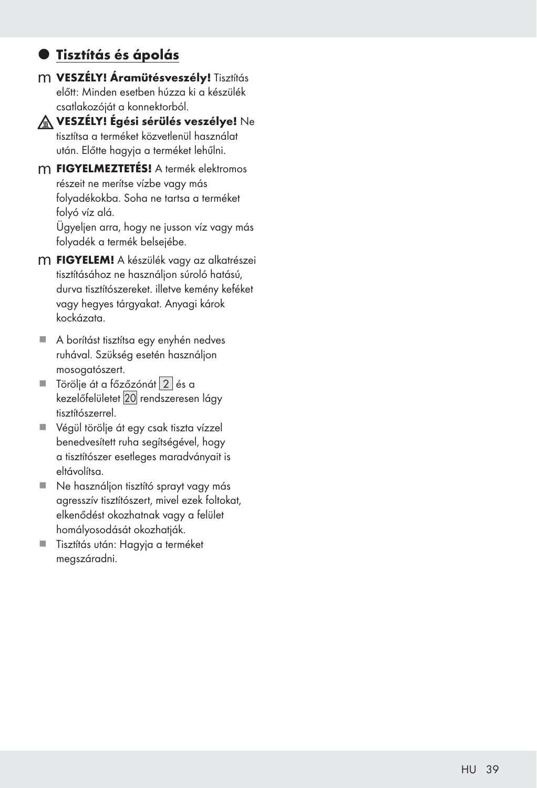## **· Tisztítás és ápolás**

m VESZÉLY! Áramütésveszély! Tisztítás előtt: Minden esetben húzza ki a készülék csatlakozóját a konnektorból.



A VESZÉLY! Égési sérülés veszélye! Ne tisztítsa a terméket közvetlenül használat után. Előtte hagyja a terméket lehűlni.

m FIGYELMEZTETÉS! A termék elektromos részeit ne merítse vízbe vagy más folyadékokba. Soha ne tartsa a terméket folyó víz alá.

 Ügyeljen arra, hogy ne jusson víz vagy más folyadék a termék belsejébe.

- m FIGYELEM! A készülék vagy az alkatrészei tisztításához ne használjon súroló hatású, durva tisztítószereket. illetve kemény keféket vagy hegyes tárgyakat. Anyagi károk kockázata.
- A borítást tisztítsa egy enyhén nedves ruhával. Szükség esetén használjon mosogatószert.
- $\blacksquare$  Törölje át a főzőzónát  $\lfloor 2 \rfloor$  és a kezelőfelületet 20 rendszeresen lágy tisztítószerrel.
- Végül törölje át egy csak tiszta vízzel benedvesített ruha segítségével, hogy a tisztítószer esetleges maradványait is eltávolítsa.
- Ne használion tisztító sprayt vagy más agresszív tisztítószert, mivel ezek foltokat, elkenődést okozhatnak vagy a felület homályosodását okozhatják.
- Tisztítás után: Hagyja a terméket megszáradni.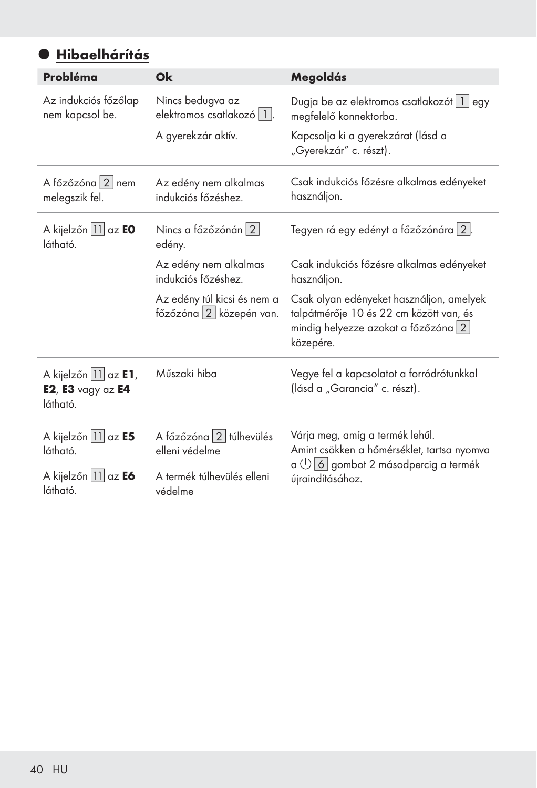# $\bullet$  Hibaelhárítás

| Probléma                                                     | Ok                                                       | Megoldás                                                                                                                                    |  |  |
|--------------------------------------------------------------|----------------------------------------------------------|---------------------------------------------------------------------------------------------------------------------------------------------|--|--|
| Az indukciós főzőlap<br>nem kapcsol be.                      | Nincs bedugva az<br>elektromos csatlakozó   1  .         | Dugja be az elektromos csatlakozót   1   egy<br>megfelelő konnektorba.                                                                      |  |  |
|                                                              | A gyerekzár aktív.                                       | Kapcsolja ki a gyerekzárat (lásd a<br>"Gyerekzár" c. részt).                                                                                |  |  |
| A főzőzóna 2 nem<br>melegszik fel.                           | Az edény nem alkalmas<br>indukciós főzéshez.             | Csak indukciós főzésre alkalmas edényeket<br>használjon.                                                                                    |  |  |
| A kijelzőn 11 az EO<br>látható.                              | Nincs a főzőzónán 2<br>edény.                            | Tegyen rá egy edényt a főzőzónára 2.                                                                                                        |  |  |
|                                                              | Az edény nem alkalmas<br>indukciós főzéshez.             | Csak indukciós főzésre alkalmas edényeket<br>használjon.                                                                                    |  |  |
|                                                              | Az edény túl kicsi és nem a<br>főzőzóna $2$ közepén van. | Csak olyan edényeket használjon, amelyek<br>talpátmérője 10 és 22 cm között van, és<br>mindig helyezze azokat a főzőzóna $ 2 $<br>közepére. |  |  |
| A kijelzőn 11 az E1,<br>$E2$ , $E3$ vagy az $E4$<br>látható. | Műszaki hiba                                             | Vegye fel a kapcsolatot a forródrótunkkal<br>(lásd a "Garancia" c. részt).                                                                  |  |  |
| A kijelzőn 11 az E5<br>látható.                              | A főzőzóna 2 túlhevülés<br>elleni védelme                | Várja meg, amíg a termék lehűl.<br>Amint csökken a hőmérséklet, tartsa nyomva                                                               |  |  |
| A kijelzőn 11 az E6<br>látható.                              | A termék túlhevülés elleni<br>védelme                    | $\alpha \cup \alpha$ o gombot 2 másodpercig a termék<br>újraindításához.                                                                    |  |  |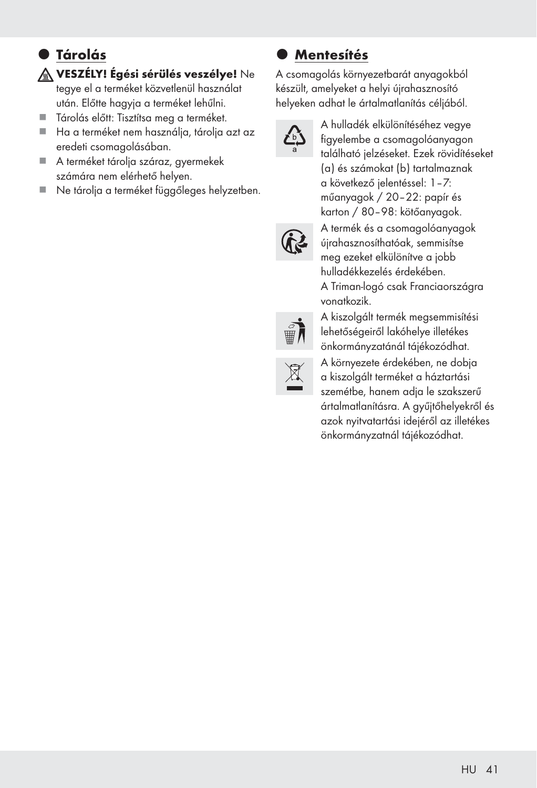# $\bullet$  **Tárolás**

VESZÉLY! Égési sérülés veszélye! Ne

tegye el a terméket közvetlenül használat után. Előtte hagyja a terméket lehűlni.

- Tárolás előtt: Tisztítsa meg a terméket.
- Ha a terméket nem használja, tárolja azt az eredeti csomagolásában.
- A terméket tárolja száraz, gyermekek számára nem elérhető helyen.
- Ne tárolja a terméket függőleges helyzetben.

## **Mentesítés**

A csomagolás környezetbarát anyagokból készült, amelyeket a helyi újrahasznosító helyeken adhat le ártalmatlanítás céljából.



A hulladék elkülönítéséhez vegye figyelembe a csomagolóanyagon található jelzéseket. Ezek rövidítéseket (a) és számokat (b) tartalmaznak a következő jelentéssel: 1–7: műanyagok / 20–22: papír és karton / 80–98: kötőanyagok.



A termék és a csomagolóanyagok újrahasznosíthatóak, semmisítse meg ezeket elkülönítve a jobb hulladékkezelés érdekében. A Triman-logó csak Franciaországra vonatkozik. A kiszolgált termék megsemmisítési



lehetőségeiről lakóhelye illetékes önkormányzatánál tájékozódhat. A környezete érdekében, ne dobja a kiszolgált terméket a háztartási

szemétbe, hanem adja le szakszerű ártalmatlanításra. A gyűjtőhelyekről és azok nyitvatartási idejéről az illetékes önkormányzatnál tájékozódhat.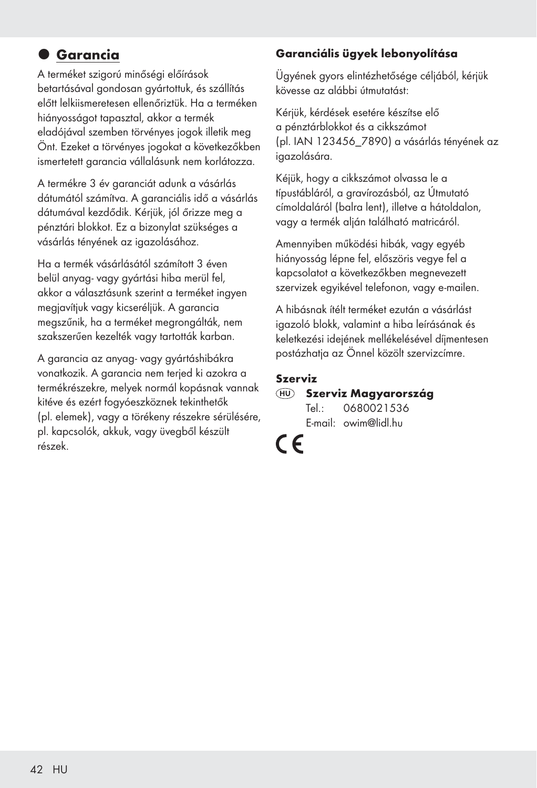## $Q$  Garancia

A terméket szigorú minőségi előírások betartásával gondosan gyártottuk, és szállítás előtt lelkiismeretesen ellenőriztük. Ha a terméken hiányosságot tapasztal, akkor a termék eladójával szemben törvényes jogok illetik meg Önt. Ezeket a törvényes jogokat a következőkben ismertetett garancia vállalásunk nem korlátozza.

A termékre 3 év garanciát adunk a vásárlás dátumától számítva. A garanciális idő a vásárlás dátumával kezdődik. Kérjük, jól őrizze meg a pénztári blokkot. Ez a bizonylat szükséges a vásárlás tényének az igazolásához.

Ha a termék vásárlásától számított 3 éven belül anyag- vagy gyártási hiba merül fel, akkor a választásunk szerint a terméket ingyen megjavítjuk vagy kicseréljük. A garancia megszűnik, ha a terméket megrongálták, nem szakszerűen kezelték vagy tartották karban.

A garancia az anyag- vagy gyártáshibákra vonatkozik. A garancia nem terjed ki azokra a termékrészekre, melyek normál kopásnak vannak kitéve és ezért fogyóeszköznek tekinthetők (pl. elemek), vagy a törékeny részekre sérülésére, pl. kapcsolók, akkuk, vagy üvegből készült részek.

#### Garanciális ügyek lebonyolítása

Ügyének gyors elintézhetősége céljából, kérjük kövesse az alábbi útmutatást:

Kérjük, kérdések esetére készítse elő a pénztárblokkot és a cikkszámot (pl. IAN 123456\_7890) a vásárlás tényének az igazolására.

Kéjük, hogy a cikkszámot olvassa le a típustábláról, a gravírozásból, az Útmutató címoldaláról (balra lent), illetve a hátoldalon, vagy a termék alján található matricáról.

Amennyiben működési hibák, vagy egyéb hiányosság lépne fel, előszöris vegye fel a kapcsolatot a következőkben megnevezett szervizek egyikével telefonon, vagy e-mailen.

A hibásnak ítélt terméket ezután a vásárlást igazoló blokk, valamint a hiba leírásának és keletkezési idejének mellékelésével díjmentesen postázhatja az Önnel közölt szervizcímre.

#### Szerviz

 Szerviz Magyarország Tel.: 0680021536 E-mail: owim@lidl.hu

# $\epsilon$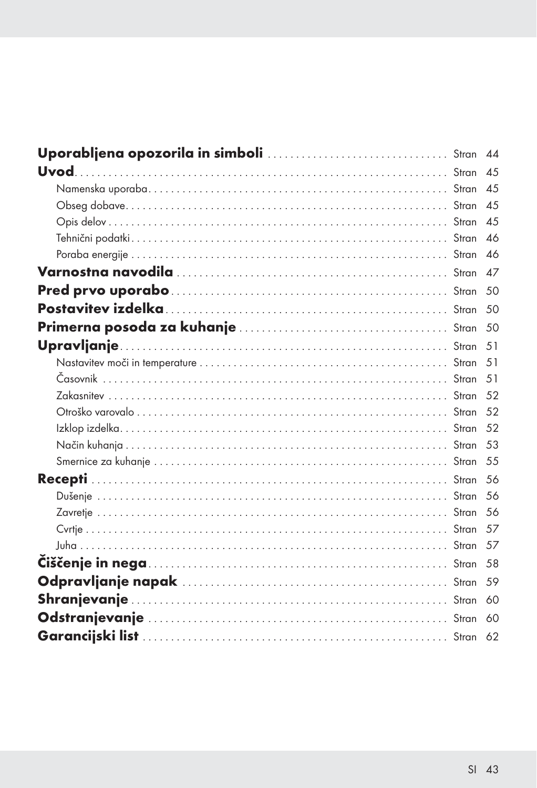|  | 45  |
|--|-----|
|  |     |
|  |     |
|  |     |
|  |     |
|  |     |
|  |     |
|  |     |
|  | .51 |
|  | .51 |
|  | .51 |
|  |     |
|  |     |
|  |     |
|  |     |
|  |     |
|  | .56 |
|  | 56  |
|  |     |
|  |     |
|  |     |
|  |     |
|  | .59 |
|  | 60  |
|  |     |
|  |     |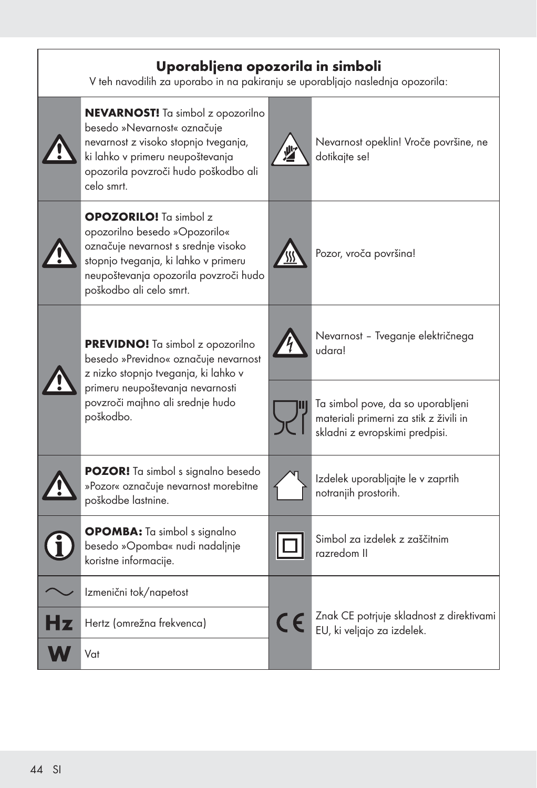| Uporabljena opozorila in simboli<br>V teh navodilih za uporabo in na pakiranju se uporabljajo naslednja opozorila: |                                                                                                                                                                                                                   |    |                                                                                                               |  |  |
|--------------------------------------------------------------------------------------------------------------------|-------------------------------------------------------------------------------------------------------------------------------------------------------------------------------------------------------------------|----|---------------------------------------------------------------------------------------------------------------|--|--|
|                                                                                                                    | <b>NEVARNOST!</b> Ta simbol z opozorilno<br>besedo »Nevarnost« označuje<br>nevarnost z visoko stopnjo tveganja,<br>ki lahko v primeru neupoštevanja<br>opozorila povzroči hudo poškodbo ali<br>celo smrt.         |    | Nevarnost opeklin! Vroče površine, ne<br>dotikajte se!                                                        |  |  |
|                                                                                                                    | <b>OPOZORILO!</b> Ta simbol z<br>opozorilno besedo »Opozorilo«<br>označuje nevarnost s srednje visoko<br>stopnjo tveganja, ki lahko v primeru<br>neupoštevanja opozorila povzroči hudo<br>poškodbo ali celo smrt. |    | Pozor, vroča površina!                                                                                        |  |  |
|                                                                                                                    | PREVIDNO! Ta simbol z opozorilno<br>besedo »Previdno« označuje nevarnost<br>z nizko stopnjo tveganja, ki lahko v<br>primeru neupoštevanja nevarnosti<br>povzroči majhno ali srednje hudo<br>poškodbo.             |    | Nevarnost - Tveganje električnega<br>udaral                                                                   |  |  |
|                                                                                                                    |                                                                                                                                                                                                                   |    | Ta simbol pove, da so uporabljeni<br>materiali primerni za stik z živili in<br>skladni z evropskimi predpisi. |  |  |
|                                                                                                                    | <b>POZOR!</b> Ta simbol s signalno besedo<br>»Pozor« označuje nevarnost morebitne<br>poškodbe lastnine.                                                                                                           |    | Izdelek uporabljajte le v zaprtih<br>notranjih prostorih.                                                     |  |  |
|                                                                                                                    | <b>OPOMBA:</b> Ta simbol s signalno<br>besedo »Opomba« nudi nadaljnje<br>koristne informacije.                                                                                                                    |    | Simbol za izdelek z zaščitnim<br>razredom II                                                                  |  |  |
|                                                                                                                    | Izmenični tok/napetost                                                                                                                                                                                            |    |                                                                                                               |  |  |
|                                                                                                                    | Hertz (omrežna frekvenca)                                                                                                                                                                                         | CE | Znak CE potrjuje skladnost z direktivami<br>EU, ki veljajo za izdelek.                                        |  |  |
|                                                                                                                    | Vat                                                                                                                                                                                                               |    |                                                                                                               |  |  |

h

 $\mathsf{r}$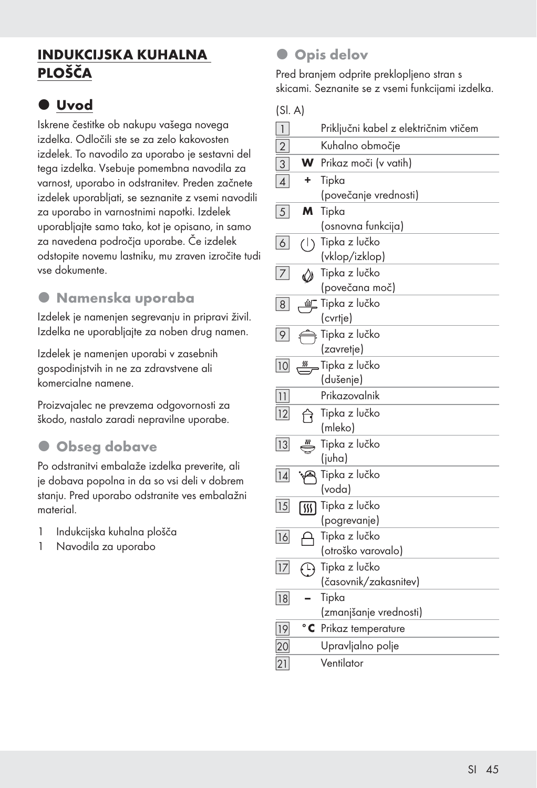## INDUKCIJSKA KUHALNA PLOŠČA

## $\bullet$  Uvod

Iskrene čestitke ob nakupu vašega novega izdelka. Odločili ste se za zelo kakovosten izdelek. To navodilo za uporabo je sestavni del tega izdelka. Vsebuje pomembna navodila za varnost, uporabo in odstranitev. Preden začnete izdelek uporabljati, se seznanite z vsemi navodili za uporabo in varnostnimi napotki. Izdelek uporabljajte samo tako, kot je opisano, in samo za navedena področja uporabe. Če izdelek odstopite novemu lastniku, mu zraven izročite tudi vse dokumente.

#### $\bullet$  Namenska uporaba

Izdelek je namenjen segrevanju in pripravi živil. Izdelka ne uporabljajte za noben drug namen.

Izdelek je namenjen uporabi v zasebnih gospodinjstvih in ne za zdravstvene ali komercialne namene.

Proizvajalec ne prevzema odgovornosti za škodo, nastalo zaradi nepravilne uporabe.

## **Obseg dobave**

Po odstranitvi embalaže izdelka preverite, ali je dobava popolna in da so vsi deli v dobrem stanju. Pred uporabo odstranite ves embalažni material.

- 1 Indukcijska kuhalna plošča
- 1 Navodila za uporabo

## **Opis delov**

Pred branjem odprite preklopljeno stran s skicami. Seznanite se z vsemi funkcijami izdelka.

(Sl. A)

| $\begin{array}{c} \hline \end{array}$ |                              | Priključni kabel z električnim vtičem |
|---------------------------------------|------------------------------|---------------------------------------|
| $\overline{2}$                        |                              | Kuhalno območje                       |
| $\ensuremath{\mathsf{3}}$             | w                            | Prikaz moči (v vatih)                 |
| $\vert$                               | ÷.                           | Tipka                                 |
|                                       |                              | (povečanje vrednosti)                 |
| 5 <sup>2</sup>                        | M                            | Tipka                                 |
|                                       |                              | (osnovna funkcija)                    |
| $6\vert$                              | $\left(\left \right.\right)$ | Tipka z lučko                         |
|                                       |                              | (vklop/izklop)                        |
| 7                                     | «»                           | Tipka z lučko                         |
|                                       |                              | (povečana moč)                        |
| 8 <sup>1</sup>                        | 鱼                            | Tipka z lučko                         |
|                                       |                              | (cvrtje)                              |
| 9                                     |                              | Tipka z lučko                         |
|                                       |                              | (zavretje)                            |
| 10                                    | <u>纵</u>                     | Tipka z lučko                         |
|                                       |                              | (dušenje)                             |
| 11                                    |                              | Prikazovalnik                         |
| 12                                    | नि                           | Tipka z lučko                         |
|                                       |                              | (mleko)                               |
| 13                                    |                              | Tipka z lučko                         |
|                                       |                              | (juha)                                |
| 14                                    |                              | Tipka z lučko                         |
|                                       |                              | (voda)                                |
| 15                                    | 俪                            | Tipka z lučko                         |
|                                       |                              | (pogrevanje)                          |
| 16                                    | А                            | Tipka z lučko                         |
|                                       |                              | (otroško varovalo)                    |
| 17                                    |                              | $\bigoplus$ Tipka z lučko             |
|                                       |                              | (časovnik/zakasnitev)                 |
| 18                                    |                              | Tipka                                 |
|                                       |                              | (zmanjšanje vrednosti)                |
| 19                                    | $^{\circ}$ C                 | Prikaz temperature                    |
| 20                                    |                              | Upravljalno polje                     |
| 21                                    |                              | Ventilator                            |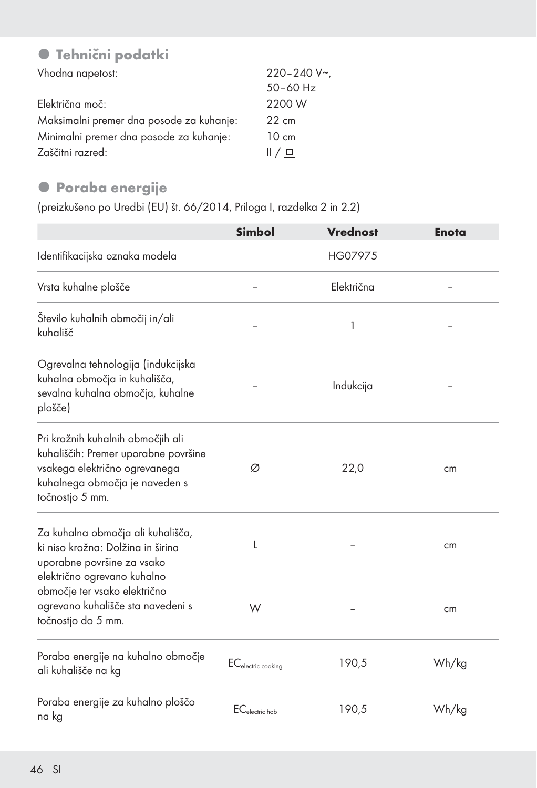## **• Tehnični podatki**

| Vhodna napetost:                         | $220 - 240 V$   |
|------------------------------------------|-----------------|
|                                          | $50 - 60$ Hz    |
| Električna moč:                          | 2200 W          |
| Maksimalni premer dna posode za kuhanje: | $22 \text{ cm}$ |
| Minimalni premer dna posode za kuhanje:  | $10 \text{ cm}$ |
| Zaščitni razred:                         | /               |

## **• Poraba energije**

(preizkušeno po Uredbi (EU) št. 66/2014, Priloga I, razdelka 2 in 2.2)

|                                                                                                                                                                 | <b>Simbol</b>                  | <b>Vrednost</b> | <b>Enota</b> |
|-----------------------------------------------------------------------------------------------------------------------------------------------------------------|--------------------------------|-----------------|--------------|
| Identifikacijska oznaka modela                                                                                                                                  |                                | HG07975         |              |
| Vrsta kuhalne plošče                                                                                                                                            |                                | Električna      |              |
| Število kuhalnih območij in/ali<br>kuhališč                                                                                                                     |                                | 1               |              |
| Ogrevalna tehnologija (indukcijska<br>kuhalna območja in kuhališča,<br>sevalna kuhalna območja, kuhalne<br>plošče)                                              |                                | Indukcija       |              |
| Pri krožnih kuhalnih območjih ali<br>kuhališčih: Premer uporabne površine<br>vsakega električno ogrevanega<br>kuhalnega območja je naveden s<br>točnostjo 5 mm. | Ø                              | 22,0            | cm           |
| Za kuhalna območja ali kuhališča,<br>ki niso krožna: Dolžina in širina<br>uporabne površine za vsako                                                            | L                              |                 | cm           |
| električno ogrevano kuhalno<br>območje ter vsako električno<br>ogrevano kuhališče sta navedeni s<br>točnostjo do 5 mm.                                          | W                              |                 | cm           |
| Poraba energije na kuhalno območje<br>ali kuhališče na kg                                                                                                       | EC <sub>electric cooking</sub> | 190,5           | Wh/kg        |
| Poraba energije za kuhalno ploščo<br>na kg                                                                                                                      | EC <sub>electric</sub> hob     | 190,5           | Wh/kg        |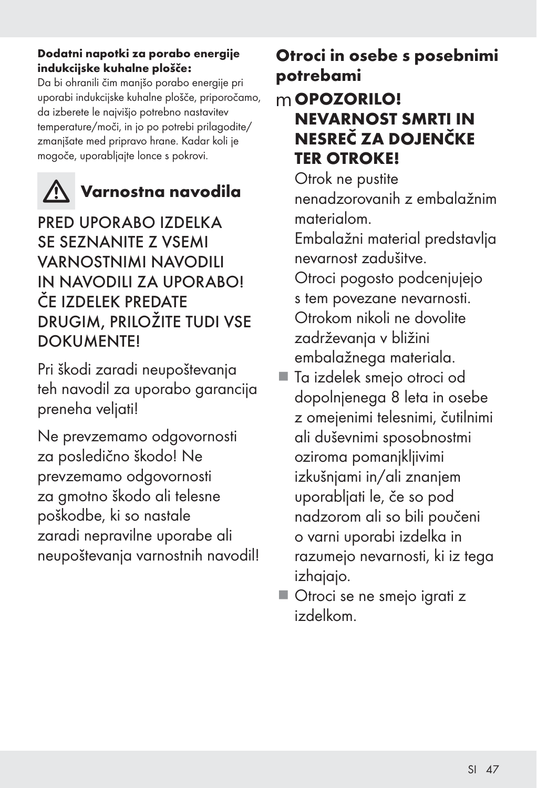#### Dodatni napotki za porabo energije indukcijske kuhalne plošče:

Da bi ohranili čim manjšo porabo energije pri uporabi indukcijske kuhalne plošče, priporočamo, da izberete le najvišjo potrebno nastavitev temperature/moči, in jo po potrebi prilagodite/ zmanjšate med pripravo hrane. Kadar koli je mogoče, uporabljajte lonce s pokrovi.



# Varnostna navodila

PRED UPORABO IZDELKA SE SEZNANITE Z VSEMI VARNOSTNIMI NAVODILI IN NAVODILI ZA UPORABO! ČE IZDELEK PREDATE DRUGIM, PRILOŽITE TUDI VSE **DOKUMENTEI** 

Pri škodi zaradi neupoštevanja teh navodil za uporabo garancija preneha veljati!

Ne prevzemamo odgovornosti za posledično škodo! Ne prevzemamo odgovornosti za gmotno škodo ali telesne poškodbe, ki so nastale zaradi nepravilne uporabe ali neupoštevanja varnostnih navodil!

# Otroci in osebe s posebnimi potrebami

## mOPOZORILO! NEVARNOST SMRTI IN NESREČ ZA DOJENČKE TER OTROKE!

 Otrok ne pustite nenadzorovanih z embalažnim materialom.

 Embalažni material predstavlja nevarnost zadušitve.

 Otroci pogosto podcenjujejo s tem povezane nevarnosti. Otrokom nikoli ne dovolite zadrževanja v bližini embalažnega materiala.

- Ta izdelek smejo otroci od dopolnjenega 8 leta in osebe z omejenimi telesnimi, čutilnimi ali duševnimi sposobnostmi oziroma pomanjkljivimi izkušnjami in/ali znanjem uporabljati le, če so pod nadzorom ali so bili poučeni o varni uporabi izdelka in razumejo nevarnosti, ki iz tega izhajajo.
- Otroci se ne smejo igrati z izdelkom.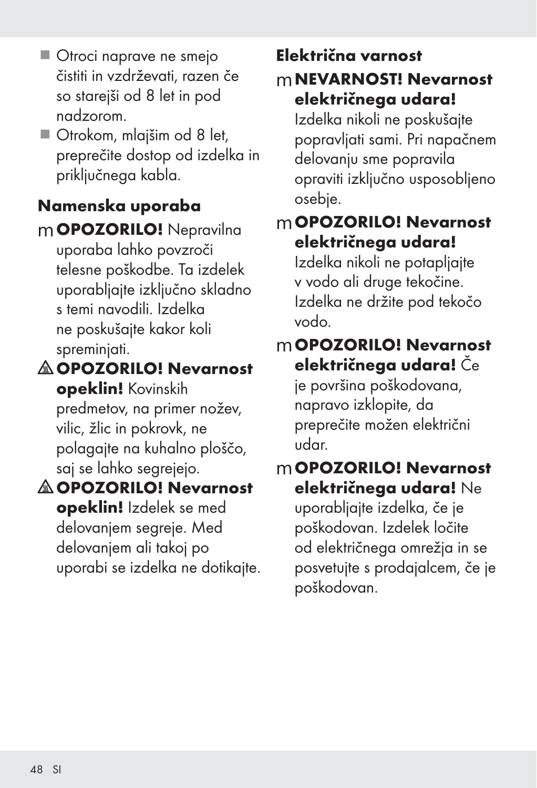- Otroci naprave ne smejo čistiti in vzdrževati, razen če so starejši od 8 let in pod nadzorom.
- Otrokom, mlajšim od 8 let, preprečite dostop od izdelka in priključnega kabla.

# Namenska uporaba

mOPOZORILO! Nepravilna uporaba lahko povzroči telesne poškodbe. Ta izdelek uporabljajte izključno skladno s temi navodili. Izdelka ne poskušajte kakor koli spreminjati.

OPOZORILO! Nevarnost

opeklin! Kovinskih predmetov, na primer nožev, vilic, žlic in pokrovk, ne polagajte na kuhalno ploščo, saj se lahko segrejejo.

## OPOZORILO! Nevarnost opeklin! Izdelek se med delovanjem segreje. Med delovanjem ali takoj po uporabi se izdelka ne dotikajte.

# Električna varnost

## mNEVARNOST! Nevarnost električnega udara!

Izdelka nikoli ne poskušajte popravljati sami. Pri napačnem delovanju sme popravila opraviti izključno usposobljeno osebje.

# mOPOZORILO! Nevarnost električnega udara!

Izdelka nikoli ne potapljajte v vodo ali druge tekočine. Izdelka ne držite pod tekočo vodo.

# mOPOZORILO! Nevarnost električnega udara! Če

je površina poškodovana, napravo izklopite, da preprečite možen električni udar.

## mOPOZORILO! Nevarnost električnega udara! Ne

uporabljajte izdelka, če je poškodovan. Izdelek ločite od električnega omrežja in se posvetujte s prodajalcem, če je poškodovan.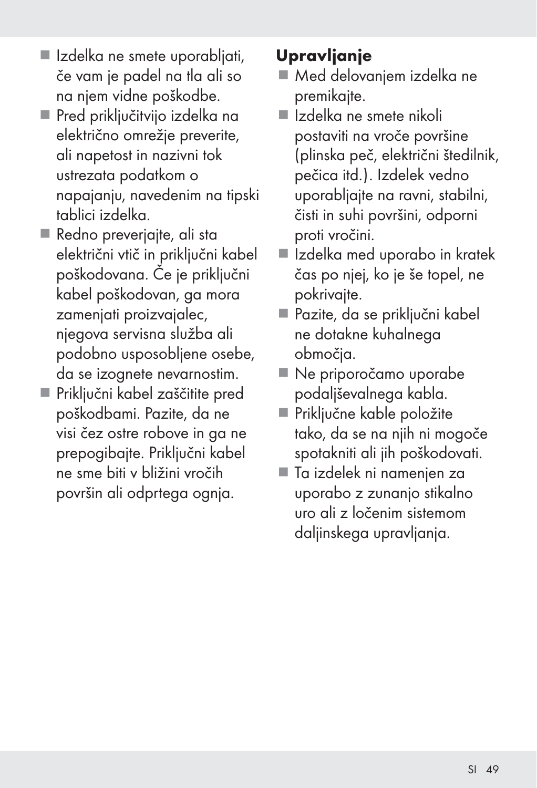- Izdelka ne smete uporabljati, če vam je padel na tla ali so na njem vidne poškodbe.
- Pred priključitvijo izdelka na električno omrežje preverite, ali napetost in nazivni tok ustrezata podatkom o napajanju, navedenim na tipski tablici izdelka.
- Redno preverjajte, ali sta električni vtič in priključni kabel poškodovana. Če je priključni kabel poškodovan, ga mora zamenjati proizvajalec, njegova servisna služba ali podobno usposobljene osebe, da se izognete nevarnostim.
- Priključni kabel zaščitite pred poškodbami. Pazite, da ne visi čez ostre robove in ga ne prepogibajte. Priključni kabel ne sme biti v bližini vročih površin ali odprtega ognja.

# Upravljanje

- Med delovanjem izdelka ne premikajte.
- Izdelka ne smete nikoli postaviti na vroče površine (plinska peč, električni štedilnik, pečica itd.). Izdelek vedno uporabljajte na ravni, stabilni, čisti in suhi površini, odporni proti vročini.
- Izdelka med uporabo in kratek čas po njej, ko je še topel, ne pokrivajte.
- Pazite, da se priključni kabel ne dotakne kuhalnega območja.
- Ne priporočamo uporabe podaljševalnega kabla.
- Priključne kable položite tako, da se na njih ni mogoče spotakniti ali jih poškodovati.
- Ta izdelek ni namenjen za uporabo z zunanjo stikalno uro ali z ločenim sistemom daljinskega upravljanja.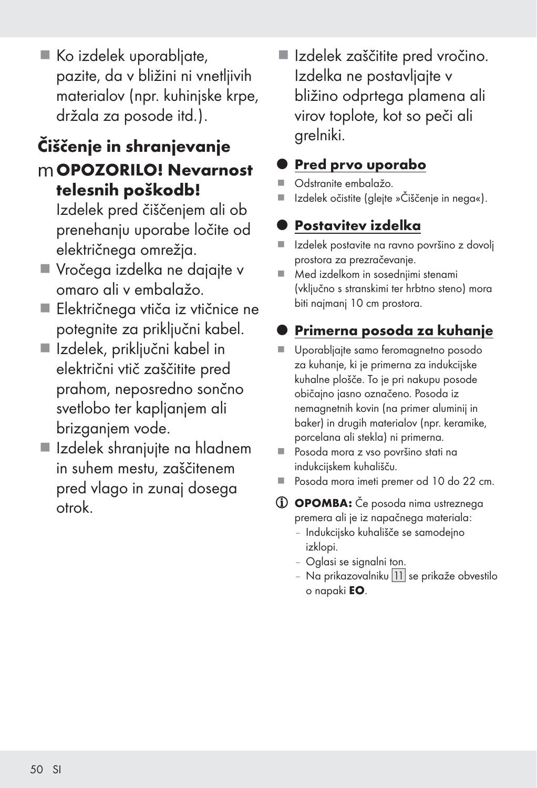Ko izdelek uporabljate, pazite, da v bližini ni vnetljivih materialov (npr. kuhinjske krpe, držala za posode itd.).

# Čiščenje in shranjevanje mOPOZORILO! Nevarnost telesnih poškodb!

Izdelek pred čiščenjem ali ob prenehanju uporabe ločite od električnega omrežja.

- Vročega izdelka ne dajajte v omaro ali v embalažo.
- Električnega vtiča iz vtičnice ne potegnite za priključni kabel.
- Izdelek, priključni kabel in električni vtič zaščitite pred prahom, neposredno sončno svetlobo ter kapljanjem ali brizganjem vode.
- Izdelek shranjujte na hladnem in suhem mestu, zaščitenem pred vlago in zunaj dosega otrok.

 Izdelek zaščitite pred vročino. Izdelka ne postavljajte v bližino odprtega plamena ali virov toplote, kot so peči ali grelniki.

## Pred prvo uporabo

- Odstranite embalažo.
- Izdelek očistite (glejte »Čiščenje in nega«).

# Postavitev izdelka

- Izdelek postavite na ravno površino z dovolj prostora za prezračevanje.
- Med izdelkom in sosednjimi stenami (vključno s stranskimi ter hrbtno steno) mora biti najmanj 10 cm prostora.

# Primerna posoda za kuhanje

- Uporabljajte samo feromagnetno posodo za kuhanje, ki je primerna za indukcijske kuhalne plošče. To je pri nakupu posode običajno jasno označeno. Posoda iz nemagnetnih kovin (na primer aluminij in baker) in drugih materialov (npr. keramike, porcelana ali stekla) ni primerna.
- Posoda mora z vso površino stati na indukcijskem kuhališču.
- Posoda mora imeti premer od 10 do 22 cm.
- OPOMBA: Če posoda nima ustreznega premera ali je iz napačnega materiala:
	- Indukcijsko kuhališče se samodejno izklopi.
	- Oglasi se signalni ton.
	- Na prikazovalniku 11 se prikaže obvestilo o napaki EO.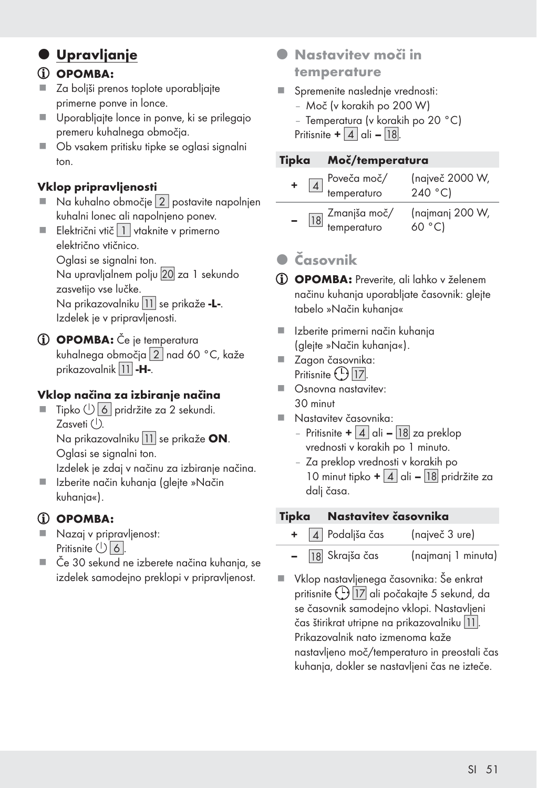## $O$  Upravljanje

#### (i) OPOMBA:

- Za boljši prenos toplote uporabljajte primerne ponve in lonce.
- Uporabljajte lonce in ponve, ki se prilegajo premeru kuhalnega območja.
- Ob vsakem pritisku tipke se oglasi signalni ton.

#### Vklop pripravljenosti

- Na kuhalno območje [2] postavite napolnjen kuhalni lonec ali napolnjeno ponev.
- Električni vtič  $\boxed{1}$  vtaknite v primerno električno vtičnico.

Oglasi se signalni ton.

Na upravljalnem polju 20 za 1 sekundo zasvetijo vse lučke.

Na prikazovalniku | 11 se prikaže -L-. Izdelek je v pripravljenosti.

(i) OPOMBA: Če je temperatura kuhalnega območja [2] nad 60 °C, kaže prikazovalnik 11 -H-.

#### Vklop načina za izbiranje načina

 $\blacksquare$  Tipko  $\bigcup$  6 pridržite za 2 sekundi. Zasveti $(1)$ . Na prikazovalniku 11 se prikaže ON.

Oglasi se signalni ton.

Izdelek je zdaj v načinu za izbiranje načina.

 Izberite način kuhanja (glejte »Način kuhanja«).

## (i) OPOMBA:

- Nazaj v pripravljenost: Pritisnite  $\bigcup$  6.
- Če 30 sekund ne izberete načina kuhanja, se izdelek samodejno preklopi v pripravljenost.
- **•** Nastavitev moči in temperature
- Spremenite naslednje vrednosti:
	- Moč (v korakih po 200 W)
	- Temperatura (v korakih po 20 °C)

Pritisnite  $+ |4|$  ali – [18].

#### Tipka Moč/temperatura

| $\boxed{4}$ Poveča moč/<br>temperaturo   | (največ 2000 W,<br>240 °C |
|------------------------------------------|---------------------------|
| $\boxed{18}$ Zmanjša moč/<br>temperaturo | (najmanj 200 W,<br>60 °C  |

## $\bullet$  Časovnik

- OPOMBA: Preverite, ali lahko v želenem načinu kuhanja uporabljate časovnik: glejte tabelo »Način kuhanja«
- Izberite primerni način kuhanja (glejte »Način kuhanja«).
- Zagon časovnika: Pritisnite  $\bigcirc$  17.
- Osnovna nastavitev: 30 minut
- Nastavitev časovnika:
	- Pritisnite +  $\boxed{4}$  ali  $\boxed{18}$  za preklop vrednosti v korakih po 1 minuto.
	- Za preklop vrednosti v korakih po 10 minut tipko  $+ 4$  ali – [18] pridržite za dalj časa.

#### Tipka Nastavitev časovnika

- $\boxed{4}$  Podališa čas (največ 3 ure)
- 18 Skrajša čas (najmanj 1 minuta)
- Vklop nastavljenega časovnika: Še enkrat pritisnite (!) 17 ali počakajte 5 sekund, da se časovnik samodejno vklopi. Nastavljeni čas štirikrat utripne na prikazovalniku []. Prikazovalnik nato izmenoma kaže nastavljeno moč/temperaturo in preostali čas kuhanja, dokler se nastavljeni čas ne izteče.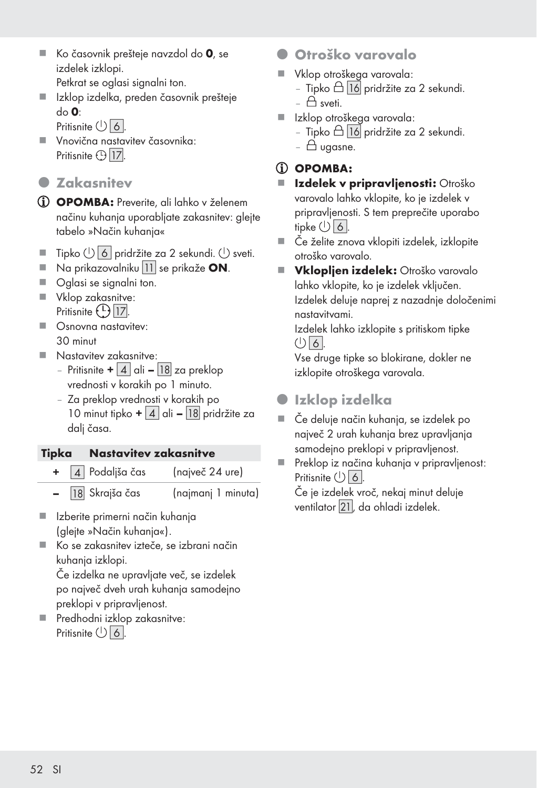- $\blacksquare$  Ko časovnik prešteje navzdol do 0, se izdelek izklopi.
	- Petkrat se oglasi signalni ton.
- Izklop izdelka, preden časovnik prešteje do 0:
	- Pritisnite  $(1)$  6.
- Vnovična nastavitev časovnika: Pritisnite  $\bigoplus$  17.
- **O** Zakasnitev
- OPOMBA: Preverite, ali lahko v želenem načinu kuhanja uporabljate zakasnitev: glejte tabelo »Način kuhanja«
- Tipko  $\bigcup$  6 | pridržite za 2 sekundi.  $\bigcup$  sveti.
- $\blacksquare$  Na prikazovalniku 11 se prikaže ON.
- Oglasi se signalni ton.
- Vklop zakasnitve: Pritisnite  $\bigcup$  17.
- **C**snovna nastavitev: 30 minut
- **Nastavitev zakasnitve:** 
	- Pritisnite +  $\boxed{4}$  ali  $\boxed{18}$  za preklop vrednosti v korakih po 1 minuto.
	- Za preklop vrednosti v korakih po 10 minut tipko +  $\vert 4 \vert$  ali –  $\vert 18 \vert$  pridržite za dali časa.

#### Tipka Nastavitev zakasnitve

- 4 Podaljša čas (največ 24 ure)
	- 18 Skrajša čas (najmanj 1 minuta)
- Izberite primerni način kuhanja (glejte »Način kuhanja«).
- Ko se zakasnitev izteče, se izbrani način kuhanja izklopi.

 Če izdelka ne upravljate več, se izdelek po največ dveh urah kuhanja samodejno preklopi v pripravljenost.

**Predhodni izklop zakasnitve:** Pritisnite  $\bigcup$  6.

- Otroško varovalo
- Vklop otroškega varovala:
	- Tipko  $\triangle$  16 pridržite za 2 sekundi.
	- $\bigcap$  sveti.
- Izklop otroškega varovala:
	- Tipko  $\triangle$   $\overline{16}$  pridržite za 2 sekundi.
	- $\triangle$  ugasne.

### $(i)$  OPOMBA:

- **II Izdelek v pripravljenosti: Otroško** varovalo lahko vklopite, ko je izdelek v pripravljenosti. S tem preprečite uporabo tipke  $\bigcup$  6.
- Če želite znova vklopiti izdelek, izklopite otroško varovalo.
- Vklopljen izdelek: Otroško varovalo lahko vklopite, ko je izdelek vključen. Izdelek deluje naprej z nazadnje določenimi nastavitvami.

 Izdelek lahko izklopite s pritiskom tipke  $\bigcup$  6.

 Vse druge tipke so blokirane, dokler ne izklopite otroškega varovala.

- $\bullet$  Izklop izdelka
- Če deluje način kuhanja, se izdelek po največ 2 urah kuhanja brez upravljanja samodejno preklopi v pripravljenost.
- Preklop iz načina kuhanja v pripravljenost: Pritisnite  $(1)$  6.

 Če je izdelek vroč, nekaj minut deluje ventilator 21, da ohladi izdelek.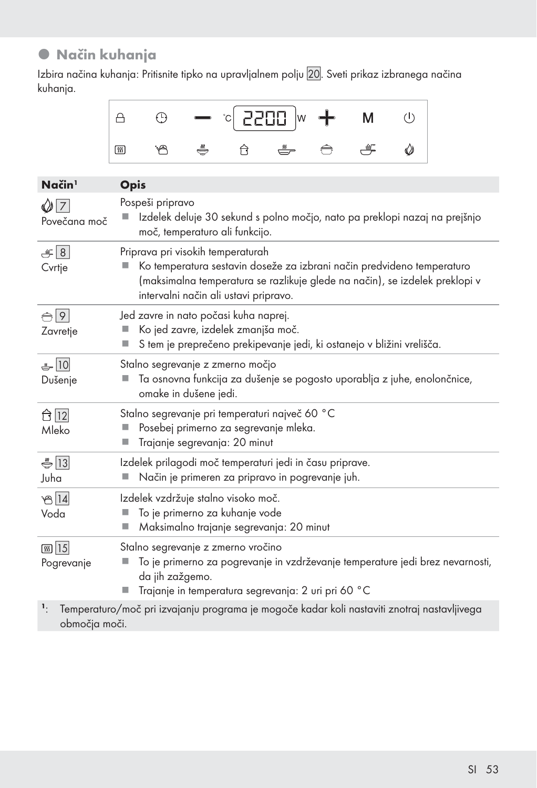## $\bullet$  Način kuhanja

Izbira načina kuhanja: Pritisnite tipko na upravljalnem polju 20. Sveti prikaz izbranega načina kuhanja.



| Način <sup>1</sup>              | <b>Opis</b>                                                                                                                                                                                                                         |
|---------------------------------|-------------------------------------------------------------------------------------------------------------------------------------------------------------------------------------------------------------------------------------|
| $\mathcal{Q}$ 7<br>Povečana moč | Pospeši pripravo<br>Izdelek deluje 30 sekund s polno močjo, nato pa preklopi nazaj na prejšnjo<br>moč, temperaturo ali funkcijo.                                                                                                    |
| $\mathcal{L}$ 8<br>Cvrtje       | Priprava pri visokih temperaturah<br>Ko temperatura sestavin doseže za izbrani način predvideno temperaturo<br>(maksimalna temperatura se razlikuje glede na način), se izdelek preklopi v<br>intervalni način ali ustavi pripravo. |
| $\bigoplus$ 9<br>Zavretje       | Jed zavre in nato počasi kuha naprej.<br>Ko jed zavre, izdelek zmanjša moč.<br>S tem je preprečeno prekipevanje jedi, ki ostanejo v bližini vrelišča.<br>ш                                                                          |
| $-10$<br>Dušenje                | Stalno segrevanje z zmerno močjo<br>Ta osnovna funkcija za dušenje se pogosto uporablja z juhe, enolončnice,<br>omake in dušene jedi.                                                                                               |
| ☆  12  <br>Mleko                | Stalno segrevanje pri temperaturi največ 60 °C<br>Posebej primerno za segrevanje mleka.<br>Trajanje segrevanja: 20 minut<br>ш                                                                                                       |
| $\bigoplus$ 13<br>Juha          | Izdelek prilagodi moč temperaturi jedi in času priprave.<br>Način je primeren za pripravo in pogrevanje juh.<br>ш                                                                                                                   |
| $B$ [14]<br>Voda                | Izdelek vzdržuje stalno visoko moč.<br>To je primerno za kuhanje vode<br>Maksimalno trajanje segrevanja: 20 minut<br>ш                                                                                                              |
| <b>55 15</b><br>Pogrevanje      | Stalno segrevanje z zmerno vročino<br>To je primerno za pogrevanje in vzdrževanje temperature jedi brez nevarnosti,<br>da jih zažgemo.<br>Trajanje in temperatura segrevanja: 2 uri pri 60 °C                                       |
| $\mathbf{1}$<br>območja moči.   | Temperaturo/moč pri izvajanju programa je mogoče kadar koli nastaviti znotraj nastavljivega                                                                                                                                         |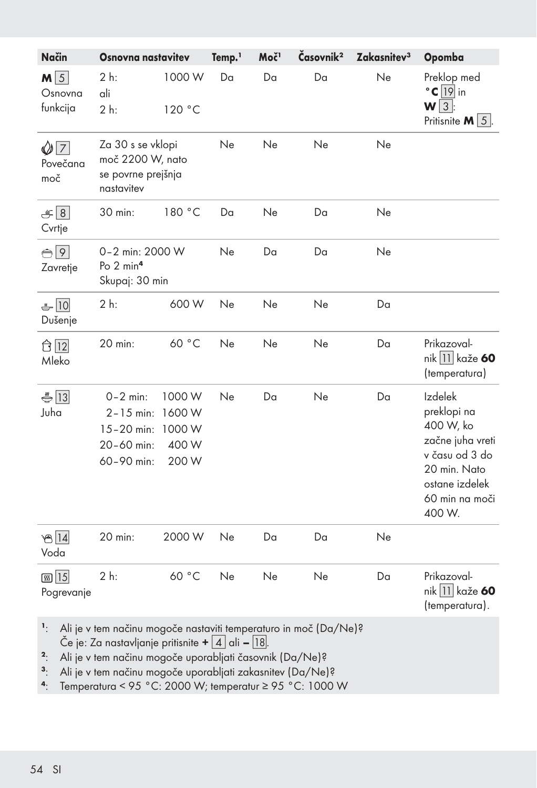| Način                               | <b>Osnovna nastavitev</b>                                                                                                                      |                                             | Temp. <sup>1</sup> | Moč <sup>1</sup> | Časovnik <sup>2</sup> | Zakasnitev <sup>3</sup> | Opomba                                                                                                                                  |
|-------------------------------------|------------------------------------------------------------------------------------------------------------------------------------------------|---------------------------------------------|--------------------|------------------|-----------------------|-------------------------|-----------------------------------------------------------------------------------------------------------------------------------------|
| $M\sqrt{5}$<br>Osnovna<br>funkcija  | 2 h:<br>ali<br>2 h:                                                                                                                            | 1000W<br>120 °C                             | Da                 | Da               | Da                    | Ne                      | Preklop med<br>$^{\circ}$ C $\boxed{19}$ in<br>$W\sqrt{3}$ :<br>Pritisnite $M \vert 5 \vert$ .                                          |
| $\mathcal{O}[7]$<br>Povečana<br>moč | Za 30 s se vklopi<br>moč 2200 W, nato<br>se povrne prejšnja<br>nastavitev                                                                      |                                             | Ne                 | Ne               | Ne                    | Ne                      |                                                                                                                                         |
| $\equiv$ 8<br>Cvrtje                | 30 min:                                                                                                                                        | 180 °C                                      | Da                 | Ne               | Da                    | Ne                      |                                                                                                                                         |
| $\bigoplus$ 9<br>Zavretje           | 0-2 min: 2000 W<br>Po 2 min <sup>4</sup><br>Skupaj: 30 min                                                                                     |                                             | Ne                 | Da               | Da                    | Ne                      |                                                                                                                                         |
| $-10$<br>Dušenje                    | 2 h:                                                                                                                                           | 600 W                                       | Ne                 | Ne               | Ne                    | Da                      |                                                                                                                                         |
| ☆  12 <br>Mleko                     | 20 min:                                                                                                                                        | 60 °C                                       | Ne                 | Ne               | Ne                    | Da                      | Prikazoval-<br>nik 11 kaže 60<br>(temperatura)                                                                                          |
| $\bigoplus$ 13<br>Juha              | $0 - 2$ min:<br>$2 - 15$ min:<br>$15 - 20$ min:<br>20-60 min:<br>60-90 min:                                                                    | 1000 W<br>1600W<br>1000 W<br>400 W<br>200 W | Ne                 | Da               | Ne                    | Da                      | Izdelek<br>preklopi na<br>400 W, ko<br>začne juha vreti<br>v času od 3 do<br>20 min. Nato<br>ostane izdelek<br>60 min na moči<br>400 W. |
| 814<br>Voda                         | 20 min:                                                                                                                                        | 2000 W                                      | Ne                 | Da               | Da                    | Ne                      |                                                                                                                                         |
| <b>56 15</b><br>Pogrevanje          | 2 h:                                                                                                                                           | 60 °C                                       | Ne                 | Ne               | Ne                    | Da                      | Prikazoval-<br>nik 11 kaže 60<br>(temperatura).                                                                                         |
| $\mathbf{1}$                        | Ali je v tem načinu mogoče nastaviti temperaturo in moč (Da/Ne)?<br>Če je: Za nastavljanje pritisnite + $\mid$ 4 $\mid$ ali – $\mid$ 18 $\mid$ |                                             |                    |                  |                       |                         |                                                                                                                                         |

<sup>2</sup>: Ali je v tem načinu mogoče uporabljati časovnik (Da/Ne)?

<sup>3</sup>: Ali je v tem načinu mogoče uporabljati zakasnitev (Da/Ne)?

4: Temperatura < 95 °C: 2000 W; temperatur ≥ 95 °C: 1000 W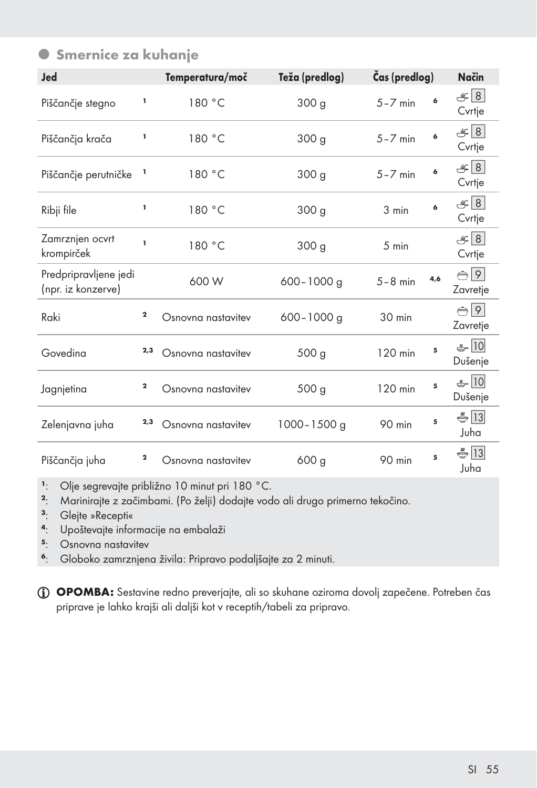| Jed                                         |             | Temperatura/moč    | Teža (predlog)   | Čas (predlog) |     | Način                                       |
|---------------------------------------------|-------------|--------------------|------------------|---------------|-----|---------------------------------------------|
| Piščančje stegno                            | ı           | 180 °C             | 300 <sub>g</sub> | $5 - 7$ min   | 6   | $\mathcal{F} 8 $<br>Cvrtje                  |
| Piščančja krača                             | ı           | 180 °C             | 300 <sub>g</sub> | $5 - 7$ min   | 6   | $\equiv$ 8<br>Cvrtje                        |
| Piščančje perutničke                        | ı           | 180 °C             | 300 <sub>g</sub> | $5 - 7$ min   | 6   | F 8 <br>Cvrtje                              |
| Ribji file                                  | I,          | 180 °C             | 300 g            | 3 min         | 6   | $\mathcal{F} 8 $<br>Cvrtje                  |
| Zamrznjen ocvrt<br>krompirček               | I.          | 180 °C             | 300 g            | 5 min         |     | $\mathcal{F} 8 $<br>Cvrtje                  |
| Predpripravljene jedi<br>(npr. iz konzerve) |             | 600 W              | $600 - 1000$ q   | $5 - 8$ min   | 4.6 | $\bigcirc$ 9<br>Zavretje                    |
| Raki                                        | $\mathbf 2$ | Osnovna nastavitev | $600 - 1000$ g   | $30$ min      |     | $\bigoplus$ 9<br>Zavretje                   |
| Govedina                                    | 2,3         | Osnovna nastavitev | 500 g            | 120 min       | 5   | $-10$<br>Dušenje                            |
| Jagnjetina                                  | $\mathbf 2$ | Osnovna nastavitev | 500 g            | 120 min       | 5   | $-10$<br>Dušenje                            |
| Zelenjavna juha                             | 2,3         | Osnovna nastavitev | 1000-1500 g      | 90 min        | 5   | $\bigoplus$ 13<br>Juha                      |
| Piščančja juha                              | 2           | Osnovna nastavitev | 600 <sub>g</sub> | 90 min        | 5   | $\stackrel{\text{w}}{\bigoplus}$ 13<br>Juha |

<sup>1</sup>: Olje segrevajte približno 10 minut pri 180 °C.<br><sup>2.</sup> Mariniraite z začimbami (Po želji) dodajte vod

<sup>2</sup>: Marinirajte z začimbami. (Po želji) dodajte vodo ali drugo primerno tekočino.<br><sup>3</sup>: Glejte »Recepti«

- <sup>3</sup>: Glejte »Recepti«<br><sup>4</sup>: Upoštevajte infor
- <sup>4</sup>: Upoštevajte informacije na embalaži<br>5. Osnovna nastavitev
- <sup>5</sup>: Osnovna nastavitev<br><sup>6</sup>: Globoko zamrznien

<sup>6</sup>: Globoko zamrznjena živila: Pripravo podaljšajte za 2 minuti.

OPOMBA: Sestavine redno preverjajte, ali so skuhane oziroma dovolj zapečene. Potreben čas priprave je lahko krajši ali daljši kot v receptih/tabeli za pripravo.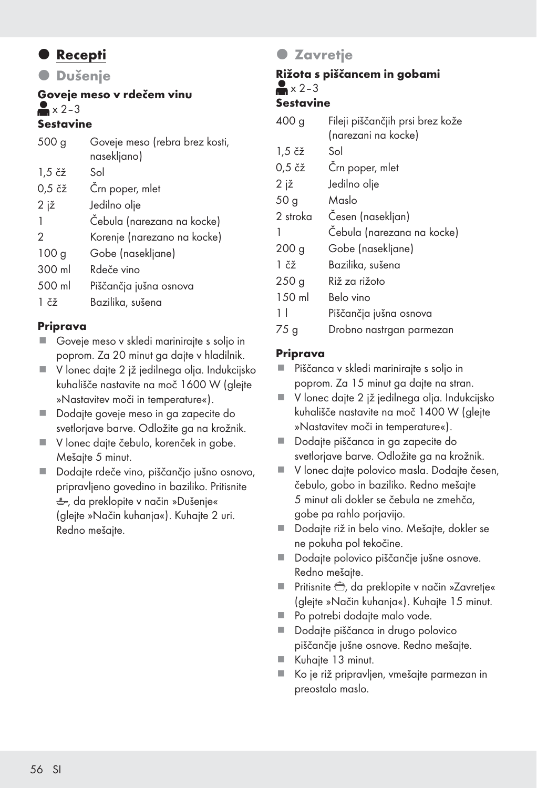## **•** Recepti

**O** Dušenje

#### Goveje meso v rdečem vinu  $\geq x$  2–3 Sestavine

#### 500 g Goveje meso (rebra brez kosti, nasekliano) 1,5 čž Sol 0,5 čž Črn poper, mlet 2 jž Jedilno olje 1 Čebula (narezana na kocke) 2 Korenje (narezano na kocke) 100 g Gobe (nasekljane) 300 ml Rdeče vino 500 ml Piščančja jušna osnova 1 čž Bazilika, sušena

#### Priprava

- Goveie meso v skledi mariniraite s solio in poprom. Za 20 minut ga dajte v hladilnik.
- V lonec dajte 2 jž jedilnega olja. Indukcijsko kuhališče nastavite na moč 1600 W (glejte »Nastavitev moči in temperature«).
- Dodajte goveje meso in ga zapecite do svetlorjave barve. Odložite ga na krožnik.
- V lonec dajte čebulo, korenček in gobe. Mešajte 5 minut.
- Dodajte rdeče vino, piščančjo jušno osnovo, pripravljeno govedino in baziliko. Pritisnite , da preklopite v način »Dušenje« (glejte »Način kuhanja«). Kuhajte 2 uri. Redno mešajte.

## **O** Zavretje

## Rižota s piščancem in gobami  $\triangle$   $\times$  2-3

#### Sestavine

| 400 <sub>g</sub>             | Fileji piščančjih prsi brez kože |  |
|------------------------------|----------------------------------|--|
|                              | (narezani na kocke)              |  |
| $1.5 \; \check{c} \check{z}$ | Sol                              |  |
| $0.5$ čž                     | Črn poper, mlet                  |  |
| 2 jž                         | Jedilno olje                     |  |
| 50 <sub>g</sub>              | Maslo                            |  |
| 2 stroka                     | Cesen (nasekljan)                |  |
| 1                            | Čebula (narezana na kocke)       |  |
| 200 <sub>g</sub>             | Gobe (nasekljane)                |  |
| $1 \tilde{c}$ ž              | Bazilika, sušena                 |  |
| 250g                         | Riž za rižoto                    |  |
| 150 ml                       | Belo vino                        |  |
| 11                           | Piščančja jušna osnova           |  |
| 75 g                         | Drobno nastrgan parmezan         |  |

#### Priprava

- Piščanca v skledi marinirajte s soljo in poprom. Za 15 minut ga dajte na stran.
- V lonec dajte 2 jž jedilnega olja. Indukcijsko kuhališče nastavite na moč 1400 W (glejte »Nastavitev moči in temperature«).
- Dodajte piščanca in ga zapecite do svetlorjave barve. Odložite ga na krožnik.
- V lonec dajte polovico masla. Dodajte česen, čebulo, gobo in baziliko. Redno mešajte 5 minut ali dokler se čebula ne zmehča, gobe pa rahlo porjavijo.
- Dodajte riž in belo vino. Mešajte, dokler se ne pokuha pol tekočine.
- Dodajte polovico piščančje jušne osnove. Redno mešajte.
- Pritisnite <del>C</del>, da preklopite v način »Zavretje« (glejte »Način kuhanja«). Kuhajte 15 minut.
- Po potrebi dodajte malo vode.
- Dodajte piščanca in drugo polovico piščančje jušne osnove. Redno mešajte.
- Kuhajte 13 minut.
- Ko je riž pripravljen, vmešajte parmezan in preostalo maslo.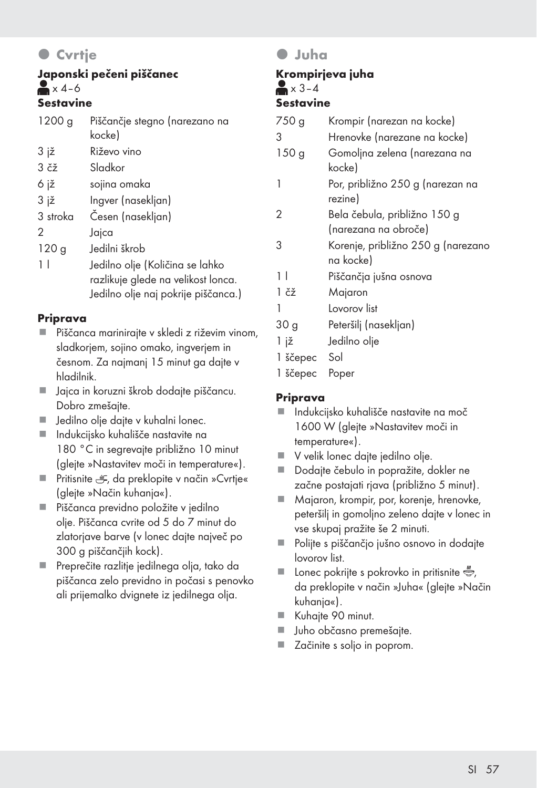## **C**vrtje

#### Japonski pečeni piščanec  $x$ 4–6 Sestavine

| 1200 g                  | Piščančje stegno (narezano na<br>kocke)                                                                      |
|-------------------------|--------------------------------------------------------------------------------------------------------------|
| 3 jž                    | Riževo vino                                                                                                  |
| $3 \check{c} \check{z}$ | Sladkor                                                                                                      |
| 6 iž                    | sojina omaka                                                                                                 |
| 3 iž                    | Ingver (nasekljan)                                                                                           |
| 3 stroka                | Cesen (nasekljan)                                                                                            |
| 2                       | Jajca                                                                                                        |
| 120 <sub>g</sub>        | ledilni škrob                                                                                                |
| 11                      | Jedilno olje (Količina se lahko<br>razlikuje glede na velikost lonca.<br>Jedilno olje naj pokrije piščanca.) |

#### Priprava

- Piščanca marinirajte v skledi z riževim vinom, sladkorjem, sojino omako, ingverjem in česnom. Za najmanj 15 minut ga dajte v hladilnik.
- Jajca in koruzni škrob dodajte piščancu. Dobro zmešajte.
- **Jedilno olje dajte v kuhalni lonec.**
- Indukcijsko kuhališče nastavite na 180 °C in segrevajte približno 10 minut (glejte »Nastavitev moči in temperature«).
- **Pritisnite**  $\div$ **, da preklopite v način »Cvrtje«** (glejte »Način kuhanja«).
- Piščanca previdno položite v jedilno olje. Piščanca cvrite od 5 do 7 minut do zlatorjave barve (v lonec dajte največ po 300 g piščančjih kock).
- Preprečite razlitje jedilnega olja, tako da piščanca zelo previdno in počasi s penovko ali prijemalko dvignete iz jedilnega olja.

#### z Juha

#### Krompirjeva juha  $\blacktriangleright$   $3-4$ Sestavine

| 750 g            | Krompir (narezan na kocke)         |
|------------------|------------------------------------|
| 3                | Hrenovke (narezane na kocke)       |
| 150 <sub>g</sub> | Gomoljna zelena (narezana na       |
|                  | kocke)                             |
|                  | Por, približno 250 g (narezan na   |
|                  | rezine)                            |
| 2                | Bela čebula, približno 150 g       |
|                  | (narezana na obroče)               |
| 3                | Korenje, približno 250 g (narezano |
|                  | na kocke)                          |
| 11               | Piščančja jušna osnova             |
| 1 čž             | Majaron                            |
|                  | Lovorov list                       |
| 30 g             | Peteršilj (nasekljan)              |
| 1 jž             | Jedilno olje                       |

- 1 ščepec Sol
- 1 ščepec Poper

#### Priprava

- Indukcijsko kuhališče nastavite na moč 1600 W (glejte »Nastavitev moči in temperature«).
- V velik lonec dajte jedilno olje.
- Dodajte čebulo in popražite, dokler ne začne postajati rjava (približno 5 minut).
- Majaron, krompir, por, korenje, hrenovke, peteršilj in gomoljno zeleno dajte v lonec in vse skupaj pražite še 2 minuti.
- Polijte s piščančjo jušno osnovo in dodajte lovorov list.
- **Lonec pokrijte s pokrovko in pritisnite**  $\ddot{\ddot{\bullet}}$ , da preklopite v način »Juha« (glejte »Način kuhanja«).
- Kuhajte 90 minut.
- Juho občasno premešajte.
- Začinite s soljo in poprom.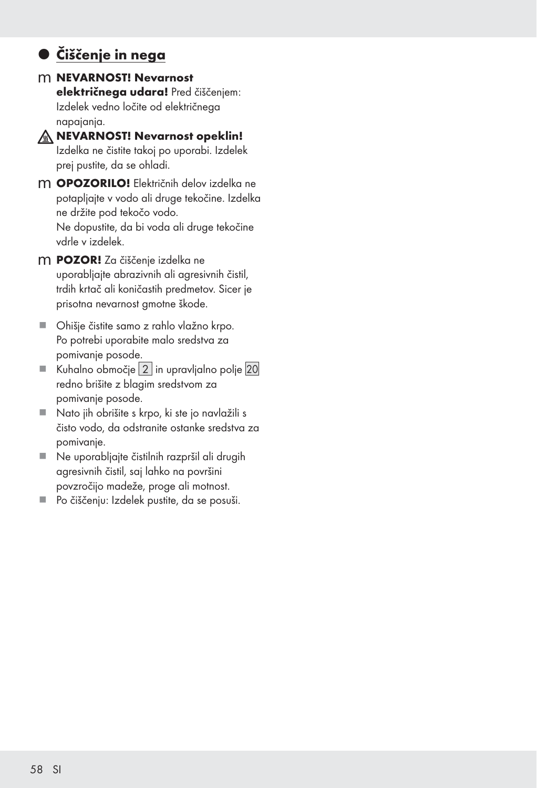## $\bullet$  **Čiščenje in nega**

- m NEVARNOST! Nevarnost električnega udara! Pred čiščenjem: Izdelek vedno ločite od električnega napajanja.
- $M$  NEVARNOST! Nevarnost opeklin! Izdelka ne čistite takoj po uporabi. Izdelek prej pustite, da se ohladi.
- m **OPOZORILO!** Električnih delov izdelka ne potapljajte v vodo ali druge tekočine. Izdelka ne držite pod tekočo vodo. Ne dopustite, da bi voda ali druge tekočine vdrle v izdelek.
- m POZOR! Za čiščenje izdelka ne uporabljajte abrazivnih ali agresivnih čistil, trdih krtač ali koničastih predmetov. Sicer je prisotna nevarnost gmotne škode.
- Ohišje čistite samo z rahlo vlažno krpo. Po potrebi uporabite malo sredstva za pomivanje posode.
- Kuhalno območje  $|2|$  in upravljalno polje  $|20|$ redno brišite z blagim sredstvom za pomivanje posode.
- Nato jih obrišite s krpo, ki ste jo navlažili s čisto vodo, da odstranite ostanke sredstva za pomivanje.
- Ne uporabljajte čistilnih razpršil ali drugih agresivnih čistil, saj lahko na površini povzročijo madeže, proge ali motnost.
- Po čiščenju: Izdelek pustite, da se posuši.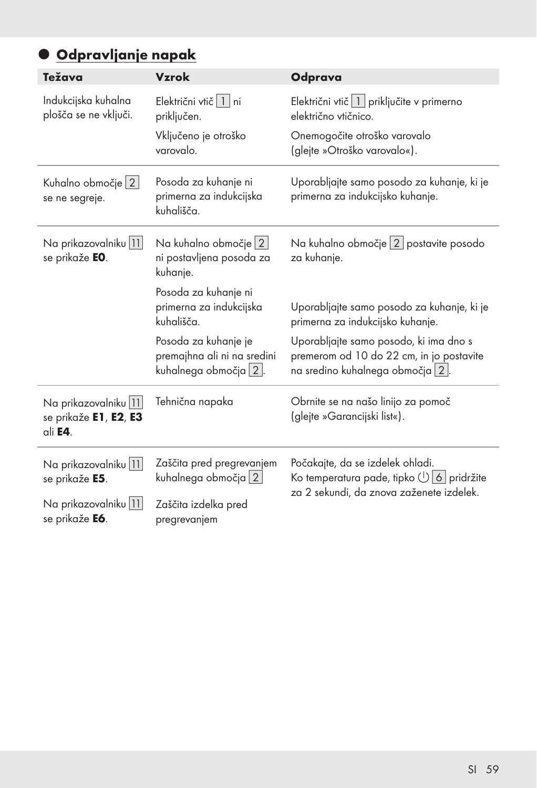# **Odpravljanje napak**

| Težava                                                               | <b>Vzrok</b>                                                                    | Odprava                                                                                                               |
|----------------------------------------------------------------------|---------------------------------------------------------------------------------|-----------------------------------------------------------------------------------------------------------------------|
| Indukcijska kuhalna<br>plošča se ne vključi.                         | Električni vtič   1 ni<br>priključen.                                           | Električni vtič 1 priključite v primerno<br>električno vtičnico.                                                      |
|                                                                      | Vključeno je otroško<br>varovalo.                                               | Onemogočite otroško varovalo<br>(glejte »Otroško varovalo«).                                                          |
| Kuhalno območje   2  <br>se ne segreje.                              | Posoda za kuhanje ni<br>primerna za indukcijska<br>kuhališča.                   | Uporabljajte samo posodo za kuhanje, ki je<br>primerna za indukcijsko kuhanje.                                        |
| Na prikazovalniku   11  <br>se prikaže EO.                           | Na kuhalno območje 2<br>ni postavljena posoda za<br>kuhanje.                    | Na kuhalno območje 2 postavite posodo<br>za kuhanje.                                                                  |
|                                                                      | Posoda za kuhanje ni<br>primerna za indukcijska<br>kuhališča.                   | Uporabljajte samo posodo za kuhanje, ki je<br>primerna za indukcijsko kuhanje.                                        |
|                                                                      | Posoda za kuhanje je<br>premajhna ali ni na sredini<br>kuhalnega območja   2  . | Uporabljajte samo posodo, ki ima dno s<br>premerom od 10 do 22 cm, in jo postavite<br>na sredino kuhalnega območja 2. |
| Na prikazovalniku   11  <br>se prikaže E1, E2, E3<br>ali <b>E4</b> . | Tehnična napaka                                                                 | Obrnite se na našo linijo za pomoč<br>(glejte »Garancijski list«).                                                    |
| Na prikazovalniku   11  <br>se prikaže E5.                           | Zaščita pred pregrevanjem<br>kuhalnega območja 2                                | Počakajte, da se izdelek ohladi.<br>Ko temperatura pade, tipko (1) 6 pridržite                                        |
| Na prikazovalniku   11  <br>se prikaže <b>E6</b> .                   | Zaščita izdelka pred<br>pregrevanjem                                            | za 2 sekundi, da znova zaženete izdelek.                                                                              |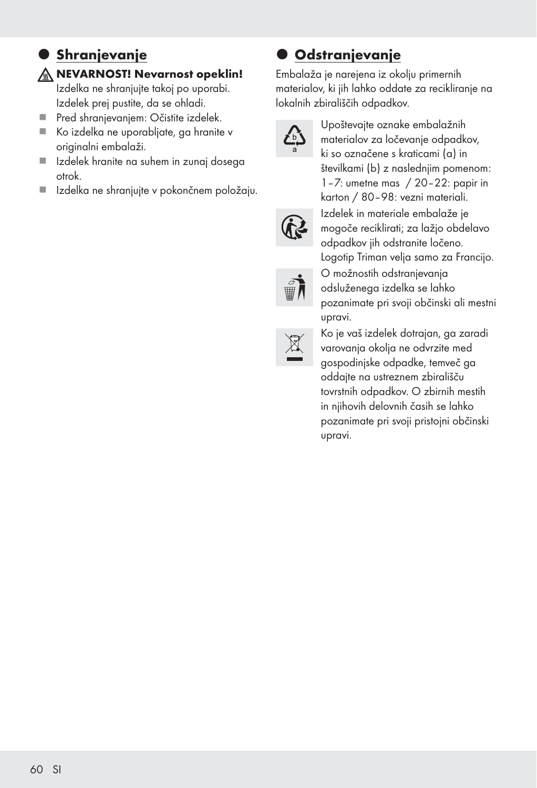### $\bullet$  Shranjevanje  $M$  NEVARNOST! Nevarnost opeklin!

Izdelka ne shranjujte takoj po uporabi. Izdelek prej pustite, da se ohladi.

- **Pred shranievaniem: Očistite izdelek.**
- Ko izdelka ne uporabljate, ga hranite v originalni embalaži.
- Izdelek hranite na suhem in zunaj dosega otrok.
- Izdelka ne shranjujte v pokončnem položaju.

## $\bullet$  **Odstranjevanje**

Embalaža je narejena iz okolju primernih materialov, ki jih lahko oddate za recikliranje na lokalnih zbirališčih odpadkov.



Upoštevajte oznake embalažnih materialov za ločevanje odpadkov, ki so označene s kraticami (a) in številkami (b) z naslednjim pomenom: 1–7: umetne mas / 20–22: papir in karton / 80–98: vezni materiali. Izdelek in materiale embalaže je mogoče reciklirati; za lažjo obdelavo odpadkov jih odstranite ločeno. Logotip Triman velja samo za Francijo. O možnostih odstranjevanja odsluženega izdelka se lahko pozanimate pri svoji občinski ali mestni upravi.



Ko je vaš izdelek dotrajan, ga zaradi varovanja okolja ne odvrzite med gospodinjske odpadke, temveč ga oddajte na ustreznem zbirališču tovrstnih odpadkov. O zbirnih mestih in njihovih delovnih časih se lahko pozanimate pri svoji pristojni občinski upravi.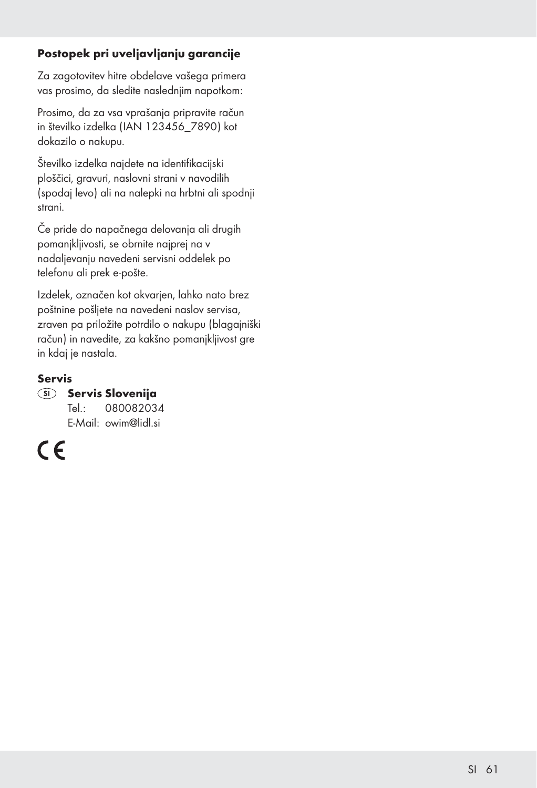#### Postopek pri uveljavljanju garancije

Za zagotovitev hitre obdelave vašega primera vas prosimo, da sledite naslednjim napotkom:

Prosimo, da za vsa vprašanja pripravite račun in številko izdelka (IAN 123456\_7890) kot dokazilo o nakupu.

Številko izdelka najdete na identifikacijski ploščici, gravuri, naslovni strani v navodilih (spodaj levo) ali na nalepki na hrbtni ali spodnji strani.

Če pride do napačnega delovanja ali drugih pomanjkljivosti, se obrnite najprej na v nadaljevanju navedeni servisni oddelek po telefonu ali prek e-pošte.

Izdelek, označen kot okvarjen, lahko nato brez poštnine pošljete na navedeni naslov servisa, zraven pa priložite potrdilo o nakupu (blagajniški račun) in navedite, za kakšno pomanjkljivost gre in kdaj je nastala.

#### Servis

SI Servis Slovenija

 Tel.: 080082034 E-Mail: owim@lidl.si

 $\epsilon$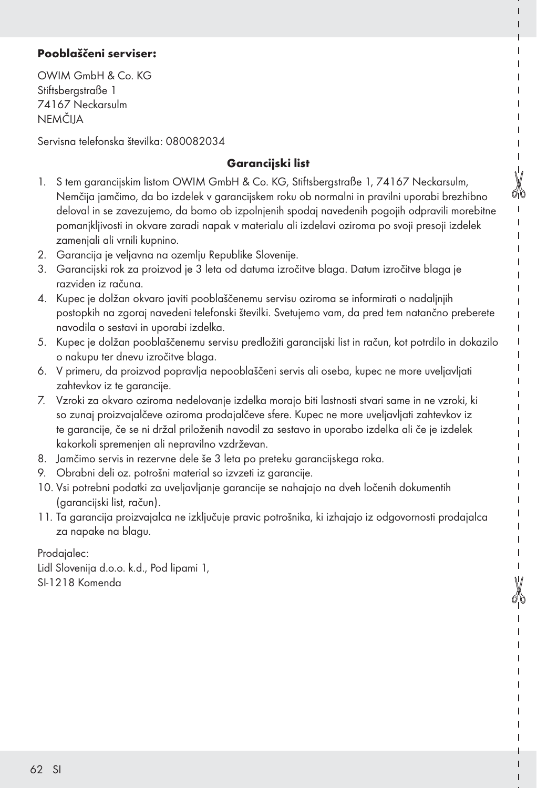#### Pooblaščeni serviser:

OWIM GmbH & Co. KG Stiftsbergstraße 1 74167 Neckarsulm NEMČIJA

Servisna telefonska številka: 080082034

#### Garancijski list

- 1. S tem garancijskim listom OWIM GmbH & Co. KG, Stiftsbergstraße 1, 74167 Neckarsulm, Nemčija jamčimo, da bo izdelek v garancijskem roku ob normalni in pravilni uporabi brezhibno deloval in se zavezujemo, da bomo ob izpolnjenih spodaj navedenih pogojih odpravili morebitne pomanjkljivosti in okvare zaradi napak v materialu ali izdelavi oziroma po svoji presoji izdelek zamenjali ali vrnili kupnino.
- 2. Garancija je veljavna na ozemlju Republike Slovenije.
- 3. Garancijski rok za proizvod je 3 leta od datuma izročitve blaga. Datum izročitve blaga je razviden iz računa.
- 4. Kupec je dolžan okvaro javiti pooblaščenemu servisu oziroma se informirati o nadaljnjih postopkih na zgoraj navedeni telefonski številki. Svetujemo vam, da pred tem natančno preberete navodila o sestavi in uporabi izdelka.
- 5. Kupec je dolžan pooblaščenemu servisu predložiti garancijski list in račun, kot potrdilo in dokazilo o nakupu ter dnevu izročitve blaga.
- 6. V primeru, da proizvod popravlja nepooblaščeni servis ali oseba, kupec ne more uveljavljati zahtevkov iz te garancije.
- 7. Vzroki za okvaro oziroma nedelovanje izdelka morajo biti lastnosti stvari same in ne vzroki, ki so zunaj proizvajalčeve oziroma prodajalčeve sfere. Kupec ne more uveljavljati zahtevkov iz te garancije, če se ni držal priloženih navodil za sestavo in uporabo izdelka ali če je izdelek kakorkoli spremenjen ali nepravilno vzdrževan.
- 8. Jamčimo servis in rezervne dele še 3 leta po preteku garancijskega roka.
- 9. Obrabni deli oz. potrošni material so izvzeti iz garancije.
- 10. Vsi potrebni podatki za uveljavljanje garancije se nahajajo na dveh ločenih dokumentih (garancijski list, račun).
- 11. Ta garancija proizvajalca ne izključuje pravic potrošnika, ki izhajajo iz odgovornosti prodajalca za napake na blagu.

Prodajalec: Lidl Slovenija d.o.o. k.d., Pod lipami 1, SI-1218 Komenda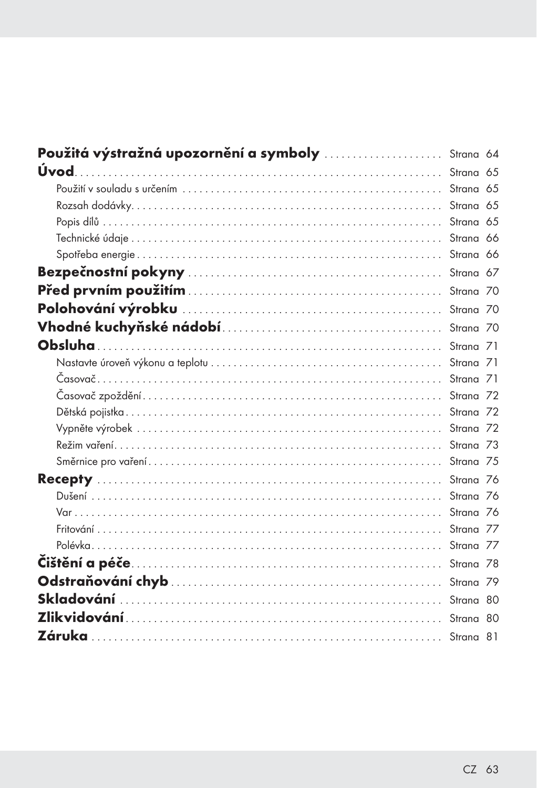| Použitá výstražná upozornění a symboly  Strana 64 |  |
|---------------------------------------------------|--|
|                                                   |  |
|                                                   |  |
|                                                   |  |
|                                                   |  |
|                                                   |  |
|                                                   |  |
|                                                   |  |
|                                                   |  |
|                                                   |  |
|                                                   |  |
|                                                   |  |
|                                                   |  |
|                                                   |  |
|                                                   |  |
|                                                   |  |
|                                                   |  |
|                                                   |  |
|                                                   |  |
|                                                   |  |
|                                                   |  |
|                                                   |  |
|                                                   |  |
|                                                   |  |
|                                                   |  |
|                                                   |  |
|                                                   |  |
|                                                   |  |
|                                                   |  |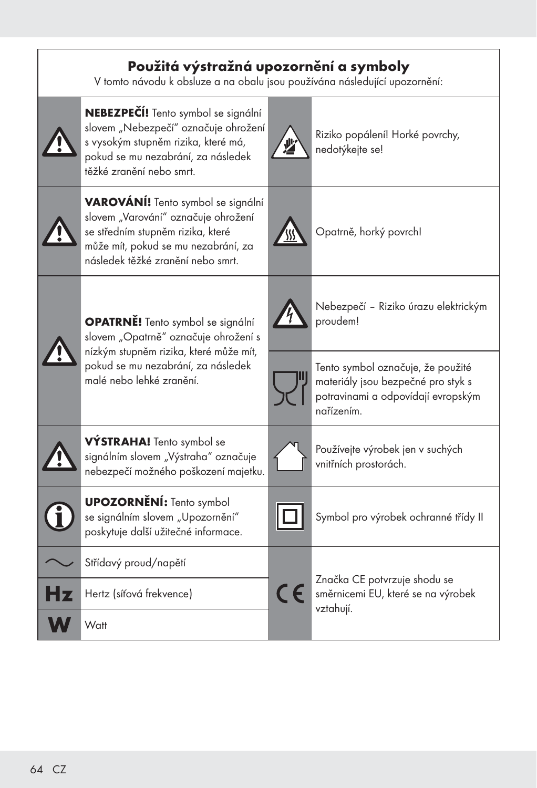## Použitá výstražná upozornění a symboly

V tomto návodu k obsluze a na obalu jsou používána následující upozornění:

|                                                                                  | NEBEZPEČÍ! Tento symbol se signální<br>slovem "Nebezpečí" označuje ohrožení<br>s vysokým stupněm rizika, které má,<br>pokud se mu nezabrání, za následek<br>těžké zranění nebo smrt.              |            | Riziko popálení! Horké povrchy,<br>nedotýkejte se!                                                                          |
|----------------------------------------------------------------------------------|---------------------------------------------------------------------------------------------------------------------------------------------------------------------------------------------------|------------|-----------------------------------------------------------------------------------------------------------------------------|
|                                                                                  | <b>VAROVÁNÍ!</b> Tento symbol se signální<br>slovem "Varování" označuje ohrožení<br>se středním stupněm rizika, které<br>může mít, pokud se mu nezabrání, za<br>následek těžké zranění nebo smrt. |            | Opatrně, horký povrch!                                                                                                      |
| <b>OPATRNĚ!</b> Tento symbol se signální<br>slovem "Opatrně" označuje ohrožení s |                                                                                                                                                                                                   |            | Nebezpečí - Riziko úrazu elektrickým<br>proudem!                                                                            |
|                                                                                  | nízkým stupněm rizika, které může mít,<br>pokud se mu nezabrání, za následek<br>malé nebo lehké zranění.                                                                                          |            | Tento symbol označuje, že použité<br>materiály jsou bezpečné pro styk s<br>potravinami a odpovídají evropským<br>nařízením. |
|                                                                                  | VÝSTRAHA! Tento symbol se<br>signálním slovem "Výstraha" označuje<br>nebezpečí možného poškození majetku.                                                                                         |            | Používejte výrobek jen v suchých<br>vnitřních prostorách.                                                                   |
|                                                                                  | <b>UPOZORNĚNÍ:</b> Tento symbol<br>se signálním slovem "Upozornění"<br>poskytuje další užitečné informace.                                                                                        |            | Symbol pro výrobek ochranné třídy II                                                                                        |
|                                                                                  | Střídavý proud/napětí                                                                                                                                                                             |            |                                                                                                                             |
| Hz                                                                               | Hertz (síťová frekvence)                                                                                                                                                                          | $\epsilon$ | Značka CE potvrzuje shodu se<br>směrnicemi EU, které se na výrobek<br>vztahují.                                             |
|                                                                                  | Watt                                                                                                                                                                                              |            |                                                                                                                             |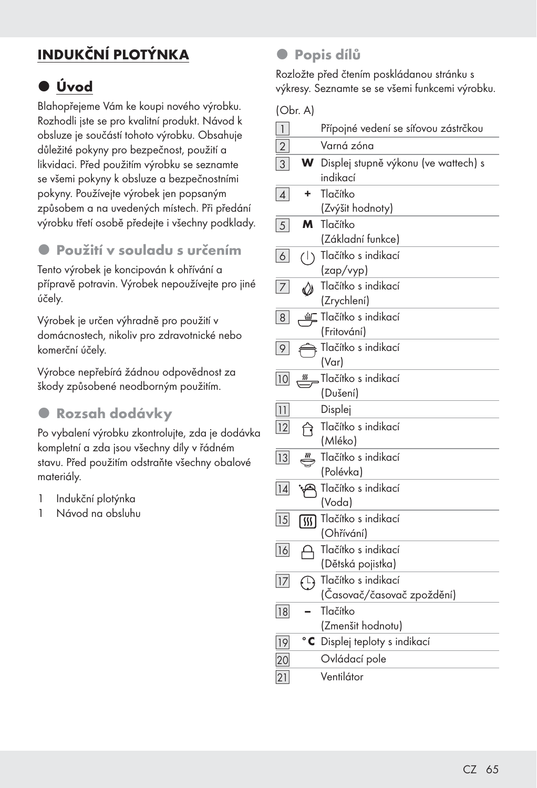# INDUKČNÍ PLOTÝNKA

# z Úvod

Blahopřejeme Vám ke koupi nového výrobku. Rozhodli jste se pro kvalitní produkt. Návod k obsluze je součástí tohoto výrobku. Obsahuje důležité pokyny pro bezpečnost, použití a likvidaci. Před použitím výrobku se seznamte se všemi pokyny k obsluze a bezpečnostními pokyny. Používejte výrobek jen popsaným způsobem a na uvedených místech. Při předání výrobku třetí osobě předejte i všechny podklady.

### z Použití v souladu s určením

Tento výrobek je koncipován k ohřívání a přípravě potravin. Výrobek nepoužívejte pro jiné účely.

Výrobek je určen výhradně pro použití v domácnostech, nikoliv pro zdravotnické nebo komerční účely.

Výrobce nepřebírá žádnou odpovědnost za škody způsobené neodborným použitím.

## **• Rozsah dodávky**

Po vybalení výrobku zkontrolujte, zda je dodávka kompletní a zda jsou všechny díly v řádném stavu. Před použitím odstraňte všechny obalové materiály.

- 1 Indukční plotýnka
- 1 Návod na obsluhu

### **•** Popis dílů

Rozložte před čtením poskládanou stránku s výkresy. Seznamte se se všemi funkcemi výrobku.

(Obr. A)

| $\overline{1}$  |                              | Přípojné vedení se síťovou zástrčkou                           |
|-----------------|------------------------------|----------------------------------------------------------------|
| $\overline{2}$  |                              | Varná zóna                                                     |
| $\overline{3}$  | W                            | Displej stupně výkonu (ve wattech) s<br>indikací               |
| $\vert$         | ÷                            | Tlačítko<br>(Zvýšit hodnoty)                                   |
| $\overline{5}$  | M                            | Tlačítko<br>(Základní funkce)                                  |
| 6               | $\left(\left \right.\right)$ | Tlačítko s indikací<br>(zap/vyp)                               |
| 7 <sup>1</sup>  | ♦                            | Tlačítko s indikací<br>(Zrychlení)                             |
| 8               | <u> வி</u>                   | Tlačítko s indikací<br>(Fritování)                             |
| 9               |                              | Tlačítko s indikací<br>(Var)                                   |
| 10              | $\frac{33}{2}$               | Tlačítko s indikací<br>(Dušení)                                |
| 11              |                              | Displej                                                        |
| 12              | ণি                           | Tlačítko s indikací<br>(Mléko)                                 |
| 13              |                              | Tlačítko s indikací<br>(Polévka)                               |
| 14              |                              | Tlačítko s indikací<br>(Voda)                                  |
| $\overline{15}$ | 网                            | Tlačítko s indikací<br>(Ohřívání)                              |
| 16              | А                            | Tlačítko s indikací<br>(Dětská pojistka)                       |
| 17              |                              | <sup>1</sup> Tlačítko s indikací<br>(Časovač/časovač zpoždění) |
| $\overline{18}$ |                              | Tlačítko<br>(Zmenšit hodnotu)                                  |
| 19              | $^{\circ}$ C                 | Displej teploty s indikací                                     |
| 20              |                              | Ovládací pole                                                  |
| 21              |                              | Ventilátor                                                     |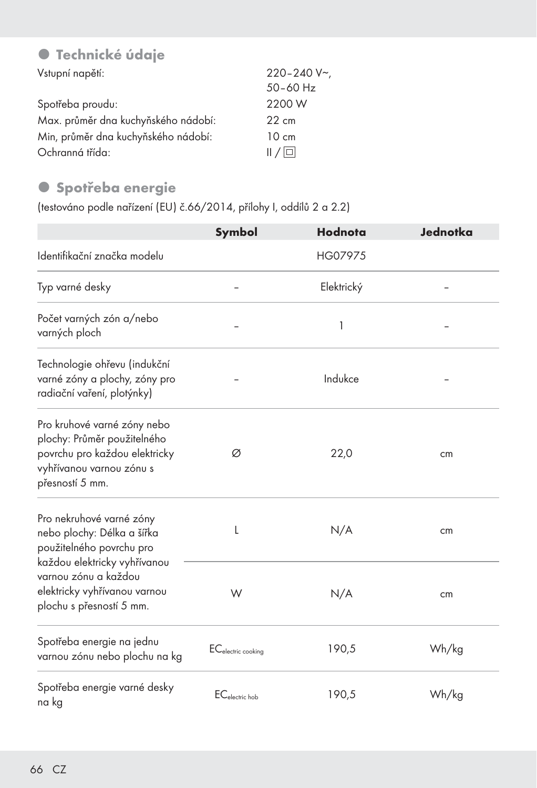## **• Technické údaje**

| Vstupní napětí:                     | 220-240 V~      |
|-------------------------------------|-----------------|
|                                     | $50 - 60$ Hz    |
| Spotřeba proudu:                    | 2200 W          |
| Max. průměr dna kuchyňského nádobí: | $22 \text{ cm}$ |
| Min, průměr dna kuchyňského nádobí: | $10 \text{ cm}$ |
| Ochranná třída:                     | /               |

## **·** Spotřeba energie

(testováno podle nařízení (EU) č.66/2014, přílohy I, oddílů 2 a 2.2)

|                                                                                                                                            | Symbol                         | Hodnota    | Jednotka |
|--------------------------------------------------------------------------------------------------------------------------------------------|--------------------------------|------------|----------|
| Identifikační značka modelu                                                                                                                |                                | HG07975    |          |
| Typ varné desky                                                                                                                            |                                | Elektrický |          |
| Počet varných zón a/nebo<br>varných ploch                                                                                                  |                                | 1          |          |
| Technologie ohřevu (indukční<br>varné zóny a plochy, zóny pro<br>radiační vaření, plotýnky)                                                |                                | Indukce    |          |
| Pro kruhové varné zóny nebo<br>plochy: Průměr použitelného<br>povrchu pro každou elektricky<br>vyhřívanou varnou zónu s<br>přesností 5 mm. | Ø                              | 22,0       | cm       |
| Pro nekruhové varné zóny<br>nebo plochy: Délka a šířka<br>použitelného povrchu pro                                                         | L                              | N/A        | cm       |
| každou elektricky vyhřívanou<br>varnou zónu a každou<br>elektricky vyhřívanou varnou<br>plochu s přesností 5 mm.                           | W                              | N/A        | cm       |
| Spotřeba energie na jednu<br>varnou zónu nebo plochu na kg                                                                                 | EC <sub>electric cooking</sub> | 190,5      | Wh/kg    |
| Spotřeba energie varné desky<br>na kg                                                                                                      | $EC_{electric\,hob}$           | 190,5      | Wh/kg    |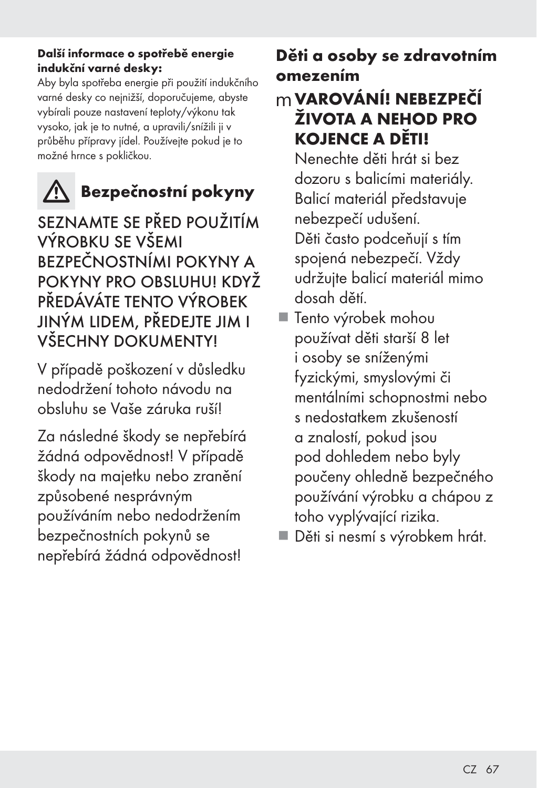#### Další informace o spotřebě energie indukční varné desky:

Aby byla spotřeba energie při použití indukčního varné desky co nejnižší, doporučujeme, abyste vybírali pouze nastavení teploty/výkonu tak vysoko, jak je to nutné, a upravili/snížili ji v průběhu přípravy jídel. Používejte pokud je to možné hrnce s pokličkou.

# **A** Bezpečnostní pokyny

SEZNAMTE SE PŘED POUŽITÍM VÝROBKU SE VŠEMI BEZPEČNOSTNÍMI POKYNY A POKYNY PRO OBSLUHU! KDYŽ PŘEDÁVÁTE TENTO VÝROBEK JINÝM LIDEM, PŘEDEJTE JIM I VŠECHNY DOKUMENTY!

V případě poškození v důsledku nedodržení tohoto návodu na obsluhu se Vaše záruka ruší!

Za následné škody se nepřebírá žádná odpovědnost! V případě škody na majetku nebo zranění způsobené nesprávným používáním nebo nedodržením bezpečnostních pokynů se nepřebírá žádná odpovědnost!

# Děti a osoby se zdravotním omezením

# mVAROVÁNÍ! NEBEZPEČÍ ŽIVOTA A NEHOD PRO KOJENCE A DĚTI!

 Nenechte děti hrát si bez dozoru s balicími materiály. Balicí materiál představuje nebezpečí udušení. Děti často podceňují s tím spojená nebezpečí. Vždy udržujte balicí materiál mimo dosah dětí.

- Tento výrobek mohou používat děti starší 8 let i osoby se sníženými fyzickými, smyslovými či mentálními schopnostmi nebo s nedostatkem zkušeností a znalostí, pokud jsou pod dohledem nebo byly poučeny ohledně bezpečného používání výrobku a chápou z toho vyplývající rizika.
- Děti si nesmí s výrobkem hrát.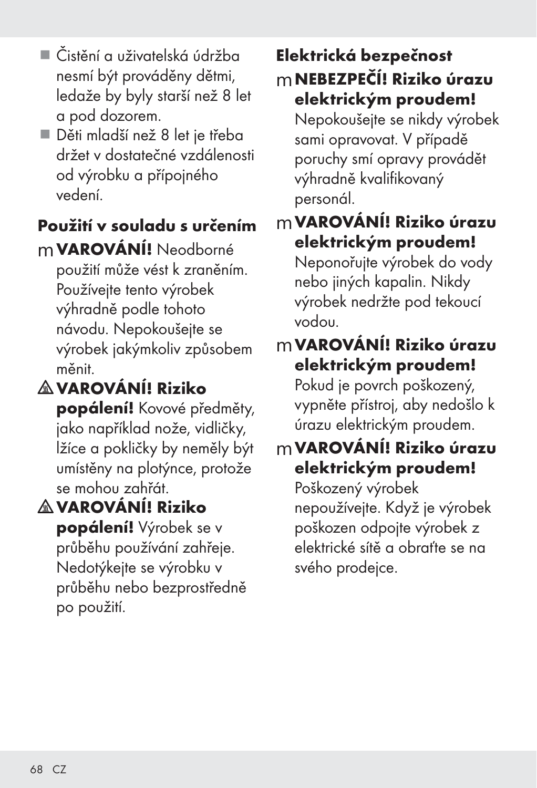- Čistění a uživatelská údržba nesmí být prováděny dětmi, ledaže by byly starší než 8 let a pod dozorem.
- Děti mladší než 8 let je třeba držet v dostatečné vzdálenosti od výrobku a přípojného vedení.

# Použití v souladu s určením

mVAROVÁNÍ! Neodborné použití může vést k zraněním. Používejte tento výrobek výhradně podle tohoto návodu. Nepokoušejte se výrobek jakýmkoliv způsobem měnit.

# VAROVÁNÍ! Riziko

popálení! Kovové předměty, jako například nože, vidličky, lžíce a pokličky by neměly být umístěny na plotýnce, protože se mohou zahřát.

VAROVÁNÍ! Riziko popálení! Výrobek se v průběhu používání zahřeje. Nedotýkejte se výrobku v průběhu nebo bezprostředně po použití.

## Elektrická bezpečnost mNEBEZPEČÍ! Riziko úrazu elektrickým proudem!

Nepokoušejte se nikdy výrobek sami opravovat. V případě poruchy smí opravy provádět výhradně kvalifikovaný personál.

## mVAROVÁNÍ! Riziko úrazu elektrickým proudem!

Neponořujte výrobek do vody nebo jiných kapalin. Nikdy výrobek nedržte pod tekoucí vodou.

# mVAROVÁNÍ! Riziko úrazu elektrickým proudem!

Pokud je povrch poškozený, vypněte přístroj, aby nedošlo k úrazu elektrickým proudem.

# mVAROVÁNÍ! Riziko úrazu elektrickým proudem!

Poškozený výrobek nepoužívejte. Když je výrobek poškozen odpojte výrobek z elektrické sítě a obraťte se na svého prodejce.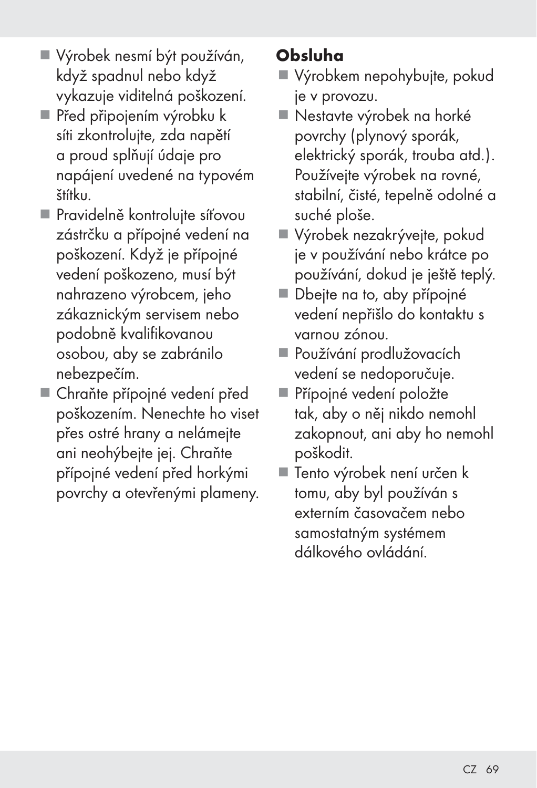- Výrobek nesmí být používán, když spadnul nebo když vykazuje viditelná poškození.
- Před připojením výrobku k síti zkontrolujte, zda napětí a proud splňují údaje pro napájení uvedené na typovém štítku.
- Pravidelně kontrolujte síťovou zástrčku a přípojné vedení na poškození. Když je přípojné vedení poškozeno, musí být nahrazeno výrobcem, jeho zákaznickým servisem nebo podobně kvalifikovanou osobou, aby se zabránilo nebezpečím.
- Chraňte přípojné vedení před poškozením. Nenechte ho viset přes ostré hrany a nelámejte ani neohýbejte jej. Chraňte přípojné vedení před horkými povrchy a otevřenými plameny.

# Obsluha

- Výrobkem nepohybujte, pokud je v provozu.
- Nestavte výrobek na horké povrchy (plynový sporák, elektrický sporák, trouba atd.). Používejte výrobek na rovné, stabilní, čisté, tepelně odolné a suché ploše.
- Výrobek nezakrývejte, pokud je v používání nebo krátce po používání, dokud je ještě teplý.
- Dbejte na to, aby přípojné vedení nepřišlo do kontaktu s varnou zónou.
- Používání prodlužovacích vedení se nedoporučuje.
- Přípojné vedení položte tak, aby o něj nikdo nemohl zakopnout, ani aby ho nemohl poškodit.
- Tento výrobek není určen k tomu, aby byl používán s externím časovačem nebo samostatným systémem dálkového ovládání.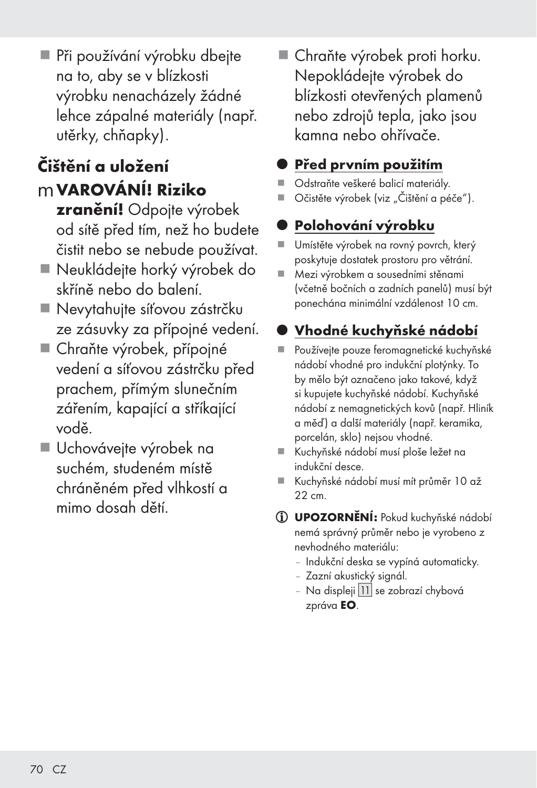mVAROVÁNÍ! Riziko zranění! Odpojte výrobek od sítě před tím, než ho budete čistit nebo se nebude používat.

utěrky, chňapky).

Čištění a uložení

 Neukládejte horký výrobek do skříně nebo do balení.

 Při používání výrobku dbejte na to, aby se v blízkosti výrobku nenacházely žádné lehce zápalné materiály (např.

- Nevytahujte síťovou zástrčku ze zásuvky za přípojné vedení.
- Chraňte výrobek, přípojné vedení a síťovou zástrčku před prachem, přímým slunečním zářením, kapající a stříkající vodě.
- Uchovávejte výrobek na suchém, studeném místě chráněném před vlhkostí a mimo dosah dětí.

■ Chraňte výrobek proti horku. Nepokládejte výrobek do blízkosti otevřených plamenů nebo zdrojů tepla, jako jsou kamna nebo ohřívače.

## Před prvním použitím

- Odstraňte veškeré balicí materiály.
- Očistěte výrobek (viz "Čištění a péče").

# Polohování výrobku

- Umístěte výrobek na rovný povrch, který poskytuje dostatek prostoru pro větrání.
- Mezi výrobkem a sousedními stěnami (včetně bočních a zadních panelů) musí být ponechána minimální vzdálenost 10 cm.

# z Vhodné kuchyňské nádobí

- Používejte pouze feromagnetické kuchyňské nádobí vhodné pro indukční plotýnky. To by mělo být označeno jako takové, když si kupujete kuchyňské nádobí. Kuchyňské nádobí z nemagnetických kovů (např. Hliník a měď) a další materiály (např. keramika, porcelán, sklo) nejsou vhodné.
- Kuchyňské nádobí musí ploše ležet na indukční desce.
- Kuchyňské nádobí musí mít průměr 10 až 22 cm.
- UPOZORNĚNÍ: Pokud kuchyňské nádobí nemá správný průměr nebo je vyrobeno z nevhodného materiálu:
	- Indukční deska se vypíná automaticky.
	- Zazní akustický signál.
	- Na displeji | 11 se zobrazí chybová zpráva EO.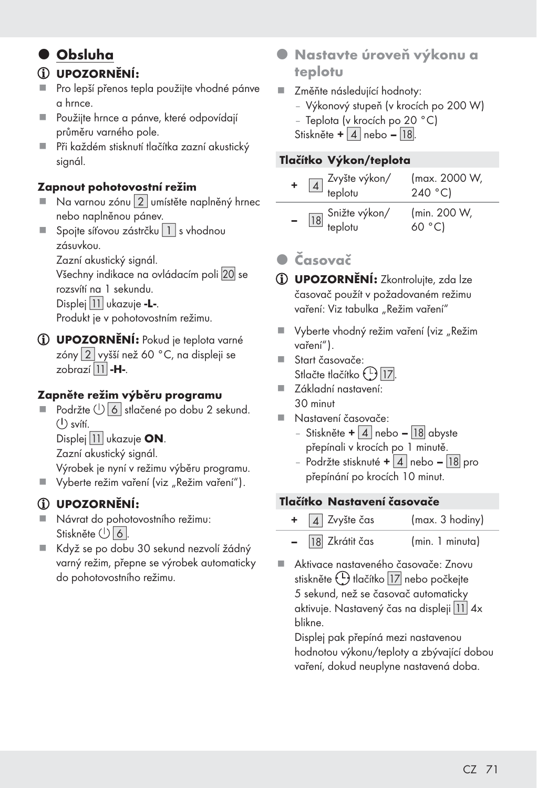## $\bullet$  Obsluha

#### UPOZORNĚNÍ:

- Pro lepší přenos tepla použijte vhodné pánve a hrnce.
- Použiite hrnce a pánve, které odpovídají průměru varného pole.
- Při každém stisknutí tlačítka zazní akustický sianál.

#### Zapnout pohotovostní režim

- Na varnou zónu [2] umístěte naplněný hrnec nebo naplněnou pánev.
- Spojte síťovou zástrčku  $\boxed{1}$  s vhodnou zásuvkou.

Zazní akustický signál.

Všechny indikace na ovládacím poli 20 se

rozsvítí na 1 sekundu.

Displej | 11 | ukazuje -L-.

Produkt je v pohotovostním režimu.

UPOZORNĚNÍ: Pokud je teplota varné zóny [2] vyšší než 60 °C, na displeji se zobrazí $|11|$ -H-.

#### Zapněte režim výběru programu

Podržte  $\bigcup$  6 stlačené po dobu 2 sekund.  $($ <sup>1</sup>) svítí.

Displej | 11 ukazuje ON.

Zazní akustický signál.

Výrobek je nyní v režimu výběru programu.

Vyberte režim vaření (viz "Režim vaření").

#### UPOZORNĚNÍ:

- Návrat do pohotovostního režimu: Stiskněte  $\bigcup$  6.
- Když se po dobu 30 sekund nezvolí žádný varný režim, přepne se výrobek automaticky do pohotovostního režimu.
- **Nastavte úroveň výkonu a** teplotu
- Změňte následující hodnoty:
	- Výkonový stupeň (v krocích po 200 W)
	- Teplota (v krocích po 20 °C)
	- Stiskněte +  $|4|$  nebo  $|18|$

#### Tlačítko Výkon/teplota

| + $\boxed{4}$ Zvyšte výkon/<br>teplotu | (max. 2000 W,<br>240 °C) |
|----------------------------------------|--------------------------|
| 18 Snižte výkon/<br>teplotu            | (min. 200 W,<br>60 °C)   |

## z Časovač

UPOZORNĚNÍ: Zkontrolujte, zda lze časovač použít v požadovaném režimu vaření: Viz tabulka "Režim vaření"

- Vyberte vhodný režim vaření (viz "Režim vaření").
- Start časovače: Stlačte tlačítko (<u>L) 17</u>
- Základní nastavení: 30 minut
- Nastavení časovače:
	- Stiskněte +  $\boxed{4}$  nebo  $\boxed{18}$  abyste přepínali v krocích po 1 minutě.
	- Podržte stisknuté +  $\boxed{4}$  nebo  $\boxed{18}$  pro přepínání po krocích 10 minut.

#### Tlačítko Nastavení časovače

|               | $+$ 4 Zvyšte čas | (max. 3 hodiny) |
|---------------|------------------|-----------------|
| $\sim$ $\sim$ | 18 Zkrátit čas   | (min. 1 minuta) |

 Aktivace nastaveného časovače: Znovu stiskněte (L) tlačítko 17 nebo počkejte 5 sekund, než se časovač automaticky aktivuje. Nastavený čas na displeji 11 4x blikne.

 Displej pak přepíná mezi nastavenou hodnotou výkonu/teploty a zbývající dobou vaření, dokud neuplyne nastavená doba.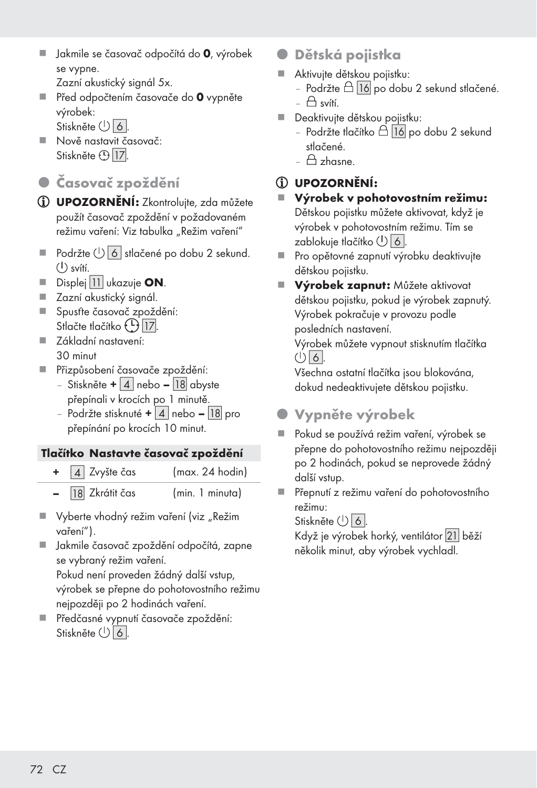- Jakmile se časovač odpočítá do 0, výrobek se vypne.
	- Zazní akustický signál 5x.
- Před odpočtením časovače do 0 vypněte výrobek: Stiskněte (<sup>1</sup>) 6.
- Nově nastavit časovač: Stiskněte [ ].
- z Časovač zpoždění
- UPOZORNĚNÍ: Zkontrolujte, zda můžete použít časovač zpoždění v požadovaném režimu vaření: Viz tabulka "Režim vaření"
- $\blacksquare$  Podržte  $\binom{1}{2}$  6 stlačené po dobu 2 sekund.  $(1)$  svítí.
- $\blacksquare$  Displej 11 ukazuje ON.
- Zazní akustický signál.
- Spusťte časovač zpoždění: Stlačte tlačítko (<u>L) 17</u>.
- Základní nastavení: 30 minut
- Přizpůsobení časovače zpoždění:
	- Stiskněte +  $\mid$  4 | nebo  $\mid$  18 | abyste přepínali v krocích po 1 minutě.
	- Podržte stisknuté +  $\mid$  4 | nebo  $\mid$  18 | pro přepínání po krocích 10 minut.

#### Tlačítko Nastavte časovač zpoždění

| $+$ 4 Zvyšte čas   | (max. 24 hold) |  |
|--------------------|----------------|--|
| $-$ 18 Zkrátit čas | (min. 1 min    |  |

- Vyberte vhodný režim vaření (viz "Režim vaření").
- Jakmile časovač zpoždění odpočítá, zapne se vybraný režim vaření.

 Pokud není proveden žádný další vstup, výrobek se přepne do pohotovostního režimu nejpozději po 2 hodinách vaření.

 Předčasné vypnutí časovače zpoždění: Stiskněte  $\bigcup$  6

- Dětská pojistka
- Aktivujte dětskou pojistku:
	- Podržte  $\triangle$  16 po dobu 2 sekund stlačené.  $\triangle$  svítí.
- Deaktivuite dětskou pojistku:
	- Podržte tlačítko  $\triangle$  16 po dobu 2 sekund stlačené.
	- $\triangle$  zhasne.

#### UPOZORNĚNÍ:

- Výrobek v pohotovostním režimu: Dětskou pojistku můžete aktivovat, když je výrobek v pohotovostním režimu. Tím se zablokuje tlačítko <sup>(1</sup>) | 6 <sup>|</sup>.
- Pro opětovné zapnutí výrobku deaktivujte dětskou pojistku.
- **Výrobek zapnut:** Můžete aktivovat dětskou pojistku, pokud je výrobek zapnutý. Výrobek pokračuje v provozu podle posledních nastavení.

 Výrobek můžete vypnout stisknutím tlačítka  $\bigcirc$  6.

 Všechna ostatní tlačítka jsou blokována, dokud nedeaktivujete dětskou pojistku.

- Vypněte výrobek
- Pokud se používá režim vaření, výrobek se přepne do pohotovostního režimu nejpozději po 2 hodinách, pokud se neprovede žádný další vstup.
- Přepnutí z režimu vaření do pohotovostního režimu:

Stiskněte (<sup>1</sup>) | 6 |.

 Když je výrobek horký, ventilátor [
] běží několik minut, aby výrobek vychladl.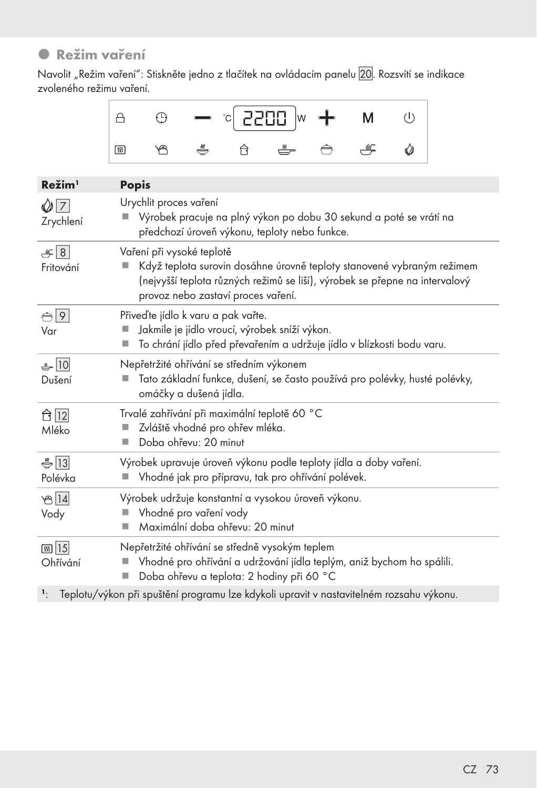## **•** Režim vaření

Navolit "Režim vaření": Stiskněte jedno z tlačítek na ovládacím panelu 20. Rozsvítí se indikace zvoleného režimu vaření.

| ⊦ ⊢⊰ |   | $\bullet$ $\circ$ 2200  w $\bullet$ M |             |   |  |
|------|---|---------------------------------------|-------------|---|--|
|      | ╩ | <u>, ss —</u>                         | $\bigoplus$ | 一 |  |

| Režim <sup>1</sup>          | <b>Popis</b>                                                                                                                                                                                                                       |
|-----------------------------|------------------------------------------------------------------------------------------------------------------------------------------------------------------------------------------------------------------------------------|
| $\bigcirc$ 7<br>Zrychlení   | Urychlit proces vaření<br>Výrobek pracuje na plný výkon po dobu 30 sekund a poté se vrátí na<br>předchozí úroveň výkonu, teploty nebo funkce.                                                                                      |
| 8 <br>Fritování             | Vaření při vysoké teplotě<br>Když teplota surovin dosáhne úrovně teploty stanovené vybraným režimem<br>(nejvyšší teplota různých režimů se liší), výrobek se přepne na intervalový<br>provoz nebo zastaví proces vaření.           |
| $\bigoplus$ 9<br>Var        | Přiveďte jídlo k varu a pak vařte.<br>Jakmile je jídlo vroucí, výrobek sníží výkon.<br>To chrání jídlo před převařením a udržuje jídlo v blízkosti bodu varu.                                                                      |
| ♣ 10<br>Dušení              | Nepřetržité ohřívání se středním výkonem<br>Tato základní funkce, dušení, se často používá pro polévky, husté polévky,<br>omáčky a dušená jídla.                                                                                   |
| ← 12<br>Mléko               | Trvalé zahřívání při maximální teplotě 60 °C<br>Zvláště vhodné pro ohřev mléka.<br>Doba ohřevu: 20 minut                                                                                                                           |
| $\frac{1}{2}$ 13<br>Polévka | Výrobek upravuje úroveň výkonu podle teploty jídla a doby vaření.<br>Vhodné jak pro přípravu, tak pro ohřívání polévek.                                                                                                            |
| $B\overline{14}$<br>Vody    | Výrobek udržuje konstantní a vysokou úroveň výkonu.<br>Vhodné pro vaření vody<br>Maximální doba ohřevu: 20 minut                                                                                                                   |
| <b>கு</b> 15<br>Ohřívání    | Nepřetržité ohřívání se středně vysokým teplem<br>Vhodné pro ohřívání a udržování jídla teplým, aniž bychom ho spálili.<br>Doba ohřevu a teplota: 2 hodiny při 60 °C                                                               |
|                             | $\mathbf{1}_n$ . The first of the second second contract in the first state of the second method of the second state of the second state of the second state of the second state of the second state of the second state of the se |

1: Teplotu/výkon při spuštění programu lze kdykoli upravit v nastavitelném rozsahu výkonu.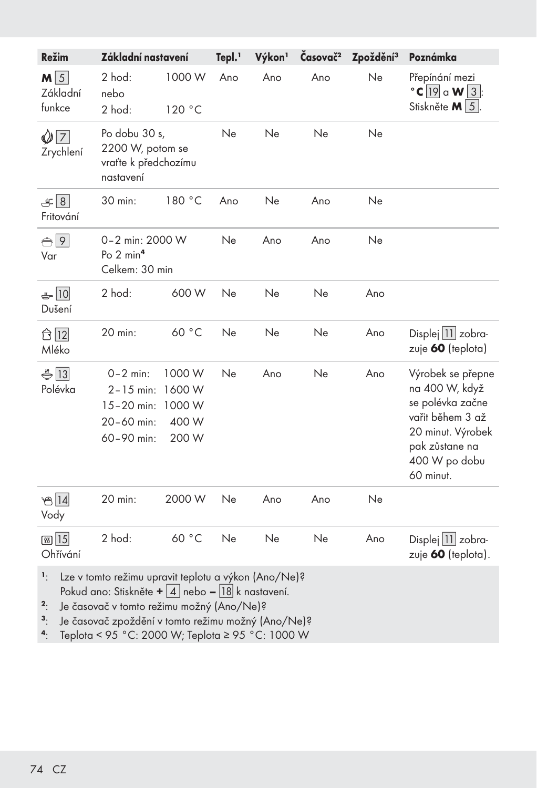| Režim                                  | Základní nastavení                                                                                                                                                                                                               |                                              | Tepl. <sup>1</sup> | Výkon <sup>1</sup> | Časovač <sup>2</sup> | Zpoždění <sup>3</sup> | Poznámka                                                                                                                                         |
|----------------------------------------|----------------------------------------------------------------------------------------------------------------------------------------------------------------------------------------------------------------------------------|----------------------------------------------|--------------------|--------------------|----------------------|-----------------------|--------------------------------------------------------------------------------------------------------------------------------------------------|
| $M\sqrt{5}$<br>Základní<br>funkce      | 2 hod:<br>nebo<br>2 hod:                                                                                                                                                                                                         | 1000 W<br>120 °C                             | Ano                | Ano                | Ano                  | Ne                    | Přepínání mezi<br>$\degree$ C   19 a W   3  :<br>Stiskněte M   5  .                                                                              |
| $\bigcirc$ 7<br>Zrychlení              | Po dobu 30 s,<br>2200 W, potom se<br>vraťte k předchozímu<br>nastavení                                                                                                                                                           |                                              | Ne                 | Ne                 | Ne                   | Ne                    |                                                                                                                                                  |
| E[8]<br>Fritování                      | 30 min:                                                                                                                                                                                                                          | 180 °C                                       | Ano                | Ne                 | Ano                  | Ne                    |                                                                                                                                                  |
| $\bigoplus$ 9<br>Var                   | 0-2 min: 2000 W<br>Po $2 \text{ min}^4$<br>Celkem: 30 min                                                                                                                                                                        |                                              | Ne                 | Ano                | Ano                  | Ne                    |                                                                                                                                                  |
| $-10$<br>Dušení                        | 2 hod:                                                                                                                                                                                                                           | 600 W                                        | Ne                 | Ne                 | Ne                   | Ano                   |                                                                                                                                                  |
| ☆  12  <br>Mléko                       | 20 min:                                                                                                                                                                                                                          | 60 °C                                        | Ne                 | Ne                 | Ne                   | Ano                   | Displej 11 zobra-<br>zuje 60 (teplota)                                                                                                           |
| $\bigoplus$ 13<br>Polévka              | $0 - 2$ min:<br>$2 - 15$ min:<br>$15 - 20$ min:<br>20-60 min:<br>60-90 min:                                                                                                                                                      | 1000 W<br>1600 W<br>1000 W<br>400 W<br>200 W | Ne                 | Ano                | Ne                   | Ano                   | Výrobek se přepne<br>na 400 W, když<br>se polévka začne<br>vařit během 3 až<br>20 minut. Výrobek<br>pak zůstane na<br>400 W po dobu<br>60 minut. |
| ත 14<br>Vody                           | 20 min:                                                                                                                                                                                                                          | 2000 W                                       | Ne                 | Ano                | Ano                  | Ne                    |                                                                                                                                                  |
| <b>55 15</b><br>Ohřívání               | 2 hod:                                                                                                                                                                                                                           | 60 °C                                        | Ne                 | Ne                 | Ne                   | Ano                   | Displej 11 zobra-<br>zuje 60 (teplota).                                                                                                          |
| ١.<br>$\overline{a}$<br>$\mathbf{3}$ . | Lze v tomto režimu upravit teplotu a výkon (Ano/Ne)?<br>Pokud ano: Stiskněte + $\frac{1}{4}$ nebo – $\frac{18}{k}$ nastavení.<br>Je časovač v tomto režimu možný (Ano/Ne)?<br>Je časovač zpoždění v tomto režimu možný (Ano/Ne)? |                                              |                    |                    |                      |                       |                                                                                                                                                  |

4: Teplota < 95 °C: 2000 W; Teplota ≥ 95 °C: 1000 W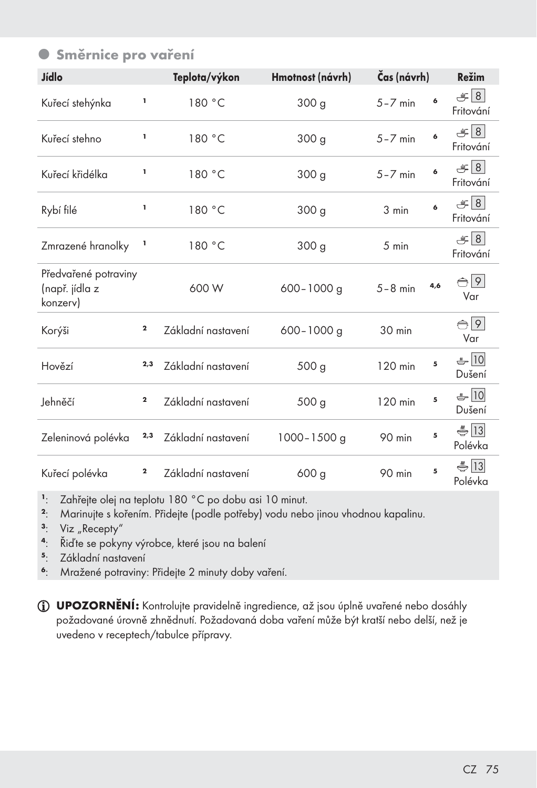### **• Směrnice pro vaření**

| Jídlo                                              |             | Teplota/výkon      | Hmotnost (návrh) |             | Čas (návrh) |                               |
|----------------------------------------------------|-------------|--------------------|------------------|-------------|-------------|-------------------------------|
| Kuřecí stehýnka                                    | ı           | 180 °C             | 300 <sub>g</sub> | $5 - 7$ min | 6           | E[8]<br>Fritování             |
| Kuřecí stehno                                      | ı           | 180 °C             | 300 <sub>g</sub> | $5 - 7$ min | 6           | $\mathcal{L}$ 8<br>Fritování  |
| Kuřecí křidélka                                    | ı           | 180 °C             | 300 <sub>g</sub> | $5 - 7$ min | 6           | $\mathcal{L}$ 8<br>Fritování  |
| Rybí filé                                          | I,          | 180 °C             | 300 <sub>g</sub> | 3 min       | 6           | $\mathcal{L}$ 8<br>Fritování  |
| ı<br>Zmrazené hranolky                             |             | 180 °C             | 300 <sub>g</sub> | 5 min       |             | $\equiv$ 8<br>Fritování       |
| Předvařené potraviny<br>(např. jídla z<br>konzerv) |             | 600 W              | $600 - 1000$ g   | $5 - 8$ min | 4,6         | $\bigoplus$ 9<br>Var          |
| Korýši                                             | $\mathbf 2$ | Základní nastavení | $600 - 1000$ g   | 30 min      |             | $\bigoplus$ 9<br>Var          |
| Hovězí                                             | 2,3         | Základní nastavení | 500 <sub>g</sub> | 120 min     | 5           | $-10$<br>Dušení               |
| Jehněčí                                            | 2           | Základní nastavení | 500 <sub>g</sub> | 120 min     | 5           | $-10$<br>Dušení               |
| Zeleninová polévka                                 | 2,3         | Základní nastavení | $1000 - 1500$ g  | 90 min      | 5           | $\frac{2}{3}$  13 <br>Polévka |
| Kuřecí polévka                                     | $\mathbf 2$ | Základní nastavení | 600 g            | 90 min      | 5           | $\frac{2}{3}$ 13<br>Polévka   |

<sup>1</sup>: Zahřejte olej na teplotu 180 °C po dobu asi 10 minut.<br><sup>2</sup>: Marinuite s kořením. Přideite (podle potřeby) vodu neb

<sup>2</sup>: Marinujte s kořením. Přidejte (podle potřeby) vodu nebo jinou vhodnou kapalinu.

- $\cdot$  Viz "Recepty"<br> $\cdot$   $\cdot$   $\tilde{R}$  id te se poky
- <sup>4</sup>: Řiďte se pokyny výrobce, které jsou na balení<br><sup>5</sup>: Základní nastavení
- Základní nastavení
- <sup>6</sup>: Mražené potraviny: Přidejte 2 minuty doby vaření.

UPOZORNĚNÍ: Kontrolujte pravidelně ingredience, až jsou úplně uvařené nebo dosáhly požadované úrovně zhnědnutí. Požadovaná doba vaření může být kratší nebo delší, než je uvedeno v receptech/tabulce přípravy.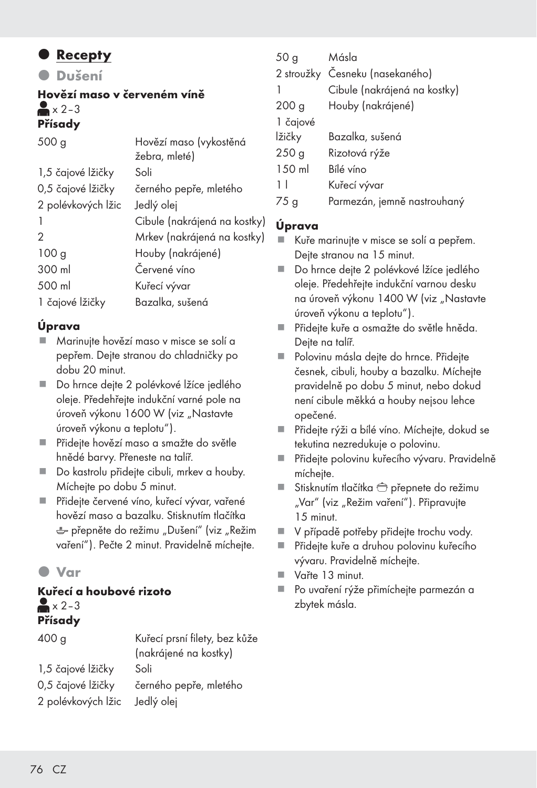#### **• Recepty**

z Dušení

#### Hovězí maso v červeném víně  $\blacktriangleright$  x 2 – 3 Přísady

| 500q               | Hovězí maso (vykostěná       |
|--------------------|------------------------------|
|                    | žebra, mleté)                |
| 1,5 čajové lžičky  | Soli                         |
| 0,5 čajové lžičky  | černého pepře, mletého       |
| 2 polévkových lžic | Jedlý olej                   |
|                    | Cibule (nakrájená na kostky) |
| 2                  | Mrkev (nakrájená na kostky)  |
| 100 <sub>g</sub>   | Houby (nakrájené)            |
| 300 ml             | Červené víno                 |
| 500 ml             | Kuřecí vývar                 |
| 1 čajové lžičky    | Bazalka, sušená              |
|                    |                              |

#### Úprava

- Marinujte hovězí maso v misce se solí a pepřem. Dejte stranou do chladničky po dobu 20 minut.
- Do hrnce dejte 2 polévkové lžíce jedlého oleje. Předehřejte indukční varné pole na úroveň výkonu 1600 W (viz "Nastavte úroveň výkonu a teplotu").
- Přidejte hovězí maso a smažte do světle hnědé barvy. Přeneste na talíř.
- Do kastrolu přidejte cibuli, mrkev a houby. Míchejte po dobu 5 minut.
- Přidejte červené víno, kuřecí vývar, vařené hovězí maso a bazalku. Stisknutím tlačítka  $e^+$  přepněte do režimu "Dušení" (viz "Režim vaření"). Pečte 2 minut. Pravidelně míchejte.

### $\bullet$  Var

#### Kuřecí a houbové rizoto  $\approx$   $\times$  2-3 Přísady

| 400 <sub>g</sub>                        | Kuřecí prsní filety, bez kůže<br>(nakrájené na kostky) |
|-----------------------------------------|--------------------------------------------------------|
| 1,5 čajové lžičky                       | Soli                                                   |
| 0,5 čajové lžičky<br>2 polévkových lžic | černého pepře, mletého<br>Jedlý olej                   |
|                                         |                                                        |

| 50 <sub>g</sub>  | Másla                           |
|------------------|---------------------------------|
|                  | 2 stroužky Česneku (nasekaného) |
|                  | Cibule (nakrájená na kostky)    |
| 200 <sub>g</sub> | Houby (nakrájené)               |
| 1 čajové         |                                 |
| lžičky           | Bazalka, sušená                 |
| 250 <sub>g</sub> | Rizotová rýže                   |
| 150 ml           | Bílé víno                       |
| 11               | Kuřecí vývar                    |
| 75 g             | Parmezán, jemně nastrouhaný     |

#### Úprava

- Kuře marinujte v misce se solí a pepřem. Dejte stranou na 15 minut.
- Do hrnce dejte 2 polévkové lžíce jedlého oleje. Předehřejte indukční varnou desku na úroveň výkonu 1400 W (viz "Nastavte úroveň výkonu a teplotu").
- Přidejte kuře a osmažte do světle hněda. Dejte na talíř.
- Polovinu másla dejte do hrnce. Přidejte česnek, cibuli, houby a bazalku. Míchejte pravidelně po dobu 5 minut, nebo dokud není cibule měkká a houby nejsou lehce opečené.
- Přidejte rýži a bílé víno. Míchejte, dokud se tekutina nezredukuje o polovinu.
- Přidejte polovinu kuřecího vývaru. Pravidelně míchejte.
- Stisknutím tlačítka  $\widehat{\bigoplus}$  přepnete do režimu "Var" (viz "Režim vaření"). Připravujte 15 minut.
- V případě potřeby přidejte trochu vody.
- Přidejte kuře a druhou polovinu kuřecího vývaru. Pravidelně míchejte.
- Vařte 13 minut.
- Po uvaření rýže přimíchejte parmezán a zbytek másla.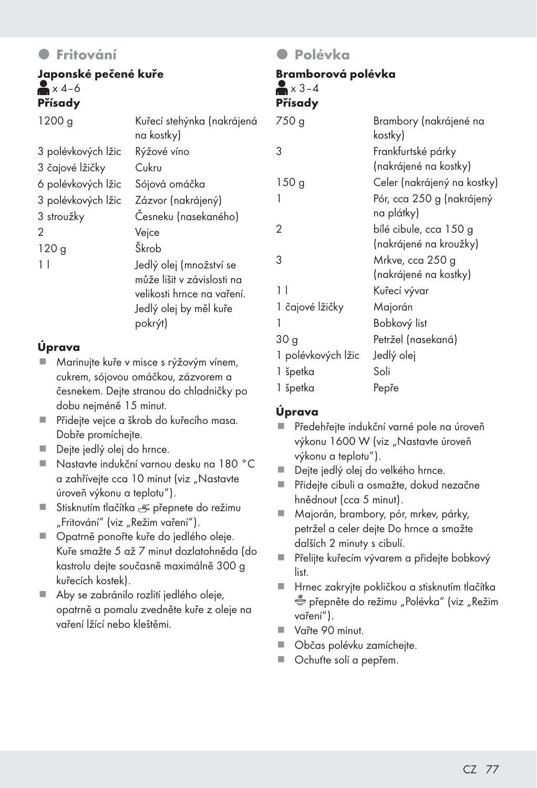### **O** Fritování

#### Japonské pečené kuře  $\approx$   $x$  4–6 Přísady

| 1200 g             | Kuřecí stehýnka (nakrájená<br>na kostky)                                                                                 |
|--------------------|--------------------------------------------------------------------------------------------------------------------------|
| 3 polévkových lžic | Rýžové víno                                                                                                              |
| 3 čajové lžičky    | Cukru                                                                                                                    |
| 6 polévkových lžic | Sójová omáčka                                                                                                            |
| 3 polévkových lžic | Zázvor (nakrájený)                                                                                                       |
| 3 stroužky         | Česneku (nasekaného)                                                                                                     |
| 2                  | Vejce                                                                                                                    |
| 120g               | Škrob                                                                                                                    |
| 1 <sup>1</sup>     | Jedlý olej (množství se<br>může lišit v závislosti na<br>velikosti hrnce na vaření.<br>Jedlý olej by měl kuře<br>pokrýt) |

#### Úprava

- Marinujte kuře v misce s rýžovým vínem, cukrem, sójovou omáčkou, zázvorem a česnekem. Dejte stranou do chladničky po dobu nejméně 15 minut.
- Přidejte vejce a škrob do kuřecího masa. Dobře promíchejte.
- Dejte jedlý olej do hrnce.
- Nastavte indukční varnou desku na 180 °C a zahřívejte cca 10 minut (viz "Nastavte úroveň výkonu a teplotu").
- Stisknutím tlačítka  $r = p$ řepnete do režimu "Fritování" (viz "Režim vaření").
- Opatrně ponořte kuře do jedlého oleje. Kuře smažte 5 až 7 minut dozlatohněda (do kastrolu dejte současně maximálně 300 g kuřecích kostek).
- Aby se zabránilo rozlití jedlého oleje. opatrně a pomalu zvedněte kuře z oleje na vaření lžící nebo kleštěmi.

#### **O** Polévka

#### Bramborová polévka  $\blacktriangleright$   $\cdot$  3-4 Přísady

| .                  |                                                  |
|--------------------|--------------------------------------------------|
| 750 g              | Brambory (nakrájené na<br>kostky)                |
| 3                  | Frankfurtské párky<br>(nakrájené na kostky)      |
| 150g               | Celer (nakrájený na kostky)                      |
| 1                  | Pór, cca 250 g (nakrájený<br>na plátky)          |
| 2                  | bílé cibule, cca 150 g<br>(nakrájené na kroužky) |
| 3                  | Mrkve, cca 250 g<br>(nakrájené na kostky)        |
| 11                 | Kuřecí vývar                                     |
| 1 čajové lžičky    | Majorán                                          |
| 1                  | Bobkový list                                     |
| 30 <sub>g</sub>    | Petržel (nasekaná)                               |
| 1 polévkových lžic | Jedlý olej                                       |
| 1 špetka           | Soli                                             |
| 1 špetka           | Pepře                                            |
|                    |                                                  |

#### Úprava

- Předehřejte indukční varné pole na úroveň výkonu 1600 W (viz "Nastavte úroveň výkonu a teplotu").
- Dejte jedlý olej do velkého hrnce.
- Přidejte cibuli a osmažte, dokud nezačne hnědnout (cca 5 minut).
- Majorán, brambory, pór, mrkev, párky, petržel a celer dejte Do hrnce a smažte dalších 2 minuty s cibulí.
- Přelijte kuřecím vývarem a přidejte bobkový list.
- Hrnec zakryjte pokličkou a stisknutím tlačítka přepněte do režimu "Polévka" (viz "Režim vaření").
- Vařte 90 minut.
- Občas polévku zamíchejte.
- Ochuťte solí a pepřem.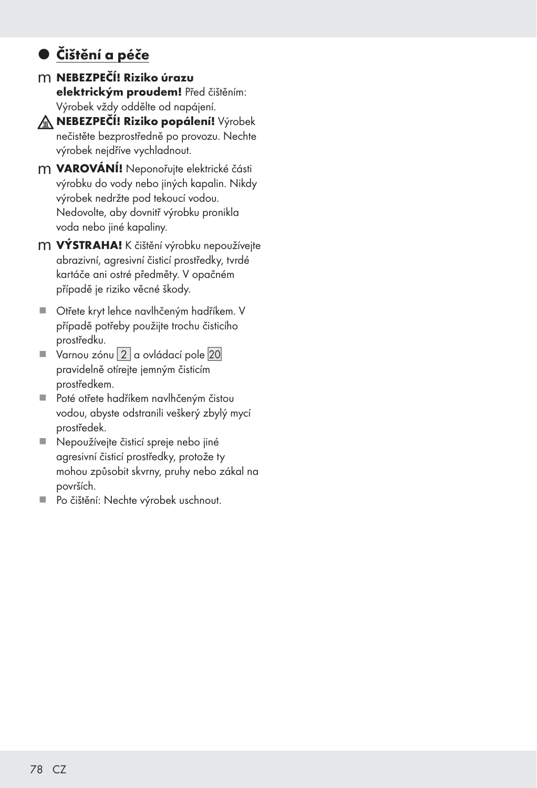## $\bullet$  Čištění a péče

m NEBEZPEČÍ! Riziko úrazu elektrickým proudem! Před čištěním: Výrobek vždy oddělte od napájení.



A NEBEZPEČÍ! Riziko popálení! Výrobek nečistěte bezprostředně po provozu. Nechte výrobek nejdříve vychladnout.

- m **VAROVÁNÍ!** Neponořujte elektrické části výrobku do vody nebo jiných kapalin. Nikdy výrobek nedržte pod tekoucí vodou. Nedovolte, aby dovnitř výrobku pronikla voda nebo jiné kapaliny.
- m **VÝSTRAHA!** K čištění výrobku nepoužívejte abrazivní, agresivní čisticí prostředky, tvrdé kartáče ani ostré předměty. V opačném případě je riziko věcné škody.
- Otřete kryt lehce navlhčeným hadříkem. V případě potřeby použijte trochu čisticího prostředku.
- $\blacksquare$  Varnou zónu  $\boxed{2}$  a ovládací pole  $\boxed{20}$ pravidelně otírejte jemným čisticím prostředkem.
- Poté otřete hadříkem navlhčeným čistou vodou, abyste odstranili veškerý zbylý mycí prostředek.
- Nepoužívejte čisticí spreje nebo jiné agresivní čisticí prostředky, protože ty mohou způsobit skvrny, pruhy nebo zákal na površích.
- Po čištění: Nechte výrobek uschnout.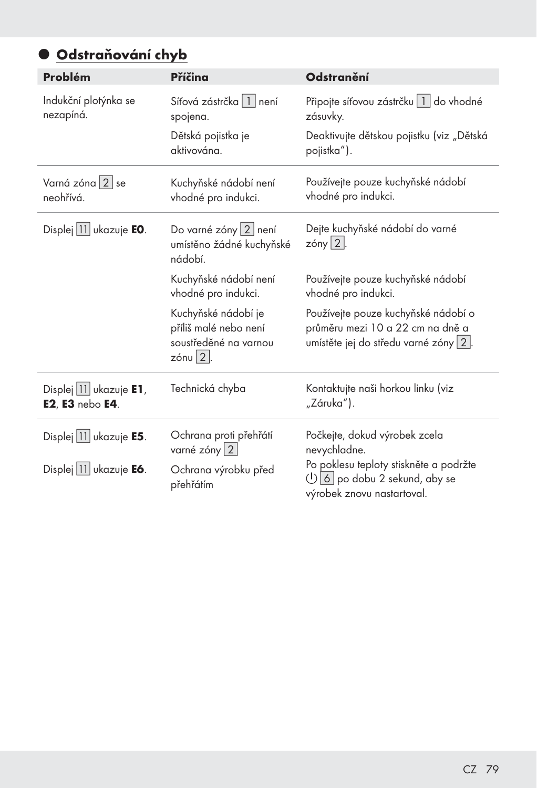## · Odstraňování chyb

| Problém                                   | Příčina                                                                                       | <b>Odstranění</b>                                                                                               |  |  |
|-------------------------------------------|-----------------------------------------------------------------------------------------------|-----------------------------------------------------------------------------------------------------------------|--|--|
| Indukční plotýnka se<br>nezapíná.         | Síťová zástrčka   1   není<br>spojena.                                                        | Připojte síťovou zástrčku   1   do vhodné<br>zásuvky.                                                           |  |  |
|                                           | Dětská pojistka je<br>aktivována.                                                             | Deaktivujte dětskou pojistku (viz "Dětská<br>pojistka").                                                        |  |  |
| Varná zóna 2 se<br>neohřívá.              | Kuchyňské nádobí není<br>vhodné pro indukci.                                                  | Používejte pouze kuchyňské nádobí<br>vhodné pro indukci.                                                        |  |  |
| Displej 11 ukazuje EO.                    | Do varné zóny 2 není<br>umístěno žádné kuchyňské<br>nádobí.                                   | Dejte kuchyňské nádobí do varné<br>zóny $2$ .                                                                   |  |  |
|                                           | Kuchyňské nádobí není<br>vhodné pro indukci.                                                  | Používejte pouze kuchyňské nádobí<br>vhodné pro indukci.                                                        |  |  |
|                                           | Kuchyňské nádobí je<br>příliš malé nebo není<br>soustředěné na varnou<br>$z$ ónu $\sqrt{2}$ . | Používejte pouze kuchyňské nádobí o<br>průměru mezi 10 a 22 cm na dně a<br>umístěte jej do středu varné zóny 2. |  |  |
| Displej 11 ukazuje E1,<br>E2, E3 nebo E4. | Technická chyba                                                                               | Kontaktujte naši horkou linku (viz<br>"Záruka").                                                                |  |  |
| Displej   11 ukazuje <b>E5</b> .          | Ochrana proti přehřátí<br>varné zóny 2                                                        | Počkejte, dokud výrobek zcela<br>nevychladne.                                                                   |  |  |
| Displej   11 ukazuje <b>E6</b> .          | Ochrana výrobku před<br>přehřátím                                                             | Po poklesu teploty stiskněte a podržte<br>$\bigcirc$ 6 po dobu 2 sekund, aby se<br>výrobek znovu nastartoval.   |  |  |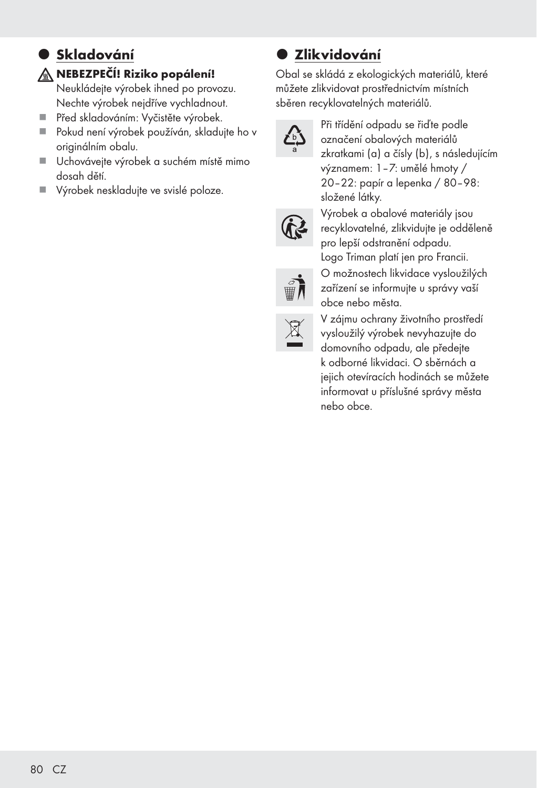## **·** Skladování

#### NEBEZPEČÍ! Riziko popálení!

Neukládejte výrobek ihned po provozu. Nechte výrobek nejdříve vychladnout.

- Před skladováním: Vyčistěte výrobek.
- Pokud není výrobek používán, skladujte ho v originálním obalu.
- Uchovávejte výrobek a suchém místě mimo dosah dětí.
- Výrobek neskladujte ve svislé poloze.

## $\bullet$  **Zlikvidování**

Obal se skládá z ekologických materiálů, které můžete zlikvidovat prostřednictvím místních sběren recyklovatelných materiálů.



Při třídění odpadu se řiďte podle označení obalových materiálů zkratkami (a) a čísly (b), s následujícím významem: 1–7: umělé hmoty / 20–22: papír a lepenka / 80–98: složené látky.



Výrobek a obalové materiály jsou recyklovatelné, zlikvidujte je odděleně pro lepší odstranění odpadu. Logo Triman platí jen pro Francii.

O možnostech likvidace vysloužilých zařízení se informujte u správy vaší

obce nebo města.





V zájmu ochrany životního prostředí vysloužilý výrobek nevyhazujte do domovního odpadu, ale předejte k odborné likvidaci. O sběrnách a jejich otevíracích hodinách se můžete informovat u příslušné správy města nebo obce.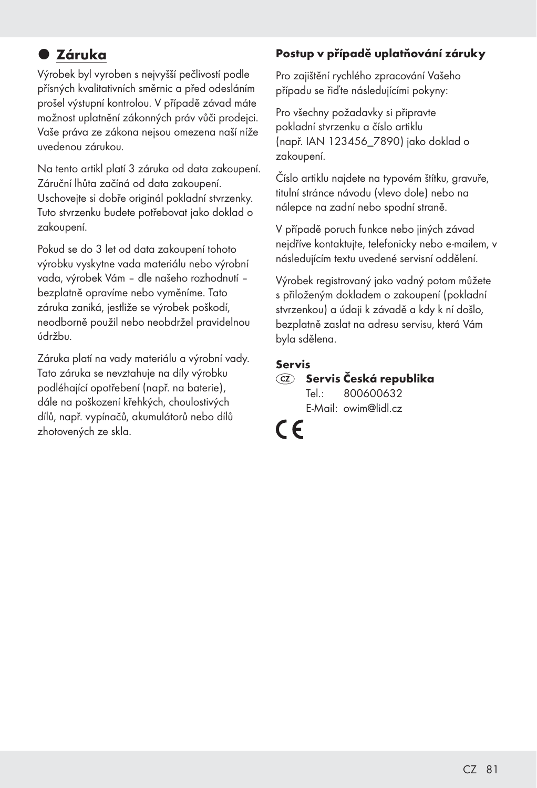## $\bullet$  **Záruka**

Výrobek byl vyroben s nejvyšší pečlivostí podle přísných kvalitativních směrnic a před odesláním prošel výstupní kontrolou. V případě závad máte možnost uplatnění zákonných práv vůči prodejci. Vaše práva ze zákona nejsou omezena naší níže uvedenou zárukou.

Na tento artikl platí 3 záruka od data zakoupení. Záruční lhůta začíná od data zakoupení. Uschovejte si dobře originál pokladní stvrzenky. Tuto stvrzenku budete potřebovat jako doklad o zakoupení.

Pokud se do 3 let od data zakoupení tohoto výrobku vyskytne vada materiálu nebo výrobní vada, výrobek Vám – dle našeho rozhodnutí – bezplatně opravíme nebo vyměníme. Tato záruka zaniká, jestliže se výrobek poškodí, neodborně použil nebo neobdržel pravidelnou údržbu.

Záruka platí na vady materiálu a výrobní vady. Tato záruka se nevztahuje na díly výrobku podléhající opotřebení (např. na baterie), dále na poškození křehkých, choulostivých dílů, např. vypínačů, akumulátorů nebo dílů zhotovených ze skla.

#### Postup v případě uplatňování záruky

Pro zajištění rychlého zpracování Vašeho případu se řiďte následujícími pokyny:

Pro všechny požadavky si připravte pokladní stvrzenku a číslo artiklu (např. IAN 123456\_7890) jako doklad o zakoupení.

Číslo artiklu najdete na typovém štítku, gravuře, titulní stránce návodu (vlevo dole) nebo na nálepce na zadní nebo spodní straně.

V případě poruch funkce nebo jiných závad nejdříve kontaktujte, telefonicky nebo e-mailem, v následujícím textu uvedené servisní oddělení.

Výrobek registrovaný jako vadný potom můžete s přiloženým dokladem o zakoupení (pokladní stvrzenkou) a údaji k závadě a kdy k ní došlo, bezplatně zaslat na adresu servisu, která Vám byla sdělena.

#### Servis

#### Servis Česká republika Tel.: 800600632

E-Mail: owim@lidl.cz

 $\epsilon$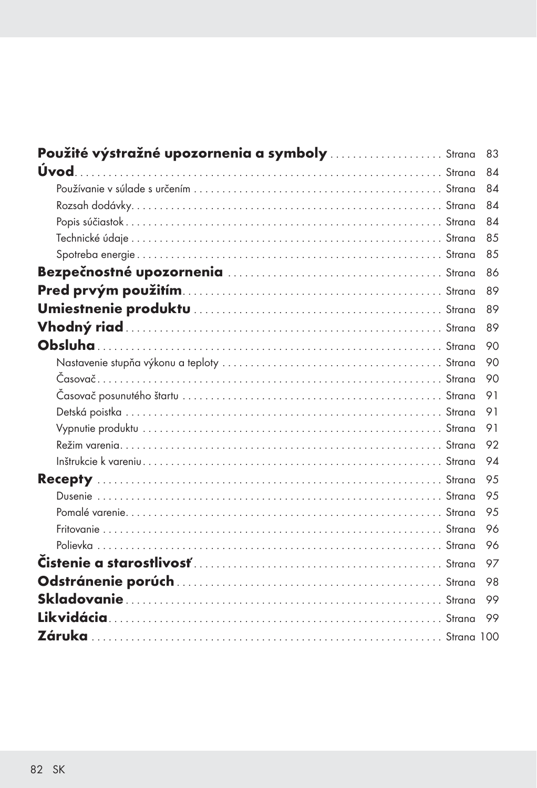| Použité výstražné upozornenia a symboly  Strana | 83  |
|-------------------------------------------------|-----|
|                                                 | 84  |
|                                                 | 84  |
|                                                 | 84  |
|                                                 | 84  |
|                                                 | 85  |
|                                                 | 8.5 |
|                                                 | 86  |
|                                                 | 89  |
|                                                 | 89  |
|                                                 | 89  |
|                                                 | 90  |
|                                                 | 90  |
|                                                 | 90  |
|                                                 | 91  |
|                                                 | 91  |
|                                                 | 91  |
|                                                 | 92  |
|                                                 | 94  |
|                                                 | 9.5 |
|                                                 | 9.5 |
|                                                 | 9.5 |
|                                                 | 96  |
|                                                 | 96  |
|                                                 | 97  |
|                                                 | 98  |
|                                                 | 99  |
|                                                 | 99  |
|                                                 |     |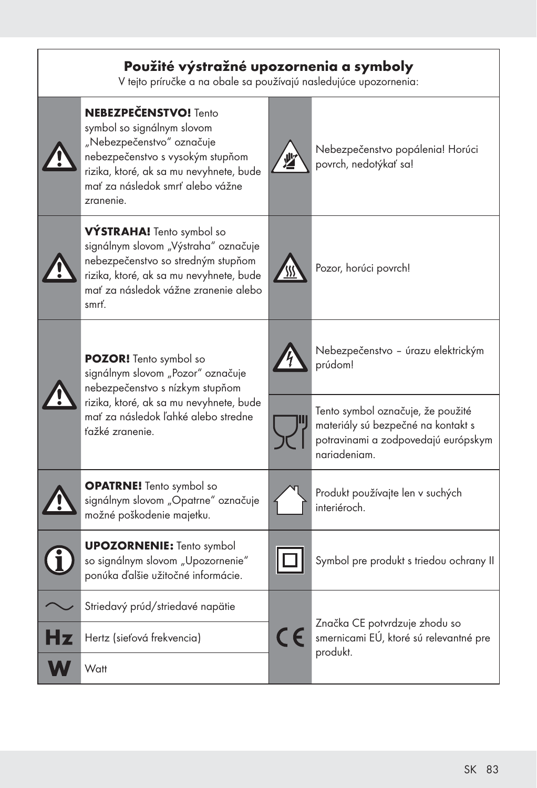| Použité výstražné upozornenia a symboly<br>V tejto príručke a na obale sa používajú nasledujúce upozornenia:                                                                                                            |                                                           |
|-------------------------------------------------------------------------------------------------------------------------------------------------------------------------------------------------------------------------|-----------------------------------------------------------|
| <b>NEBEZPEČENSTVO!</b> Tento<br>symbol so signálnym slovom<br>"Nebezpečenstvo" označuje<br>nebezpečenstvo s vysokým stupňom<br>rizika, ktoré, ak sa mu nevyhnete, bude<br>mať za následok smrť alebo vážne<br>zranenie. | Nebezpečenstvo popálenia! Horúci<br>povrch, nedotýkať sa! |
| VÝSTRAHA! Tento symbol so<br>signálnym slovom "Výstraha" označuje<br>nebezpečenstvo so stredným stupňom<br>rizika, ktoré, ak sa mu nevyhnete, bude<br>mať za následok vážne zranenie alebo<br>smrť.                     | Pozor, horúci povrch!                                     |
| <b>POZOR!</b> Tento symbol so                                                                                                                                                                                           | Nebezpečenstvo - úrazu elektrickým<br>prúdom!             |

signálnym slovom "Pozor" označuje nebezpečenstvo s nízkym stupňom rizika, ktoré, ak sa mu nevyhnete, bude mať za následok ľahké alebo stredne ťažké zranenie.

**OPATRNE!** Tento symbol so signálnym slovom "Opatrne" označuje

možné poškodenie majetku.



**Watt** 

UPOZORNENIE: Tento symbol so signálnym slovom "Upozornenie" ponúka ďalšie užitočné informácie. Striedavý prúd/striedavé napätie Hz Hertz (sieťová frekvencia)

Tento symbol označuje, že použité materiály sú bezpečné na kontakt s potravinami a zodpovedajú európskym nariadeniam.



Produkt používajte len v suchých interiéroch.



 $\epsilon$ 

Symbol pre produkt s triedou ochrany II

Značka CE potvrdzuje zhodu so smernicami EÚ, ktoré sú relevantné pre produkt.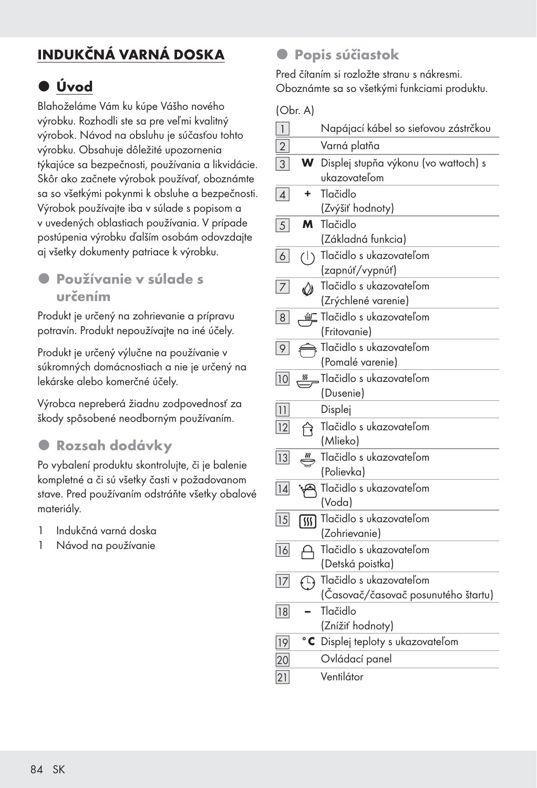## INDUKČNÁ VARNÁ DOSKA

## z Úvod

Blahoželáme Vám ku kúpe Vášho nového výrobku. Rozhodli ste sa pre veľmi kvalitný výrobok. Návod na obsluhu je súčasťou tohto výrobku. Obsahuje dôležité upozornenia týkajúce sa bezpečnosti, používania a likvidácie. Skôr ako začnete výrobok používať, oboznámte sa so všetkými pokynmi k obsluhe a bezpečnosti. Výrobok používajte iba v súlade s popisom a v uvedených oblastiach používania. V prípade postúpenia výrobku ďalším osobám odovzdajte aj všetky dokumenty patriace k výrobku.

### z Používanie v súlade s určením

Produkt je určený na zohrievanie a prípravu potravín. Produkt nepoužívajte na iné účely.

Produkt je určený výlučne na používanie v súkromných domácnostiach a nie je určený na lekárske alebo komerčné účely.

Výrobca nepreberá žiadnu zodpovednosť za škody spôsobené neodborným používaním.

### **• Rozsah dodávky**

Po vybalení produktu skontrolujte, či je balenie kompletné a či sú všetky časti v požadovanom stave. Pred používaním odstráňte všetky obalové materiály.

- 1 Indukčná varná doska
- 1 Návod na používanie

#### **·** Popis súčiastok

Pred čítaním si rozložte stranu s nákresmi. Oboznámte sa so všetkými funkciami produktu.

(Obr. A)

| $\overline{1}$  |            | Napájací kábel so sieťovou zástrčkou |
|-----------------|------------|--------------------------------------|
| $\overline{2}$  |            | Varná platňa                         |
| $\overline{3}$  | W          | Displej stupňa výkonu (vo wattoch) s |
|                 |            | ukazovateľom                         |
| $\overline{4}$  | ٠          | Tlačidlo                             |
|                 |            | (Zvýšiť hodnoty)                     |
| 5               | м          | Tlačidlo                             |
|                 |            | (Základná funkcia)                   |
| $\boxed{6}$     |            | (1) Tlačidlo s ukazovateľom          |
|                 |            | (zapnúť/vypnúť)                      |
| $\overline{7}$  | ♦          | Tlačidlo s ukazovateľom              |
|                 |            | (Zrýchlené varenie)                  |
| 8               | 鱼          | Tlačidlo s ukazovateľom              |
|                 |            | (Fritovanie)                         |
| 9               |            | Tlačidlo s ukazovateľom              |
|                 |            | (Pomalé varenie)                     |
| 10              |            | Tlačidlo s ukazovateľom              |
|                 |            | (Dusenie)                            |
| 11              |            | Displej                              |
| 12              | ণি         | Tlačidlo s ukazovateľom              |
|                 |            | (Mlieko)                             |
| 13              | ≝          | Tlačidlo s ukazovateľom              |
|                 |            | (Polievka)                           |
| $\overline{14}$ |            | Tlačidlo s ukazovateľom<br>(Voda)    |
|                 |            | Tlačidlo s ukazovateľom              |
| 15              | 俪          | (Zohrievanie)                        |
| 16              |            | Tlačidlo s ukazovateľom              |
|                 | А          | (Detská poistka)                     |
| 17              |            | Tlačidlo s ukazovateľom              |
|                 | $\bigodot$ | (Časovač/časovač posunutého štartu)  |
| 18              |            | Tlačidlo                             |
|                 |            | (Znížiť hodnoty)                     |
| $\overline{19}$ | $^\circ$ C | Displej teploty s ukazovateľom       |
| 20              |            | Ovládací panel                       |
|                 |            | Ventilátor                           |
| 21              |            |                                      |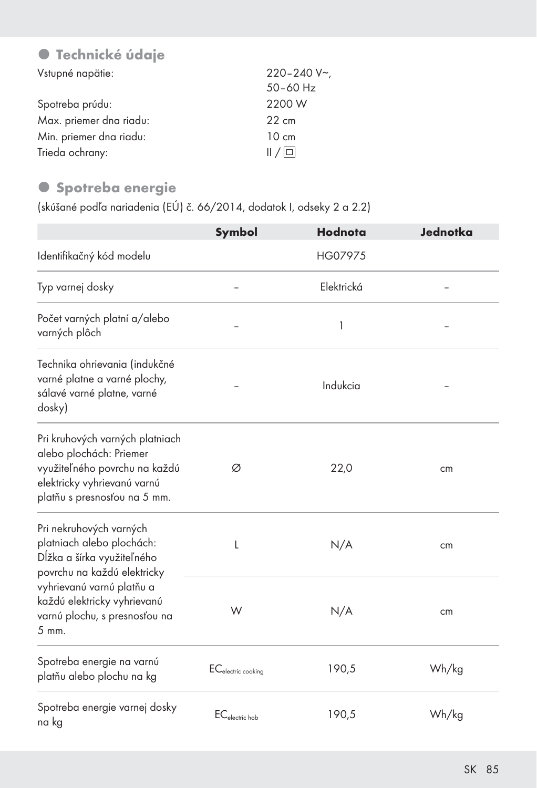## **• Technické údaje**

| Vstupné napätie:        | $220 - 240$ V~  |
|-------------------------|-----------------|
|                         | $50 - 60$ Hz    |
| Spotreba prúdu:         | 2200 W          |
| Max. priemer dna riadu: | $22 \text{ cm}$ |
| Min. priemer dna riadu: | $10 \text{ cm}$ |
| Trieda ochrany:         | /               |

#### $\bullet$  Spotreba energie

(skúšané podľa nariadenia (EÚ) č. 66/2014, dodatok I, odseky 2 a 2.2)

|                                                                                                                                                            | Symbol                         | Hodnota    | Jednotka |
|------------------------------------------------------------------------------------------------------------------------------------------------------------|--------------------------------|------------|----------|
| Identifikačný kód modelu                                                                                                                                   |                                | HG07975    |          |
| Typ varnej dosky                                                                                                                                           |                                | Elektrická |          |
| Počet varných platní a/alebo<br>varných plôch                                                                                                              |                                | 1          |          |
| Technika ohrievania (indukčné<br>varné platne a varné plochy,<br>sálavé varné platne, varné<br>dosky)                                                      |                                | Indukcia   |          |
| Pri kruhových varných platniach<br>alebo plochách: Priemer<br>využiteľného povrchu na každú<br>elektricky vyhrievanú varnú<br>platňu s presnosťou na 5 mm. | Ø                              | 22,0       | cm       |
| Pri nekruhových varných<br>platniach alebo plochách:<br>Dĺžka a šírka využiteľného<br>povrchu na každú elektricky                                          | L                              | N/A        | cm       |
| vyhrievanú varnú platňu a<br>každú elektricky vyhrievanú<br>varnú plochu, s presnosťou na<br>5 mm.                                                         | W                              | N/A        | cm       |
| Spotreba energie na varnú<br>platňu alebo plochu na kg                                                                                                     | EC <sub>electric cooking</sub> | 190,5      | Wh/kg    |
| Spotreba energie varnej dosky<br>na kg                                                                                                                     | EC <sub>electric</sub> hob     | 190,5      | Wh/kg    |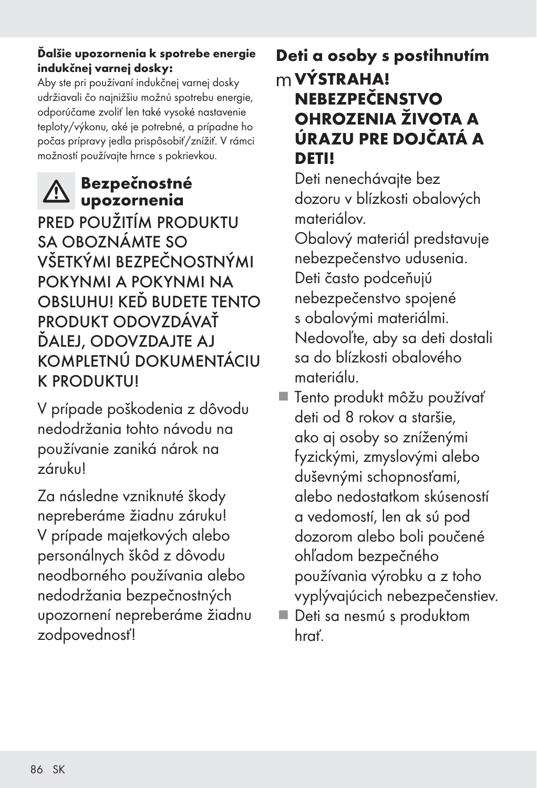#### Ďalšie upozornenia k spotrebe energie indukčnej varnej dosky:

Aby ste pri používaní indukčnej varnej dosky udržiavali čo najnižšiu možnú spotrebu energie, odporúčame zvoliť len také vysoké nastavenie teploty/výkonu, aké je potrebné, a prípadne ho počas prípravy jedla prispôsobiť/znížiť. V rámci možností používajte hrnce s pokrievkou.

## Bezpečnostné upozornenia

PRED POUŽITÍM PRODUKTU SA OBOZNÁMTE SO VŠETKÝMI BEZPEČNOSTNÝMI POKYNMI A POKYNMI NA OBSLUHU! KEĎ BUDETE TENTO PRODUKT ODOVZDÁVAŤ ĎALEJ, ODOVZDAJTE AJ KOMPLETNÚ DOKUMENTÁCIU K PRODUKTU!

V prípade poškodenia z dôvodu nedodržania tohto návodu na používanie zaniká nárok na záruku!

Za následne vzniknuté škody nepreberáme žiadnu záruku! V prípade majetkových alebo personálnych škôd z dôvodu neodborného používania alebo nedodržania bezpečnostných upozornení nepreberáme žiadnu zodpovednosť!

## Deti a osoby s postihnutím mVÝSTRAHA! NEBEZPEČENSTVO OHROZENIA ŽIVOTA A ÚRAZU PRE DOJČATÁ A DETI!

 Deti nenechávajte bez dozoru v blízkosti obalových materiálov.

 Obalový materiál predstavuje nebezpečenstvo udusenia. Deti často podceňujú nebezpečenstvo spojené s obalovými materiálmi. Nedovoľte, aby sa deti dostali sa do blízkosti obalového materiálu.

- Tento produkt môžu používať deti od 8 rokov a staršie, ako aj osoby so zníženými fyzickými, zmyslovými alebo duševnými schopnosťami, alebo nedostatkom skúseností a vedomostí, len ak sú pod dozorom alebo boli poučené ohľadom bezpečného používania výrobku a z toho vyplývajúcich nebezpečenstiev.
- Deti sa nesmú s produktom hrať.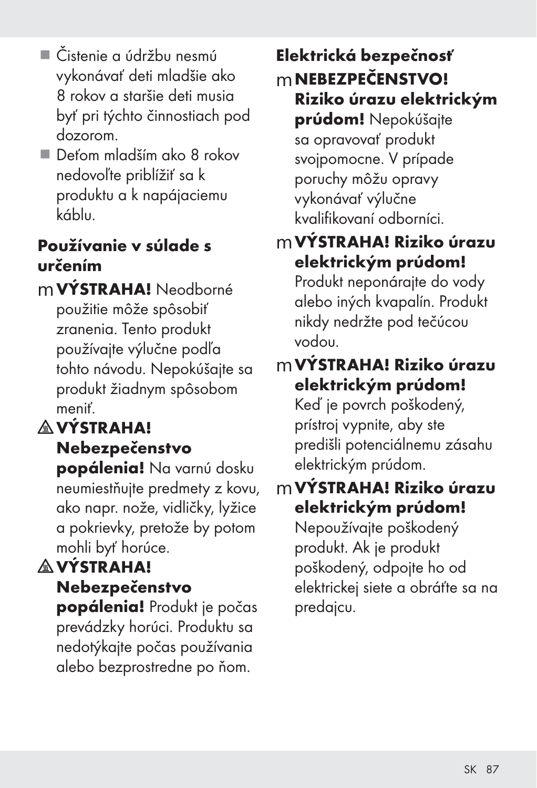- Čistenie a údržbu nesmú vykonávať deti mladšie ako 8 rokov a staršie deti musia byť pri týchto činnostiach pod dozorom.
- Deťom mladším ako 8 rokov nedovoľte priblížiť sa k produktu a k napájaciemu káblu.

## Používanie v súlade s určením

m **VÝSTRAHA!** Neodborné použitie môže spôsobiť zranenia. Tento produkt používajte výlučne podľa tohto návodu. Nepokúšajte sa produkt žiadnym spôsobom meniť.

## **A VÝSTRAHA!** Nebezpečenstvo

popálenia! Na varnú dosku neumiestňujte predmety z kovu, ako napr. nože, vidličky, lyžice a pokrievky, pretože by potom mohli byť horúce.

## **AVÝSTRAHA!**

Nebezpečenstvo popálenia! Produkt je počas prevádzky horúci. Produktu sa nedotýkajte počas používania alebo bezprostredne po ňom.

Elektrická bezpečnosť mNEBEZPEČENSTVO! Riziko úrazu elektrickým prúdom! Nepokúšajte sa opravovať produkt svojpomocne. V prípade poruchy môžu opravy vykonávať výlučne kvalifikovaní odborníci.

## mVÝSTRAHA! Riziko úrazu elektrickým prúdom! Produkt neponárajte do vody alebo iných kvapalín. Produkt nikdy nedržte pod tečúcou vodou.

## mVÝSTRAHA! Riziko úrazu elektrickým prúdom!

Keď je povrch poškodený, prístroj vypnite, aby ste predišli potenciálnemu zásahu elektrickým prúdom.

## mVÝSTRAHA! Riziko úrazu elektrickým prúdom!

Nepoužívajte poškodený produkt. Ak je produkt poškodený, odpojte ho od elektrickej siete a obráťte sa na predajcu.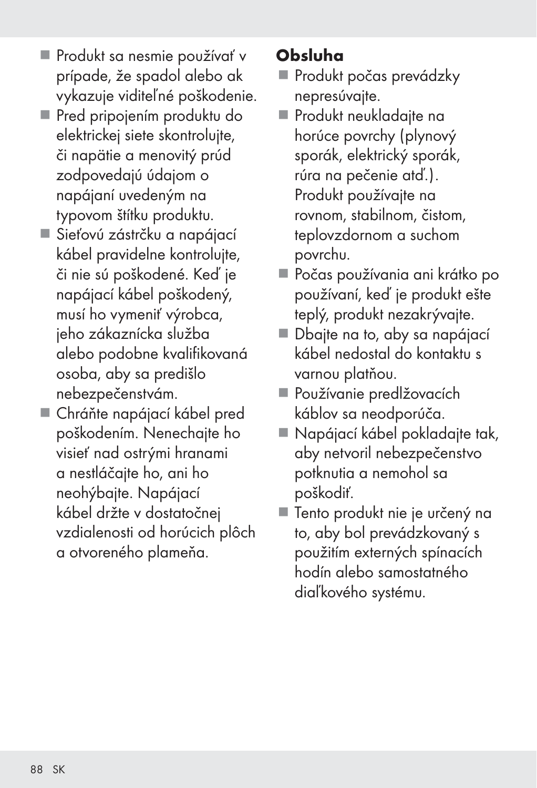- **Produkt sa nesmie používať v** prípade, že spadol alebo ak vykazuje viditeľné poškodenie.
- Pred pripojením produktu do elektrickej siete skontrolujte, či napätie a menovitý prúd zodpovedajú údajom o napájaní uvedeným na typovom štítku produktu.
- Sieťovú zástrčku a napájací kábel pravidelne kontrolujte, či nie sú poškodené. Keď je napájací kábel poškodený, musí ho vymeniť výrobca, jeho zákaznícka služba alebo podobne kvalifikovaná osoba, aby sa predišlo nebezpečenstvám.
- Chráňte napájací kábel pred poškodením. Nenechajte ho visieť nad ostrými hranami a nestláčajte ho, ani ho neohýbajte. Napájací kábel držte v dostatočnej vzdialenosti od horúcich plôch a otvoreného plameňa.

## Obsluha

- **Produkt počas prevádzky** nepresúvajte.
- **Produkt neukladajte na** horúce povrchy (plynový sporák, elektrický sporák, rúra na pečenie atď.). Produkt používajte na rovnom, stabilnom, čistom, teplovzdornom a suchom povrchu.
- Počas používania ani krátko po používaní, keď je produkt ešte teplý, produkt nezakrývajte.
- Dbajte na to, aby sa napájací kábel nedostal do kontaktu s varnou platňou.
- Používanie predlžovacích káblov sa neodporúča.
- Napájací kábel pokladajte tak, aby netvoril nebezpečenstvo potknutia a nemohol sa poškodiť.
- Tento produkt nie je určený na to, aby bol prevádzkovaný s použitím externých spínacích hodín alebo samostatného diaľkového systému.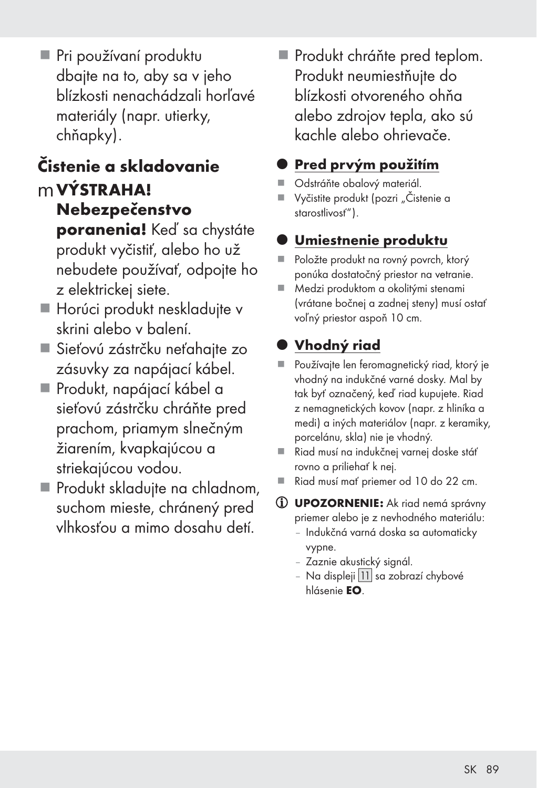Pri používaní produktu dbajte na to, aby sa v jeho blízkosti nenachádzali horľavé materiály (napr. utierky, chňapky).

## Čistenie a skladovanie mVÝSTRAHA!

- Nebezpečenstvo poranenia! Keď sa chystáte produkt vyčistiť, alebo ho už nebudete používať, odpojte ho z elektrickej siete.
- Horúci produkt neskladujte v skrini alebo v balení.
- Sieťovú zástrčku neťahajte zo zásuvky za napájací kábel.
- Produkt, napájací kábel a sieťovú zástrčku chráňte pred prachom, priamym slnečným žiarením, kvapkajúcou a striekajúcou vodou.
- Produkt skladujte na chladnom, suchom mieste, chránený pred vlhkosťou a mimo dosahu detí.

Produkt chráňte pred teplom. Produkt neumiestňujte do blízkosti otvoreného ohňa alebo zdrojov tepla, ako sú kachle alebo ohrievače.

## Pred prvým použitím

- Odstráňte obalový materiál.
- Vyčistite produkt (pozri "Čistenie a starostlivosť").

## Umiestnenie produktu

- Položte produkt na rovný povrch, ktorý ponúka dostatočný priestor na vetranie.
- Medzi produktom a okolitými stenami (vrátane bočnej a zadnej steny) musí ostať voľný priestor aspoň 10 cm.

## z Vhodný riad

- Používajte len feromagnetický riad, ktorý je vhodný na indukčné varné dosky. Mal by tak byť označený, keď riad kupujete. Riad z nemagnetických kovov (napr. z hliníka a medi) a iných materiálov (napr. z keramiky, porcelánu, skla) nie je vhodný.
- Riad musí na indukčnej varnej doske stáť rovno a priliehať k nej.
- Riad musí mať priemer od 10 do 22 cm.
- UPOZORNENIE: Ak riad nemá správny priemer alebo je z nevhodného materiálu:
	- Indukčná varná doska sa automaticky vypne.
	- Zaznie akustický signál.
	- Na displeji | 11 | sa zobrazí chybové hlásenie EO.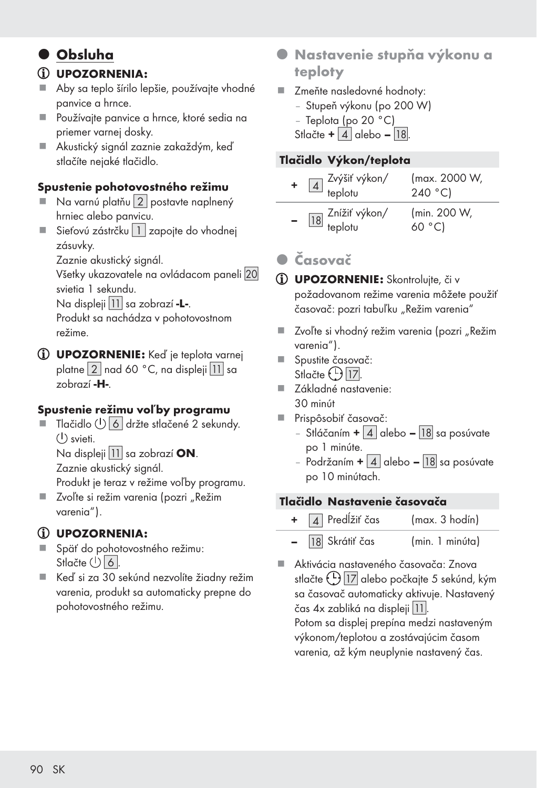### $\bullet$  Obsluha

#### UPOZORNENIA:

- Aby sa teplo šírilo lepšie, používajte vhodné panvice a hrnce.
- Používajte panvice a hrnce, ktoré sedia na priemer varnej dosky.
- Akustický signál zaznie zakaždým, keď stlačíte nejaké tlačidlo.

#### Spustenie pohotovostného režimu

- Na varnú platňu 2 postavte naplnený hrniec alebo panvicu.
- Sieťovú zástrčku $\boxed{1}$  zapojte do vhodnej zásuvky.

Zaznie akustický signál.

Všetky ukazovatele na ovládacom paneli 20 svietia 1 sekundu.

Na displeji | 11 | sa zobrazí **-L-**.

 Produkt sa nachádza v pohotovostnom režime.

UPOZORNENIE: Keď je teplota varnej platne  $\left| 2 \right|$  nad 60 °C, na displeji  $\left| 1 \right|$  sa zobrazí -H-.

#### Spustenie režimu voľby programu

 $\blacksquare$  Tlačidlo  $\binom{1}{2}$  6 držte stlačené 2 sekundy.  $(1)$  svieti.

Na displeji  $|11|$  sa zobrazí ON. Zaznie akustický signál.

Produkt je teraz v režime voľby programu.

■ Zvoľte si režim varenia (pozri "Režim varenia").

#### UPOZORNENIA:

- Späť do pohotovostného režimu: Stlačte  $(5)$ 6.
- Keď si za 30 sekúnd nezvolíte žiadny režim varenia, produkt sa automaticky prepne do pohotovostného režimu.
- **Nastavenie stupňa výkonu a** teploty
- **Zmeňte nasledovné hodnoty:** 
	- Stupeň výkonu (po 200 W)
	- Teplota (po 20 °C)
	- Stlačte +  $|4|$  alebo  $|18|$

#### Tlačidlo Výkon/teplota

| $\boxed{4}$ Zvýšiť výkon/<br>teplotu   | (max. 2000 W,<br>240 °C) |
|----------------------------------------|--------------------------|
| 18 <sup>Znížiť</sup> výkon/<br>teplotu | (min. 200 W,<br>60 °C    |

### z Časovač

- UPOZORNENIE: Skontrolujte, či v požadovanom režime varenia môžete použiť časovač: pozri tabuľku "Režim varenia"
- Zvoľte si vhodný režim varenia (pozri "Režim varenia").
- Spustite časovač: Stlačte (<u>L) 17</u>
- Základné nastavenie: 30 minút
- Prispôsobiť časovač:
	- Stláčaním  $+ 4$  alebo [18] sa posúvate po 1 minúte.
	- Podržaním  $+ 4$  alebo  $18$  sa posúvate po 10 minútach.

#### Tlačidlo Nastavenie časovača

 $\overline{4}$  Predĺžiť čas (max. 3 hodín) – [18] Skrátiť čas (min. 1 minúta)

 Aktivácia nastaveného časovača: Znova stlačte  $\bigcup_{i=1}^{n}$  alebo počkajte 5 sekúnd, kým sa časovač automaticky aktivuje. Nastavený čas 4x zabliká na displeji []. Potom sa displej prepína medzi nastaveným výkonom/teplotou a zostávajúcim časom varenia, až kým neuplynie nastavený čas.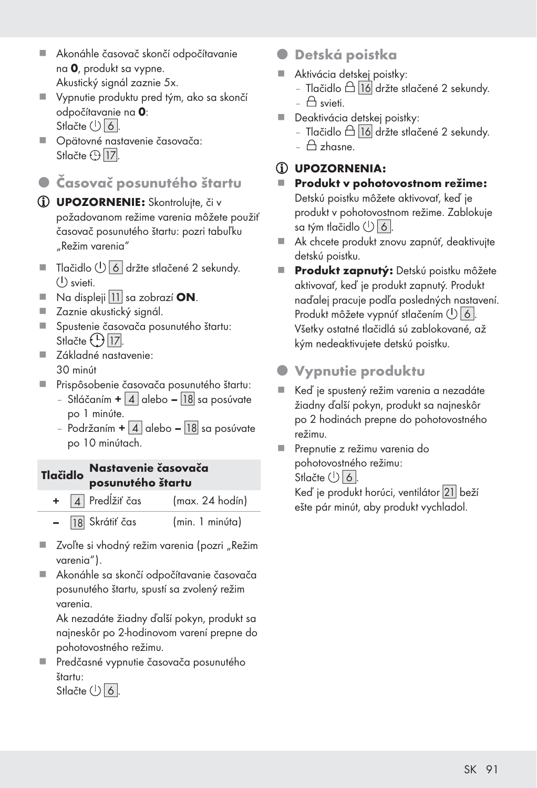- Akonáhle časovač skončí odpočítavanie na 0, produkt sa vypne. Akustický signál zaznie 5x.
- Vypnutie produktu pred tým, ako sa skončí odpočítavanie na 0: Stlačte  $($ <sup>t</sup> $)$  $6$ .
- Opätovné nastavenie časovača: Stlačte  $\bigcirc$  [17].

### z Časovač posunutého štartu

- UPOZORNENIE: Skontrolujte, či v požadovanom režime varenia môžete použiť časovač posunutého štartu: pozri tabuľku "Režim varenia"
- $\blacksquare$  Tlačidlo  $\bigcup$  6 držte stlačené 2 sekundy. svieti.
- $\blacksquare$  Na displeji | 11 | sa zobrazí **ON**.
- Zaznie akustický signál.
- Spustenie časovača posunutého štartu: Stlačte (<u>L) 17</u>
- Základné nastavenie: 30 minút
- Prispôsobenie časovača posunutého štartu:
	- Stláčaním  $+ 4$  alebo [18] sa posúvate po 1 minúte.
	- Podržaním +  $\boxed{4}$  alebo  $\boxed{18}$  sa posúvate po 10 minútach.

#### Tlačidlo Nastavenie časovača posunutého štartu

- + [4] Predĺžiť čas (max. 24 hodín)
- 18 Skrátiť čas (min. 1 minúta)
- Zvoľte si vhodný režim varenia (pozri "Režim varenia").
- Akonáhle sa skončí odpočítavanie časovača posunutého štartu, spustí sa zvolený režim varenia.

 Ak nezadáte žiadny ďalší pokyn, produkt sa najneskôr po 2-hodinovom varení prepne do pohotovostného režimu.

 Predčasné vypnutie časovača posunutého štartu: Stlačte  $\bigcup$  6.

- **•** Detská poistka
- Aktivácia detskej poistky:
	- Tlačidlo  $\triangle$  16 držte stlačené 2 sekundy.  $\triangle$  svieti.
- Deaktivácia detskej poistky:
	- Tlačidlo  $\triangle$  16 držte stlačené 2 sekundy.
	- $A$ zhasne.

#### UPOZORNENIA:

- Produkt v pohotovostnom režime: Detskú poistku môžete aktivovať, keď je produkt v pohotovostnom režime. Zablokuje sa tým tlačidlo  $\bigcup$  6.
- Ak chcete produkt znovu zapnúť, deaktivujte detskú poistku.
- Produkt zapnutý: Detskú poistku môžete aktivovať, keď je produkt zapnutý. Produkt naďalej pracuje podľa posledných nastavení. Produkt môžete vypnúť stlačením  $\bigcup$  6. Všetky ostatné tlačidlá sú zablokované, až kým nedeaktivujete detskú poistku.

### Vypnutie produktu

- Keď je spustený režim varenia a nezadáte žiadny ďalší pokyn, produkt sa najneskôr po 2 hodinách prepne do pohotovostného režimu.
- **Prepnutie z režimu varenia do** pohotovostného režimu: Stlačte  $(5)$  6. Keď je produkt horúci, ventilátor [
] beží ešte pár minút, aby produkt vychladol.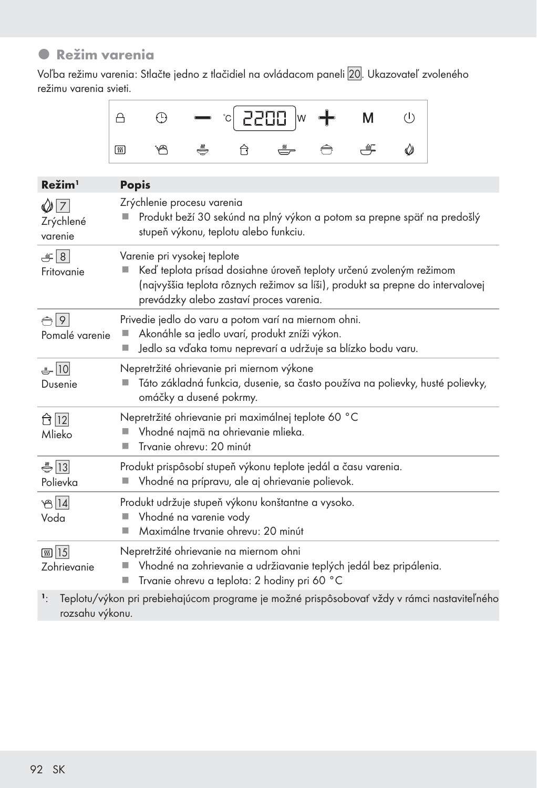### **•** Režim varenia

Voľba režimu varenia: Stlačte jedno z tlačidiel na ovládacom paneli 20. Ukazovateľ zvoleného režimu varenia svieti.



| Režim <sup>1</sup>                      | <b>Popis</b>                                                                                                                                                                                                                   |
|-----------------------------------------|--------------------------------------------------------------------------------------------------------------------------------------------------------------------------------------------------------------------------------|
| $Q\overline{7}$<br>Zrýchlené<br>varenie | Zrýchlenie procesu varenia<br>Produkt beží 30 sekúnd na plný výkon a potom sa prepne späť na predošlý<br>stupeň výkonu, teplotu alebo funkciu.                                                                                 |
| $\frac{1}{2}$ 8<br>Fritovanie           | Varenie pri vysokej teplote<br>Keď teplota prísad dosiahne úroveň teploty určenú zvoleným režimom<br>(najvyššia teplota rôznych režimov sa líši), produkt sa prepne do intervalovej<br>prevádzky alebo zastaví proces varenia. |
| $\bigoplus$ 9<br>Pomalé varenie         | Privedie jedlo do varu a potom varí na miernom ohni.<br>Akonáhle sa jedlo uvarí, produkt zníži výkon.<br>Jedlo sa vďaka tomu neprevarí a udržuje sa blízko bodu varu.                                                          |
| $-10$<br>Dusenie                        | Nepretržité ohrievanie pri miernom výkone<br>Táto základná funkcia, dusenie, sa často používa na polievky, husté polievky,<br>omáčky a dusené pokrmy.                                                                          |
| ← 12<br>Mlieko                          | Nepretržité ohrievanie pri maximálnej teplote 60 °C<br>Vhodné najmä na ohrievanie mlieka.<br>Trvanie ohrevu: 20 minút                                                                                                          |
| $\frac{1}{2}$  13 <br>Polievka          | Produkt prispôsobí stupeň výkonu teplote jedál a času varenia.<br>Vhodné na prípravu, ale aj ohrievanie polievok.                                                                                                              |
| 814<br>Voda                             | Produkt udržuje stupeň výkonu konštantne a vysoko.<br>Vhodné na varenie vody<br>Maximálne trvanie ohrevu: 20 minút<br>▉                                                                                                        |
| <b>கு</b> 15<br>Zohrievanie             | Nepretržité ohrievanie na miernom ohni<br>Vhodné na zohrievanie a udržiavanie teplých jedál bez pripálenia.<br>Trvanie ohrevu a teplota: 2 hodiny pri 60 °C                                                                    |

<sup>1</sup>: Teplotu/výkon pri prebiehajúcom programe je možné prispôsobovať vždy v rámci nastaviteľného rozsahu výkonu.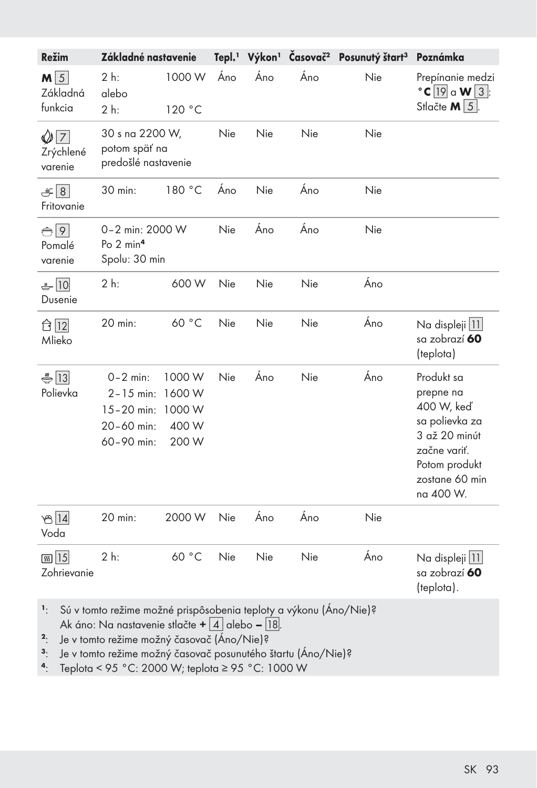| Režim                              | Základné nastavenie                                                                                                          |                                              |     |     |     | Tepl. <sup>1</sup> Výkon <sup>1</sup> Časovač <sup>2</sup> Posunutý štart <sup>3</sup> | Poznámka                                                                                                                                 |
|------------------------------------|------------------------------------------------------------------------------------------------------------------------------|----------------------------------------------|-----|-----|-----|----------------------------------------------------------------------------------------|------------------------------------------------------------------------------------------------------------------------------------------|
| $M\sqrt{5}$<br>Základná<br>funkcia | $2h$ :<br>alebo<br>2 h:                                                                                                      | 1000 W<br>120 °C                             | Áno | Áno | Áno | Nie                                                                                    | Prepínanie medzi<br>$\textdegree$ C 19 a W 3:<br>Stlačte $M \vert 5 \vert$ .                                                             |
| $\sqrt{7}$<br>Zrýchlené<br>varenie | 30 s na 2200 W,<br>potom späť na<br>predošlé nastavenie                                                                      |                                              | Nie | Nie | Nie | Nie                                                                                    |                                                                                                                                          |
| $\frac{1}{2}$ 8<br>Fritovanie      | 30 min:                                                                                                                      | 180 °C                                       | Áno | Nie | Áno | Nie                                                                                    |                                                                                                                                          |
| $\bigoplus$ 9<br>Pomalé<br>varenie | 0-2 min: 2000 W<br>Po $2 \text{ min}^4$<br>Spolu: 30 min                                                                     |                                              | Nie | Áno | Áno | Nie                                                                                    |                                                                                                                                          |
| $-10$<br>Dusenie                   | $2h$ :                                                                                                                       | 600 W                                        | Nie | Nie | Nie | Áno                                                                                    |                                                                                                                                          |
| ← 12<br>Mlieko                     | 20 min:                                                                                                                      | 60 °C                                        | Nie | Nie | Nie | Áno                                                                                    | Na displeji   11  <br>sa zobrazí <b>60</b><br>(teplota)                                                                                  |
| $\bigoplus$ 13<br>Polievka         | $0 - 2$ min:<br>$2 - 15$ min:<br>$15 - 20$ min:<br>20-60 min:<br>60-90 min:                                                  | 1000 W<br>1600 W<br>1000 W<br>400 W<br>200 W | Nie | Áno | Nie | Áno                                                                                    | Produkt sa<br>prepne na<br>400 W, keď<br>sa polievka za<br>3 až 20 minút<br>začne variť.<br>Potom produkt<br>zostane 60 min<br>na 400 W. |
| $B$ 14<br>Voda                     | 20 min:                                                                                                                      | 2000 W                                       | Nie | Áno | Áno | Nie                                                                                    |                                                                                                                                          |
| <b>கு</b> 15<br>Zohrievanie        | 2 h:                                                                                                                         | 60 °C                                        | Nie | Nie | Nie | Áno                                                                                    | Na displeji   11  <br>sa zobrazí 60<br>(teplota).                                                                                        |
| $\mathbb{I}_1$                     | Sú v tomto režime možné prispôsobenia teploty a výkonu (Áno/Nie)?<br>Ak áno: Na nastavenie stlačte + $\boxed{4}$ alebo – 18. |                                              |     |     |     |                                                                                        |                                                                                                                                          |

<sup>2</sup>: Je v tomto režime možný časovač (Áno/Nie)?

<sup>3</sup>: Je v tomto režime možný časovač posunutého štartu (Áno/Nie)?<br><sup>4</sup>: Teplota < 95 °C: 2000 W: teplota ≥ 95 °C: 1000 W

4: Teplota < 95 °C: 2000 W; teplota ≥ 95 °C: 1000 W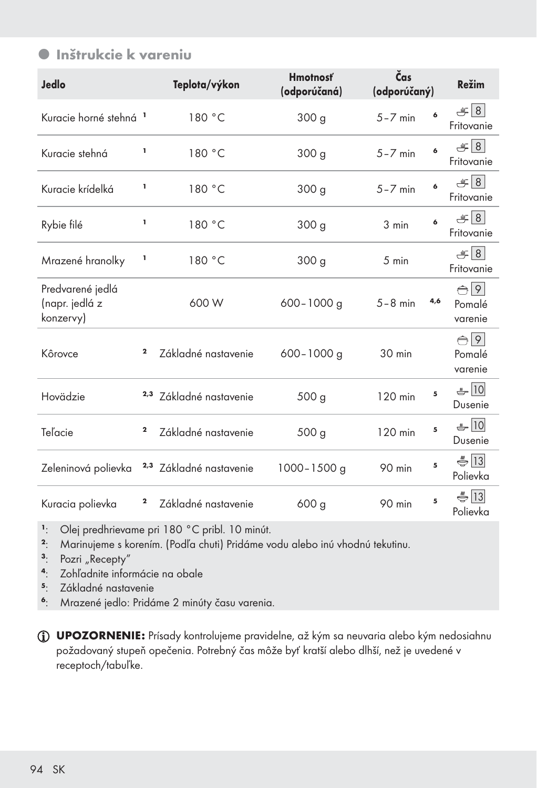### $\bullet$  Inštrukcie k vareniu

| <b>Jedlo</b>                                    |             | Teplota/výkon                      | <b>Hmotnosť</b><br>(odporúčaná) | Čas<br>(odporúčaný) |     | <b>Režim</b>                       |
|-------------------------------------------------|-------------|------------------------------------|---------------------------------|---------------------|-----|------------------------------------|
| Kuracie horné stehná <sup>1</sup>               |             | 180 °C                             | 300 g                           | $5 - 7$ min         | 6   | $= 8$<br>Fritovanie                |
| Kuracie stehná                                  | ı           | 180 °C                             | 300 g                           | $5 - 7$ min         | 6   | $-18$<br>Fritovanie                |
| Kuracie krídelká                                | ı           | 180 °C                             | 300 <sub>g</sub>                | $5 - 7$ min         | 6   | 8  <br>Fritovanie                  |
| Rybie filé                                      | ı           | 180 °C                             | 300 <sub>g</sub>                | 3 min               | 6   | 8  <br>Fritovanie                  |
| Mrazené hranolky                                | ı           | 180 °C                             | 300 <sub>g</sub>                | 5 min               |     | $= 8$<br>Fritovanie                |
| Predvarené jedlá<br>(napr. jedlá z<br>konzervy) |             | 600 W                              | $600 - 1000$ g                  | $5-8$ min           | 4,6 | $\bigoplus$ 9<br>Pomalé<br>varenie |
| Kôrovce                                         | $\mathbf 2$ | Základné nastavenie                | $600 - 1000$ g                  | 30 min              |     | $\bigoplus$ 9<br>Pomalé<br>varenie |
| Hovädzie                                        |             | 2,3 Základné nastavenie            | 500 <sub>g</sub>                | 120 min             | 5   | $-10$<br>Dusenie                   |
| Teľacie                                         | $\mathbf 2$ | Základné nastavenie                | 500 <sub>g</sub>                | 120 min             | 5   | $-10$<br>Dusenie                   |
| Zeleninová polievka                             |             | <sup>2,3</sup> Základné nastavenie | $1000 - 1500$ g                 | 90 min              | 5   | $\bigoplus$ 13<br>Polievka         |
| Kuracia polievka                                | 2           | Základné nastavenie                | 600 <sub>g</sub>                | 90 min              | 5   | $\bigoplus$ 13<br>Polievka         |

<sup>1</sup>: Olej predhrievame pri 180 °C pribl. 10 minút.

- <sup>2</sup>: Marinujeme s korením. (Podľa chuti) Pridáme vodu alebo inú vhodnú tekutinu.<br><sup>3</sup>: Pozri "Recepty"
- $\frac{3}{2}$ : Pozri "Recepty"<br> $\frac{4}{2}$ : Zohľadnite infor
- <sup>4</sup>: Zohľadnite informácie na obale<br>5. Základné nastavenie
- <sup>5</sup>: Základné nastavenie
- <sup>6</sup>: Mrazené jedlo: Pridáme 2 minúty času varenia.

UPOZORNENIE: Prísady kontrolujeme pravidelne, až kým sa neuvaria alebo kým nedosiahnu požadovaný stupeň opečenia. Potrebný čas môže byť kratší alebo dlhší, než je uvedené v receptoch/tabuľke.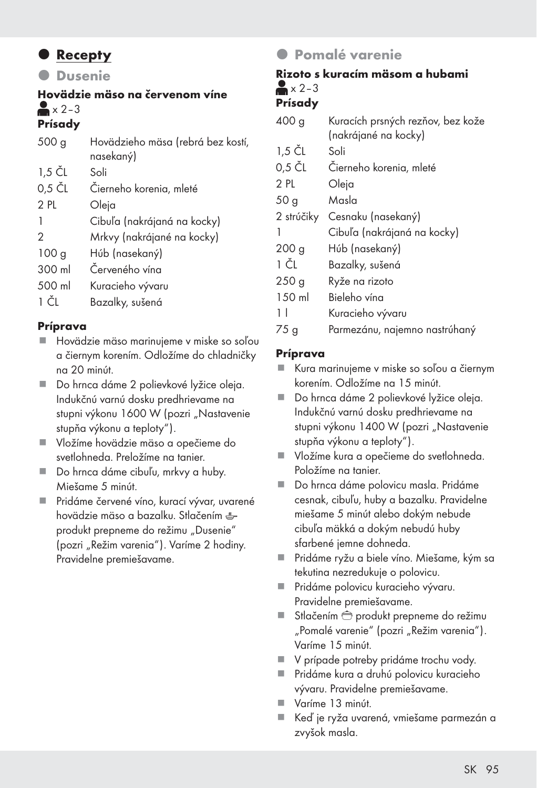### **•** Recepty

**O** Dusenie

### Hovädzie mäso na červenom víne  $\geq x$  2–3

### Prísady

| 500 <sub>g</sub> | Hovädzieho mäsa (rebrá bez kostí,<br>nasekaný) |
|------------------|------------------------------------------------|
| 1,5 ČL           | Soli                                           |
| $0,5$ $CL$       | Čierneho korenia, mleté                        |
| 2 PL             | Oleja                                          |
|                  | Cibuľa (nakrájaná na kocky)                    |
| 2                | Mrkvy (nakrájané na kocky)                     |
| 100 <sub>g</sub> | Húb (nasekaný)                                 |
| 300 ml           | Červeného vína                                 |
| 500 ml           | Kuracieho vývaru                               |
| $\sim$           | n II v /                                       |

1 ČL Bazalky, sušená

#### Príprava

- Hovädzie mäso marinujeme v miske so soľou a čiernym korením. Odložíme do chladničky na 20 minút.
- **Do hrnca dáme 2 polievkové lyžice oleja.** Indukčnú varnú dosku predhrievame na stupni výkonu 1600 W (pozri "Nastavenie stupňa výkonu a teploty").
- Vložíme hovädzie mäso a opečieme do svetlohneda. Preložíme na tanier.
- Do hrnca dáme cibuľu, mrkvy a huby. Miešame 5 minút.
- Pridáme červené víno, kurací vývar, uvarené hovädzie mäso a bazalku. Stlačením produkt prepneme do režimu "Dusenie" (pozri "Režim varenia"). Varíme 2 hodiny. Pravidelne premiešavame.

### **• Pomalé varenie**

### Rizoto s kuracím mäsom a hubami  $\geq x$  2–3

### Prísady

| 400 g            | Kuracích prsných rezňov, bez kože |
|------------------|-----------------------------------|
|                  | (nakrájané na kocky)              |
| 1,5 ČL           | Soli                              |
| 0,5 ČL           | Čierneho korenia, mleté           |
| 2 PL             | Oleja                             |
| 50 <sub>g</sub>  | Masla                             |
| 2 strúčiky       | Cesnaku (nasekaný)                |
| 1                | Cibuľa (nakrájaná na kocky)       |
| 200 <sub>g</sub> | Húb (nasekaný)                    |
| 1 ČL             | Bazalky, sušená                   |
| 250 <sub>g</sub> | Ryže na rizoto                    |
| 150 ml           | Bieleho vína                      |
| 11               | Kuracieho vývaru                  |
| 75 <sub>g</sub>  | Parmezánu, najemno nastrúhaný     |

#### Príprava

- Kura marinujeme v miske so soľou a čiernym korením. Odložíme na 15 minút.
- Do hrnca dáme 2 polievkové lyžice oleja. Indukčnú varnú dosku predhrievame na stupni výkonu 1400 W (pozri "Nastavenie stupňa výkonu a teploty").
- Vložíme kura a opečieme do svetlohneda. Položíme na tanier.
- Do hrnca dáme polovicu masla. Pridáme cesnak, cibuľu, huby a bazalku. Pravidelne miešame 5 minút alebo dokým nebude cibuľa mäkká a dokým nebudú huby sfarbené jemne dohneda.
- Pridáme ryžu a biele víno. Miešame, kým sa tekutina nezredukuje o polovicu.
- Pridáme polovicu kuracieho vývaru. Pravidelne premiešavame.
- Stlačením  $\bigoplus$  produkt prepneme do režimu "Pomalé varenie" (pozri "Režim varenia"). Varíme 15 minút.
- V prípade potreby pridáme trochu vody.
- Pridáme kura a druhú polovicu kuracieho vývaru. Pravidelne premiešavame.
- Varíme 13 minút.
- Keď je ryža uvarená, vmiešame parmezán a zvyšok masla.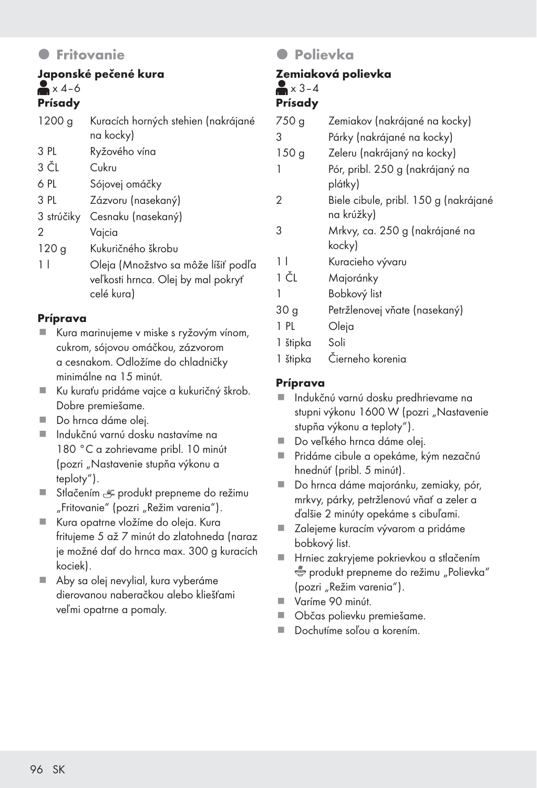### **O** Fritovanie

#### Japonské pečené kura  $\blacktriangleright$  x 4–6 Prísady

| 1200 g     | Kuracích horných stehien (nakrájané<br>na kocky)                                        |
|------------|-----------------------------------------------------------------------------------------|
| 3 PL       | Ryžového vína                                                                           |
| 3 ČL       | Cukru                                                                                   |
| 6 PL       | Sójovej omáčky                                                                          |
| 3 PL       | Zázvoru (nasekaný)                                                                      |
| 3 strúčiky | Cesnaku (nasekaný)                                                                      |
| 2          | Vajcia                                                                                  |
| 120g       | Kukuričného škrobu                                                                      |
| 11         | Oleja (Množstvo sa môže líšiť podľa<br>veľkosti hrnca. Olej by mal pokryť<br>celé kura) |

#### Príprava

- Kura marinujeme v miske s ryžovým vínom, cukrom, sójovou omáčkou, zázvorom a cesnakom. Odložíme do chladničky minimálne na 15 minút.
- Ku kuraťu pridáme vajce a kukuričný škrob. Dobre premiešame.
- Do hrnca dáme olei.
- Indukčnú varnú dosku nastavíme na 180 °C a zohrievame pribl. 10 minút (pozri "Nastavenie stupňa výkonu a teploty").
- Stlačením <sub>e</sub> produkt prepneme do režimu "Fritovanie" (pozri "Režim varenia").
- Kura opatrne vložíme do oleja. Kura fritujeme 5 až 7 minút do zlatohneda (naraz je možné dať do hrnca max. 300 g kuracích kociek).
- Aby sa olej nevylial, kura vyberáme dierovanou naberačkou alebo kliešťami veľmi opatrne a pomaly.

### **O** Polievka

#### Zemiaková polievka  $\approx$   $x$  3-4

#### Prísady

| 750 g            | Zemiakov (nakrájané na kocky)                       |
|------------------|-----------------------------------------------------|
| 3                | Párky (nakrájané na kocky)                          |
| 150 <sub>g</sub> | Zeleru (nakrájaný na kocky)                         |
| 1                | Pór, pribl. 250 g (nakrájaný na<br>plátky)          |
| 2                | Biele cibule, pribl. 150 g (nakrájané<br>na krúžky) |
| 3                | Mrkvy, ca. 250 g (nakrájané na<br>kocky)            |
| 11               | Kuracieho vývaru                                    |
| 1 ČL             | Majoránky                                           |
| 1                | Bobkový list                                        |
| 30 g             | Petržlenovej vňate (nasekaný)                       |
| 1 PL             | Oleja                                               |
| 1 štipka         | Soli                                                |
| 1 štipka         | Čierneho korenia                                    |

#### Príprava

- Indukčnú varnú dosku predhrievame na stupni výkonu 1600 W (pozri "Nastavenie stupňa výkonu a teploty").
- Do veľkého hrnca dáme olej.
- Pridáme cibule a opekáme, kým nezačnú hnednúť (pribl. 5 minút).
- Do hrnca dáme majoránku, zemiaky, pór, mrkvy, párky, petržlenovú vňať a zeler a ďalšie 2 minúty opekáme s cibuľami.
- Zalejeme kuracím vývarom a pridáme bobkový list.
- Hrniec zakryjeme pokrievkou a stlačením **Produkt prepneme do režimu** "Polievka" (pozri "Režim varenia").
- Varíme 90 minút.
- Občas polievku premiešame.
- Dochutíme soľou a korením.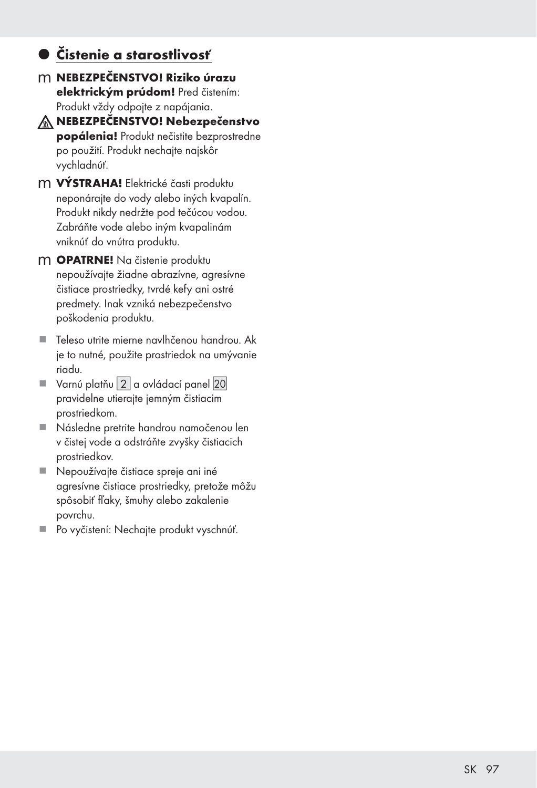### z Čistenie a starostlivosť

- m NEBEZPEČENSTVO! Riziko úrazu elektrickým prúdom! Pred čistením: Produkt vždy odpojte z napájania.
- A NEBEZPEČENSTVO! Nebezpečenstvo popálenia! Produkt nečistite bezprostredne po použití. Produkt nechajte najskôr vychladnúť.
- m **VÝSTRAHA!** Elektrické časti produktu neponárajte do vody alebo iných kvapalín. Produkt nikdy nedržte pod tečúcou vodou. Zabráňte vode alebo iným kvapalinám vniknúť do vnútra produktu.
- m OPATRNE! Na čistenie produktu nepoužívajte žiadne abrazívne, agresívne čistiace prostriedky, tvrdé kefy ani ostré predmety. Inak vzniká nebezpečenstvo poškodenia produktu.
- Teleso utrite mierne navlhčenou handrou. Ak je to nutné, použite prostriedok na umývanie riadu.
- $\blacksquare$  Varnú platňu $\boxed{2}$  a ovládací panel  $\boxed{20}$ pravidelne utierajte jemným čistiacim prostriedkom.
- Následne pretrite handrou namočenou len v čistej vode a odstráňte zvyšky čistiacich prostriedkov.
- Nepoužívajte čistiace spreje ani iné agresívne čistiace prostriedky, pretože môžu spôsobiť fľaky, šmuhy alebo zakalenie povrchu.
- Po vyčistení: Nechajte produkt vyschnúť.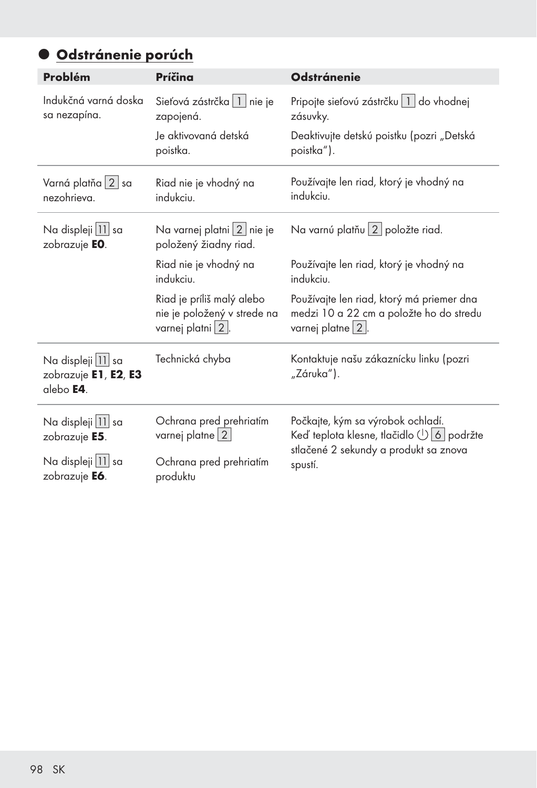## Odstránenie porúch

| Problém                                                | Príčina                                                                      | <b>Odstránenie</b>                                                                                                 |
|--------------------------------------------------------|------------------------------------------------------------------------------|--------------------------------------------------------------------------------------------------------------------|
| Indukčná varná doska<br>sa nezapína.                   | Sieťová zástrčka   1   nie je<br>zapojená.                                   | Pripojte sieťovú zástrčku   1   do vhodnej<br>zásuvky.                                                             |
|                                                        | Je aktivovaná detská<br>poistka.                                             | Deaktivujte detskú poistku (pozri "Detská<br>poistka").                                                            |
| Varná platňa 2 sa<br>nezohrieva.                       | Riad nie je vhodný na<br>indukciu.                                           | Používajte len riad, ktorý je vhodný na<br>indukciu.                                                               |
| Na displeji 11 sa<br>zobrazuje EO.                     | Na varnej platni 2 nie je<br>položený žiadny riad.                           | Na varnú platňu 2 položte riad.                                                                                    |
|                                                        | Riad nie je vhodný na<br>indukciu.                                           | Používajte len riad, ktorý je vhodný na<br>indukciu.                                                               |
|                                                        | Riad je príliš malý alebo<br>nie je položený v strede na<br>varnej platni 2. | Používajte len riad, ktorý má priemer dna<br>medzi 10 a 22 cm a položte ho do stredu<br>varnej platne $\sqrt{2}$ . |
| Na displeji 11 sa<br>zobrazuje E1, E2, E3<br>alebo E4. | Technická chyba                                                              | Kontaktuje našu zákaznícku linku (pozri<br>"Záruka").                                                              |
| Na displeji 11 sa<br>zobrazuje E5.                     | Ochrana pred prehriatím<br>varnej platne   2                                 | Počkajte, kým sa výrobok ochladí.<br>Keď teplota klesne, tlačidlo (1) 6 podržte                                    |
| Na displeji 11 sa<br>zobrazuje E6.                     | Ochrana pred prehriatím<br>produktu                                          | stlačené 2 sekundy a produkt sa znova<br>spustí.                                                                   |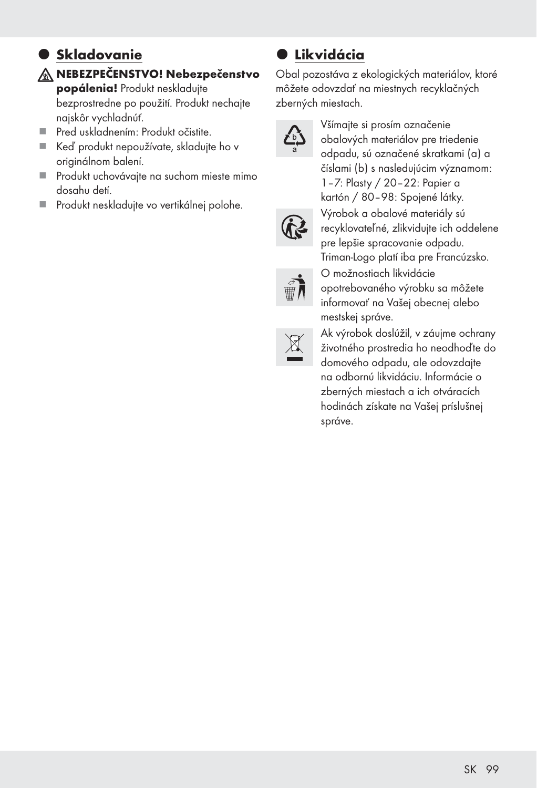### $\bullet$  **Skladovanie** NEBEZPEČENSTVO! Nebezpečenstvo

popálenia! Produkt neskladujte bezprostredne po použití. Produkt nechajte najskôr vychladnúť.

- Pred uskladnením: Produkt očistite.
- Keď produkt nepoužívate, skladujte ho v originálnom balení.
- Produkt uchovávajte na suchom mieste mimo dosahu detí.
- Produkt neskladujte vo vertikálnej polohe.

## $\bullet$  Likvidácia

Obal pozostáva z ekologických materiálov, ktoré môžete odovzdať na miestnych recyklačných zberných miestach.



Všímajte si prosím označenie obalových materiálov pre triedenie odpadu, sú označené skratkami (a) a číslami (b) s nasledujúcim významom: 1–7: Plasty / 20–22: Papier a kartón / 80–98: Spojené látky. Výrobok a obalové materiály sú recyklovateľné, zlikvidujte ich oddelene pre lepšie spracovanie odpadu. Triman-Logo platí iba pre Francúzsko. O možnostiach likvidácie opotrebovaného výrobku sa môžete informovať na Vašej obecnej alebo



Ak výrobok doslúžil, v záujme ochrany životného prostredia ho neodhoďte do domového odpadu, ale odovzdajte na odbornú likvidáciu. Informácie o zberných miestach a ich otváracích hodinách získate na Vašej príslušnej správe.

mestskej správe.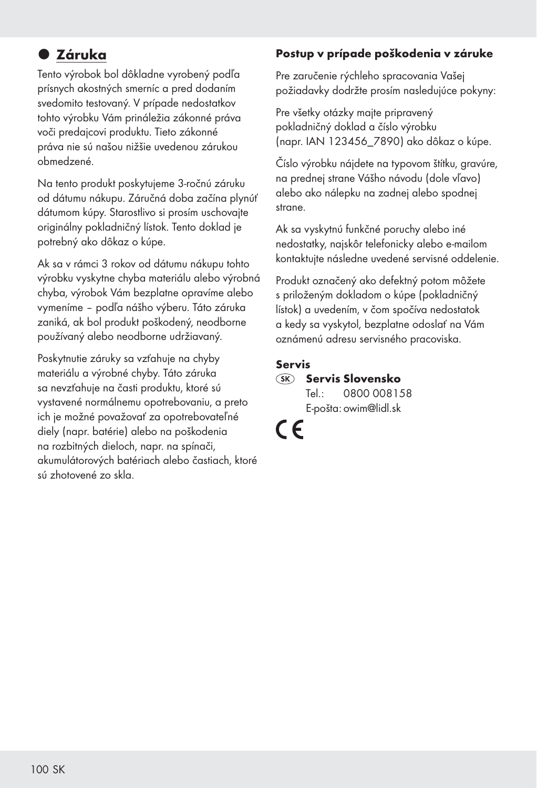## $\bullet$  **Záruka**

Tento výrobok bol dôkladne vyrobený podľa prísnych akostných smerníc a pred dodaním svedomito testovaný. V prípade nedostatkov tohto výrobku Vám prináležia zákonné práva voči predajcovi produktu. Tieto zákonné práva nie sú našou nižšie uvedenou zárukou obmedzené.

Na tento produkt poskytujeme 3-ročnú záruku od dátumu nákupu. Záručná doba začína plynúť dátumom kúpy. Starostlivo si prosím uschovajte originálny pokladničný lístok. Tento doklad je potrebný ako dôkaz o kúpe.

Ak sa v rámci 3 rokov od dátumu nákupu tohto výrobku vyskytne chyba materiálu alebo výrobná chyba, výrobok Vám bezplatne opravíme alebo vymeníme – podľa nášho výberu. Táto záruka zaniká, ak bol produkt poškodený, neodborne používaný alebo neodborne udržiavaný.

Poskytnutie záruky sa vzťahuje na chyby materiálu a výrobné chyby. Táto záruka sa nevzťahuje na časti produktu, ktoré sú vystavené normálnemu opotrebovaniu, a preto ich je možné považovať za opotrebovateľné diely (napr. batérie) alebo na poškodenia na rozbitných dieloch, napr. na spínači, akumulátorových batériach alebo častiach, ktoré sú zhotovené zo skla.

#### Postup v prípade poškodenia v záruke

Pre zaručenie rýchleho spracovania Vašej požiadavky dodržte prosím nasledujúce pokyny:

Pre všetky otázky majte pripravený pokladničný doklad a číslo výrobku (napr. IAN 123456\_7890) ako dôkaz o kúpe.

Číslo výrobku nájdete na typovom štítku, gravúre, na prednej strane Vášho návodu (dole vľavo) alebo ako nálepku na zadnej alebo spodnej strane.

Ak sa vyskytnú funkčné poruchy alebo iné nedostatky, najskôr telefonicky alebo e-mailom kontaktujte následne uvedené servisné oddelenie.

Produkt označený ako defektný potom môžete s priloženým dokladom o kúpe (pokladničný lístok) a uvedením, v čom spočíva nedostatok a kedy sa vyskytol, bezplatne odoslať na Vám oznámenú adresu servisného pracoviska.

#### Servis

#### **SK** Servis Slovensko Tel.: 0800 008158

E-pošta: owim@lidl.sk

 $\epsilon$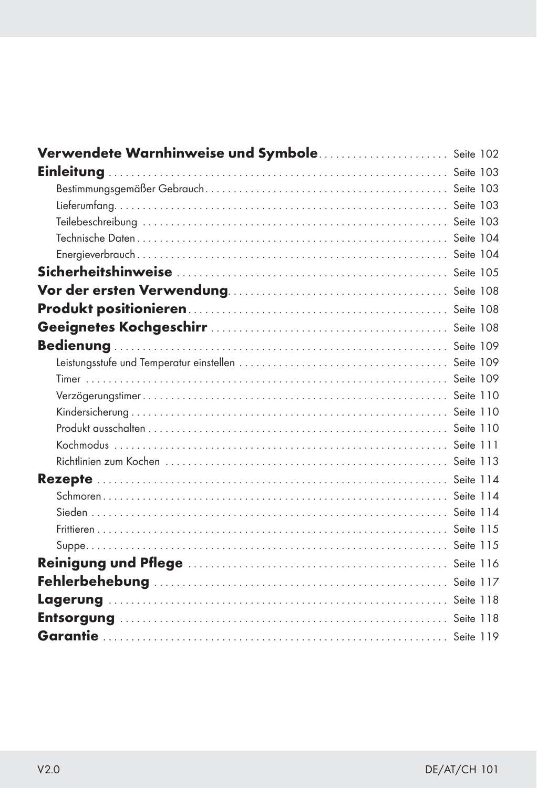| Verwendete Warnhinweise und Symbole Seite 102 |  |
|-----------------------------------------------|--|
|                                               |  |
|                                               |  |
|                                               |  |
|                                               |  |
|                                               |  |
|                                               |  |
|                                               |  |
|                                               |  |
|                                               |  |
|                                               |  |
|                                               |  |
|                                               |  |
|                                               |  |
|                                               |  |
|                                               |  |
|                                               |  |
|                                               |  |
|                                               |  |
|                                               |  |
|                                               |  |
|                                               |  |
|                                               |  |
|                                               |  |
|                                               |  |
|                                               |  |
|                                               |  |
|                                               |  |
|                                               |  |
|                                               |  |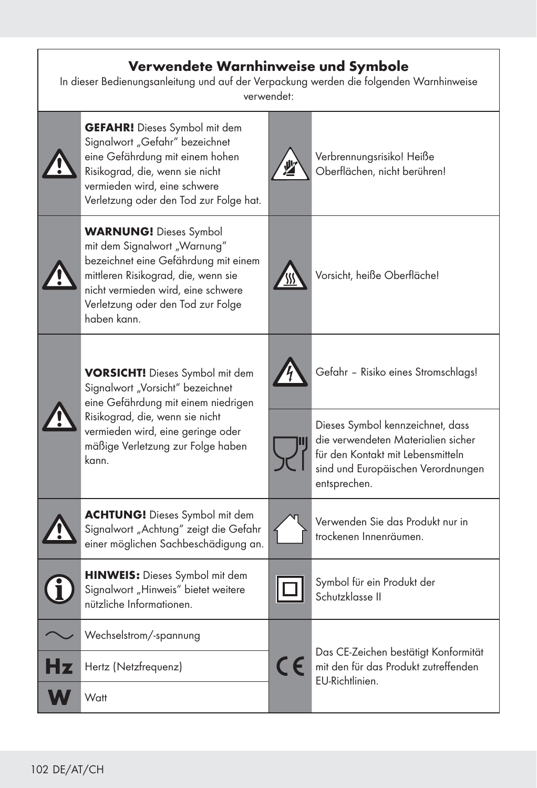#### Verwendete Warnhinweise und Symbole

In dieser Bedienungsanleitung und auf der Verpackung werden die folgenden Warnhinweise verwendet:

| <b>GEFAHR!</b> Dieses Symbol mit dem<br>Signalwort "Gefahr" bezeichnet<br>eine Gefährdung mit einem hohen<br>Risikograd, die, wenn sie nicht<br>vermieden wird, eine schwere<br>Verletzung oder den Tod zur Folge hat.                 |            | Verbrennungsrisiko! Heiße<br>Oberflächen, nicht berühren!                                                                                                         |  |
|----------------------------------------------------------------------------------------------------------------------------------------------------------------------------------------------------------------------------------------|------------|-------------------------------------------------------------------------------------------------------------------------------------------------------------------|--|
| <b>WARNUNG!</b> Dieses Symbol<br>mit dem Signalwort "Warnung"<br>bezeichnet eine Gefährdung mit einem<br>mittleren Risikograd, die, wenn sie<br>nicht vermieden wird, eine schwere<br>Verletzung oder den Tod zur Folge<br>haben kann. |            | Vorsicht, heiße Oberfläche!                                                                                                                                       |  |
| <b>VORSICHT!</b> Dieses Symbol mit dem<br>Signalwort "Vorsicht" bezeichnet<br>eine Gefährdung mit einem niedrigen                                                                                                                      |            | Gefahr - Risiko eines Stromschlags!                                                                                                                               |  |
| Risikograd, die, wenn sie nicht<br>vermieden wird, eine geringe oder<br>mäßige Verletzung zur Folge haben<br>kann.                                                                                                                     |            | Dieses Symbol kennzeichnet, dass<br>die verwendeten Materialien sicher<br>für den Kontakt mit Lebensmitteln<br>sind und Europäischen Verordnungen<br>entsprechen. |  |
| <b>ACHTUNG!</b> Dieses Symbol mit dem<br>Signalwort "Achtung" zeigt die Gefahr<br>einer möglichen Sachbeschädigung an.                                                                                                                 |            | Verwenden Sie das Produkt nur in<br>trockenen Innenräumen.                                                                                                        |  |
| <b>HINWEIS:</b> Dieses Symbol mit dem<br>Signalwort "Hinweis" bietet weitere<br>nützliche Informationen.                                                                                                                               |            | Symbol für ein Produkt der<br>Schutzklasse II                                                                                                                     |  |
| Wechselstrom/-spannung                                                                                                                                                                                                                 |            |                                                                                                                                                                   |  |
| Hertz (Netzfrequenz)                                                                                                                                                                                                                   | $\epsilon$ | Das CE-Zeichen bestätigt Konformität<br>mit den für das Produkt zutreffenden                                                                                      |  |
| Watt                                                                                                                                                                                                                                   |            | EU-Richtlinien.                                                                                                                                                   |  |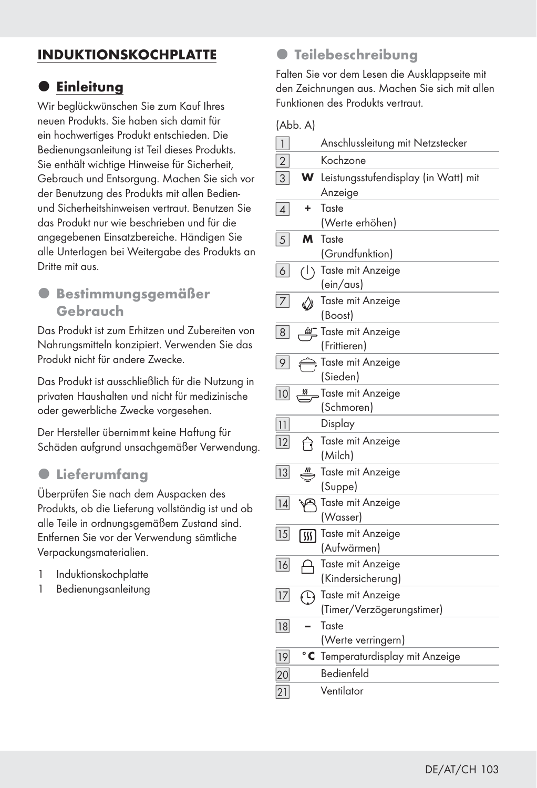### INDUKTIONSKOCHPLATTE

### $\bullet$  **Einleitung**

Wir beglückwünschen Sie zum Kauf Ihres neuen Produkts. Sie haben sich damit für ein hochwertiges Produkt entschieden. Die Bedienungsanleitung ist Teil dieses Produkts. Sie enthält wichtige Hinweise für Sicherheit, Gebrauch und Entsorgung. Machen Sie sich vor der Benutzung des Produkts mit allen Bedienund Sicherheitshinweisen vertraut. Benutzen Sie das Produkt nur wie beschrieben und für die angegebenen Einsatzbereiche. Händigen Sie alle Unterlagen bei Weitergabe des Produkts an Dritte mit aus.

#### **• Bestimmungsgemäßer** Gebrauch

Das Produkt ist zum Erhitzen und Zubereiten von Nahrungsmitteln konzipiert. Verwenden Sie das Produkt nicht für andere Zwecke.

Das Produkt ist ausschließlich für die Nutzung in privaten Haushalten und nicht für medizinische oder gewerbliche Zwecke vorgesehen.

Der Hersteller übernimmt keine Haftung für Schäden aufgrund unsachgemäßer Verwendung.

#### $\bullet$  Lieferumfang

Überprüfen Sie nach dem Auspacken des Produkts, ob die Lieferung vollständig ist und ob alle Teile in ordnungsgemäßem Zustand sind. Entfernen Sie vor der Verwendung sämtliche Verpackungsmaterialien.

- 1 Induktionskochplatte
- 1 Bedienungsanleitung

### $\bullet$  **Teilebeschreibung**

Falten Sie vor dem Lesen die Ausklappseite mit den Zeichnungen aus. Machen Sie sich mit allen Funktionen des Produkts vertraut.

(Abb. A)

| $\mathbf{1}$       |              | Anschlussleitung mit Netzstecker            |
|--------------------|--------------|---------------------------------------------|
| $\overline{2}$     |              | Kochzone                                    |
| 3                  | w            | Leistungsstufendisplay (in Watt) mit        |
|                    |              | Anzeige                                     |
| $\vert$            | ٠            | Taste<br>(Werte erhöhen)                    |
| 5                  | м            | Taste                                       |
|                    |              | (Grundfunktion)                             |
| $6\vert$           | (1)          | Taste mit Anzeige<br>(ein/aus)              |
| $\overline{7}$     | M            | Taste mit Anzeige<br>(Boost)                |
| 8 <sup>1</sup>     | ≝            | Taste mit Anzeige<br>(Frittieren)           |
| 9                  |              | Taste mit Anzeige<br>(Sieden)               |
| 10                 | <u>纵</u>     | Taste mit Anzeige<br>(Schmoren)             |
| 11                 |              | Display                                     |
| 12                 | নি           | Taste mit Anzeige<br>(Milch)                |
| 13                 |              | Taste mit Anzeige<br>(Suppe)                |
| $\lceil 14 \rceil$ | پھو          | Taste mit Anzeige<br>(Wasser)               |
| 15                 | । हा         | Taste mit Anzeige<br>(Aufwärmen)            |
| 16                 | А            | Taste mit Anzeige<br>(Kindersicherung)      |
| 17                 | $\bigcap$    | Taste mit Anzeige                           |
|                    |              | (Timer/Verzögerungstimer)                   |
| 18                 |              | Taste                                       |
|                    | $^{\circ}$ C | (Werte verringern)                          |
| 19                 |              | Temperaturdisplay mit Anzeige<br>Bedienfeld |
| 20                 |              |                                             |
| 21                 |              | Ventilator                                  |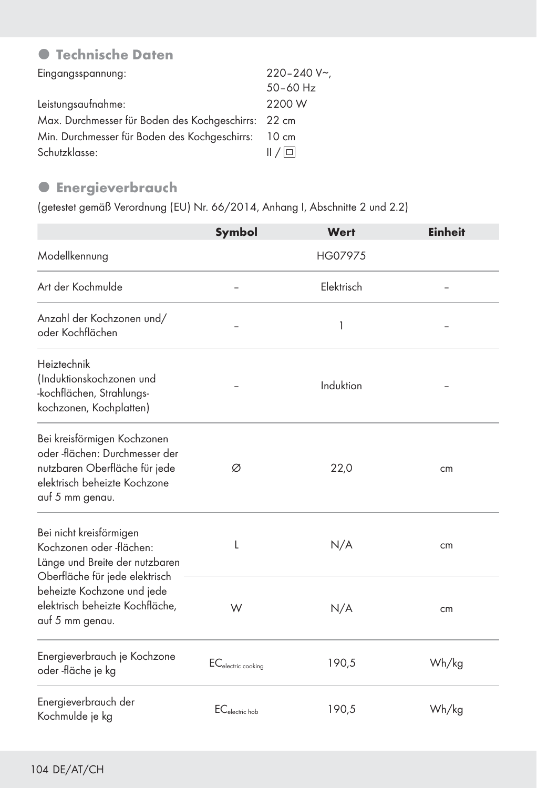## **• Technische Daten**

| Eingangsspannung:                                   | $220 - 240 V$ |
|-----------------------------------------------------|---------------|
|                                                     | $50 - 60$ Hz  |
| Leistungsaufnahme:                                  | 2200 W        |
| Max. Durchmesser für Boden des Kochgeschirrs: 22 cm |               |
| Min. Durchmesser für Boden des Kochgeschirrs: 10 cm |               |
| Schutzklasse:                                       | /             |

#### **•** Energieverbrauch

(getestet gemäß Verordnung (EU) Nr. 66/2014, Anhang I, Abschnitte 2 und 2.2)

|                                                                                                                                                   | Symbol                         | Wert       | <b>Einheit</b> |
|---------------------------------------------------------------------------------------------------------------------------------------------------|--------------------------------|------------|----------------|
| Modellkennung                                                                                                                                     |                                | HG07975    |                |
| Art der Kochmulde                                                                                                                                 |                                | Elektrisch |                |
| Anzahl der Kochzonen und/<br>oder Kochflächen                                                                                                     |                                | 1          |                |
| Heiztechnik<br>(Induktionskochzonen und<br>-kochflächen, Strahlungs-<br>kochzonen, Kochplatten)                                                   |                                | Induktion  |                |
| Bei kreisförmigen Kochzonen<br>oder -flächen: Durchmesser der<br>nutzbaren Oberfläche für jede<br>elektrisch beheizte Kochzone<br>auf 5 mm genau. | Ø                              | 22,0       | cm             |
| Bei nicht kreisförmigen<br>Kochzonen oder -flächen:<br>Länge und Breite der nutzbaren                                                             | L                              | N/A        | cm             |
| Oberfläche für jede elektrisch<br>beheizte Kochzone und jede<br>elektrisch beheizte Kochfläche,<br>auf 5 mm genau.                                | W                              | N/A        | cm             |
| Energieverbrauch je Kochzone<br>oder -fläche je kg                                                                                                | EC <sub>electric cooking</sub> | 190,5      | Wh/kg          |
| Energieverbrauch der<br>Kochmulde je kg                                                                                                           | $EC_{electric\,hob}$           | 190,5      | Wh/kg          |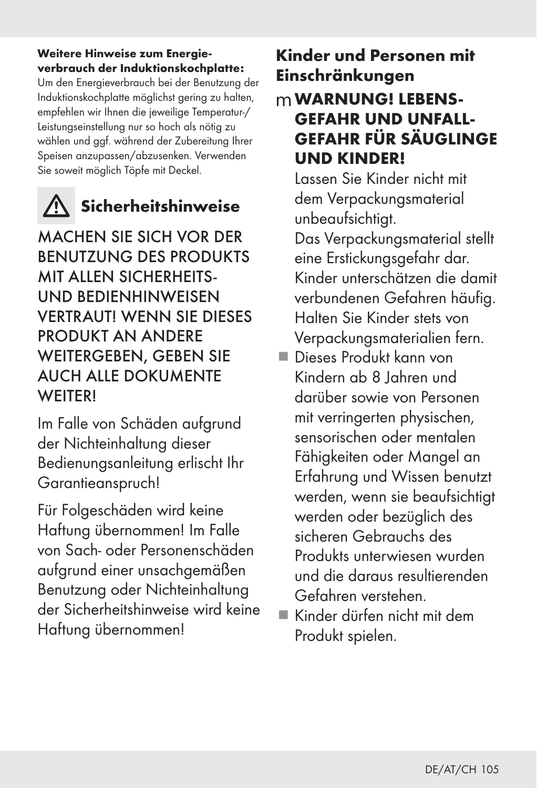#### Weitere Hinweise zum Energieverbrauch der Induktionskochplatte:

Um den Energieverbrauch bei der Benutzung der Induktionskochplatte möglichst gering zu halten, empfehlen wir Ihnen die jeweilige Temperatur-/ Leistungseinstellung nur so hoch als nötig zu wählen und ggf. während der Zubereitung Ihrer Speisen anzupassen/abzusenken. Verwenden Sie soweit möglich Töpfe mit Deckel.



## Sicherheitshinweise

MACHEN SIE SICH VOR DER BENUTZUNG DES PRODUKTS MIT ALLEN SICHERHEITS-UND BEDIENHINWEISEN VERTRAUT! WENN SIE DIESES PRODUKT AN ANDERE WEITERGEBEN, GEBEN SIE AUCH ALLE DOKUMENTE WEITER!

Im Falle von Schäden aufgrund der Nichteinhaltung dieser Bedienungsanleitung erlischt Ihr Garantieanspruch!

Für Folgeschäden wird keine Haftung übernommen! Im Falle von Sach- oder Personenschäden aufgrund einer unsachgemäßen Benutzung oder Nichteinhaltung der Sicherheitshinweise wird keine Haftung übernommen!

## Kinder und Personen mit Einschränkungen

## mWARNUNG! LEBENS-GEFAHR UND UNFALL-GEFAHR FÜR SÄUGLINGE UND KINDER!

 Lassen Sie Kinder nicht mit dem Verpackungsmaterial unbeaufsichtigt.

Das Verpackungsmaterial stellt eine Erstickungsgefahr dar. Kinder unterschätzen die damit verbundenen Gefahren häufig. Halten Sie Kinder stets von Verpackungsmaterialien fern.

- Dieses Produkt kann von Kindern ab 8 Jahren und darüber sowie von Personen mit verringerten physischen, sensorischen oder mentalen Fähigkeiten oder Mangel an Erfahrung und Wissen benutzt werden, wenn sie beaufsichtigt werden oder bezüglich des sicheren Gebrauchs des Produkts unterwiesen wurden und die daraus resultierenden Gefahren verstehen.
- Kinder dürfen nicht mit dem Produkt spielen.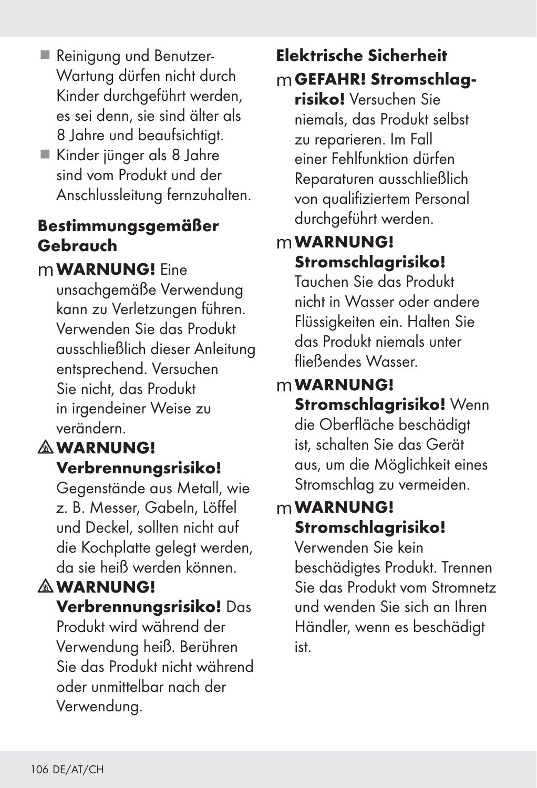- Reinigung und Benutzer-Wartung dürfen nicht durch Kinder durchgeführt werden, es sei denn, sie sind älter als 8 Jahre und beaufsichtigt.
- Kinder jünger als 8 Jahre sind vom Produkt und der Anschlussleitung fernzuhalten.

## Bestimmungsgemäßer Gebrauch

## mWARNUNG! Eine

unsachgemäße Verwendung kann zu Verletzungen führen. Verwenden Sie das Produkt ausschließlich dieser Anleitung entsprechend. Versuchen Sie nicht, das Produkt in irgendeiner Weise zu verändern.

## *<b>MWARNUNG!* Verbrennungsrisiko!

Gegenstände aus Metall, wie z. B. Messer, Gabeln, Löffel und Deckel, sollten nicht auf die Kochplatte gelegt werden, da sie heiß werden können.

## **A WARNUNG!**

### Verbrennungsrisiko! Das

Produkt wird während der Verwendung heiß. Berühren Sie das Produkt nicht während oder unmittelbar nach der Verwendung.

# Elektrische Sicherheit

mGEFAHR! Stromschlag-

risiko! Versuchen Sie niemals, das Produkt selbst zu reparieren. Im Fall einer Fehlfunktion dürfen Reparaturen ausschließlich von qualifiziertem Personal durchgeführt werden.

## mWARNUNG! Stromschlagrisiko!

Tauchen Sie das Produkt nicht in Wasser oder andere Flüssigkeiten ein. Halten Sie das Produkt niemals unter fließendes Wasser.

## mWARNUNG!

Stromschlaarisiko! Wenn die Oberfläche beschädigt ist, schalten Sie das Gerät aus, um die Möglichkeit eines Stromschlag zu vermeiden.

## mWARNUNG! Stromschlagrisiko!

Verwenden Sie kein beschädigtes Produkt. Trennen Sie das Produkt vom Stromnetz und wenden Sie sich an Ihren Händler, wenn es beschädigt ist.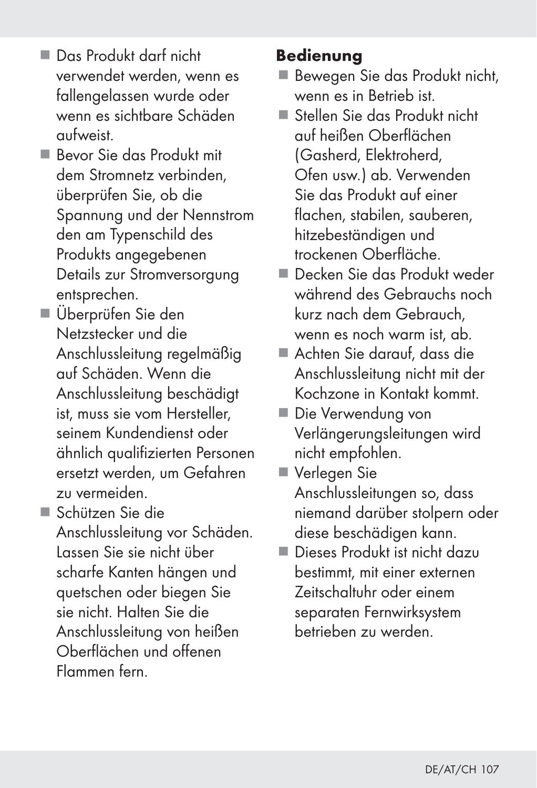- Das Produkt darf nicht verwendet werden, wenn es fallengelassen wurde oder wenn es sichtbare Schäden aufweist.
- Bevor Sie das Produkt mit dem Stromnetz verbinden, überprüfen Sie, ob die Spannung und der Nennstrom den am Typenschild des Produkts angegebenen Details zur Stromversorgung entsprechen.
- Überprüfen Sie den Netzstecker und die Anschlussleitung regelmäßig auf Schäden. Wenn die Anschlussleitung beschädigt ist, muss sie vom Hersteller, seinem Kundendienst oder ähnlich qualifizierten Personen ersetzt werden, um Gefahren zu vermeiden.
- Schützen Sie die Anschlussleitung vor Schäden. Lassen Sie sie nicht über scharfe Kanten hängen und quetschen oder biegen Sie sie nicht. Halten Sie die Anschlussleitung von heißen Oberflächen und offenen Flammen fern.

### Bedienung

- Bewegen Sie das Produkt nicht, wenn es in Betrieb ist.
- Stellen Sie das Produkt nicht auf heißen Oberflächen (Gasherd, Elektroherd, Ofen usw.) ab. Verwenden Sie das Produkt auf einer flachen, stabilen, sauberen, hitzebeständigen und trockenen Oberfläche.
- Decken Sie das Produkt weder während des Gebrauchs noch kurz nach dem Gebrauch, wenn es noch warm ist, ab.
- Achten Sie darauf, dass die Anschlussleitung nicht mit der Kochzone in Kontakt kommt.
- Die Verwendung von Verlängerungsleitungen wird nicht empfohlen.
- Verlegen Sie Anschlussleitungen so, dass niemand darüber stolpern oder diese beschädigen kann.
- Dieses Produkt ist nicht dazu bestimmt, mit einer externen Zeitschaltuhr oder einem separaten Fernwirksystem betrieben zu werden.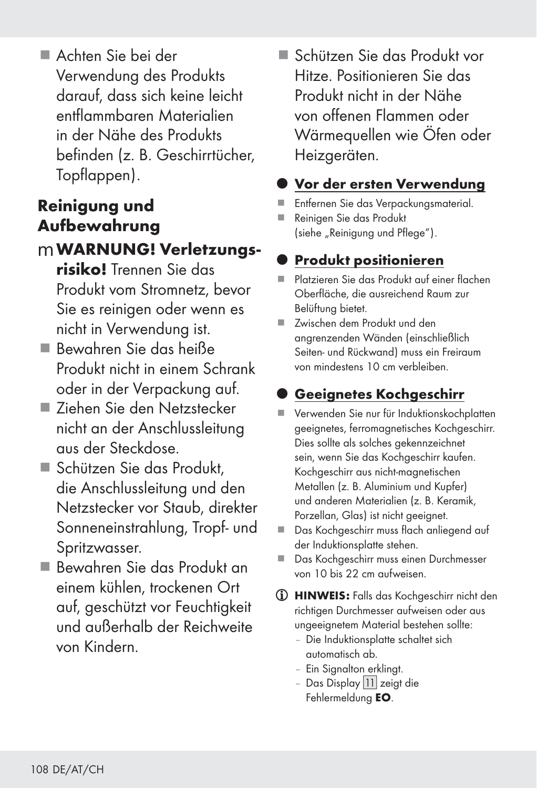Achten Sie bei der Verwendung des Produkts darauf, dass sich keine leicht entflammbaren Materialien in der Nähe des Produkts befinden (z. B. Geschirrtücher, Topflappen).

## Reinigung und Aufbewahrung

### mWARNUNG! Verletzungs-

- risiko! Trennen Sie das Produkt vom Stromnetz, bevor Sie es reinigen oder wenn es nicht in Verwendung ist.
- Bewahren Sie das heiße Produkt nicht in einem Schrank oder in der Verpackung auf.
- Ziehen Sie den Netzstecker nicht an der Anschlussleitung aus der Steckdose.
- Schützen Sie das Produkt. die Anschlussleitung und den Netzstecker vor Staub, direkter Sonneneinstrahlung, Tropf- und Spritzwasser.
- Bewahren Sie das Produkt an einem kühlen, trockenen Ort auf, geschützt vor Feuchtigkeit und außerhalb der Reichweite von Kindern.

 Schützen Sie das Produkt vor Hitze. Positionieren Sie das Produkt nicht in der Nähe von offenen Flammen oder Wärmequellen wie Öfen oder Heizgeräten.

### **Vor der ersten Verwendung**

- Entfernen Sie das Verpackungsmaterial.
- Reinigen Sie das Produkt (siehe "Reinigung und Pflege").

## **Produkt positionieren**

- Platzieren Sie das Produkt auf einer flachen Oberfläche, die ausreichend Raum zur Belüftung bietet.
- Zwischen dem Produkt und den angrenzenden Wänden (einschließlich Seiten- und Rückwand) muss ein Freiraum von mindestens 10 cm verbleiben.

## Geeignetes Kochgeschirr

- Verwenden Sie nur für Induktionskochplatten geeignetes, ferromagnetisches Kochgeschirr. Dies sollte als solches gekennzeichnet sein, wenn Sie das Kochgeschirr kaufen. Kochgeschirr aus nicht-magnetischen Metallen (z. B. Aluminium und Kupfer) und anderen Materialien (z. B. Keramik, Porzellan, Glas) ist nicht geeignet.
- Das Kochgeschirr muss flach anliegend auf der Induktionsplatte stehen.
- Das Kochaeschirr muss einen Durchmesser von 10 bis 22 cm aufweisen.
- HINWEIS: Falls das Kochgeschirr nicht den richtigen Durchmesser aufweisen oder aus ungeeignetem Material bestehen sollte:
	- Die Induktionsplatte schaltet sich automatisch ab.
	- Ein Signalton erklingt.
	- Das Display 11 zeigt die Fehlermeldung EO.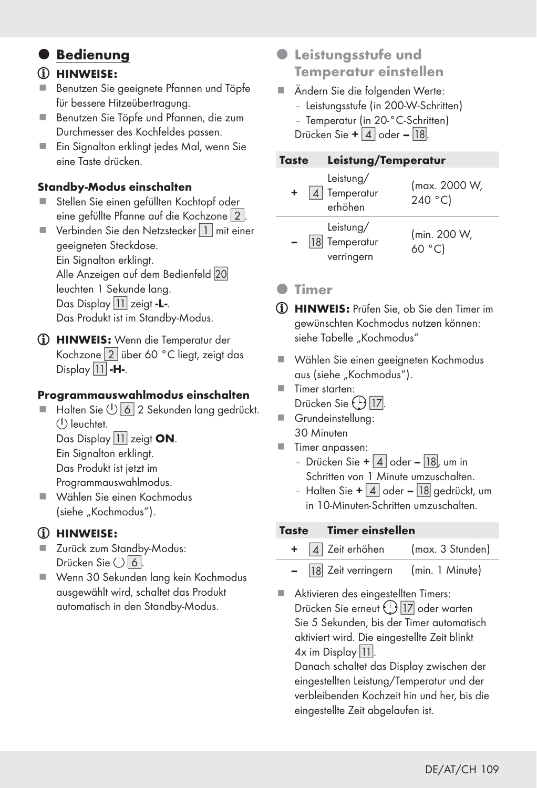### $\bullet$  Bedienung

#### HINWEISE:

- Benutzen Sie geeignete Pfannen und Töpfe für bessere Hitzeübertragung.
- Benutzen Sie Töpfe und Pfannen, die zum Durchmesser des Kochfeldes passen.
- Ein Signalton erklingt jedes Mal, wenn Sie eine Taste drücken.

#### Standby-Modus einschalten

- Stellen Sie einen gefüllten Kochtopf oder eine gefüllte Pfanne auf die Kochzone [2].
- Verbinden Sie den Netzstecker  $\boxed{1}$  mit einer geeigneten Steckdose. Ein Signalton erklingt. Alle Anzeigen auf dem Bedienfeld 20 leuchten 1 Sekunde lang. Das Display 11 zeigt -L-. Das Produkt ist im Standby-Modus.
- HINWEIS: Wenn die Temperatur der Kochzone [2] über 60 °C liegt, zeigt das Display  $|11|$  -H-.

#### Programmauswahlmodus einschalten

Halten Sie (1) 6 2 Sekunden lang gedrückt.  $(1)$  leuchtet. Das Display 11 zeigt ON.

 Ein Signalton erklingt. Das Produkt ist jetzt im

Programmauswahlmodus.

 Wählen Sie einen Kochmodus (siehe "Kochmodus").

#### HINWEISE:

- Zurück zum Standby-Modus: Drücken Sie (<sup>1</sup>) 6
- Wenn 30 Sekunden lang kein Kochmodus ausgewählt wird, schaltet das Produkt automatisch in den Standby-Modus.
- $\bullet$  **Leistungsstufe und** Temperatur einstellen
- Ändern Sie die folgenden Werte: – Leistungsstufe (in 200-W-Schritten)
	- Temperatur (in 20-°C-Schritten)

Drücken Sie +  $4$  oder – [18].

| Taste |                                          | Leistung/Temperatur                |  |  |
|-------|------------------------------------------|------------------------------------|--|--|
| ÷     | Leistung/<br>Temperatur<br>erhöhen       | (max. 2000 W,<br>240 $^{\circ}$ C) |  |  |
|       | Leistung/<br>18 Temperatur<br>verringern | (min. 200 W,<br>60 °C)             |  |  |

#### **•** Timer

- HINWEIS: Prüfen Sie, ob Sie den Timer im gewünschten Kochmodus nutzen können: siehe Tabelle "Kochmodus"
- Wählen Sie einen geeigneten Kochmodus aus (siehe "Kochmodus").
- Timer starten: Drücken Sie (<u>U) [17</u>].
- Grundeinstellung: 30 Minuten
- **Timer anpassen:** 
	- Drücken Sie +  $\boxed{4}$  oder  $\boxed{18}$ , um in Schritten von 1 Minute umzuschalten.
	- Halten Sie +  $\mid$  4  $\mid$  oder  $\mid$  18 gedrückt, um in 10-Minuten-Schritten umzuschalten.

#### Taste Timer einstellen

- 4 Zeit erhöhen (max. 3 Stunden)
- [18] Zeit verringern (min. 1 Minute)
- Aktivieren des eingestellten Timers: Drücken Sie erneut (1) 17 oder warten Sie 5 Sekunden, bis der Timer automatisch aktiviert wird. Die eingestellte Zeit blinkt  $4x$  im Display | 11.

 Danach schaltet das Display zwischen der eingestellten Leistung/Temperatur und der verbleibenden Kochzeit hin und her, bis die eingestellte Zeit abgelaufen ist.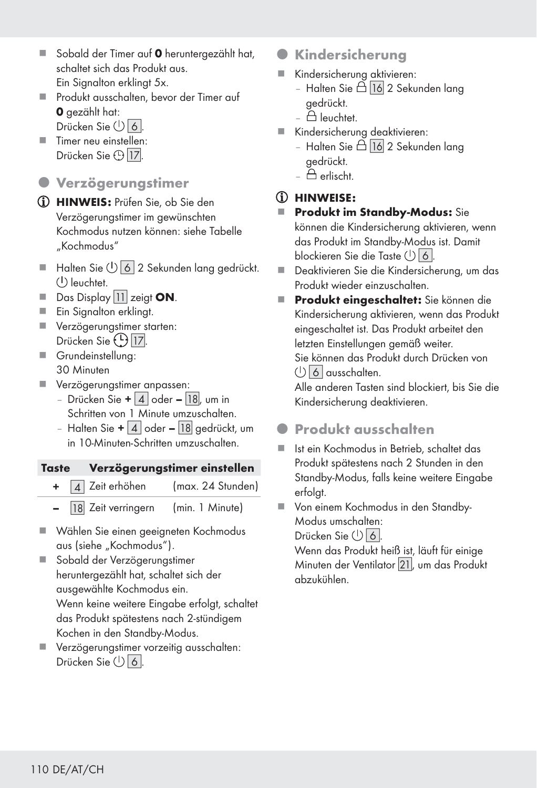- Sobald der Timer auf 0 heruntergezählt hat, schaltet sich das Produkt aus. Ein Signalton erklingt 5x.
- Produkt ausschalten, bevor der Timer auf 0 gezählt hat:
	- Drücken Sie (<sup>1</sup>) 6
- Timer neu einstellen: Drücken Sie ⊕ <mark>17</mark>.
- $Q$  Verzögerungstimer
- HINWEIS: Prüfen Sie, ob Sie den Verzögerungstimer im gewünschten Kochmodus nutzen können: siehe Tabelle "Kochmodus"
- Halten Sie  $\bigcup$  6 2 Sekunden lang gedrückt.  $($ <sup> $\vert$ </sup>) leuchtet.
- $\blacksquare$  Das Display 11 zeigt **ON**.
- **Ein Signalton erklingt.**
- **Verzögerungstimer starten:** Drücken Sie (<u>U) [17]</u>.
- Grundeinstellung: 30 Minuten
- Verzögerungstimer anpassen:
	- Drücken Sie +  $\mid$  4  $\mid$  oder  $\mid$  18 $\mid$ , um in Schritten von 1 Minute umzuschalten.
	- Halten Sie +  $\boxed{4}$  oder  $\boxed{18}$  gedrückt, um in 10-Minuten-Schritten umzuschalten.

#### Taste Verzögerungstimer einstellen

- + [4] Zeit erhöhen (max. 24 Stunden)
	- $\boxed{18}$  Zeit verringern (min. 1 Minute)
- Wählen Sie einen geeigneten Kochmodus aus (siehe "Kochmodus").
- Sobald der Verzögerungstimer heruntergezählt hat, schaltet sich der ausgewählte Kochmodus ein. Wenn keine weitere Eingabe erfolgt, schaltet das Produkt spätestens nach 2-stündigem Kochen in den Standby-Modus.
- Verzögerungstimer vorzeitig ausschalten: Drücken Sie (b) 6
- **Kindersicherung**
- Kindersicherung aktivieren:
	- Halten Sie  $\tilde{\boxdot}$  16 2 Sekunden lang gedrückt.
	- $$\bigoplus$  leuchtet.$
- Kindersicherung deaktivieren:
	- Halten Sie  $\triangle$  16 2 Sekunden lang gedrückt.
	- $\triangle$  erlischt.

### HINWEISE:

- **Produkt im Standby-Modus:** Sie können die Kindersicherung aktivieren, wenn das Produkt im Standby-Modus ist. Damit blockieren Sie die Taste (1) 6.
- Deaktivieren Sie die Kindersicherung, um das Produkt wieder einzuschalten.
- Produkt eingeschaltet: Sie können die Kindersicherung aktivieren, wenn das Produkt eingeschaltet ist. Das Produkt arbeitet den letzten Einstellungen gemäß weiter. Sie können das Produkt durch Drücken von  $(1)$   $\overline{6}$  ausschalten.

 Alle anderen Tasten sind blockiert, bis Sie die Kindersicherung deaktivieren.

### **A** Produkt ausschalten

- Ist ein Kochmodus in Betrieb, schaltet das Produkt spätestens nach 2 Stunden in den Standby-Modus, falls keine weitere Eingabe erfolgt.
- Von einem Kochmodus in den Standby-Modus umschalten: Drücken Sie  $\bigcup$  6.

 Wenn das Produkt heiß ist, läuft für einige Minuten der Ventilator [
], um das Produkt abzukühlen.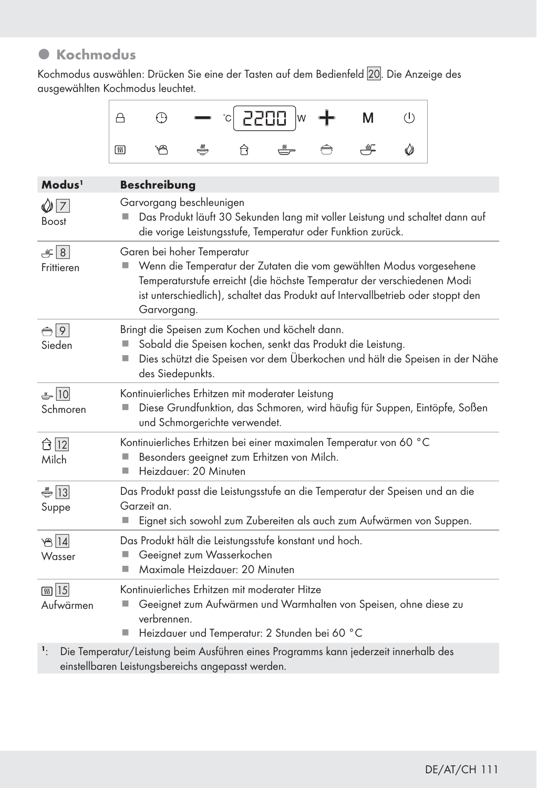# $\bullet$  Kochmodus

Kochmodus auswählen: Drücken Sie eine der Tasten auf dem Bedienfeld []. Die Anzeige des ausgewählten Kochmodus leuchtet.

|                                  | 2200<br>⊕<br>$\left(\mathsf{I}\right)$<br>A<br>м<br>W                                                                                                                                                                                                                          |  |  |  |  |  |
|----------------------------------|--------------------------------------------------------------------------------------------------------------------------------------------------------------------------------------------------------------------------------------------------------------------------------|--|--|--|--|--|
|                                  | 一<br>ő<br>নি<br>$\omega$<br>۳A<br>网                                                                                                                                                                                                                                            |  |  |  |  |  |
| Modus <sup>1</sup>               | <b>Beschreibung</b>                                                                                                                                                                                                                                                            |  |  |  |  |  |
| $\bigcirc$ 7<br>Boost            | Garvorgang beschleunigen<br>Das Produkt läuft 30 Sekunden lang mit voller Leistung und schaltet dann auf<br>die vorige Leistungsstufe, Temperatur oder Funktion zurück.                                                                                                        |  |  |  |  |  |
| $\left  8 \right $<br>Frittieren | Garen bei hoher Temperatur<br>Wenn die Temperatur der Zutaten die vom gewählten Modus vorgesehene<br>Temperaturstufe erreicht (die höchste Temperatur der verschiedenen Modi<br>ist unterschiedlich), schaltet das Produkt auf Intervallbetrieb oder stoppt den<br>Garvorgang. |  |  |  |  |  |
| $\bigcap$ 9<br>Sieden            | Bringt die Speisen zum Kochen und köchelt dann.<br>Sobald die Speisen kochen, senkt das Produkt die Leistung.<br>Dies schützt die Speisen vor dem Überkochen und hält die Speisen in der Nähe<br>u,<br>des Siedepunkts.                                                        |  |  |  |  |  |
| $-10$<br>Schmoren                | Kontinuierliches Erhitzen mit moderater Leistung<br>Diese Grundfunktion, das Schmoren, wird häufig für Suppen, Eintöpfe, Soßen<br>und Schmorgerichte verwendet.                                                                                                                |  |  |  |  |  |
| $\hat{\Box}$ 12<br>Milch         | Kontinuierliches Erhitzen bei einer maximalen Temperatur von 60 °C<br>Besonders geeignet zum Erhitzen von Milch.<br>ш<br>Heizdauer: 20 Minuten<br>п                                                                                                                            |  |  |  |  |  |
| $\frac{2}{3}$ 13<br>Suppe        | Das Produkt passt die Leistungsstufe an die Temperatur der Speisen und an die<br>Garzeit an.<br>Eignet sich sowohl zum Zubereiten als auch zum Aufwärmen von Suppen.                                                                                                           |  |  |  |  |  |
| 814<br>Wasser                    | Das Produkt hält die Leistungsstufe konstant und hoch.<br>Geeignet zum Wasserkochen<br>Maximale Heizdauer: 20 Minuten<br>п                                                                                                                                                     |  |  |  |  |  |
| <b>கு</b> 15<br>Aufwärmen        | Kontinuierliches Erhitzen mit moderater Hitze<br>Geeignet zum Aufwärmen und Warmhalten von Speisen, ohne diese zu<br>verbrennen.<br>Heizdauer und Temperatur: 2 Stunden bei 60 °C                                                                                              |  |  |  |  |  |
| 1.                               | Die Temperatur/Leistung beim Ausführen eines Programms kann jederzeit innerhalb des                                                                                                                                                                                            |  |  |  |  |  |

einstellbaren Leistungsbereichs angepasst werden.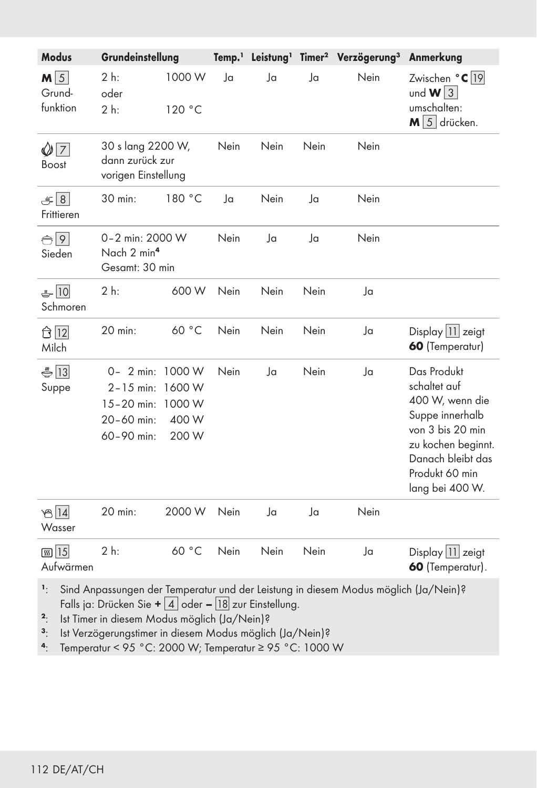| <b>Modus</b>                                             | Grundeinstellung                                                                |                                    |                |      |      | Temp. <sup>1</sup> Leistung <sup>1</sup> Timer <sup>2</sup> Verzögerung <sup>3</sup> | Anmerkung                                                                                                                                                                      |
|----------------------------------------------------------|---------------------------------------------------------------------------------|------------------------------------|----------------|------|------|--------------------------------------------------------------------------------------|--------------------------------------------------------------------------------------------------------------------------------------------------------------------------------|
| $M\vert 5 \vert$<br>Grund-<br>funktion                   | 2 h:<br>oder<br>2 h:                                                            | 1000 W<br>120 °C                   | $\overline{a}$ | Ja   | Ja   | Nein                                                                                 | Zwischen °C  19 <br>und $W$ 3<br>umschalten:<br>$M \overline{5}$ drücken.                                                                                                      |
| $\mathcal{Q}[\overline{7}]$<br>Boost                     | 30 s lang 2200 W,<br>dann zurück zur<br>vorigen Einstellung                     |                                    | Nein           | Nein | Nein | Nein                                                                                 |                                                                                                                                                                                |
| $\equiv$ 8<br>Frittieren                                 | 30 min:                                                                         | 180 °C                             | Ja             | Nein | Ja   | Nein                                                                                 |                                                                                                                                                                                |
| $\bigoplus$ 9<br>Sieden                                  | 0-2 min: 2000 W<br>Nach 2 min <sup>4</sup><br>Gesamt: 30 min                    |                                    | Nein           | Ja   | Ja   | Nein                                                                                 |                                                                                                                                                                                |
| $-10$<br>Schmoren                                        | $2h$ :                                                                          | 600 W                              | Nein           | Nein | Nein | Ja                                                                                   |                                                                                                                                                                                |
| $\hat{\Box}$ $\overline{12}$<br>Milch                    | 20 min:                                                                         | 60 °C                              | Nein           | Nein | Nein | Ja                                                                                   | Display $\boxed{11}$ zeigt<br>60 (Temperatur)                                                                                                                                  |
| $\bigoplus$ 13<br>Suppe                                  | 0- 2 min: 1000 W<br>$2 - 15$ min:<br>$15 - 20$ min:<br>20-60 min:<br>60-90 min: | 1600 W<br>1000 W<br>400 W<br>200 W | Nein           | Ja   | Nein | Ja                                                                                   | Das Produkt<br>schaltet auf<br>400 W, wenn die<br>Suppe innerhalb<br>von 3 bis 20 min<br>zu kochen beginnt.<br>Danach bleibt das<br>Produkt 60 min<br>lang bei 400 W.          |
| තු $ 14 $<br>Wasser                                      | 20 min:                                                                         | 2000 W                             | Nein           | Ja   | Ja   | Nein                                                                                 |                                                                                                                                                                                |
| <b>கு</b> 15<br>Aufwärmen<br>$\sim$ $\sim$ $\sim$ $\sim$ | 2 h:                                                                            | 60 °C                              | Nein           | Nein | Nein | Ja                                                                                   | Display 11 zeigt<br>60 (Temperatur).<br>$\overline{u}$ $\overline{u}$ $\overline{u}$ $\overline{u}$ $\overline{u}$ $\overline{u}$ $\overline{u}$ $\overline{u}$ $\overline{u}$ |

<sup>1</sup>: Sind Anpassungen der Temperatur und der Leistung in diesem Modus möglich (Ja/Nein)? Falls ja: Drücken Sie +  $\boxed{4}$  oder –  $\boxed{18}$  zur Einstellung.

2: Ist Timer in diesem Modus möglich (Ja/Nein)?<br>3: Ist Verzögerungstimer in diesem Modus möglic

<sup>3</sup>: Ist Verzögerungstimer in diesem Modus möglich (Ja/Nein)?

4: Temperatur < 95 °C: 2000 W; Temperatur ≥ 95 °C: 1000 W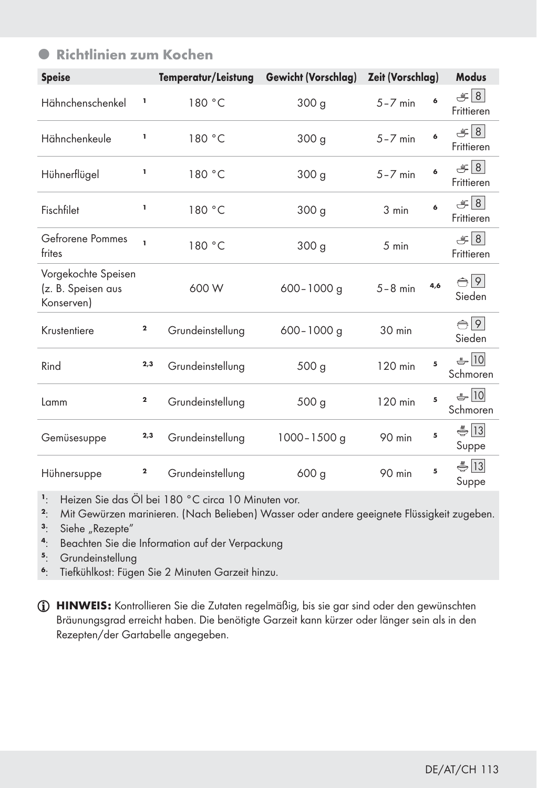| <b>Speise</b>                                           |             | Temperatur/Leistung | <b>Gewicht (Vorschlag)</b> | Zeit (Vorschlag) |     | <b>Modus</b>                  |
|---------------------------------------------------------|-------------|---------------------|----------------------------|------------------|-----|-------------------------------|
| Hähnchenschenkel                                        | ı,          | 180 °C              | 300 <sub>g</sub>           | $5 - 7$ min      | 6   | $\mathcal{L}$ 8<br>Frittieren |
| Hähnchenkeule                                           | ı,          | 180 °C              | 300 <sub>g</sub>           | $5 - 7$ min      | 6   | $\mathcal{L}$ 8<br>Frittieren |
| Hühnerflügel                                            | ı           | 180 °C              | 300 <sub>g</sub>           | $5 - 7$ min      | 6   | $\mathcal{L}$ 8<br>Frittieren |
| Fischfilet                                              | 1           | 180 °C              | 300 <sub>g</sub>           | 3 min            | 6   | $\mathcal{L}$ 8<br>Frittieren |
| Gefrorene Pommes<br>frites                              | ĭ.          | 180 °C              | 300 g                      | 5 min            |     | $\mathcal{L}$ 8<br>Frittieren |
| Vorgekochte Speisen<br>(z. B. Speisen aus<br>Konserven) |             | 600 W               | $600 - 1000$ g             | $5-8$ min        | 4,6 | $\bigoplus$ 9<br>Sieden       |
| Krustentiere                                            | $\bf{2}$    | Grundeinstellung    | $600 - 1000$ g             | 30 min           |     | $\bigoplus$ 9<br>Sieden       |
| Rind                                                    | 2,3         | Grundeinstellung    | 500 <sub>g</sub>           | 120 min          | 5   | $\frac{10}{2}$ 10<br>Schmoren |
| Lamm                                                    | $\mathbf 2$ | Grundeinstellung    | 500 g                      | 120 min          | 5   | $-10$<br>Schmoren             |
| Gemüsesuppe                                             | 2,3         | Grundeinstellung    | $1000 - 1500$ g            | 90 min           | 5   | $\frac{2}{3}$ 13<br>Suppe     |
| Hühnersuppe                                             | $\mathbf 2$ | Grundeinstellung    | 600 <sub>g</sub>           | 90 min           | 5   | $\frac{2}{5}$  13 <br>Suppe   |

# **• Richtlinien zum Kochen**

1: Heizen Sie das Öl bei 180 °C circa 10 Minuten vor.<br>2: Mit Gewürzen marinieren. (Nach Belieben) Wasser o

<sup>2</sup>: Mit Gewürzen marinieren. (Nach Belieben) Wasser oder andere geeignete Flüssigkeit zugeben.

- <sup>3</sup>: Siehe "Rezepte"<br><sup>4</sup>: Beachten Sie die
- <sup>4</sup>: Beachten Sie die Information auf der Verpackung<br><sup>5</sup>: Grundeinstellung
- **Grundeinstellung**
- <sup>6</sup>: Tiefkühlkost: Fügen Sie 2 Minuten Garzeit hinzu.

HINWEIS: Kontrollieren Sie die Zutaten regelmäßig, bis sie gar sind oder den gewünschten Bräunungsgrad erreicht haben. Die benötigte Garzeit kann kürzer oder länger sein als in den Rezepten/der Gartabelle angegeben.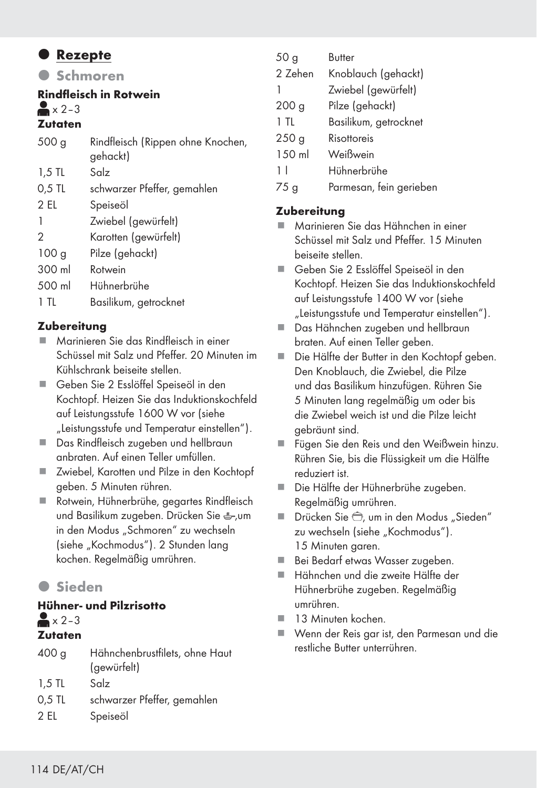### **•** Rezepte

**O** Schmoren

### Rindfleisch in Rotwein

#### $\approx$   $\times$  2–3

### Zutaten

| 500 <sub>g</sub> | Rindfleisch (Rippen ohne Knochen,<br>gehackt) |
|------------------|-----------------------------------------------|
| $1,5$ TL         | Salz                                          |
| $0.5$ TL         | schwarzer Pfeffer, gemahlen                   |
| 2 EL             | Speiseöl                                      |
|                  | Zwiebel (gewürfelt)                           |
| 2                | Karotten (gewürfelt)                          |
| 100 <sub>g</sub> | Pilze (gehackt)                               |
| 300 ml           | Rotwein                                       |
| 500 ml           | Hühnerbrühe                                   |
| 1 TL             | Basilikum, getrocknet                         |

### **Zubereitung**

- Marinieren Sie das Rindfleisch in einer Schüssel mit Salz und Pfeffer. 20 Minuten im Kühlschrank beiseite stellen.
- Geben Sie 2 Esslöffel Speiseöl in den Kochtopf. Heizen Sie das Induktionskochfeld auf Leistungsstufe 1600 W vor (siehe "Leistungsstufe und Temperatur einstellen").
- Das Rindfleisch zugeben und hellbraun anbraten. Auf einen Teller umfüllen.
- Zwiebel, Karotten und Pilze in den Kochtopf geben. 5 Minuten rühren.
- Rotwein, Hühnerbrühe, gegartes Rindfleisch und Basilikum zugeben. Drücken Sie &um in den Modus "Schmoren" zu wechseln (siehe "Kochmodus"). 2 Stunden lang kochen. Regelmäßig umrühren.

# z Sieden

#### Hühner- und Pilzrisotto  $\triangle$   $\times$  2–3 Zutaten

| 400 <sub>g</sub> | Hähnchenbrustfilets, ohne Haut<br>(gewürfelt) |
|------------------|-----------------------------------------------|
| $1.5$ TL         | Salz                                          |
| $0.5$ TL         | schwarzer Pfeffer, gemahlen                   |
| 2 FI             | Speiseöl                                      |

| 50 <sub>g</sub>  | Butter                |
|------------------|-----------------------|
| 2 Zehen          | Knoblauch (gehackt)   |
| 1                | Zwiebel (gewürfelt)   |
| 200 <sub>g</sub> | Pilze (gehackt)       |
| 1 TI             | Basilikum, getrocknet |
| 250 <sub>g</sub> | Risottoreis           |
| 150 ml           | Weißwein              |
| 11               | Hühnerbrühe           |
|                  |                       |

75 g Parmesan, fein gerieben

### **Zubereitung**

- Marinieren Sie das Hähnchen in einer Schüssel mit Salz und Pfeffer. 15 Minuten beiseite stellen.
- Geben Sie 2 Esslöffel Speiseöl in den Kochtopf. Heizen Sie das Induktionskochfeld auf Leistungsstufe 1400 W vor (siehe "Leistungsstufe und Temperatur einstellen").
- Das Hähnchen zugeben und hellbraun braten. Auf einen Teller geben.
- Die Hälfte der Butter in den Kochtopf geben. Den Knoblauch, die Zwiebel, die Pilze und das Basilikum hinzufügen. Rühren Sie 5 Minuten lang regelmäßig um oder bis die Zwiebel weich ist und die Pilze leicht gebräunt sind.
- Fügen Sie den Reis und den Weißwein hinzu. Rühren Sie, bis die Flüssigkeit um die Hälfte reduziert ist.
- Die Hälfte der Hühnerbrühe zugeben. Regelmäßig umrühren.
- Drücken Sie  $\hat{\ominus}$ , um in den Modus "Sieden" zu wechseln (siehe "Kochmodus"). 15 Minuten garen.
- Bei Bedarf etwas Wasser zugeben.
- Hähnchen und die zweite Hälfte der Hühnerbrühe zugeben. Regelmäßig umrühren.
- 13 Minuten kochen.
- Wenn der Reis gar ist, den Parmesan und die restliche Butter unterrühren.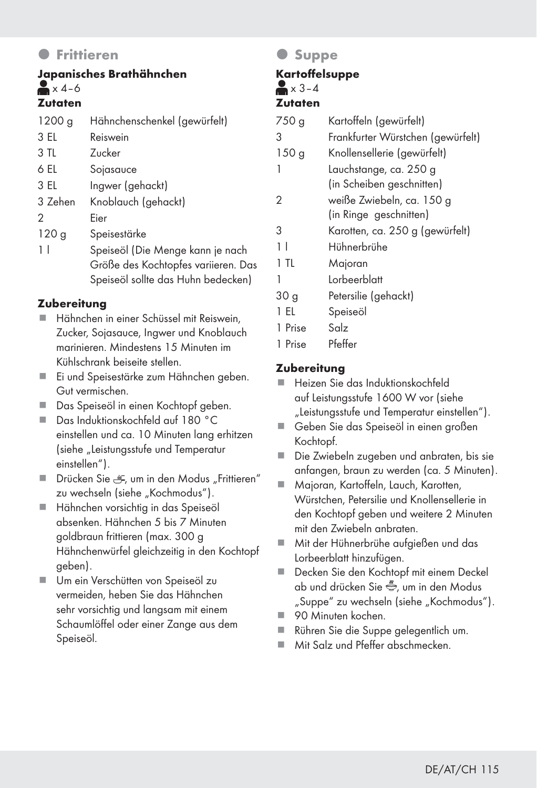### z Frittieren

### Japanisches Brathähnchen  $\blacktriangleright$  x 4–6 **Zutaten**

| 1200 g           | Hähnchenschenkel (gewürfelt)        |
|------------------|-------------------------------------|
| 3 EL             | Reiswein                            |
| 3 TL             | <b>Zucker</b>                       |
| 6 EL             | Sojasauce                           |
| 3 EL             | Ingwer (gehackt)                    |
| 3 Zehen          | Knoblauch (gehackt)                 |
| 2                | Eier                                |
| 120 <sub>g</sub> | Speisestärke                        |
| 1 <sup>1</sup>   | Speiseöl (Die Menge kann je nach    |
|                  | Größe des Kochtopfes variieren. Das |
|                  | Speiseöl sollte das Huhn bedecken)  |

### **Zubereitung**

- Hähnchen in einer Schüssel mit Reiswein, Zucker, Sojasauce, Ingwer und Knoblauch marinieren. Mindestens 15 Minuten im Kühlschrank beiseite stellen.
- Ei und Speisestärke zum Hähnchen geben. Gut vermischen.
- Das Speiseöl in einen Kochtopf geben.
- Das Induktionskochfeld auf 180 °C einstellen und ca. 10 Minuten lang erhitzen (siehe "Leistungsstufe und Temperatur einstellen").
- Drücken Sie , et um in den Modus "Frittieren" zu wechseln (siehe "Kochmodus").
- Hähnchen vorsichtig in das Speiseöl absenken. Hähnchen 5 bis 7 Minuten goldbraun frittieren (max. 300 g Hähnchenwürfel gleichzeitig in den Kochtopf geben).
- Um ein Verschütten von Speiseöl zu vermeiden, heben Sie das Hähnchen sehr vorsichtig und langsam mit einem Schaumlöffel oder einer Zange aus dem Speiseöl.

### $O$  Suppe

# **Kartoffelsuppe**

### $\blacktriangleright$   $\blacktriangle$   $\times$  3-4

#### Zutaten

| 750 g            | Kartoffeln (gewürfelt)            |
|------------------|-----------------------------------|
| 3                | Frankfurter Würstchen (gewürfelt) |
| 150 <sub>g</sub> | Knollensellerie (gewürfelt)       |
| 1                | Lauchstange, ca. 250 g            |
|                  | (in Scheiben geschnitten)         |
| 2                | weiße Zwiebeln, ca. 150 g         |
|                  | (in Ringe geschnitten)            |
| 3                | Karotten, ca. 250 g (gewürfelt)   |
| 11               | Hühnerbrühe                       |
| 1 TL             | Majoran                           |
| 1                | Lorbeerblatt                      |
| 30 g             | Petersilie (gehackt)              |
| -EL              | Speiseöl                          |
| Prise            | Salz                              |

1 Prise Pfeffer

### **Zubereitung**

- Heizen Sie das Induktionskochfeld auf Leistungsstufe 1600 W vor (siehe "Leistungsstufe und Temperatur einstellen").
- Geben Sie das Speiseöl in einen großen Kochtopf.
- Die Zwiebeln zugeben und anbraten, bis sie anfangen, braun zu werden (ca. 5 Minuten).
- Majoran, Kartoffeln, Lauch, Karotten, Würstchen, Petersilie und Knollensellerie in den Kochtopf geben und weitere 2 Minuten mit den Zwiebeln anbraten.
- Mit der Hühnerbrühe aufgießen und das Lorbeerblatt hinzufügen.
- Decken Sie den Kochtopf mit einem Deckel ab und drücken Sie e. um in den Modus "Suppe" zu wechseln (siehe "Kochmodus").
- 90 Minuten kochen.
- Rühren Sie die Suppe gelegentlich um.
- Mit Salz und Pfeffer abschmecken.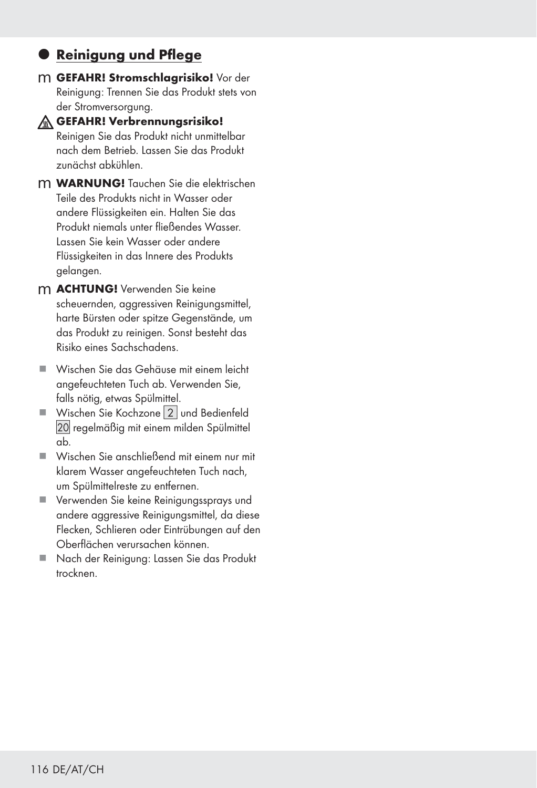## **• Reinigung und Pflege**

m GEFAHR! Stromschlagrisiko! Vor der Reinigung: Trennen Sie das Produkt stets von der Stromversorgung.



### GEFAHR! Verbrennungsrisiko!

Reinigen Sie das Produkt nicht unmittelbar nach dem Betrieb. Lassen Sie das Produkt zunächst abkühlen.

- m WARNUNG! Tauchen Sie die elektrischen Teile des Produkts nicht in Wasser oder andere Flüssigkeiten ein. Halten Sie das Produkt niemals unter fließendes Wasser. Lassen Sie kein Wasser oder andere Flüssigkeiten in das Innere des Produkts gelangen.
- m ACHTUNG! Verwenden Sie keine scheuernden, aggressiven Reinigungsmittel, harte Bürsten oder spitze Gegenstände, um das Produkt zu reinigen. Sonst besteht das Risiko eines Sachschadens.
- Wischen Sie das Gehäuse mit einem leicht angefeuchteten Tuch ab. Verwenden Sie, falls nötig, etwas Spülmittel.
- Wischen Sie Kochzone [2] und Bedienfeld [] regelmäßig mit einem milden Spülmittel ab.
- Wischen Sie anschließend mit einem nur mit klarem Wasser angefeuchteten Tuch nach, um Spülmittelreste zu entfernen.
- Verwenden Sie keine Reinigungssprays und andere aggressive Reinigungsmittel, da diese Flecken, Schlieren oder Eintrübungen auf den Oberflächen verursachen können.
- Nach der Reinigung: Lassen Sie das Produkt trocknen.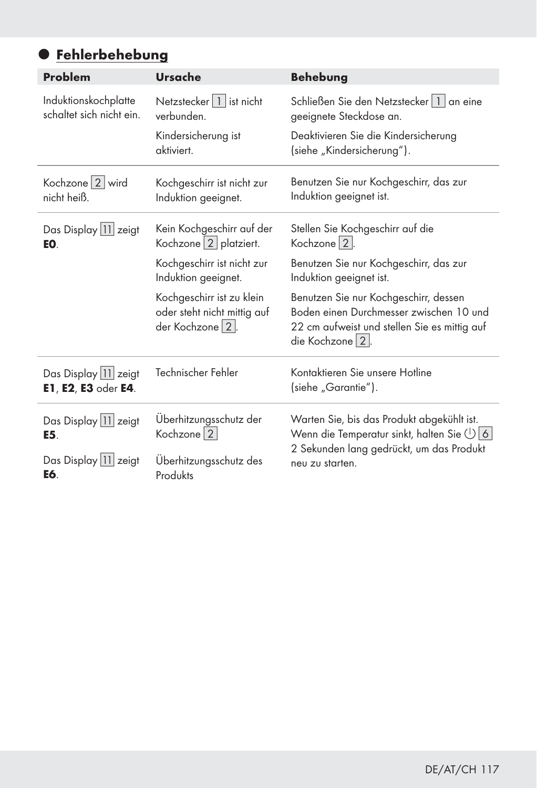# **• Fehlerbehebung**

| <b>Problem</b>                                                          | <b>Ursache</b>                                                                  | <b>Behebung</b>                                                                                                                                      |  |  |
|-------------------------------------------------------------------------|---------------------------------------------------------------------------------|------------------------------------------------------------------------------------------------------------------------------------------------------|--|--|
| Induktionskochplatte<br>schaltet sich nicht ein.                        | Netzstecker   1   ist nicht<br>verbunden.                                       | Schließen Sie den Netzstecker   1   an eine<br>geeignete Steckdose an.                                                                               |  |  |
|                                                                         | Kindersicherung ist<br>aktiviert                                                | Deaktivieren Sie die Kindersicherung<br>(siehe "Kindersicherung").                                                                                   |  |  |
| Kochzone 2 wird<br>nicht heiß.                                          | Kochgeschirr ist nicht zur<br>Induktion geeignet.                               | Benutzen Sie nur Kochgeschirr, das zur<br>Induktion geeignet ist.                                                                                    |  |  |
| Das Display 11 zeigt<br>EO.                                             | Kein Kochgeschirr auf der<br>Kochzone <sup>[2]</sup> platziert.                 | Stellen Sie Kochgeschirr auf die<br>Kochzone   2  .                                                                                                  |  |  |
|                                                                         | Kochgeschirr ist nicht zur<br>Induktion geeignet.                               | Benutzen Sie nur Kochgeschirr, das zur<br>Induktion geeignet ist.                                                                                    |  |  |
|                                                                         | Kochgeschirr ist zu klein<br>oder steht nicht mittig auf<br>der Kochzone   2  . | Benutzen Sie nur Kochgeschirr, dessen<br>Boden einen Durchmesser zwischen 10 und<br>22 cm aufweist und stellen Sie es mittig auf<br>die Kochzone   2 |  |  |
| Das Display 11 zeigt<br>E1, E2, E3 oder E4.                             | Technischer Fehler                                                              | Kontaktieren Sie unsere Hotline<br>(siehe "Garantie").                                                                                               |  |  |
| Überhitzungsschutz der<br>Das Display 11 zeigt<br>Kochzone   2  <br>E5. |                                                                                 | Warten Sie, bis das Produkt abgekühlt ist.<br>Wenn die Temperatur sinkt, halten Sie $\bigcup$ 6                                                      |  |  |
| Das Display 11 zeigt<br>E6.                                             | Uberhitzungsschutz des<br>Produkts                                              | 2 Sekunden lang gedrückt, um das Produkt<br>neu zu starten.                                                                                          |  |  |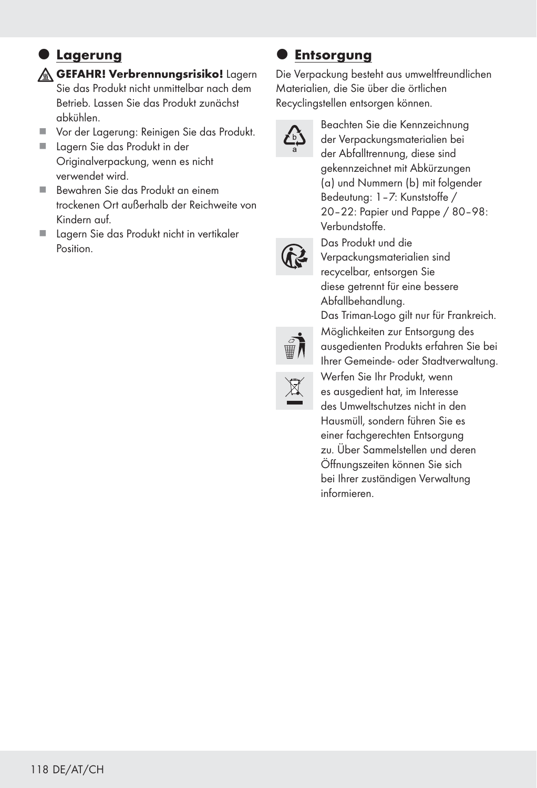## $\bullet$  Lagerung

**GEFAHR! Verbrennungsrisiko!** Lagern Sie das Produkt nicht unmittelbar nach dem Betrieb. Lassen Sie das Produkt zunächst abkühlen.

- Vor der Lagerung: Reinigen Sie das Produkt.
- **Lagern Sie das Produkt in der** Originalverpackung, wenn es nicht verwendet wird.
- Bewahren Sie das Produkt an einem trockenen Ort außerhalb der Reichweite von Kindern auf.
- Lagern Sie das Produkt nicht in vertikaler Position.

### **Entsorgung**

Die Verpackung besteht aus umweltfreundlichen Materialien, die Sie über die örtlichen Recyclingstellen entsorgen können.



Beachten Sie die Kennzeichnung der Verpackungsmaterialien bei der Abfalltrennung, diese sind gekennzeichnet mit Abkürzungen (a) und Nummern (b) mit folgender Bedeutung: 1–7: Kunststoffe / 20–22: Papier und Pappe / 80–98: Verbundstoffe.



Das Produkt und die Verpackungsmaterialien sind recycelbar, entsorgen Sie diese getrennt für eine bessere Abfallbehandlung.



Das Triman-Logo gilt nur für Frankreich. Möglichkeiten zur Entsorgung des ausgedienten Produkts erfahren Sie bei Ihrer Gemeinde- oder Stadtverwaltung.



Werfen Sie Ihr Produkt, wenn es ausgedient hat, im Interesse des Umweltschutzes nicht in den Hausmüll, sondern führen Sie es einer fachgerechten Entsorgung zu. Über Sammelstellen und deren Öffnungszeiten können Sie sich bei Ihrer zuständigen Verwaltung informieren.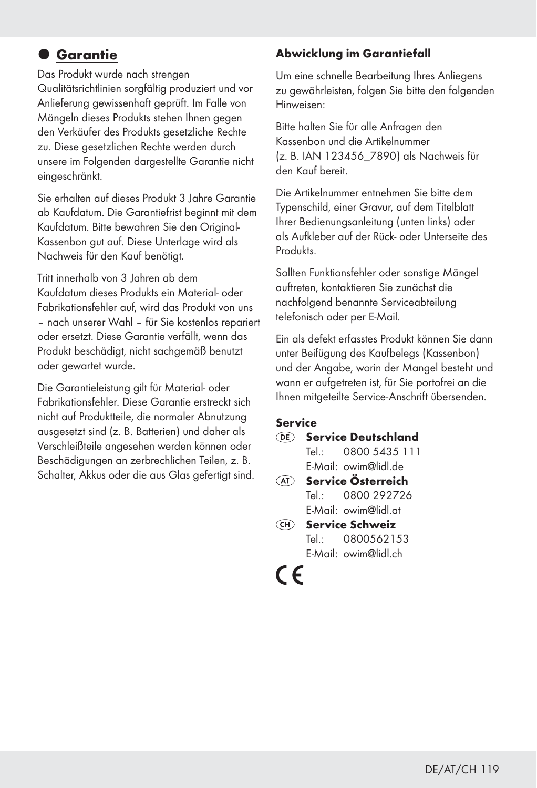# $Q$  Garantie

Das Produkt wurde nach strengen Qualitätsrichtlinien sorgfältig produziert und vor Anlieferung gewissenhaft geprüft. Im Falle von Mängeln dieses Produkts stehen Ihnen gegen den Verkäufer des Produkts gesetzliche Rechte zu. Diese gesetzlichen Rechte werden durch unsere im Folgenden dargestellte Garantie nicht eingeschränkt.

Sie erhalten auf dieses Produkt 3 Jahre Garantie ab Kaufdatum. Die Garantiefrist beginnt mit dem Kaufdatum. Bitte bewahren Sie den Original-Kassenbon gut auf. Diese Unterlage wird als Nachweis für den Kauf benötigt.

Tritt innerhalb von 3 Jahren ab dem Kaufdatum dieses Produkts ein Material- oder Fabrikationsfehler auf, wird das Produkt von uns – nach unserer Wahl – für Sie kostenlos repariert oder ersetzt. Diese Garantie verfällt, wenn das Produkt beschädigt, nicht sachgemäß benutzt oder gewartet wurde.

Die Garantieleistung gilt für Material- oder Fabrikationsfehler. Diese Garantie erstreckt sich nicht auf Produktteile, die normaler Abnutzung ausgesetzt sind (z. B. Batterien) und daher als Verschleißteile angesehen werden können oder Beschädigungen an zerbrechlichen Teilen, z. B. Schalter, Akkus oder die aus Glas gefertigt sind.

### Abwicklung im Garantiefall

Um eine schnelle Bearbeitung Ihres Anliegens zu gewährleisten, folgen Sie bitte den folgenden Hinweisen:

Bitte halten Sie für alle Anfragen den Kassenbon und die Artikelnummer (z. B. IAN 123456\_7890) als Nachweis für den Kauf bereit.

Die Artikelnummer entnehmen Sie bitte dem Typenschild, einer Gravur, auf dem Titelblatt Ihrer Bedienungsanleitung (unten links) oder als Aufkleber auf der Rück- oder Unterseite des Produkts.

Sollten Funktionsfehler oder sonstige Mängel auftreten, kontaktieren Sie zunächst die nachfolgend benannte Serviceabteilung telefonisch oder per E-Mail.

Ein als defekt erfasstes Produkt können Sie dann unter Beifügung des Kaufbelegs (Kassenbon) und der Angabe, worin der Mangel besteht und wann er aufgetreten ist, für Sie portofrei an die Ihnen mitgeteilte Service-Anschrift übersenden.

#### Service

- Service Deutschland Tel.: 0800 5435 111
- E-Mail: owim@lidl.de **AT** Service Österreich Tel.: 0800 292726 E-Mail: owim@lidl.at
- Service Schweiz Tel.: 0800562153 E-Mail: owim@lidl.ch

# $\epsilon$